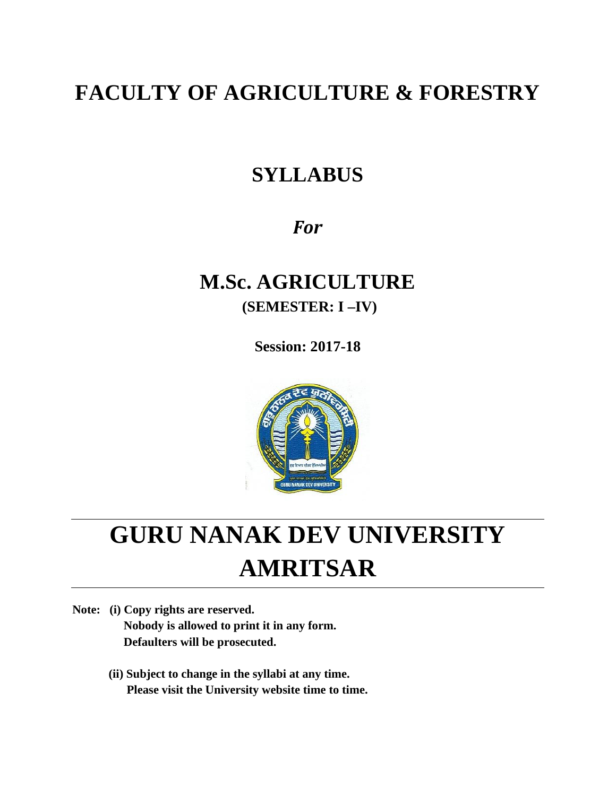# **FACULTY OF AGRICULTURE & FORESTRY**

# **SYLLABUS**

# *For*

# **M.Sc. AGRICULTURE (SEMESTER: I –IV)**

**Session: 2017-18**



# **GURU NANAK DEV UNIVERSITY AMRITSAR**

**Note: (i) Copy rights are reserved. Nobody is allowed to print it in any form. Defaulters will be prosecuted.**

> **(ii) Subject to change in the syllabi at any time. Please visit the University website time to time.**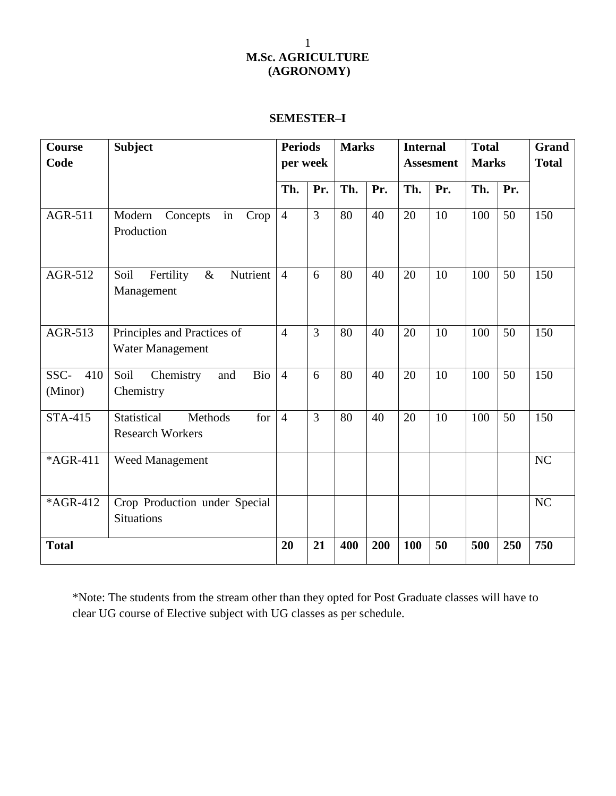# **SEMESTER–I**

| <b>Course</b><br>Code | <b>Subject</b>                                           |                | <b>Periods</b><br>per week |     | <b>Marks</b> |     | <b>Internal</b><br><b>Assesment</b> |     | <b>Total</b><br><b>Marks</b> | Grand<br><b>Total</b> |
|-----------------------|----------------------------------------------------------|----------------|----------------------------|-----|--------------|-----|-------------------------------------|-----|------------------------------|-----------------------|
|                       |                                                          | Th.            | Pr.                        | Th. | Pr.          | Th. | Pr.                                 | Th. | Pr.                          |                       |
| AGR-511               | Modern<br>Concepts<br>in<br>Crop<br>Production           | $\overline{4}$ | $\overline{3}$             | 80  | 40           | 20  | 10                                  | 100 | 50                           | 150                   |
| AGR-512               | Nutrient<br>Fertility<br>$\&$<br>Soil<br>Management      | $\overline{4}$ | 6                          | 80  | 40           | 20  | 10                                  | 100 | 50                           | 150                   |
| AGR-513               | Principles and Practices of<br>Water Management          | $\overline{4}$ | 3                          | 80  | 40           | 20  | 10                                  | 100 | 50                           | 150                   |
| SSC- 410<br>(Minor)   | Soil<br>Chemistry<br>Bio<br>and<br>Chemistry             | $\overline{4}$ | 6                          | 80  | 40           | 20  | 10                                  | 100 | 50                           | 150                   |
| <b>STA-415</b>        | Statistical<br>Methods<br>for<br><b>Research Workers</b> | $\overline{4}$ | $\overline{3}$             | 80  | 40           | 20  | 10                                  | 100 | 50                           | 150                   |
| *AGR-411              | Weed Management                                          |                |                            |     |              |     |                                     |     |                              | NC                    |
| *AGR-412              | Crop Production under Special<br><b>Situations</b>       |                |                            |     |              |     |                                     |     |                              | NC                    |
| <b>Total</b>          |                                                          | 20             | 21                         | 400 | 200          | 100 | 50                                  | 500 | 250                          | 750                   |

\*Note: The students from the stream other than they opted for Post Graduate classes will have to clear UG course of Elective subject with UG classes as per schedule.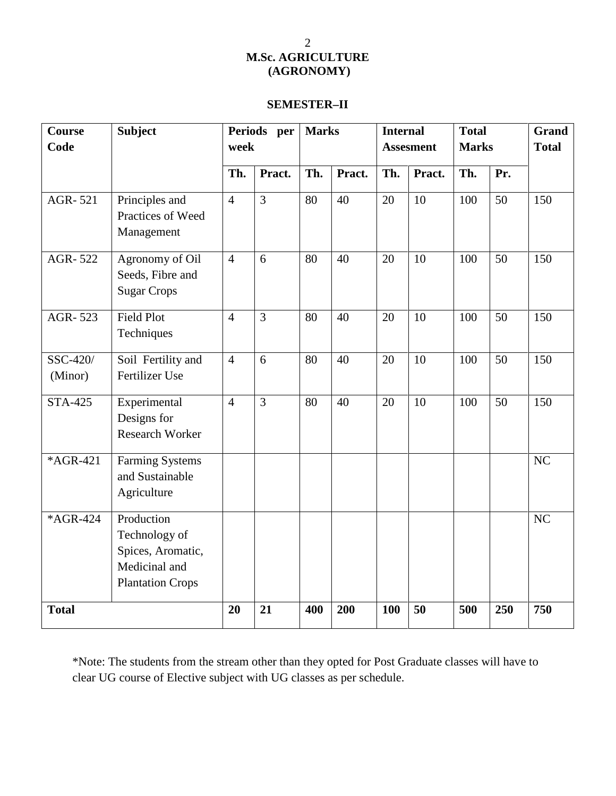## **SEMESTER–II**

| <b>Course</b><br>Code | <b>Subject</b>                                                                               |                | Periods per<br>week |     | <b>Marks</b> |               | <b>Internal</b><br><b>Assesment</b> |            | <b>Total</b><br><b>Marks</b> | Grand<br><b>Total</b> |
|-----------------------|----------------------------------------------------------------------------------------------|----------------|---------------------|-----|--------------|---------------|-------------------------------------|------------|------------------------------|-----------------------|
|                       |                                                                                              | Pract.<br>Th.  |                     | Th. | Pract.       | Th.<br>Pract. |                                     | Th.<br>Pr. |                              |                       |
| AGR-521               | Principles and<br>Practices of Weed<br>Management                                            | $\overline{4}$ | $\overline{3}$      | 80  | 40           | 20            | 10                                  | 100        | 50                           | 150                   |
| AGR-522               | Agronomy of Oil<br>Seeds, Fibre and<br><b>Sugar Crops</b>                                    | $\overline{4}$ | 6                   | 80  | 40           | 20            | 10                                  | 100        | 50                           | 150                   |
| AGR-523               | <b>Field Plot</b><br>Techniques                                                              | $\overline{4}$ | $\overline{3}$      | 80  | 40           | 20            | 10                                  | 100        | 50                           | 150                   |
| SSC-420/<br>(Minor)   | Soil Fertility and<br>Fertilizer Use                                                         | $\overline{4}$ | 6                   | 80  | 40           | 20            | 10                                  | 100        | 50                           | 150                   |
| <b>STA-425</b>        | Experimental<br>Designs for<br>Research Worker                                               | $\overline{4}$ | $\overline{3}$      | 80  | 40           | 20            | 10                                  | 100        | 50                           | 150                   |
| *AGR-421              | <b>Farming Systems</b><br>and Sustainable<br>Agriculture                                     |                |                     |     |              |               |                                     |            |                              | NC                    |
| *AGR-424              | Production<br>Technology of<br>Spices, Aromatic,<br>Medicinal and<br><b>Plantation Crops</b> |                |                     |     |              |               |                                     |            |                              | NC                    |
| <b>Total</b>          |                                                                                              | 20             | 21                  | 400 | 200          | 100           | 50                                  | 500        | 250                          | 750                   |

\*Note: The students from the stream other than they opted for Post Graduate classes will have to clear UG course of Elective subject with UG classes as per schedule.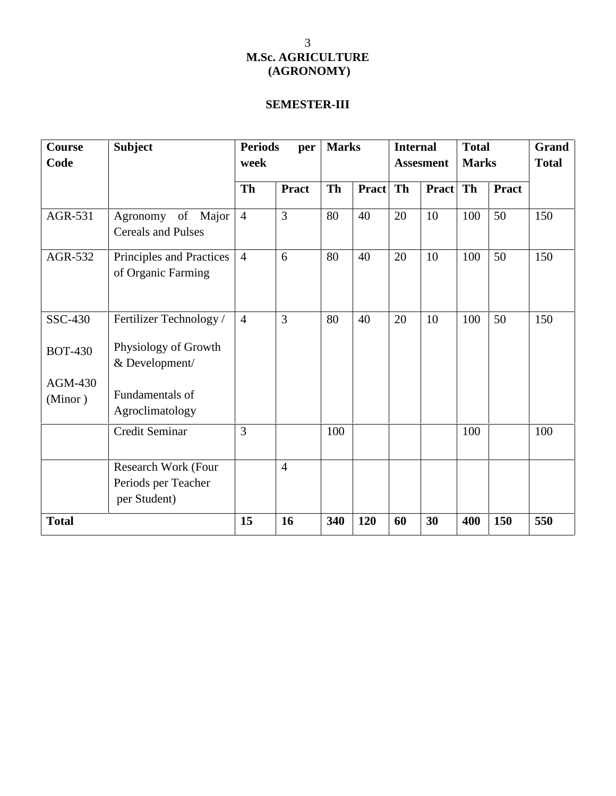# **SEMESTER-III**

| Course             | <b>Subject</b>                                             | <b>Periods</b> | per            |     | <b>Marks</b> |    | <b>Internal</b>  |              | <b>Total</b> | Grand        |
|--------------------|------------------------------------------------------------|----------------|----------------|-----|--------------|----|------------------|--------------|--------------|--------------|
| Code               |                                                            | week           |                |     |              |    | <b>Assesment</b> | <b>Marks</b> |              | <b>Total</b> |
|                    |                                                            | <b>Th</b>      | <b>Pract</b>   | Th  | <b>Pract</b> | Th | <b>Pract</b>     | Th           | <b>Pract</b> |              |
| AGR-531            | Agronomy of Major<br><b>Cereals and Pulses</b>             | $\overline{4}$ | 3              | 80  | 40           | 20 | 10               | 100          | 50           | 150          |
| AGR-532            | Principles and Practices<br>of Organic Farming             | $\overline{4}$ | 6              | 80  | 40           | 20 | 10               | 100          | 50           | 150          |
| SSC-430            | Fertilizer Technology /                                    | $\overline{4}$ | $\overline{3}$ | 80  | 40           | 20 | 10               | 100          | 50           | 150          |
| <b>BOT-430</b>     | Physiology of Growth<br>& Development/                     |                |                |     |              |    |                  |              |              |              |
| AGM-430<br>(Minor) | Fundamentals of<br>Agroclimatology                         |                |                |     |              |    |                  |              |              |              |
|                    | Credit Seminar                                             | 3              |                | 100 |              |    |                  | 100          |              | 100          |
|                    | Research Work (Four<br>Periods per Teacher<br>per Student) |                | $\overline{4}$ |     |              |    |                  |              |              |              |
| <b>Total</b>       |                                                            | 15             | 16             | 340 | 120          | 60 | 30               | 400          | 150          | 550          |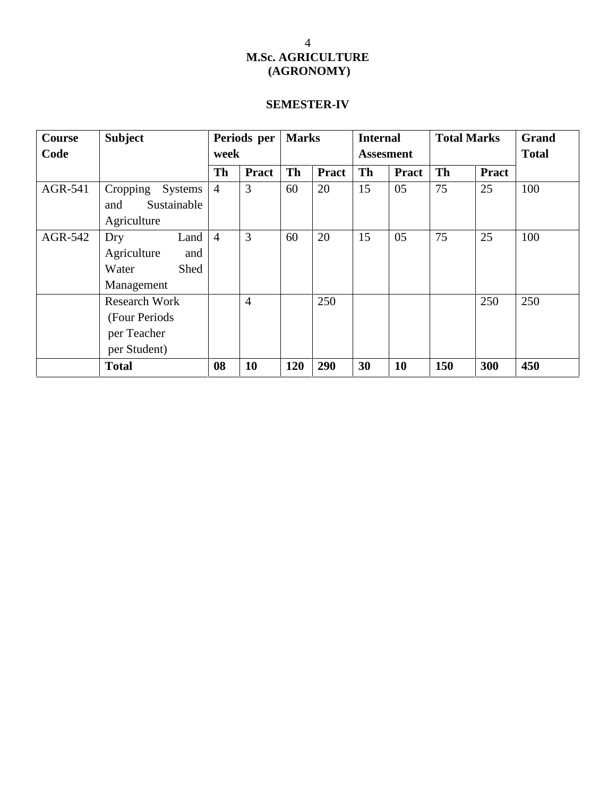# **SEMESTER-IV**

| <b>Course</b> | <b>Subject</b>       | Periods per<br>week |                |           | <b>Marks</b> |           | <b>Internal</b>  |           | <b>Total Marks</b> | Grand        |
|---------------|----------------------|---------------------|----------------|-----------|--------------|-----------|------------------|-----------|--------------------|--------------|
| Code          |                      |                     |                |           |              |           | <b>Assesment</b> |           |                    | <b>Total</b> |
|               |                      | <b>Th</b>           | <b>Pract</b>   | <b>Th</b> | <b>Pract</b> | <b>Th</b> | <b>Pract</b>     | <b>Th</b> | <b>Pract</b>       |              |
| AGR-541       | Cropping<br>Systems  | $\overline{4}$      | 3              | 60        | 20           | 15        | 05               | 75        | 25                 | 100          |
|               | Sustainable<br>and   |                     |                |           |              |           |                  |           |                    |              |
|               | Agriculture          |                     |                |           |              |           |                  |           |                    |              |
| AGR-542       | Land<br>Dry          | $\overline{4}$      | 3              | 60        | 20           | 15        | 05               | 75        | 25                 | 100          |
|               | Agriculture<br>and   |                     |                |           |              |           |                  |           |                    |              |
|               | Water<br>Shed        |                     |                |           |              |           |                  |           |                    |              |
|               | Management           |                     |                |           |              |           |                  |           |                    |              |
|               | <b>Research Work</b> |                     | $\overline{4}$ |           | 250          |           |                  |           | 250                | 250          |
|               | (Four Periods)       |                     |                |           |              |           |                  |           |                    |              |
|               | per Teacher          |                     |                |           |              |           |                  |           |                    |              |
|               | per Student)         |                     |                |           |              |           |                  |           |                    |              |
|               | <b>Total</b>         | 08                  | <b>10</b>      | 120       | 290          | 30        | 10               | 150       | 300                | 450          |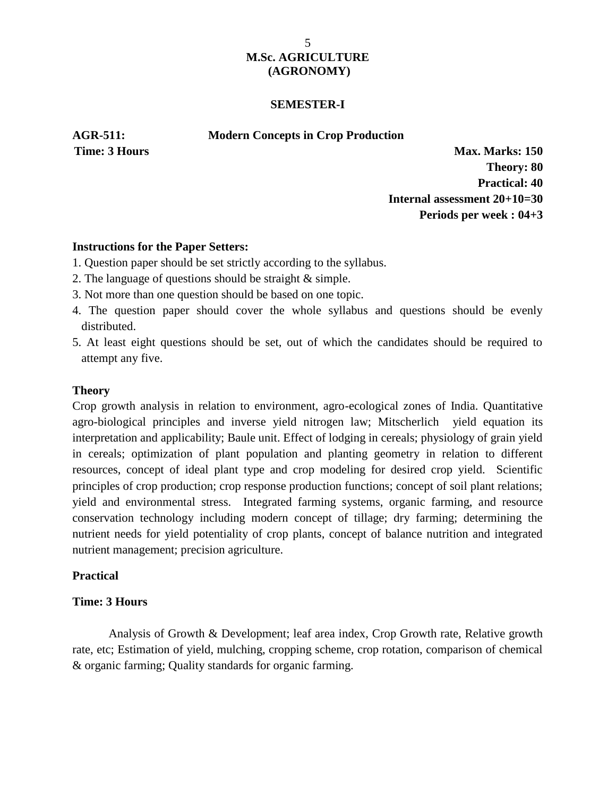### **SEMESTER-I**

### **AGR-511: Modern Concepts in Crop Production**

**Time: 3 Hours Max. Marks: 150 Theory: 80 Practical: 40 Internal assessment 20+10=30 Periods per week : 04+3**

### **Instructions for the Paper Setters:**

- 1. Question paper should be set strictly according to the syllabus.
- 2. The language of questions should be straight & simple.
- 3. Not more than one question should be based on one topic.
- 4. The question paper should cover the whole syllabus and questions should be evenly distributed.
- 5. At least eight questions should be set, out of which the candidates should be required to attempt any five.

## **Theory**

Crop growth analysis in relation to environment, agro-ecological zones of India. Quantitative agro-biological principles and inverse yield nitrogen law; Mitscherlich yield equation its interpretation and applicability; Baule unit. Effect of lodging in cereals; physiology of grain yield in cereals; optimization of plant population and planting geometry in relation to different resources, concept of ideal plant type and crop modeling for desired crop yield. Scientific principles of crop production; crop response production functions; concept of soil plant relations; yield and environmental stress. Integrated farming systems, organic farming, and resource conservation technology including modern concept of tillage; dry farming; determining the nutrient needs for yield potentiality of crop plants, concept of balance nutrition and integrated nutrient management; precision agriculture.

## **Practical**

## **Time: 3 Hours**

Analysis of Growth & Development; leaf area index, Crop Growth rate, Relative growth rate, etc; Estimation of yield, mulching, cropping scheme, crop rotation, comparison of chemical & organic farming; Quality standards for organic farming.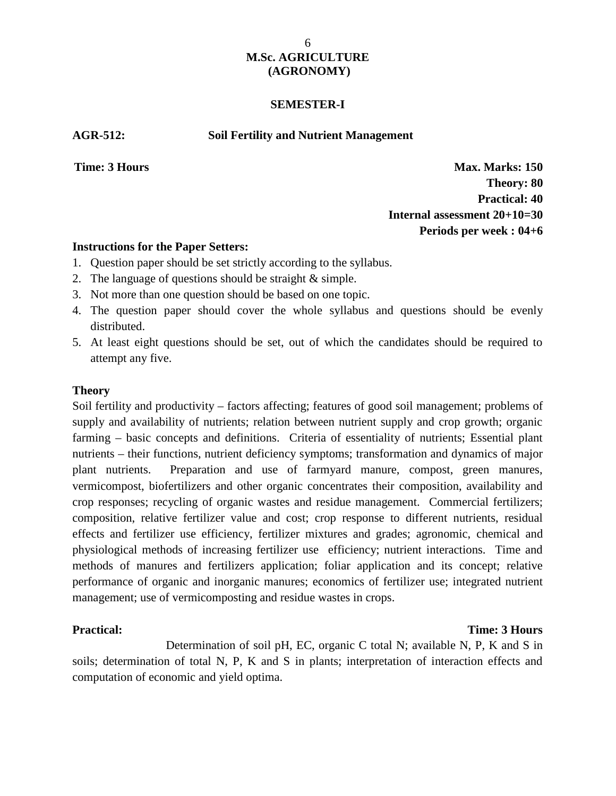### **SEMESTER-I**

**AGR-512: Soil Fertility and Nutrient Management**

**Time: 3 Hours Max. Marks: 150 Theory: 80 Practical: 40 Internal assessment 20+10=30 Periods per week : 04+6**

### **Instructions for the Paper Setters:**

- 1. Question paper should be set strictly according to the syllabus.
- 2. The language of questions should be straight & simple.
- 3. Not more than one question should be based on one topic.
- 4. The question paper should cover the whole syllabus and questions should be evenly distributed.
- 5. At least eight questions should be set, out of which the candidates should be required to attempt any five.

### **Theory**

Soil fertility and productivity – factors affecting; features of good soil management; problems of supply and availability of nutrients; relation between nutrient supply and crop growth; organic farming – basic concepts and definitions. Criteria of essentiality of nutrients; Essential plant nutrients – their functions, nutrient deficiency symptoms; transformation and dynamics of major plant nutrients. Preparation and use of farmyard manure, compost, green manures, vermicompost, biofertilizers and other organic concentrates their composition, availability and crop responses; recycling of organic wastes and residue management. Commercial fertilizers; composition, relative fertilizer value and cost; crop response to different nutrients, residual effects and fertilizer use efficiency, fertilizer mixtures and grades; agronomic, chemical and physiological methods of increasing fertilizer use efficiency; nutrient interactions. Time and methods of manures and fertilizers application; foliar application and its concept; relative performance of organic and inorganic manures; economics of fertilizer use; integrated nutrient management; use of vermicomposting and residue wastes in crops.

# **Practical: Time: 3 Hours**

Determination of soil pH, EC, organic C total N; available N, P, K and S in soils; determination of total N, P, K and S in plants; interpretation of interaction effects and computation of economic and yield optima.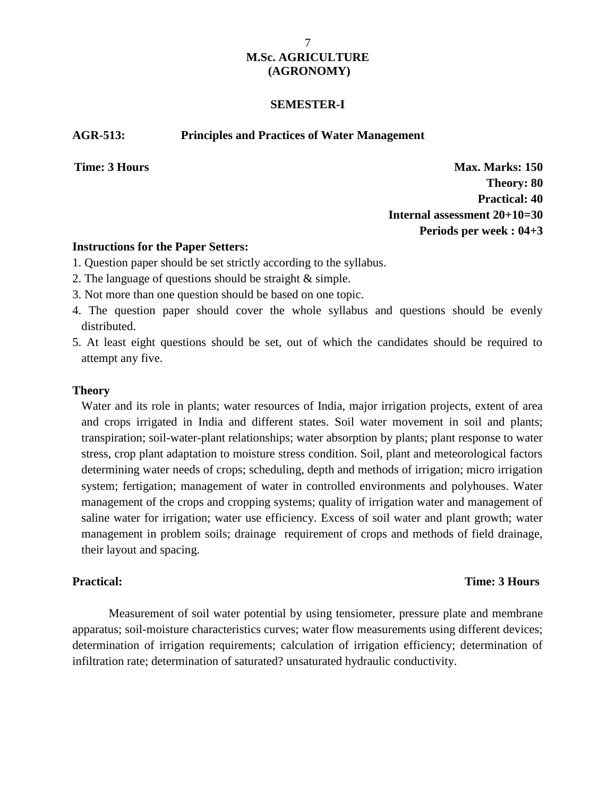### **SEMESTER-I**

### **AGR-513: Principles and Practices of Water Management**

**Time: 3 Hours Max. Marks: 150 Theory: 80 Practical: 40 Internal assessment 20+10=30 Periods per week : 04+3**

### **Instructions for the Paper Setters:**

- 1. Question paper should be set strictly according to the syllabus.
- 2. The language of questions should be straight & simple.
- 3. Not more than one question should be based on one topic.
- 4. The question paper should cover the whole syllabus and questions should be evenly distributed.
- 5. At least eight questions should be set, out of which the candidates should be required to attempt any five.

### **Theory**

Water and its role in plants; water resources of India, major irrigation projects, extent of area and crops irrigated in India and different states. Soil water movement in soil and plants; transpiration; soil-water-plant relationships; water absorption by plants; plant response to water stress, crop plant adaptation to moisture stress condition. Soil, plant and meteorological factors determining water needs of crops; scheduling, depth and methods of irrigation; micro irrigation system; fertigation; management of water in controlled environments and polyhouses. Water management of the crops and cropping systems; quality of irrigation water and management of saline water for irrigation; water use efficiency. Excess of soil water and plant growth; water management in problem soils; drainage requirement of crops and methods of field drainage, their layout and spacing.

### **Practical: Time: 3 Hours**

Measurement of soil water potential by using tensiometer, pressure plate and membrane apparatus; soil-moisture characteristics curves; water flow measurements using different devices; determination of irrigation requirements; calculation of irrigation efficiency; determination of infiltration rate; determination of saturated? unsaturated hydraulic conductivity.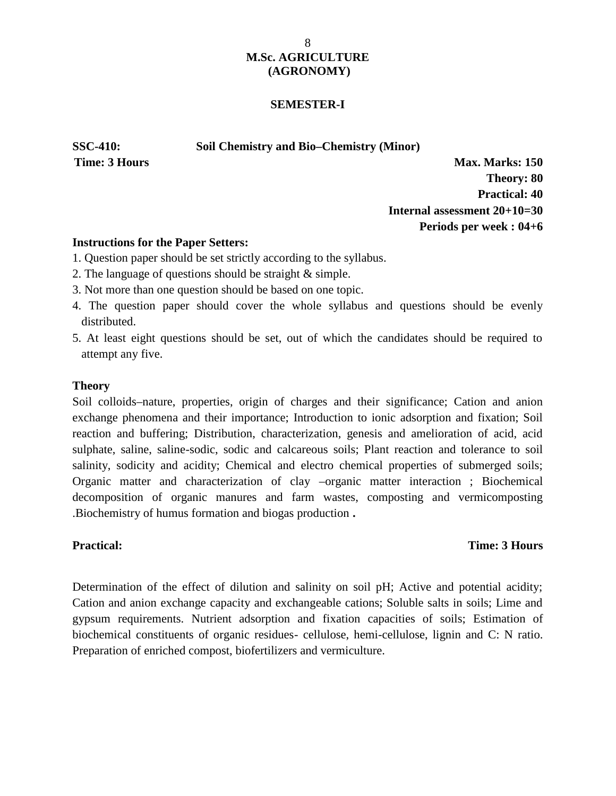### **SEMESTER-I**

**SSC-410: Soil Chemistry and Bio–Chemistry (Minor)**

**Time: 3 Hours Max. Marks: 150 Theory: 80 Practical: 40 Internal assessment 20+10=30 Periods per week : 04+6**

### **Instructions for the Paper Setters:**

- 1. Question paper should be set strictly according to the syllabus.
- 2. The language of questions should be straight & simple.
- 3. Not more than one question should be based on one topic.
- 4. The question paper should cover the whole syllabus and questions should be evenly distributed.
- 5. At least eight questions should be set, out of which the candidates should be required to attempt any five.

### **Theory**

Soil colloids–nature, properties, origin of charges and their significance; Cation and anion exchange phenomena and their importance; Introduction to ionic adsorption and fixation; Soil reaction and buffering; Distribution, characterization, genesis and amelioration of acid, acid sulphate, saline, saline-sodic, sodic and calcareous soils; Plant reaction and tolerance to soil salinity, sodicity and acidity; Chemical and electro chemical properties of submerged soils; Organic matter and characterization of clay –organic matter interaction ; Biochemical decomposition of organic manures and farm wastes, composting and vermicomposting .Biochemistry of humus formation and biogas production **.**

### **Practical: Time: 3 Hours**

Determination of the effect of dilution and salinity on soil pH; Active and potential acidity; Cation and anion exchange capacity and exchangeable cations; Soluble salts in soils; Lime and gypsum requirements. Nutrient adsorption and fixation capacities of soils; Estimation of biochemical constituents of organic residues- cellulose, hemi-cellulose, lignin and C: N ratio. Preparation of enriched compost, biofertilizers and vermiculture.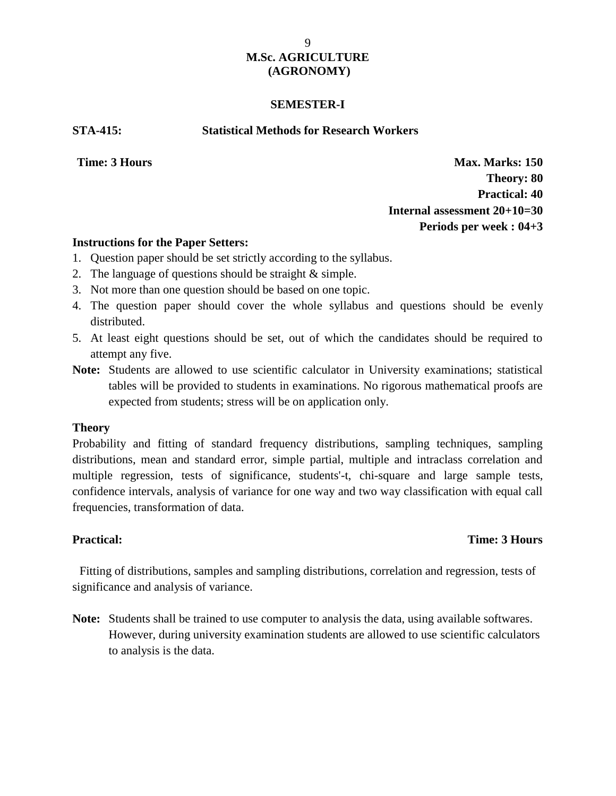### **SEMESTER-I**

**STA-415: Statistical Methods for Research Workers**

**Time: 3 Hours Max. Marks: 150 Theory: 80 Practical: 40 Internal assessment 20+10=30 Periods per week : 04+3**

### **Instructions for the Paper Setters:**

- 1. Question paper should be set strictly according to the syllabus.
- 2. The language of questions should be straight & simple.
- 3. Not more than one question should be based on one topic.
- 4. The question paper should cover the whole syllabus and questions should be evenly distributed.
- 5. At least eight questions should be set, out of which the candidates should be required to attempt any five.
- **Note:** Students are allowed to use scientific calculator in University examinations; statistical tables will be provided to students in examinations. No rigorous mathematical proofs are expected from students; stress will be on application only.

## **Theory**

Probability and fitting of standard frequency distributions, sampling techniques, sampling distributions, mean and standard error, simple partial, multiple and intraclass correlation and multiple regression, tests of significance, students'-t, chi-square and large sample tests, confidence intervals, analysis of variance for one way and two way classification with equal call frequencies, transformation of data.

## **Practical: Time: 3 Hours**

Fitting of distributions, samples and sampling distributions, correlation and regression, tests of significance and analysis of variance.

**Note:** Students shall be trained to use computer to analysis the data, using available softwares. However, during university examination students are allowed to use scientific calculators to analysis is the data.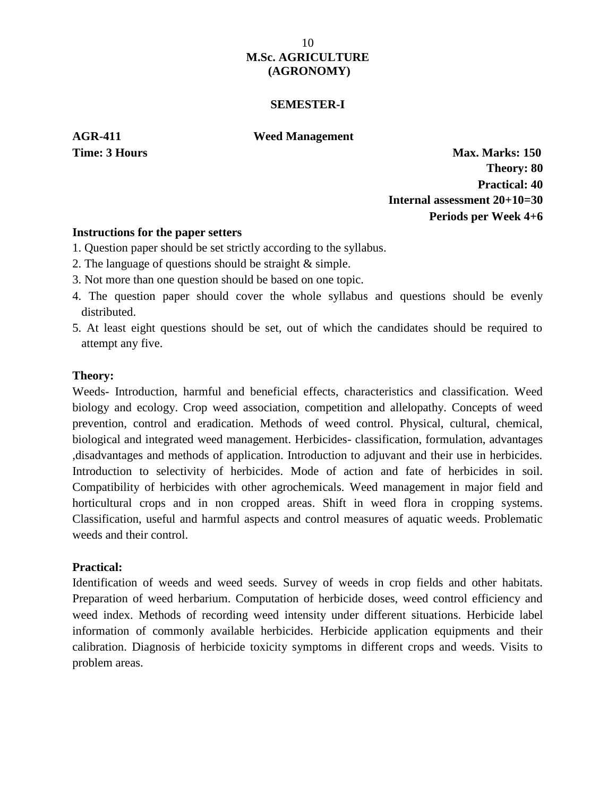### **SEMESTER-I**

**AGR-411 Weed Management**

**Time: 3 Hours Max. Marks: 150** 

**Theory: 80 Practical: 40 Internal assessment 20+10=30 Periods per Week 4+6**

### **Instructions for the paper setters**

- 1. Question paper should be set strictly according to the syllabus.
- 2. The language of questions should be straight & simple.
- 3. Not more than one question should be based on one topic.
- 4. The question paper should cover the whole syllabus and questions should be evenly distributed.
- 5. At least eight questions should be set, out of which the candidates should be required to attempt any five.

### **Theory:**

Weeds- Introduction, harmful and beneficial effects, characteristics and classification. Weed biology and ecology. Crop weed association, competition and allelopathy. Concepts of weed prevention, control and eradication. Methods of weed control. Physical, cultural, chemical, biological and integrated weed management. Herbicides- classification, formulation, advantages ,disadvantages and methods of application. Introduction to adjuvant and their use in herbicides. Introduction to selectivity of herbicides. Mode of action and fate of herbicides in soil. Compatibility of herbicides with other agrochemicals. Weed management in major field and horticultural crops and in non cropped areas. Shift in weed flora in cropping systems. Classification, useful and harmful aspects and control measures of aquatic weeds. Problematic weeds and their control.

### **Practical:**

Identification of weeds and weed seeds. Survey of weeds in crop fields and other habitats. Preparation of weed herbarium. Computation of herbicide doses, weed control efficiency and weed index. Methods of recording weed intensity under different situations. Herbicide label information of commonly available herbicides. Herbicide application equipments and their calibration. Diagnosis of herbicide toxicity symptoms in different crops and weeds. Visits to problem areas.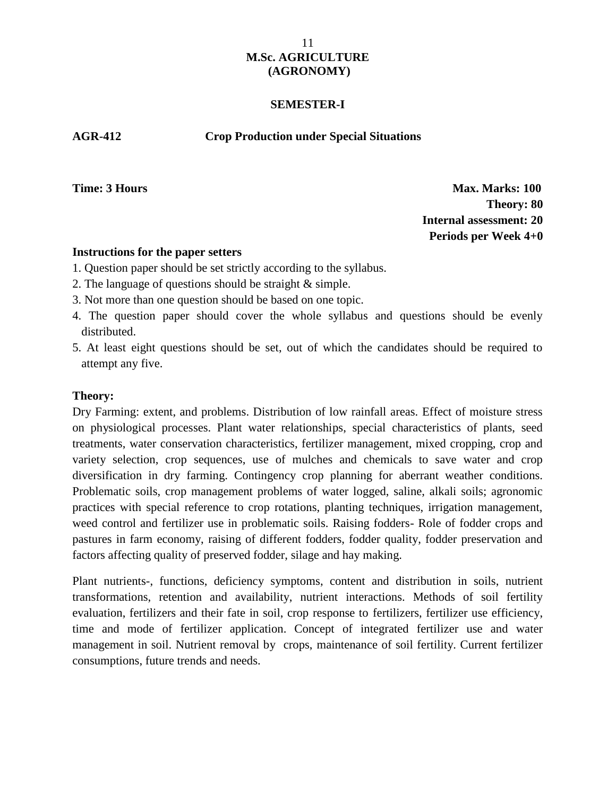### **SEMESTER-I**

### **AGR-412 Crop Production under Special Situations**

**Time: 3 Hours Max. Marks: 100 Theory: 80 Internal assessment: 20 Periods per Week 4+0**

### **Instructions for the paper setters**

- 1. Question paper should be set strictly according to the syllabus.
- 2. The language of questions should be straight & simple.
- 3. Not more than one question should be based on one topic.
- 4. The question paper should cover the whole syllabus and questions should be evenly distributed.
- 5. At least eight questions should be set, out of which the candidates should be required to attempt any five.

# **Theory:**

Dry Farming: extent, and problems. Distribution of low rainfall areas. Effect of moisture stress on physiological processes. Plant water relationships, special characteristics of plants, seed treatments, water conservation characteristics, fertilizer management, mixed cropping, crop and variety selection, crop sequences, use of mulches and chemicals to save water and crop diversification in dry farming. Contingency crop planning for aberrant weather conditions. Problematic soils, crop management problems of water logged, saline, alkali soils; agronomic practices with special reference to crop rotations, planting techniques, irrigation management, weed control and fertilizer use in problematic soils. Raising fodders- Role of fodder crops and pastures in farm economy, raising of different fodders, fodder quality, fodder preservation and factors affecting quality of preserved fodder, silage and hay making.

Plant nutrients-, functions, deficiency symptoms, content and distribution in soils, nutrient transformations, retention and availability, nutrient interactions. Methods of soil fertility evaluation, fertilizers and their fate in soil, crop response to fertilizers, fertilizer use efficiency, time and mode of fertilizer application. Concept of integrated fertilizer use and water management in soil. Nutrient removal by crops, maintenance of soil fertility. Current fertilizer consumptions, future trends and needs.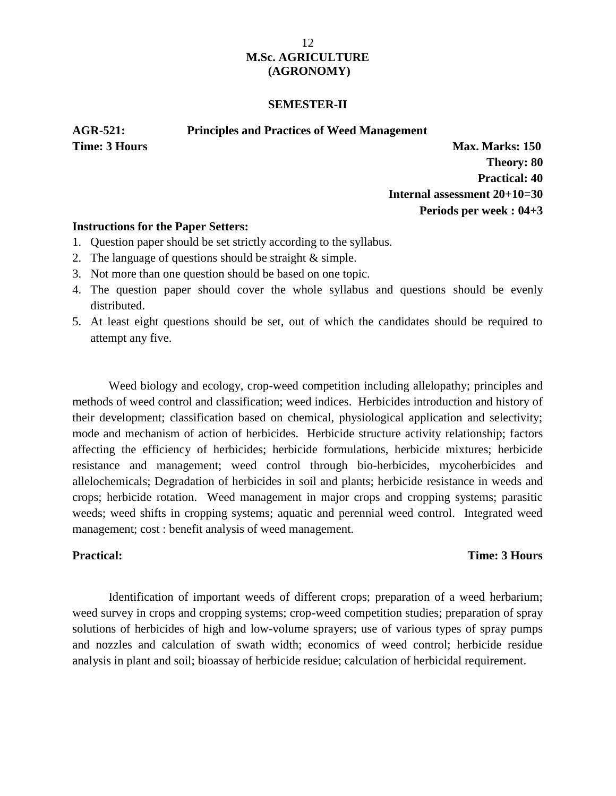### **SEMESTER-II**

**AGR-521: Principles and Practices of Weed Management**

**Time: 3 Hours Max. Marks: 150** 

**Theory: 80 Practical: 40 Internal assessment 20+10=30 Periods per week : 04+3**

### **Instructions for the Paper Setters:**

- 1. Question paper should be set strictly according to the syllabus.
- 2. The language of questions should be straight & simple.
- 3. Not more than one question should be based on one topic.
- 4. The question paper should cover the whole syllabus and questions should be evenly distributed.
- 5. At least eight questions should be set, out of which the candidates should be required to attempt any five.

Weed biology and ecology, crop-weed competition including allelopathy; principles and methods of weed control and classification; weed indices. Herbicides introduction and history of their development; classification based on chemical, physiological application and selectivity; mode and mechanism of action of herbicides. Herbicide structure activity relationship; factors affecting the efficiency of herbicides; herbicide formulations, herbicide mixtures; herbicide resistance and management; weed control through bio-herbicides, mycoherbicides and allelochemicals; Degradation of herbicides in soil and plants; herbicide resistance in weeds and crops; herbicide rotation. Weed management in major crops and cropping systems; parasitic weeds; weed shifts in cropping systems; aquatic and perennial weed control. Integrated weed management; cost : benefit analysis of weed management.

### **Practical: Time: 3 Hours**

Identification of important weeds of different crops; preparation of a weed herbarium; weed survey in crops and cropping systems; crop-weed competition studies; preparation of spray solutions of herbicides of high and low-volume sprayers; use of various types of spray pumps and nozzles and calculation of swath width; economics of weed control; herbicide residue analysis in plant and soil; bioassay of herbicide residue; calculation of herbicidal requirement.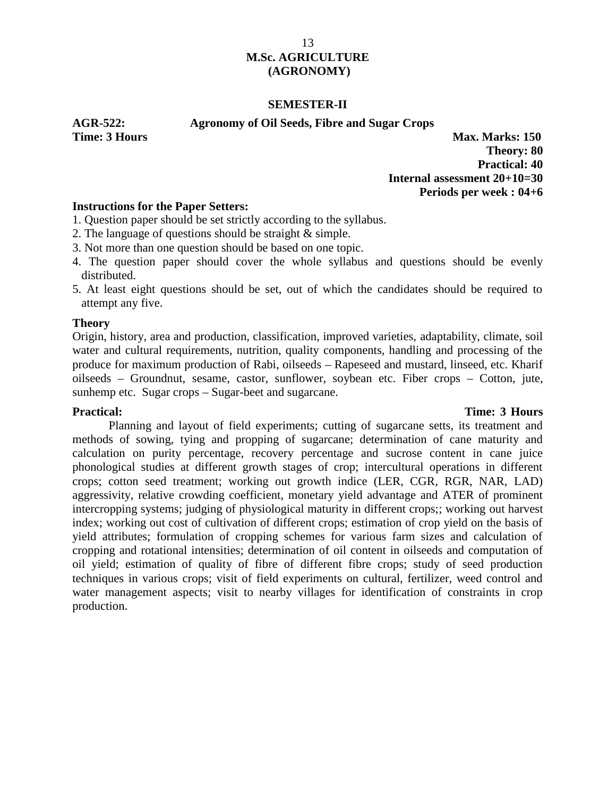### **SEMESTER-II**

### **AGR-522: Agronomy of Oil Seeds, Fibre and Sugar Crops**

**Time: 3 Hours Max. Marks: 150 Theory: 80 Practical: 40 Internal assessment 20+10=30 Periods per week : 04+6**

## **Instructions for the Paper Setters:**

- 1. Question paper should be set strictly according to the syllabus.
- 2. The language of questions should be straight & simple.
- 3. Not more than one question should be based on one topic.
- 4. The question paper should cover the whole syllabus and questions should be evenly distributed.
- 5. At least eight questions should be set, out of which the candidates should be required to attempt any five.

### **Theory**

Origin, history, area and production, classification, improved varieties, adaptability, climate, soil water and cultural requirements, nutrition, quality components, handling and processing of the produce for maximum production of Rabi, oilseeds – Rapeseed and mustard, linseed, etc. Kharif oilseeds – Groundnut, sesame, castor, sunflower, soybean etc. Fiber crops – Cotton, jute, sunhemp etc. Sugar crops – Sugar-beet and sugarcane.

### **Practical: Time: 3 Hours**

Planning and layout of field experiments; cutting of sugarcane setts, its treatment and methods of sowing, tying and propping of sugarcane; determination of cane maturity and calculation on purity percentage, recovery percentage and sucrose content in cane juice phonological studies at different growth stages of crop; intercultural operations in different crops; cotton seed treatment; working out growth indice (LER, CGR, RGR, NAR, LAD) aggressivity, relative crowding coefficient, monetary yield advantage and ATER of prominent intercropping systems; judging of physiological maturity in different crops;; working out harvest index; working out cost of cultivation of different crops; estimation of crop yield on the basis of yield attributes; formulation of cropping schemes for various farm sizes and calculation of cropping and rotational intensities; determination of oil content in oilseeds and computation of oil yield; estimation of quality of fibre of different fibre crops; study of seed production techniques in various crops; visit of field experiments on cultural, fertilizer, weed control and water management aspects; visit to nearby villages for identification of constraints in crop production.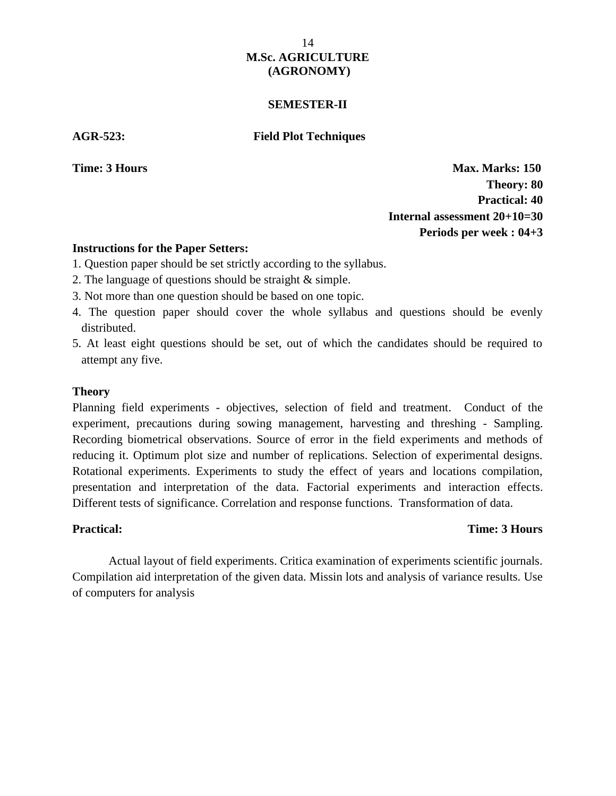### **SEMESTER-II**

### **AGR-523: Field Plot Techniques**

**Time: 3 Hours Max. Marks: 150 Theory: 80 Practical: 40 Internal assessment 20+10=30 Periods per week : 04+3**

### **Instructions for the Paper Setters:**

- 1. Question paper should be set strictly according to the syllabus.
- 2. The language of questions should be straight & simple.
- 3. Not more than one question should be based on one topic.
- 4. The question paper should cover the whole syllabus and questions should be evenly distributed.
- 5. At least eight questions should be set, out of which the candidates should be required to attempt any five.

### **Theory**

Planning field experiments - objectives, selection of field and treatment. Conduct of the experiment, precautions during sowing management, harvesting and threshing - Sampling. Recording biometrical observations. Source of error in the field experiments and methods of reducing it. Optimum plot size and number of replications. Selection of experimental designs. Rotational experiments. Experiments to study the effect of years and locations compilation, presentation and interpretation of the data. Factorial experiments and interaction effects. Different tests of significance. Correlation and response functions. Transformation of data.

## **Practical: Time: 3 Hours**

Actual layout of field experiments. Critica examination of experiments scientific journals. Compilation aid interpretation of the given data. Missin lots and analysis of variance results. Use of computers for analysis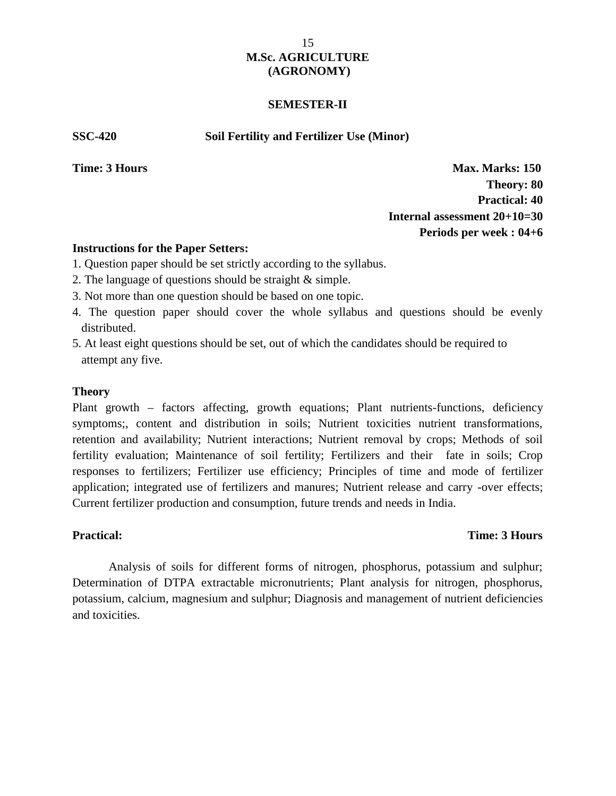### **SEMESTER-II**

**SSC-420 Soil Fertility and Fertilizer Use (Minor)**

**Time: 3 Hours Max. Marks: 150 Theory: 80 Practical: 40 Internal assessment 20+10=30 Periods per week : 04+6**

### **Instructions for the Paper Setters:**

- 1. Question paper should be set strictly according to the syllabus.
- 2. The language of questions should be straight & simple.
- 3. Not more than one question should be based on one topic.
- 4. The question paper should cover the whole syllabus and questions should be evenly distributed.
- 5. At least eight questions should be set, out of which the candidates should be required to attempt any five.

### **Theory**

Plant growth – factors affecting, growth equations; Plant nutrients-functions, deficiency symptoms;, content and distribution in soils; Nutrient toxicities nutrient transformations, retention and availability; Nutrient interactions; Nutrient removal by crops; Methods of soil fertility evaluation; Maintenance of soil fertility; Fertilizers and their fate in soils; Crop responses to fertilizers; Fertilizer use efficiency; Principles of time and mode of fertilizer application; integrated use of fertilizers and manures; Nutrient release and carry -over effects; Current fertilizer production and consumption, future trends and needs in India.

### **Practical: Time: 3 Hours**

Analysis of soils for different forms of nitrogen, phosphorus, potassium and sulphur; Determination of DTPA extractable micronutrients; Plant analysis for nitrogen, phosphorus, potassium, calcium, magnesium and sulphur; Diagnosis and management of nutrient deficiencies and toxicities.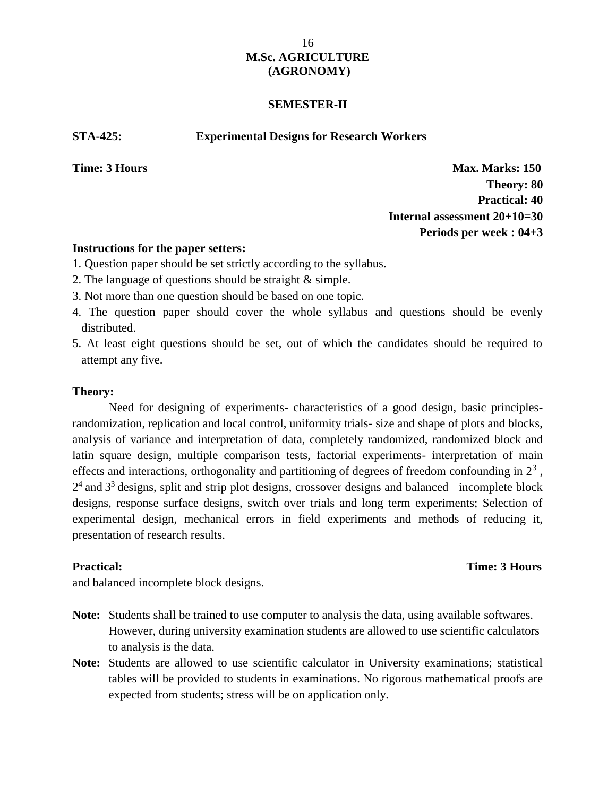### **SEMESTER-II**

#### **STA-425: Experimental Designs for Research Workers**

**Time: 3 Hours Max. Marks: 150 Theory: 80 Practical: 40 Internal assessment 20+10=30 Periods per week : 04+3**

### **Instructions for the paper setters:**

- 1. Question paper should be set strictly according to the syllabus.
- 2. The language of questions should be straight & simple.
- 3. Not more than one question should be based on one topic.
- 4. The question paper should cover the whole syllabus and questions should be evenly distributed.
- 5. At least eight questions should be set, out of which the candidates should be required to attempt any five.

### **Theory:**

Need for designing of experiments- characteristics of a good design, basic principlesrandomization, replication and local control, uniformity trials- size and shape of plots and blocks, analysis of variance and interpretation of data, completely randomized, randomized block and latin square design, multiple comparison tests, factorial experiments- interpretation of main effects and interactions, orthogonality and partitioning of degrees of freedom confounding in  $2<sup>3</sup>$ ,  $2<sup>4</sup>$  and  $3<sup>3</sup>$  designs, split and strip plot designs, crossover designs and balanced incomplete block designs, response surface designs, switch over trials and long term experiments; Selection of experimental design, mechanical errors in field experiments and methods of reducing it, presentation of research results.

**Practical:** Time: 3 Hours Unit trials, completely randomized, randomized, randomized,  $\sum_{i=1}^{n}$ 

and balanced incomplete block designs.

- **Note:** Students shall be trained to use computer to analysis the data, using available softwares. However, during university examination students are allowed to use scientific calculators to analysis is the data.
- **Note:** Students are allowed to use scientific calculator in University examinations; statistical tables will be provided to students in examinations. No rigorous mathematical proofs are expected from students; stress will be on application only.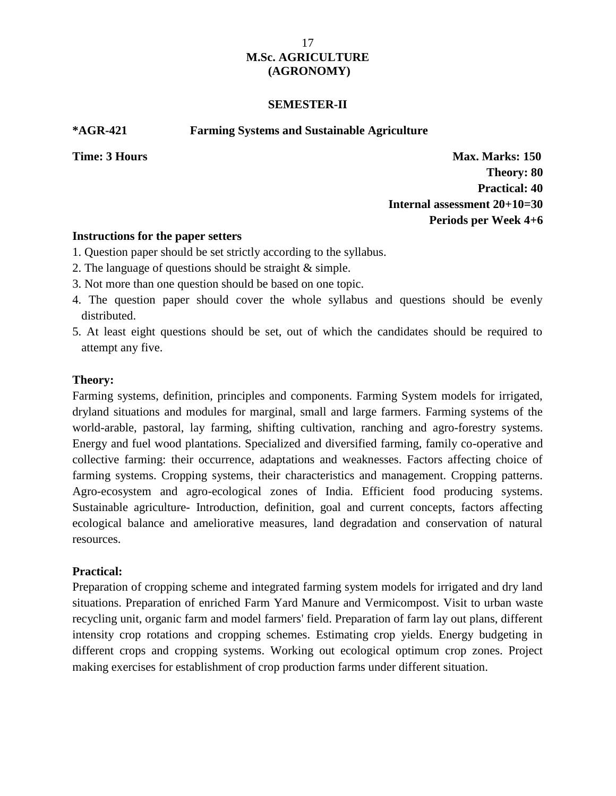### **SEMESTER-II**

**\*AGR-421 Farming Systems and Sustainable Agriculture**

**Time: 3 Hours Max. Marks: 150 Theory: 80 Practical: 40 Internal assessment 20+10=30 Periods per Week 4+6**

### **Instructions for the paper setters**

- 1. Question paper should be set strictly according to the syllabus.
- 2. The language of questions should be straight & simple.
- 3. Not more than one question should be based on one topic.
- 4. The question paper should cover the whole syllabus and questions should be evenly distributed.
- 5. At least eight questions should be set, out of which the candidates should be required to attempt any five.

## **Theory:**

Farming systems, definition, principles and components. Farming System models for irrigated, dryland situations and modules for marginal, small and large farmers. Farming systems of the world-arable, pastoral, lay farming, shifting cultivation, ranching and agro-forestry systems. Energy and fuel wood plantations. Specialized and diversified farming, family co-operative and collective farming: their occurrence, adaptations and weaknesses. Factors affecting choice of farming systems. Cropping systems, their characteristics and management. Cropping patterns. Agro-ecosystem and agro-ecological zones of India. Efficient food producing systems. Sustainable agriculture- Introduction, definition, goal and current concepts, factors affecting ecological balance and ameliorative measures, land degradation and conservation of natural resources.

## **Practical:**

Preparation of cropping scheme and integrated farming system models for irrigated and dry land situations. Preparation of enriched Farm Yard Manure and Vermicompost. Visit to urban waste recycling unit, organic farm and model farmers' field. Preparation of farm lay out plans, different intensity crop rotations and cropping schemes. Estimating crop yields. Energy budgeting in different crops and cropping systems. Working out ecological optimum crop zones. Project making exercises for establishment of crop production farms under different situation.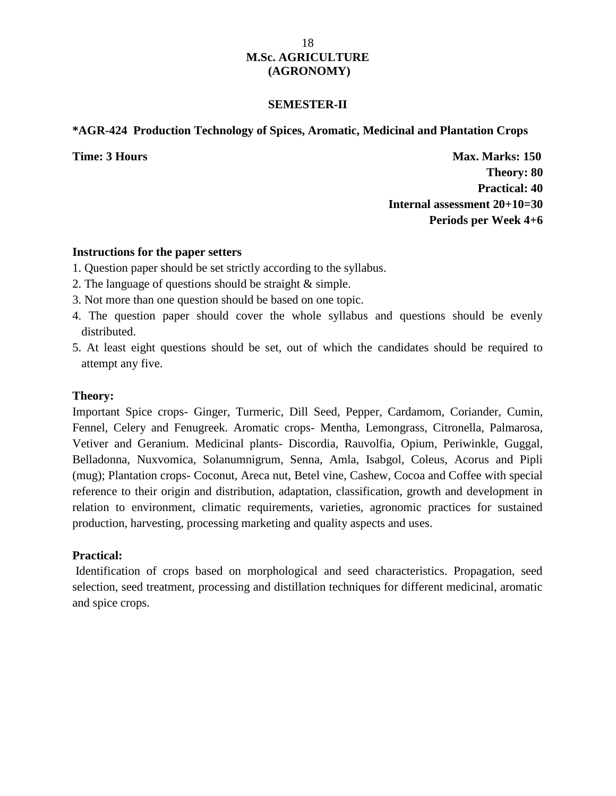### **SEMESTER-II**

### **\*AGR-424 Production Technology of Spices, Aromatic, Medicinal and Plantation Crops**

**Time: 3 Hours Max. Marks: 150 Theory: 80 Practical: 40 Internal assessment 20+10=30 Periods per Week 4+6**

### **Instructions for the paper setters**

- 1. Question paper should be set strictly according to the syllabus.
- 2. The language of questions should be straight & simple.
- 3. Not more than one question should be based on one topic.
- 4. The question paper should cover the whole syllabus and questions should be evenly distributed.
- 5. At least eight questions should be set, out of which the candidates should be required to attempt any five.

### **Theory:**

Important Spice crops- Ginger, Turmeric, Dill Seed, Pepper, Cardamom, Coriander, Cumin, Fennel, Celery and Fenugreek. Aromatic crops- Mentha, Lemongrass, Citronella, Palmarosa, Vetiver and Geranium. Medicinal plants- Discordia, Rauvolfia, Opium, Periwinkle, Guggal, Belladonna, Nuxvomica, Solanumnigrum, Senna, Amla, Isabgol, Coleus, Acorus and Pipli (mug); Plantation crops- Coconut, Areca nut, Betel vine, Cashew, Cocoa and Coffee with special reference to their origin and distribution, adaptation, classification, growth and development in relation to environment, climatic requirements, varieties, agronomic practices for sustained production, harvesting, processing marketing and quality aspects and uses.

### **Practical:**

Identification of crops based on morphological and seed characteristics. Propagation, seed selection, seed treatment, processing and distillation techniques for different medicinal, aromatic and spice crops.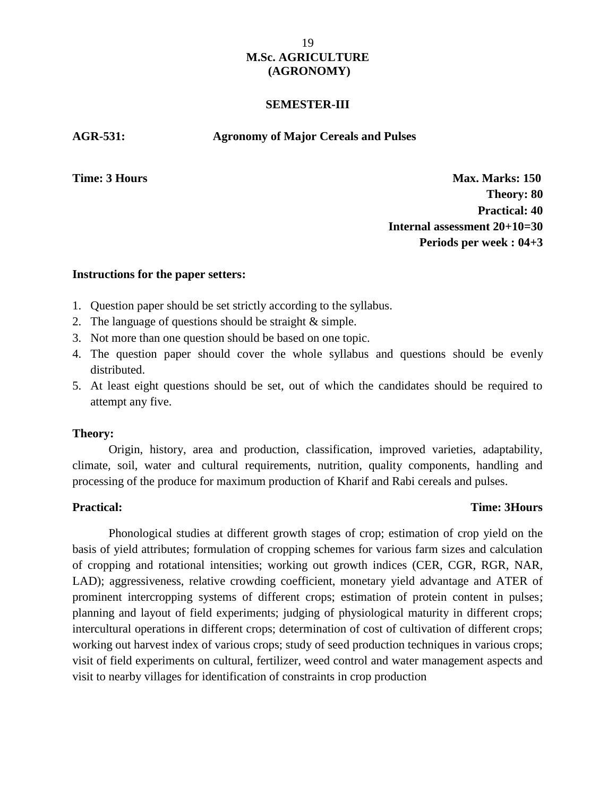### **SEMESTER-III**

### **AGR-531: Agronomy of Major Cereals and Pulses**

**Time: 3 Hours Max. Marks: 150 Theory: 80 Practical: 40 Internal assessment 20+10=30 Periods per week : 04+3**

### **Instructions for the paper setters:**

- 1. Question paper should be set strictly according to the syllabus.
- 2. The language of questions should be straight & simple.
- 3. Not more than one question should be based on one topic.
- 4. The question paper should cover the whole syllabus and questions should be evenly distributed.
- 5. At least eight questions should be set, out of which the candidates should be required to attempt any five.

#### **Theory:**

Origin, history, area and production, classification, improved varieties, adaptability, climate, soil, water and cultural requirements, nutrition, quality components, handling and processing of the produce for maximum production of Kharif and Rabi cereals and pulses.

### **Practical: Time: 3Hours**

Phonological studies at different growth stages of crop; estimation of crop yield on the basis of yield attributes; formulation of cropping schemes for various farm sizes and calculation of cropping and rotational intensities; working out growth indices (CER, CGR, RGR, NAR, LAD); aggressiveness, relative crowding coefficient, monetary yield advantage and ATER of prominent intercropping systems of different crops; estimation of protein content in pulses; planning and layout of field experiments; judging of physiological maturity in different crops; intercultural operations in different crops; determination of cost of cultivation of different crops; working out harvest index of various crops; study of seed production techniques in various crops; visit of field experiments on cultural, fertilizer, weed control and water management aspects and visit to nearby villages for identification of constraints in crop production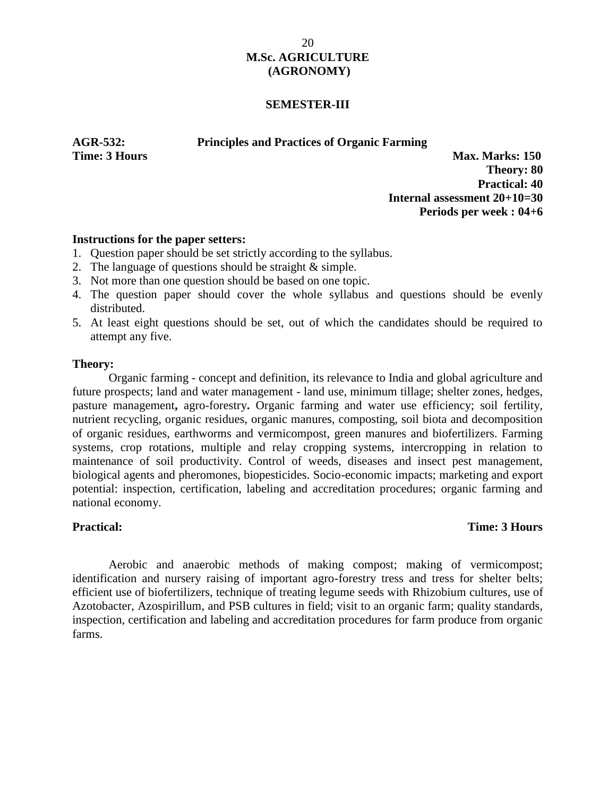### **SEMESTER-III**

**AGR-532: Principles and Practices of Organic Farming**

**Time: 3 Hours Max. Marks: 150 Theory: 80 Practical: 40 Internal assessment 20+10=30 Periods per week : 04+6**

### **Instructions for the paper setters:**

- 1. Question paper should be set strictly according to the syllabus.
- 2. The language of questions should be straight & simple.
- 3. Not more than one question should be based on one topic.
- 4. The question paper should cover the whole syllabus and questions should be evenly distributed.
- 5. At least eight questions should be set, out of which the candidates should be required to attempt any five.

### **Theory:**

Organic farming - concept and definition, its relevance to India and global agriculture and future prospects; land and water management - land use, minimum tillage; shelter zones, hedges, pasture management**,** agro-forestry**.** Organic farming and water use efficiency; soil fertility, nutrient recycling, organic residues, organic manures, composting, soil biota and decomposition of organic residues, earthworms and vermicompost, green manures and biofertilizers. Farming systems, crop rotations, multiple and relay cropping systems, intercropping in relation to maintenance of soil productivity. Control of weeds, diseases and insect pest management, biological agents and pheromones, biopesticides. Socio-economic impacts; marketing and export potential: inspection, certification, labeling and accreditation procedures; organic farming and national economy.

## **Practical: Time: 3 Hours**

Aerobic and anaerobic methods of making compost; making of vermicompost; identification and nursery raising of important agro-forestry tress and tress for shelter belts; efficient use of biofertilizers, technique of treating legume seeds with Rhizobium cultures, use of Azotobacter, Azospirillum, and PSB cultures in field; visit to an organic farm; quality standards, inspection, certification and labeling and accreditation procedures for farm produce from organic farms.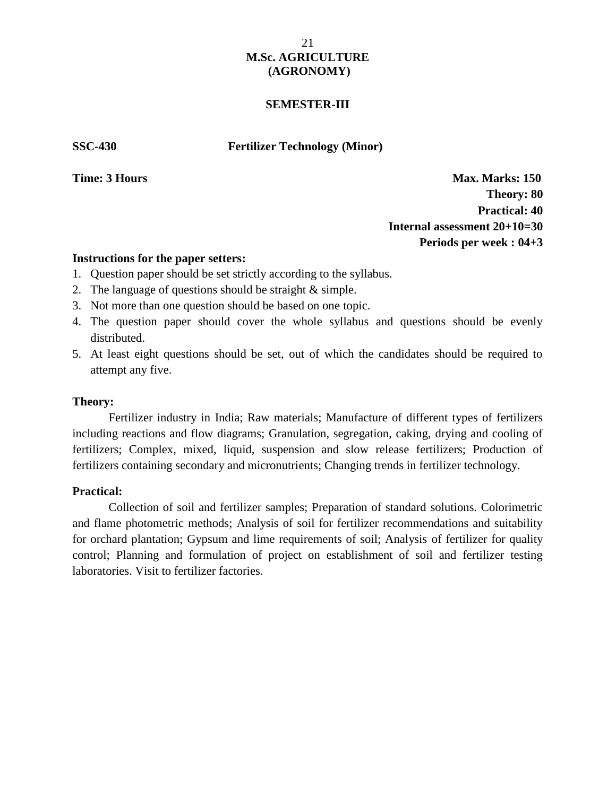### **SEMESTER-III**

**SSC-430 Fertilizer Technology (Minor)**

**Time: 3 Hours Max. Marks: 150 Theory: 80 Practical: 40 Internal assessment 20+10=30 Periods per week : 04+3**

### **Instructions for the paper setters:**

- 1. Question paper should be set strictly according to the syllabus.
- 2. The language of questions should be straight & simple.
- 3. Not more than one question should be based on one topic.
- 4. The question paper should cover the whole syllabus and questions should be evenly distributed.
- 5. At least eight questions should be set, out of which the candidates should be required to attempt any five.

### **Theory:**

Fertilizer industry in India; Raw materials; Manufacture of different types of fertilizers including reactions and flow diagrams; Granulation, segregation, caking, drying and cooling of fertilizers; Complex, mixed, liquid, suspension and slow release fertilizers; Production of fertilizers containing secondary and micronutrients; Changing trends in fertilizer technology.

### **Practical: Time:** 3 **Hours Time:** 3 **Hours Time:** 3 **Hours Time:** 3 **Hours Time:** 3 **Hours Time:** 3 **Hours**

Collection of soil and fertilizer samples; Preparation of standard solutions. Colorimetric and flame photometric methods; Analysis of soil for fertilizer recommendations and suitability for orchard plantation; Gypsum and lime requirements of soil; Analysis of fertilizer for quality control; Planning and formulation of project on establishment of soil and fertilizer testing laboratories. Visit to fertilizer factories.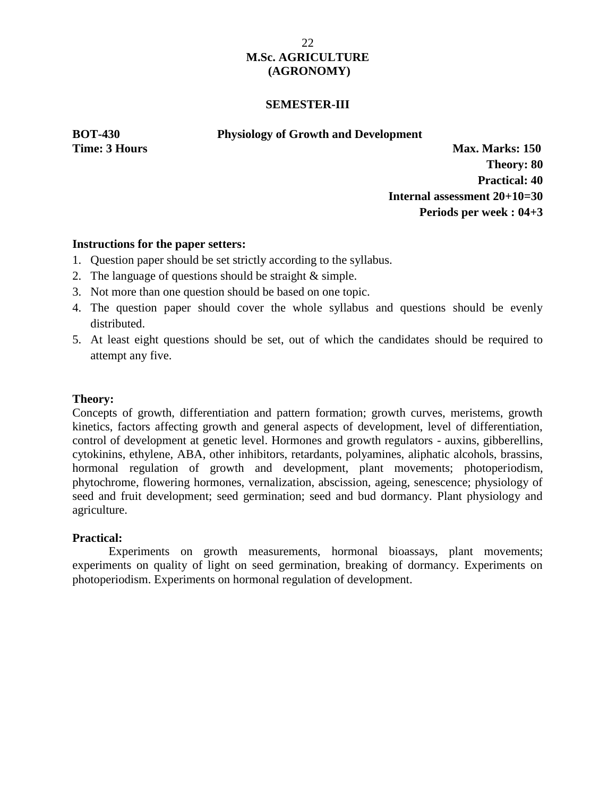### **SEMESTER-III**

**BOT-430 Physiology of Growth and Development**

**Time: 3 Hours Max. Marks: 150 Theory: 80 Practical: 40 Internal assessment 20+10=30 Periods per week : 04+3**

### **Instructions for the paper setters:**

- 1. Question paper should be set strictly according to the syllabus.
- 2. The language of questions should be straight & simple.
- 3. Not more than one question should be based on one topic.
- 4. The question paper should cover the whole syllabus and questions should be evenly distributed.
- 5. At least eight questions should be set, out of which the candidates should be required to attempt any five.

### **Theory:**

Concepts of growth, differentiation and pattern formation; growth curves, meristems, growth kinetics, factors affecting growth and general aspects of development, level of differentiation, control of development at genetic level. Hormones and growth regulators - auxins, gibberellins, cytokinins, ethylene, ABA, other inhibitors, retardants, polyamines, aliphatic alcohols, brassins, hormonal regulation of growth and development, plant movements; photoperiodism, phytochrome, flowering hormones, vernalization, abscission, ageing, senescence; physiology of seed and fruit development; seed germination; seed and bud dormancy. Plant physiology and agriculture.

### **Practical:**

Experiments on growth measurements, hormonal bioassays, plant movements; experiments on quality of light on seed germination, breaking of dormancy. Experiments on photoperiodism. Experiments on hormonal regulation of development.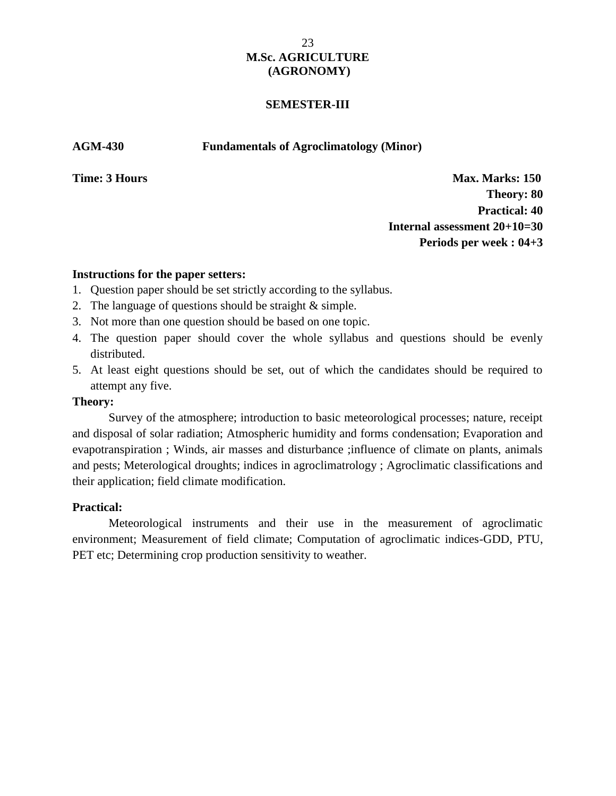### **SEMESTER-III**

**AGM-430 Fundamentals of Agroclimatology (Minor)**

**Time: 3 Hours Max. Marks: 150 Theory: 80 Practical: 40 Internal assessment 20+10=30 Periods per week : 04+3**

### **Instructions for the paper setters:**

- 1. Question paper should be set strictly according to the syllabus.
- 2. The language of questions should be straight & simple.
- 3. Not more than one question should be based on one topic.
- 4. The question paper should cover the whole syllabus and questions should be evenly distributed.
- 5. At least eight questions should be set, out of which the candidates should be required to attempt any five.

### **Theory:**

Survey of the atmosphere; introduction to basic meteorological processes; nature, receipt and disposal of solar radiation; Atmospheric humidity and forms condensation; Evaporation and evapotranspiration ; Winds, air masses and disturbance ;influence of climate on plants, animals and pests; Meterological droughts; indices in agroclimatrology ; Agroclimatic classifications and their application; field climate modification.

### **Practical: Time:** 3 **Hours Time:** 3 **Hours Time:** 3 **Hours Time:** 3 **Hours Time:** 3 **Hours Time:** 3 **Hours**

Meteorological instruments and their use in the measurement of agroclimatic environment; Measurement of field climate; Computation of agroclimatic indices-GDD, PTU, PET etc; Determining crop production sensitivity to weather.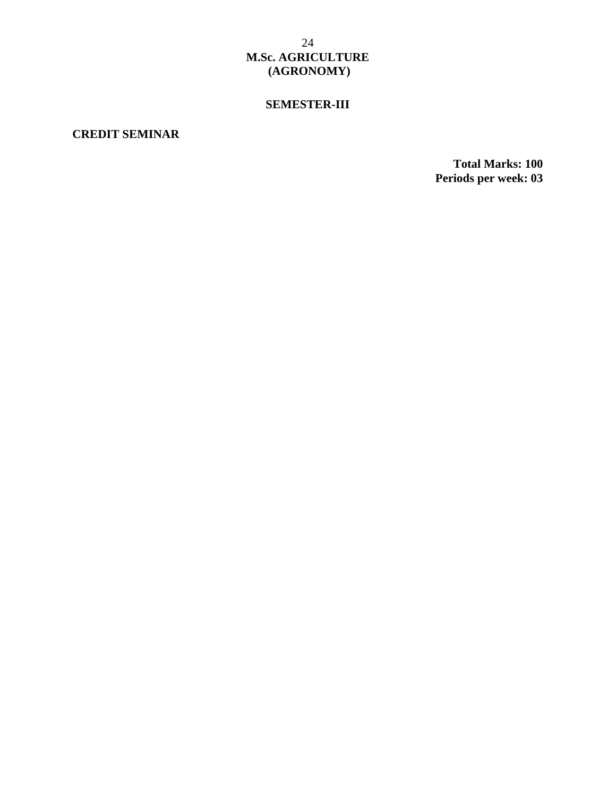# **SEMESTER-III**

# **CREDIT SEMINAR**

**Total Marks: 100 Periods per week: 03**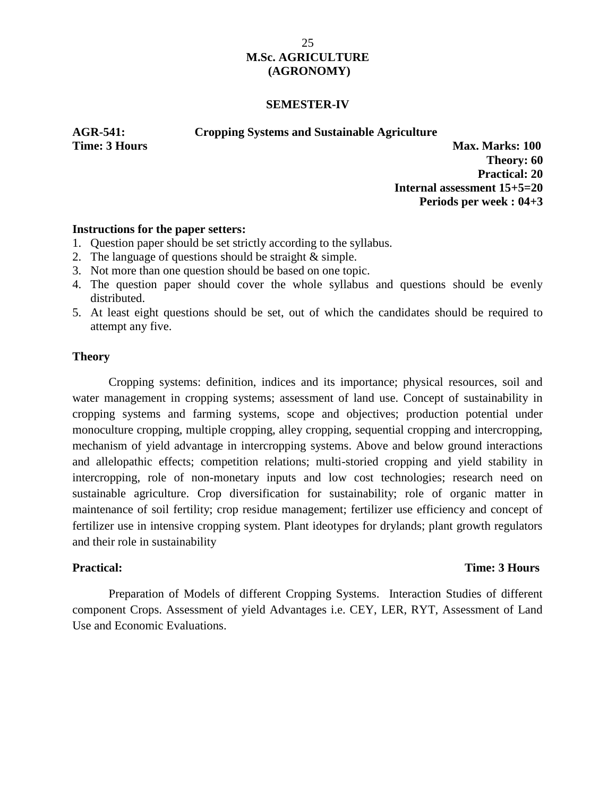#### **SEMESTER-IV**

**AGR-541: Cropping Systems and Sustainable Agriculture**

**Time: 3 Hours Max. Marks: 100** 

**Theory: 60 Practical: 20 Internal assessment 15+5=20 Periods per week : 04+3**

### **Instructions for the paper setters:**

- 1. Question paper should be set strictly according to the syllabus.
- 2. The language of questions should be straight & simple.
- 3. Not more than one question should be based on one topic.
- 4. The question paper should cover the whole syllabus and questions should be evenly distributed.
- 5. At least eight questions should be set, out of which the candidates should be required to attempt any five.

### **Theory**

Cropping systems: definition, indices and its importance; physical resources, soil and water management in cropping systems; assessment of land use. Concept of sustainability in cropping systems and farming systems, scope and objectives; production potential under monoculture cropping, multiple cropping, alley cropping, sequential cropping and intercropping, mechanism of yield advantage in intercropping systems. Above and below ground interactions and allelopathic effects; competition relations; multi-storied cropping and yield stability in intercropping, role of non-monetary inputs and low cost technologies; research need on sustainable agriculture. Crop diversification for sustainability; role of organic matter in maintenance of soil fertility; crop residue management; fertilizer use efficiency and concept of fertilizer use in intensive cropping system. Plant ideotypes for drylands; plant growth regulators and their role in sustainability

### **Practical: Time: 3 Hours**

Preparation of Models of different Cropping Systems. Interaction Studies of different component Crops. Assessment of yield Advantages i.e. CEY, LER, RYT, Assessment of Land Use and Economic Evaluations.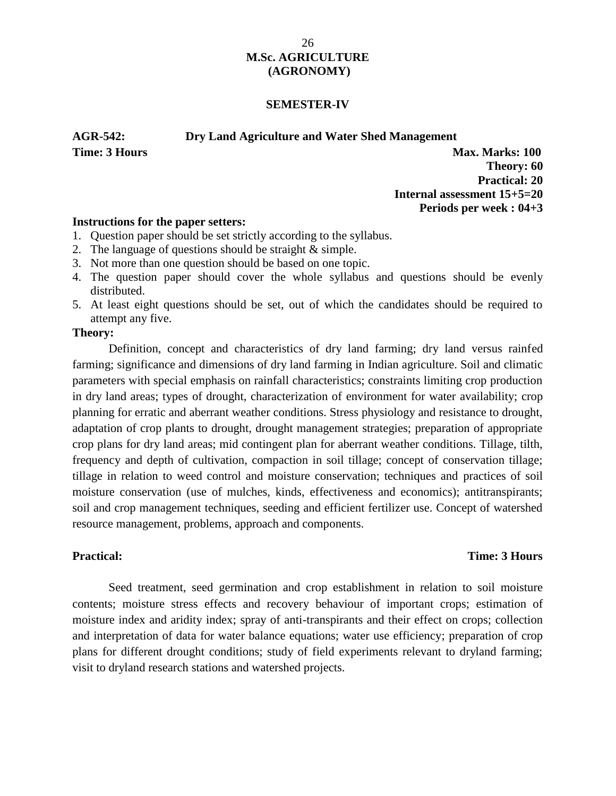#### **SEMESTER-IV**

**AGR-542: Dry Land Agriculture and Water Shed Management**

**Time: 3 Hours Max. Marks: 100 Theory: 60 Practical: 20 Internal assessment 15+5=20 Periods per week : 04+3**

#### **Instructions for the paper setters:**

- 1. Question paper should be set strictly according to the syllabus.
- 2. The language of questions should be straight & simple.
- 3. Not more than one question should be based on one topic.
- 4. The question paper should cover the whole syllabus and questions should be evenly distributed.
- 5. At least eight questions should be set, out of which the candidates should be required to attempt any five.

### **Theory:**

Definition, concept and characteristics of dry land farming; dry land versus rainfed farming; significance and dimensions of dry land farming in Indian agriculture. Soil and climatic parameters with special emphasis on rainfall characteristics; constraints limiting crop production in dry land areas; types of drought, characterization of environment for water availability; crop planning for erratic and aberrant weather conditions. Stress physiology and resistance to drought, adaptation of crop plants to drought, drought management strategies; preparation of appropriate crop plans for dry land areas; mid contingent plan for aberrant weather conditions. Tillage, tilth, frequency and depth of cultivation, compaction in soil tillage; concept of conservation tillage; tillage in relation to weed control and moisture conservation; techniques and practices of soil moisture conservation (use of mulches, kinds, effectiveness and economics); antitranspirants; soil and crop management techniques, seeding and efficient fertilizer use. Concept of watershed resource management, problems, approach and components.

### **Practical: Time: 3 Hours**

Seed treatment, seed germination and crop establishment in relation to soil moisture contents; moisture stress effects and recovery behaviour of important crops; estimation of moisture index and aridity index; spray of anti-transpirants and their effect on crops; collection and interpretation of data for water balance equations; water use efficiency; preparation of crop plans for different drought conditions; study of field experiments relevant to dryland farming; visit to dryland research stations and watershed projects.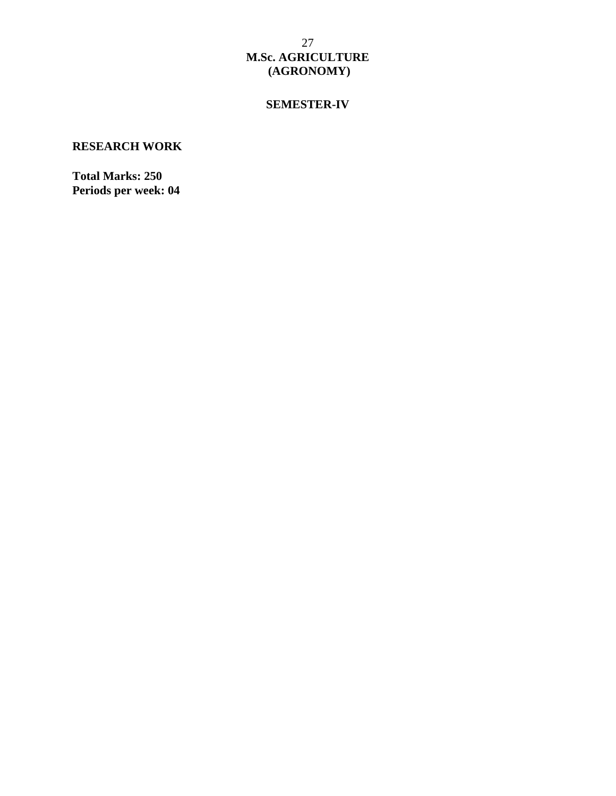# **SEMESTER-IV**

# **RESEARCH WORK**

**Total Marks: 250 Periods per week: 04**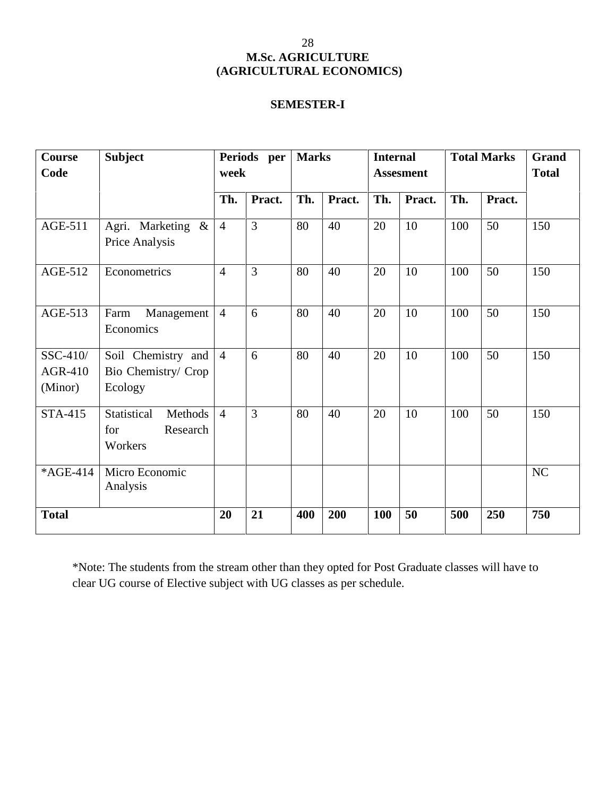# **SEMESTER-I**

| Course<br>Code                        | <b>Subject</b>                                       | Periods per<br>week |                | <b>Marks</b> |        | <b>Internal</b><br><b>Assesment</b> |               | <b>Total Marks</b> |        | Grand<br><b>Total</b> |
|---------------------------------------|------------------------------------------------------|---------------------|----------------|--------------|--------|-------------------------------------|---------------|--------------------|--------|-----------------------|
|                                       |                                                      | Th.<br>Pract.       |                | Th.          | Pract. |                                     | Th.<br>Pract. |                    | Pract. |                       |
| AGE-511                               | Agri. Marketing &<br>Price Analysis                  | $\overline{4}$      | $\overline{3}$ | 80           | 40     | 20                                  | 10            | 100                | 50     | 150                   |
| AGE-512                               | Econometrics                                         | $\overline{4}$      | 3              | 80           | 40     | 20                                  | 10            | 100                | 50     | 150                   |
| AGE-513                               | Management<br>Farm<br>Economics                      | $\overline{4}$      | 6              | 80           | 40     | 20                                  | 10            | 100                | 50     | 150                   |
| SSC-410/<br><b>AGR-410</b><br>(Minor) | Soil Chemistry and<br>Bio Chemistry/ Crop<br>Ecology | $\overline{4}$      | 6              | 80           | 40     | 20                                  | 10            | 100                | 50     | 150                   |
| <b>STA-415</b>                        | Statistical<br>Methods<br>for<br>Research<br>Workers | $\overline{4}$      | 3              | 80           | 40     | 20                                  | 10            | 100                | 50     | 150                   |
| *AGE-414                              | Micro Economic<br>Analysis                           |                     |                |              |        |                                     |               |                    |        | NC                    |
| <b>Total</b>                          |                                                      | 20                  | 21             | 400          | 200    | 100                                 | 50            | 500                | 250    | 750                   |

\*Note: The students from the stream other than they opted for Post Graduate classes will have to clear UG course of Elective subject with UG classes as per schedule.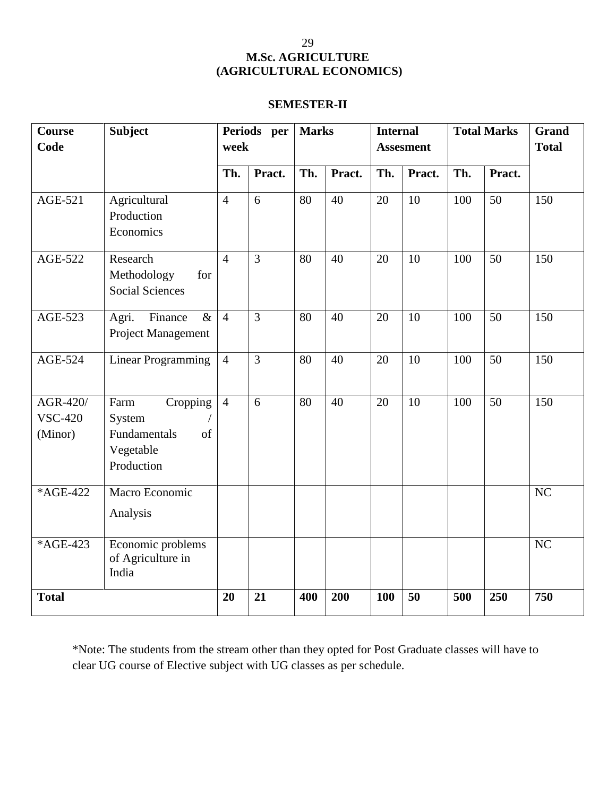## **SEMESTER-II**

| <b>Course</b><br>Code                 | <b>Subject</b>                                                              | Periods per<br>week |                |     | <b>Marks</b> |            | <b>Internal</b><br><b>Assesment</b> |     | <b>Total Marks</b> | <b>Grand</b><br><b>Total</b> |
|---------------------------------------|-----------------------------------------------------------------------------|---------------------|----------------|-----|--------------|------------|-------------------------------------|-----|--------------------|------------------------------|
|                                       |                                                                             | Th.                 | Pract.         | Th. | Pract.       | Th.        | Pract.                              | Th. | Pract.             |                              |
| <b>AGE-521</b>                        | Agricultural<br>Production<br>Economics                                     | $\overline{4}$      | 6              | 80  | 40           | 20         | 10                                  | 100 | 50                 | 150                          |
| <b>AGE-522</b>                        | Research<br>Methodology<br>for<br><b>Social Sciences</b>                    | $\overline{4}$      | $\overline{3}$ | 80  | 40           | 20         | 10                                  | 100 | 50                 | 150                          |
| <b>AGE-523</b>                        | $\&$<br>Agri.<br>Finance<br>Project Management                              | $\overline{4}$      | $\overline{3}$ | 80  | 40           | 20         | 10                                  | 100 | 50                 | 150                          |
| <b>AGE-524</b>                        | <b>Linear Programming</b>                                                   | $\overline{4}$      | $\overline{3}$ | 80  | 40           | 20         | 10                                  | 100 | 50                 | 150                          |
| AGR-420/<br><b>VSC-420</b><br>(Minor) | Farm<br>Cropping<br>System<br>Fundamentals<br>of<br>Vegetable<br>Production | $\overline{4}$      | 6              | 80  | 40           | 20         | 10                                  | 100 | 50                 | 150                          |
| *AGE-422                              | Macro Economic<br>Analysis                                                  |                     |                |     |              |            |                                     |     |                    | NC                           |
| *AGE-423                              | Economic problems<br>of Agriculture in<br>India                             |                     |                |     |              |            |                                     |     |                    | NC                           |
| <b>Total</b>                          |                                                                             | 20                  | 21             | 400 | 200          | <b>100</b> | 50                                  | 500 | 250                | 750                          |

\*Note: The students from the stream other than they opted for Post Graduate classes will have to clear UG course of Elective subject with UG classes as per schedule.

29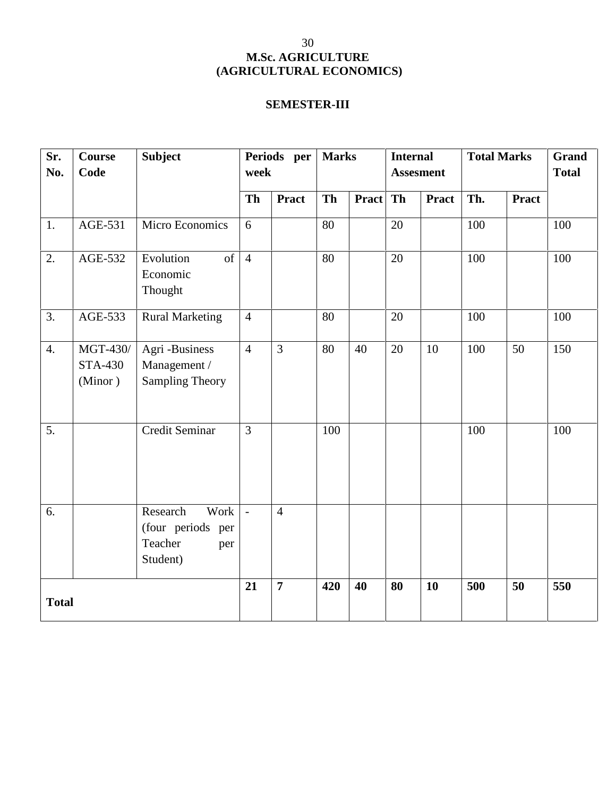## **SEMESTER-III**

| Sr.<br>No.   | <b>Course</b><br>Code                 | <b>Subject</b>                                                      | week           | Periods per    | <b>Marks</b> |          | <b>Internal</b><br><b>Assesment</b> |              | <b>Total Marks</b> | <b>Grand</b><br><b>Total</b> |     |
|--------------|---------------------------------------|---------------------------------------------------------------------|----------------|----------------|--------------|----------|-------------------------------------|--------------|--------------------|------------------------------|-----|
|              |                                       |                                                                     | <b>Th</b>      | <b>Pract</b>   | Th           | Pract Th |                                     | <b>Pract</b> | Th.                | <b>Pract</b>                 |     |
| 1.           | AGE-531                               | Micro Economics                                                     | 6              |                | $80\,$       |          | 20                                  |              | 100                |                              | 100 |
| 2.           | AGE-532                               | of<br>Evolution<br>Economic<br>Thought                              | $\overline{4}$ |                | 80           |          | 20                                  |              | 100                |                              | 100 |
| 3.           | AGE-533                               | <b>Rural Marketing</b>                                              | $\overline{4}$ |                | 80           |          | 20                                  |              | 100                |                              | 100 |
| 4.           | MGT-430/<br><b>STA-430</b><br>(Minor) | Agri-Business<br>Management /<br><b>Sampling Theory</b>             | $\overline{4}$ | 3              | 80           | 40       | 20                                  | 10           | 100                | 50                           | 150 |
| 5.           |                                       | Credit Seminar                                                      | $\overline{3}$ |                | 100          |          |                                     |              | 100                |                              | 100 |
| 6.           |                                       | Research<br>Work<br>(four periods per<br>Teacher<br>per<br>Student) | $\sim$         | $\overline{4}$ |              |          |                                     |              |                    |                              |     |
| <b>Total</b> |                                       |                                                                     | 21             | $\overline{7}$ | 420          | 40       | 80                                  | 10           | 500                | 50                           | 550 |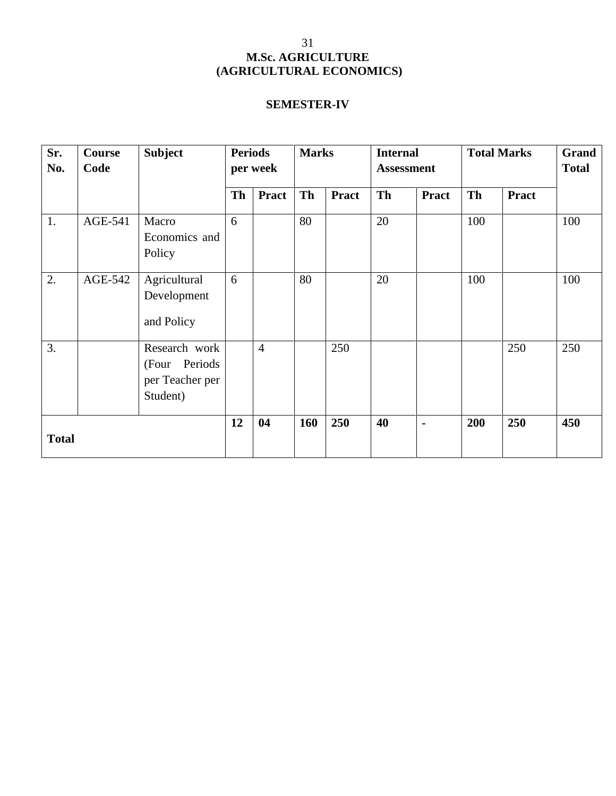# **SEMESTER-IV**

| Sr.<br>No.       | Course<br>Code | <b>Subject</b><br><b>Periods</b><br><b>Marks</b><br>per week   |    |                | <b>Total Marks</b><br><b>Internal</b><br><b>Assessment</b> |              |    |                |     |              |     |
|------------------|----------------|----------------------------------------------------------------|----|----------------|------------------------------------------------------------|--------------|----|----------------|-----|--------------|-----|
|                  |                |                                                                | Th | <b>Pract</b>   | Th                                                         | <b>Pract</b> | Th | <b>Pract</b>   | Th  | <b>Pract</b> |     |
| 1.               | AGE-541        | Macro<br>Economics and<br>Policy                               | 6  |                | 80                                                         |              | 20 |                | 100 |              | 100 |
| 2.               | AGE-542        | Agricultural<br>Development<br>and Policy                      | 6  |                | 80                                                         |              | 20 |                | 100 |              | 100 |
| $\overline{3}$ . |                | Research work<br>(Four Periods)<br>per Teacher per<br>Student) |    | $\overline{4}$ |                                                            | 250          |    |                |     | 250          | 250 |
| <b>Total</b>     |                |                                                                | 12 | 04             | 160                                                        | 250          | 40 | $\blacksquare$ | 200 | 250          | 450 |

31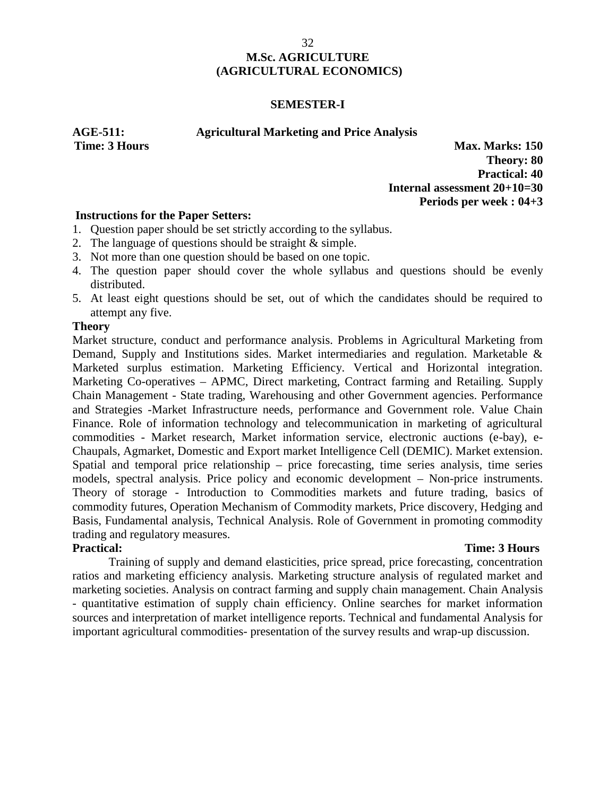### **SEMESTER-I**

### **AGE-511: Agricultural Marketing and Price Analysis**

**Time: 3 Hours Max. Marks: 150 Theory: 80 Practical: 40 Internal assessment 20+10=30 Periods per week : 04+3**

## **Instructions for the Paper Setters:**

- 1. Question paper should be set strictly according to the syllabus.
- 2. The language of questions should be straight & simple.
- 3. Not more than one question should be based on one topic.
- 4. The question paper should cover the whole syllabus and questions should be evenly distributed.
- 5. At least eight questions should be set, out of which the candidates should be required to attempt any five.

### **Theory**

Market structure, conduct and performance analysis. Problems in Agricultural Marketing from Demand, Supply and Institutions sides. Market intermediaries and regulation. Marketable & Marketed surplus estimation. Marketing Efficiency. Vertical and Horizontal integration. Marketing Co-operatives – APMC, Direct marketing, Contract farming and Retailing. Supply Chain Management - State trading, Warehousing and other Government agencies. Performance and Strategies -Market Infrastructure needs, performance and Government role. Value Chain Finance. Role of information technology and telecommunication in marketing of agricultural commodities - Market research, Market information service, electronic auctions (e-bay), e- Chaupals, Agmarket, Domestic and Export market Intelligence Cell (DEMIC). Market extension. Spatial and temporal price relationship – price forecasting, time series analysis, time series models, spectral analysis. Price policy and economic development – Non-price instruments. Theory of storage - Introduction to Commodities markets and future trading, basics of commodity futures, Operation Mechanism of Commodity markets, Price discovery, Hedging and Basis, Fundamental analysis, Technical Analysis. Role of Government in promoting commodity trading and regulatory measures.

## **Practical: Time: 3 Hours**

Training of supply and demand elasticities, price spread, price forecasting, concentration ratios and marketing efficiency analysis. Marketing structure analysis of regulated market and marketing societies. Analysis on contract farming and supply chain management. Chain Analysis - quantitative estimation of supply chain efficiency. Online searches for market information sources and interpretation of market intelligence reports. Technical and fundamental Analysis for important agricultural commodities- presentation of the survey results and wrap-up discussion.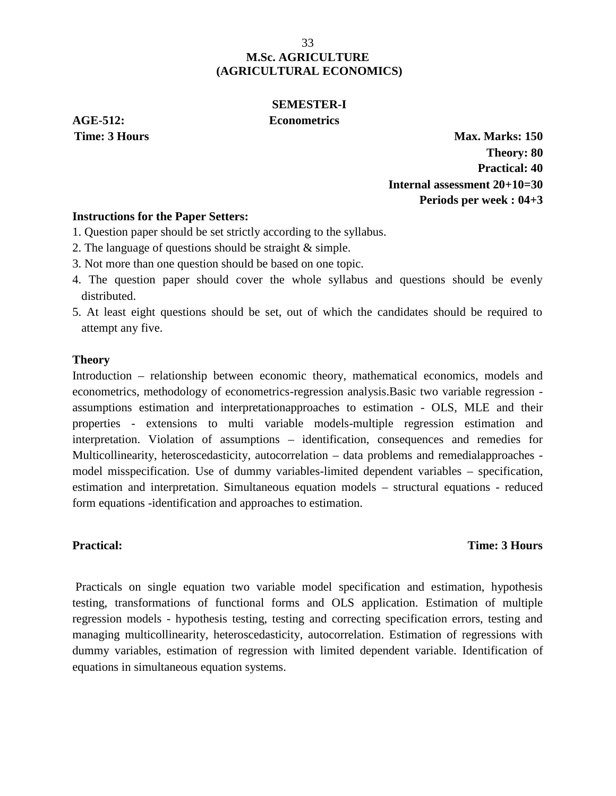## **SEMESTER-I AGE-512: Econometrics**

**Time: 3 Hours Max. Marks: 150 Theory: 80 Practical: 40 Internal assessment 20+10=30 Periods per week : 04+3**

## **Instructions for the Paper Setters:**

1. Question paper should be set strictly according to the syllabus.

- 2. The language of questions should be straight & simple.
- 3. Not more than one question should be based on one topic.
- 4. The question paper should cover the whole syllabus and questions should be evenly distributed.
- 5. At least eight questions should be set, out of which the candidates should be required to attempt any five.

### **Theory**

Introduction – relationship between economic theory, mathematical economics, models and econometrics, methodology of econometrics-regression analysis.Basic two variable regression assumptions estimation and interpretationapproaches to estimation - OLS, MLE and their properties - extensions to multi variable models-multiple regression estimation and interpretation. Violation of assumptions – identification, consequences and remedies for Multicollinearity, heteroscedasticity, autocorrelation – data problems and remedialapproaches model misspecification. Use of dummy variables-limited dependent variables – specification, estimation and interpretation. Simultaneous equation models – structural equations - reduced form equations -identification and approaches to estimation.

### **Practical: Time: 3 Hours**

Practicals on single equation two variable model specification and estimation, hypothesis testing, transformations of functional forms and OLS application. Estimation of multiple regression models - hypothesis testing, testing and correcting specification errors, testing and managing multicollinearity, heteroscedasticity, autocorrelation. Estimation of regressions with dummy variables, estimation of regression with limited dependent variable. Identification of equations in simultaneous equation systems.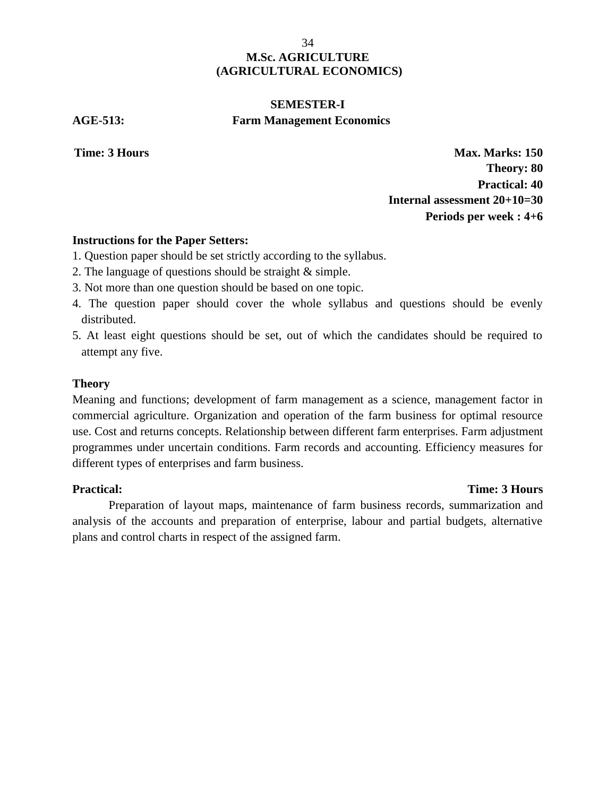# **SEMESTER-I AGE-513: Farm Management Economics**

**Time: 3 Hours Max. Marks: 150 Theory: 80 Practical: 40 Internal assessment 20+10=30 Periods per week : 4+6**

## **Instructions for the Paper Setters:**

- 1. Question paper should be set strictly according to the syllabus.
- 2. The language of questions should be straight & simple.
- 3. Not more than one question should be based on one topic.
- 4. The question paper should cover the whole syllabus and questions should be evenly distributed.
- 5. At least eight questions should be set, out of which the candidates should be required to attempt any five.

### **Theory**

Meaning and functions; development of farm management as a science, management factor in commercial agriculture. Organization and operation of the farm business for optimal resource use. Cost and returns concepts. Relationship between different farm enterprises. Farm adjustment programmes under uncertain conditions. Farm records and accounting. Efficiency measures for different types of enterprises and farm business.

## **Practical: Time: 3 Hours**

Preparation of layout maps, maintenance of farm business records, summarization and analysis of the accounts and preparation of enterprise, labour and partial budgets, alternative plans and control charts in respect of the assigned farm.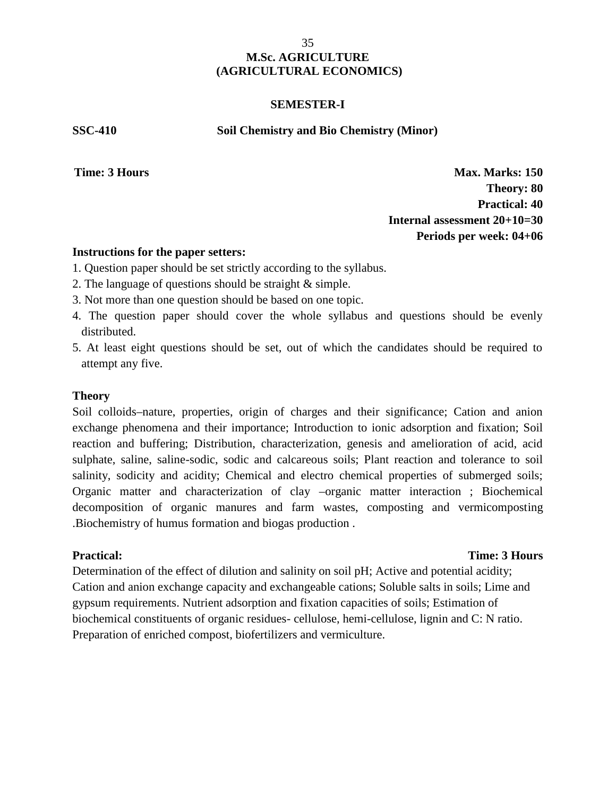### **SEMESTER-I**

**SSC-410 Soil Chemistry and Bio Chemistry (Minor)**

**Time: 3 Hours Max. Marks: 150 Theory: 80 Practical: 40 Internal assessment 20+10=30 Periods per week: 04+06**

### **Instructions for the paper setters:**

- 1. Question paper should be set strictly according to the syllabus.
- 2. The language of questions should be straight & simple.
- 3. Not more than one question should be based on one topic.
- 4. The question paper should cover the whole syllabus and questions should be evenly distributed.
- 5. At least eight questions should be set, out of which the candidates should be required to attempt any five.

### **Theory**

Soil colloids–nature, properties, origin of charges and their significance; Cation and anion exchange phenomena and their importance; Introduction to ionic adsorption and fixation; Soil reaction and buffering; Distribution, characterization, genesis and amelioration of acid, acid sulphate, saline, saline-sodic, sodic and calcareous soils; Plant reaction and tolerance to soil salinity, sodicity and acidity; Chemical and electro chemical properties of submerged soils; Organic matter and characterization of clay –organic matter interaction ; Biochemical decomposition of organic manures and farm wastes, composting and vermicomposting .Biochemistry of humus formation and biogas production .

### **Practical: Time: 3 Hours**

Determination of the effect of dilution and salinity on soil pH; Active and potential acidity; Cation and anion exchange capacity and exchangeable cations; Soluble salts in soils; Lime and gypsum requirements. Nutrient adsorption and fixation capacities of soils; Estimation of biochemical constituents of organic residues- cellulose, hemi-cellulose, lignin and C: N ratio. Preparation of enriched compost, biofertilizers and vermiculture.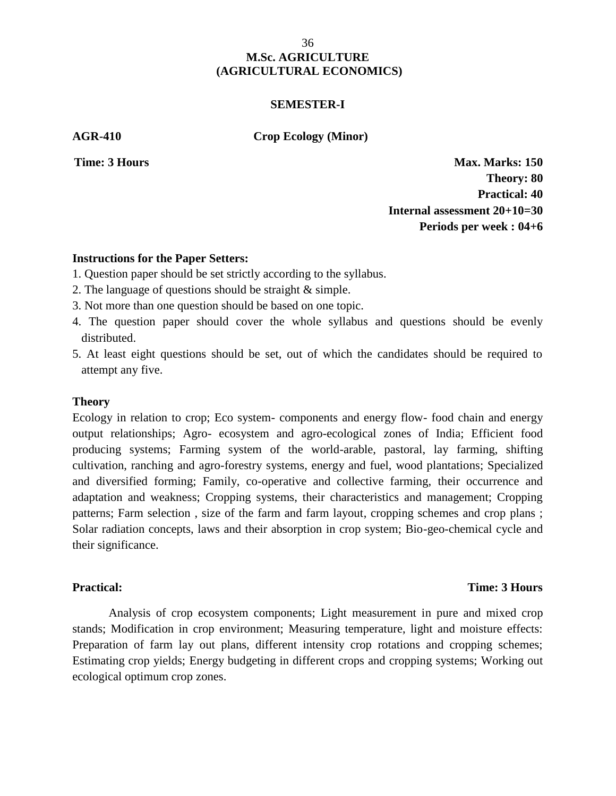#### **SEMESTER-I**

**AGR-410 Crop Ecology (Minor)**

**Time: 3 Hours Max. Marks: 150 Theory: 80 Practical: 40 Internal assessment 20+10=30 Periods per week : 04+6**

#### **Instructions for the Paper Setters:**

- 1. Question paper should be set strictly according to the syllabus.
- 2. The language of questions should be straight & simple.
- 3. Not more than one question should be based on one topic.
- 4. The question paper should cover the whole syllabus and questions should be evenly distributed.
- 5. At least eight questions should be set, out of which the candidates should be required to attempt any five.

#### **Theory**

Ecology in relation to crop; Eco system- components and energy flow- food chain and energy output relationships; Agro- ecosystem and agro-ecological zones of India; Efficient food producing systems; Farming system of the world-arable, pastoral, lay farming, shifting cultivation, ranching and agro-forestry systems, energy and fuel, wood plantations; Specialized and diversified forming; Family, co-operative and collective farming, their occurrence and adaptation and weakness; Cropping systems, their characteristics and management; Cropping patterns; Farm selection , size of the farm and farm layout, cropping schemes and crop plans ; Solar radiation concepts, laws and their absorption in crop system; Bio-geo-chemical cycle and their significance.

#### **Practical: Time: 3 Hours**

Analysis of crop ecosystem components; Light measurement in pure and mixed crop stands; Modification in crop environment; Measuring temperature, light and moisture effects: Preparation of farm lay out plans, different intensity crop rotations and cropping schemes; Estimating crop yields; Energy budgeting in different crops and cropping systems; Working out ecological optimum crop zones.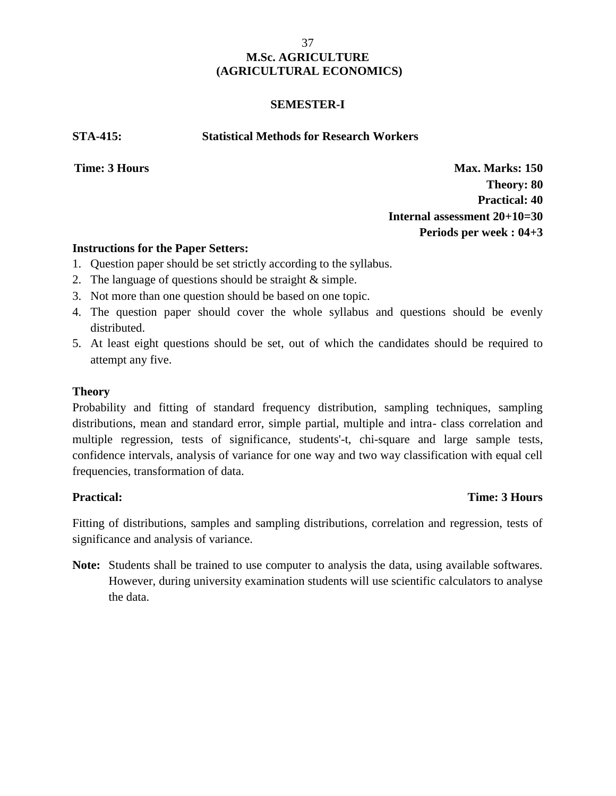### **SEMESTER-I**

**STA-415: Statistical Methods for Research Workers**

**Time: 3 Hours Max. Marks: 150 Theory: 80 Practical: 40 Internal assessment 20+10=30 Periods per week : 04+3**

### **Instructions for the Paper Setters:**

- 1. Question paper should be set strictly according to the syllabus.
- 2. The language of questions should be straight & simple.
- 3. Not more than one question should be based on one topic.
- 4. The question paper should cover the whole syllabus and questions should be evenly distributed.
- 5. At least eight questions should be set, out of which the candidates should be required to attempt any five.

### **Theory**

Probability and fitting of standard frequency distribution, sampling techniques, sampling distributions, mean and standard error, simple partial, multiple and intra- class correlation and multiple regression, tests of significance, students'-t, chi-square and large sample tests, confidence intervals, analysis of variance for one way and two way classification with equal cell frequencies, transformation of data.

### **Practical: Time: 3 Hours**

Fitting of distributions, samples and sampling distributions, correlation and regression, tests of significance and analysis of variance.

**Note:** Students shall be trained to use computer to analysis the data, using available softwares. However, during university examination students will use scientific calculators to analyse the data.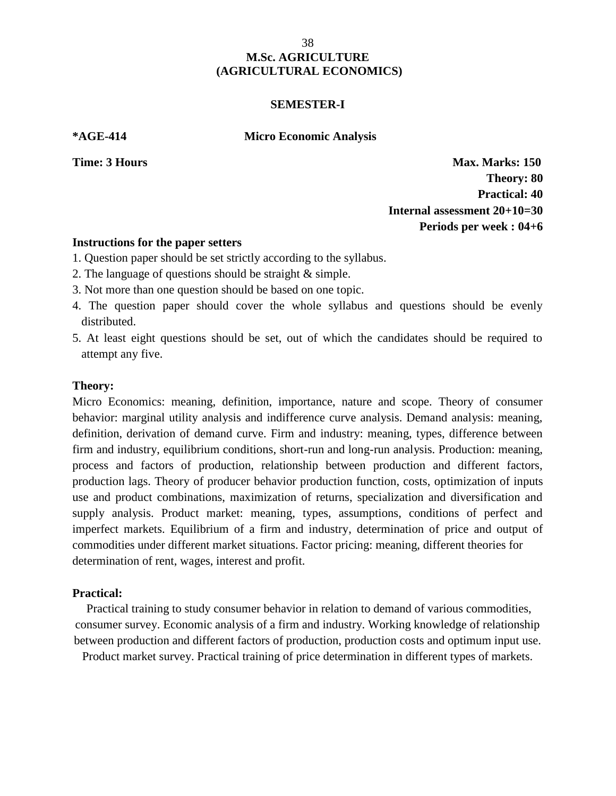#### **SEMESTER-I**

**\*AGE-414 Micro Economic Analysis**

**Time: 3 Hours Max. Marks: 150 Theory: 80 Practical: 40 Internal assessment 20+10=30 Periods per week : 04+6**

#### **Instructions for the paper setters**

- 1. Question paper should be set strictly according to the syllabus.
- 2. The language of questions should be straight & simple.
- 3. Not more than one question should be based on one topic.
- 4. The question paper should cover the whole syllabus and questions should be evenly distributed.
- 5. At least eight questions should be set, out of which the candidates should be required to attempt any five.

#### **Theory:**

Micro Economics: meaning, definition, importance, nature and scope. Theory of consumer behavior: marginal utility analysis and indifference curve analysis. Demand analysis: meaning, definition, derivation of demand curve. Firm and industry: meaning, types, difference between firm and industry, equilibrium conditions, short-run and long-run analysis. Production: meaning, process and factors of production, relationship between production and different factors, production lags. Theory of producer behavior production function, costs, optimization of inputs use and product combinations, maximization of returns, specialization and diversification and supply analysis. Product market: meaning, types, assumptions, conditions of perfect and imperfect markets. Equilibrium of a firm and industry, determination of price and output of commodities under different market situations. Factor pricing: meaning, different theories for determination of rent, wages, interest and profit.

#### **Practical:**

Practical training to study consumer behavior in relation to demand of various commodities, consumer survey. Economic analysis of a firm and industry. Working knowledge of relationship between production and different factors of production, production costs and optimum input use.

Product market survey. Practical training of price determination in different types of markets.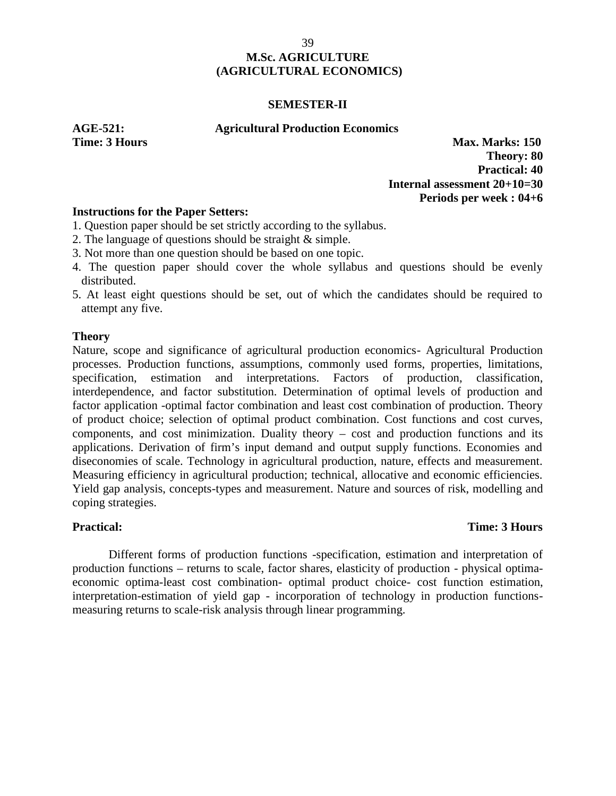#### **SEMESTER-II**

**AGE-521: Agricultural Production Economics**

**Time: 3 Hours Max. Marks: 150 Theory: 80 Practical: 40 Internal assessment 20+10=30 Periods per week : 04+6**

### **Instructions for the Paper Setters:**

- 1. Question paper should be set strictly according to the syllabus.
- 2. The language of questions should be straight & simple.
- 3. Not more than one question should be based on one topic.
- 4. The question paper should cover the whole syllabus and questions should be evenly distributed.
- 5. At least eight questions should be set, out of which the candidates should be required to attempt any five.

#### **Theory**

Nature, scope and significance of agricultural production economics- Agricultural Production processes. Production functions, assumptions, commonly used forms, properties, limitations, specification, estimation and interpretations. Factors of production, classification, interdependence, and factor substitution. Determination of optimal levels of production and factor application -optimal factor combination and least cost combination of production. Theory of product choice; selection of optimal product combination. Cost functions and cost curves, components, and cost minimization. Duality theory – cost and production functions and its applications. Derivation of firm's input demand and output supply functions. Economies and diseconomies of scale. Technology in agricultural production, nature, effects and measurement. Measuring efficiency in agricultural production; technical, allocative and economic efficiencies. Yield gap analysis, concepts-types and measurement. Nature and sources of risk, modelling and coping strategies.

## **Practical: Time: 3 Hours**

Different forms of production functions -specification, estimation and interpretation of production functions – returns to scale, factor shares, elasticity of production - physical optima economic optima-least cost combination- optimal product choice- cost function estimation, interpretation-estimation of yield gap - incorporation of technology in production functions measuring returns to scale-risk analysis through linear programming.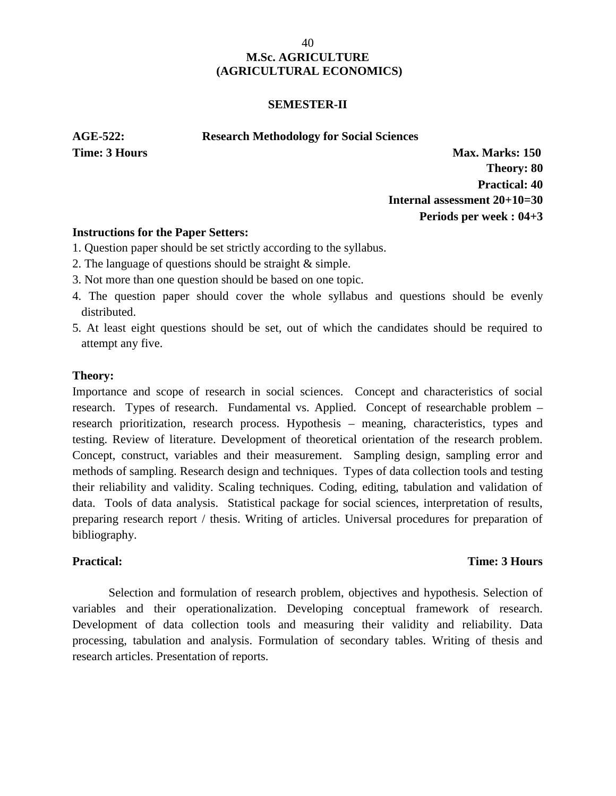#### **SEMESTER-II**

#### **AGE-522: Research Methodology for Social Sciences**

**Time: 3 Hours Max. Marks: 150 Theory: 80 Practical: 40 Internal assessment 20+10=30 Periods per week : 04+3**

#### **Instructions for the Paper Setters:**

- 1. Question paper should be set strictly according to the syllabus.
- 2. The language of questions should be straight & simple.
- 3. Not more than one question should be based on one topic.
- 4. The question paper should cover the whole syllabus and questions should be evenly distributed.
- 5. At least eight questions should be set, out of which the candidates should be required to attempt any five.

### **Theory:**

Importance and scope of research in social sciences. Concept and characteristics of social research. Types of research. Fundamental vs. Applied. Concept of researchable problem – research prioritization, research process. Hypothesis – meaning, characteristics, types and testing. Review of literature. Development of theoretical orientation of the research problem. Concept, construct, variables and their measurement. Sampling design, sampling error and methods of sampling. Research design and techniques. Types of data collection tools and testing their reliability and validity. Scaling techniques. Coding, editing, tabulation and validation of data. Tools of data analysis. Statistical package for social sciences, interpretation of results, preparing research report / thesis. Writing of articles. Universal procedures for preparation of bibliography.

## **Practical: Time: 3 Hours**

Selection and formulation of research problem, objectives and hypothesis. Selection of variables and their operationalization. Developing conceptual framework of research. Development of data collection tools and measuring their validity and reliability. Data processing, tabulation and analysis. Formulation of secondary tables. Writing of thesis and research articles. Presentation of reports.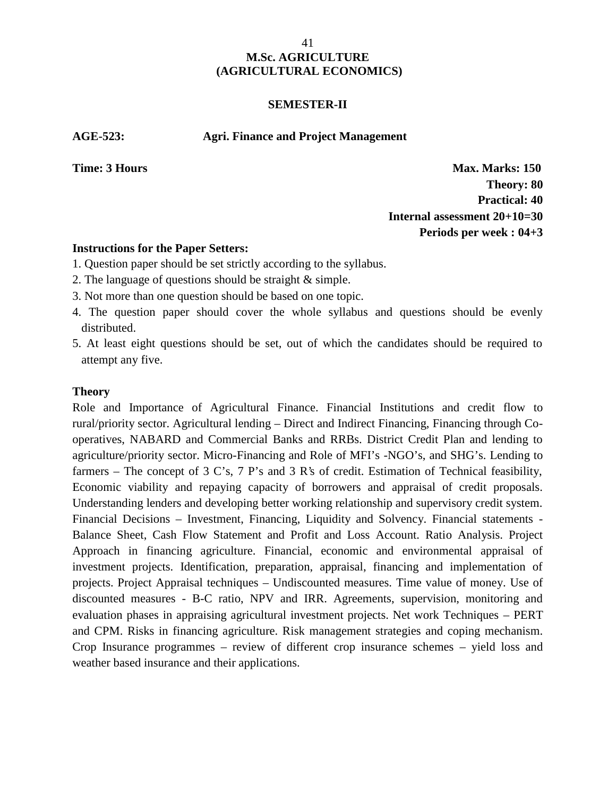#### **SEMESTER-II**

**AGE-523: Agri. Finance and Project Management**

**Time: 3 Hours Max. Marks: 150 Theory: 80 Practical: 40 Internal assessment 20+10=30 Periods per week : 04+3**

### **Instructions for the Paper Setters:**

- 1. Question paper should be set strictly according to the syllabus.
- 2. The language of questions should be straight & simple.
- 3. Not more than one question should be based on one topic.
- 4. The question paper should cover the whole syllabus and questions should be evenly distributed.
- 5. At least eight questions should be set, out of which the candidates should be required to attempt any five.

#### **Theory**

Role and Importance of Agricultural Finance. Financial Institutions and credit flow to rural/priority sector. Agricultural lending – Direct and Indirect Financing, Financing through Co operatives, NABARD and Commercial Banks and RRBs. District Credit Plan and lending to agriculture/priority sector. Micro-Financing and Role of MFI's -NGO's, and SHG's. Lending to farmers – The concept of 3 C's, 7 P's and 3 R's of credit. Estimation of Technical feasibility, Economic viability and repaying capacity of borrowers and appraisal of credit proposals. Understanding lenders and developing better working relationship and supervisory credit system. Financial Decisions – Investment, Financing, Liquidity and Solvency. Financial statements - Balance Sheet, Cash Flow Statement and Profit and Loss Account. Ratio Analysis. Project Approach in financing agriculture. Financial, economic and environmental appraisal of investment projects. Identification, preparation, appraisal, financing and implementation of projects. Project Appraisal techniques – Undiscounted measures. Time value of money. Use of discounted measures - B-C ratio, NPV and IRR. Agreements, supervision, monitoring and evaluation phases in appraising agricultural investment projects. Net work Techniques – PERT and CPM. Risks in financing agriculture. Risk management strategies and coping mechanism. Crop Insurance programmes – review of different crop insurance schemes – yield loss and weather based insurance and their applications.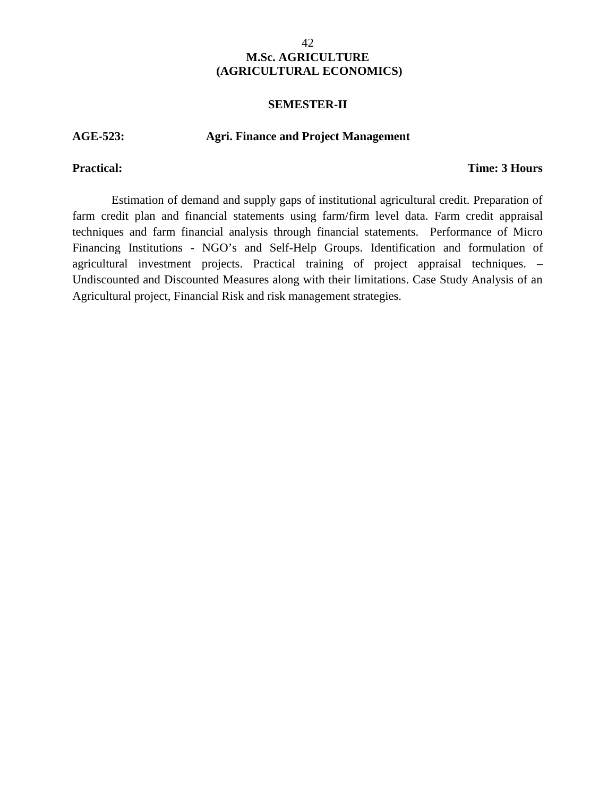#### **SEMESTER-II**

#### **AGE-523: Agri. Finance and Project Management**

### **Practical: Time: 3 Hours**

Estimation of demand and supply gaps of institutional agricultural credit. Preparation of farm credit plan and financial statements using farm/firm level data. Farm credit appraisal techniques and farm financial analysis through financial statements. Performance of Micro Financing Institutions - NGO's and Self-Help Groups. Identification and formulation of agricultural investment projects. Practical training of project appraisal techniques. – Undiscounted and Discounted Measures along with their limitations. Case Study Analysis of an Agricultural project, Financial Risk and risk management strategies.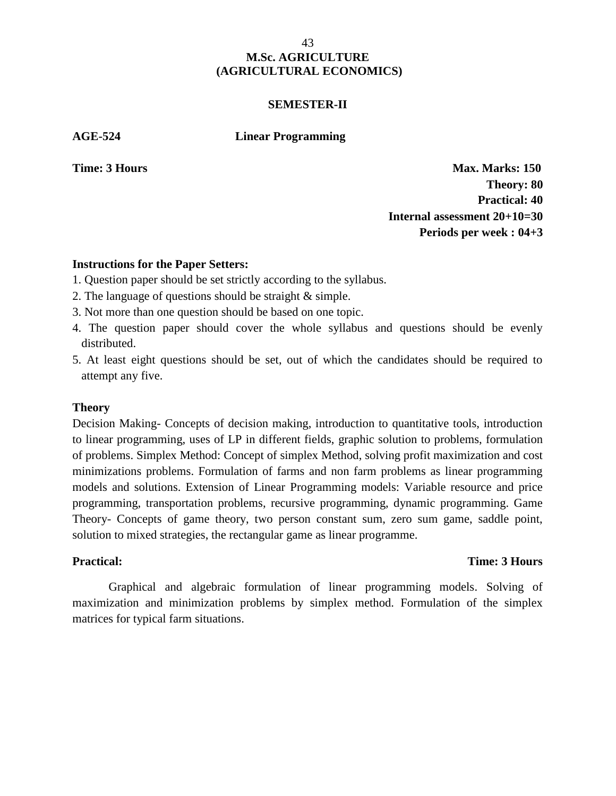#### **SEMESTER-II**

**AGE-524 Linear Programming**

**Time: 3 Hours Max. Marks: 150 Theory: 80 Practical: 40 Internal assessment 20+10=30 Periods per week : 04+3**

### **Instructions for the Paper Setters:**

- 1. Question paper should be set strictly according to the syllabus.
- 2. The language of questions should be straight & simple.
- 3. Not more than one question should be based on one topic.
- 4. The question paper should cover the whole syllabus and questions should be evenly distributed.
- 5. At least eight questions should be set, out of which the candidates should be required to attempt any five.

#### **Theory**

Decision Making- Concepts of decision making, introduction to quantitative tools, introduction to linear programming, uses of LP in different fields, graphic solution to problems, formulation of problems. Simplex Method: Concept of simplex Method, solving profit maximization and cost minimizations problems. Formulation of farms and non farm problems as linear programming models and solutions. Extension of Linear Programming models: Variable resource and price programming, transportation problems, recursive programming, dynamic programming. Game Theory- Concepts of game theory, two person constant sum, zero sum game, saddle point, solution to mixed strategies, the rectangular game as linear programme.

#### **Practical: Time: 3 Hours**

Graphical and algebraic formulation of linear programming models. Solving of maximization and minimization problems by simplex method. Formulation of the simplex matrices for typical farm situations.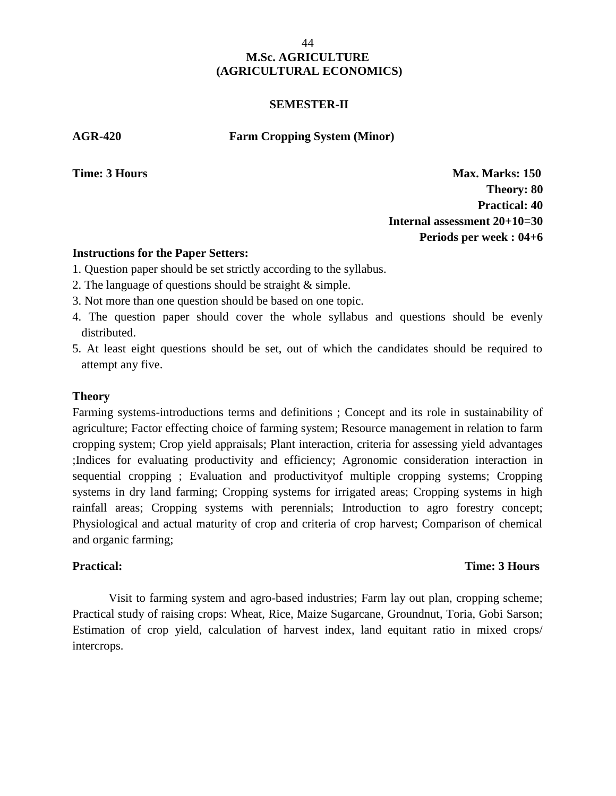#### **SEMESTER-II**

**AGR-420 Farm Cropping System (Minor)**

**Time: 3 Hours Max. Marks: 150 Theory: 80 Practical: 40 Internal assessment 20+10=30 Periods per week : 04+6**

#### **Instructions for the Paper Setters:**

- 1. Question paper should be set strictly according to the syllabus.
- 2. The language of questions should be straight & simple.
- 3. Not more than one question should be based on one topic.
- 4. The question paper should cover the whole syllabus and questions should be evenly distributed.
- 5. At least eight questions should be set, out of which the candidates should be required to attempt any five.

### **Theory**

Farming systems-introductions terms and definitions ; Concept and its role in sustainability of agriculture; Factor effecting choice of farming system; Resource management in relation to farm cropping system; Crop yield appraisals; Plant interaction, criteria for assessing yield advantages ;Indices for evaluating productivity and efficiency; Agronomic consideration interaction in sequential cropping ; Evaluation and productivityof multiple cropping systems; Cropping systems in dry land farming; Cropping systems for irrigated areas; Cropping systems in high rainfall areas; Cropping systems with perennials; Introduction to agro forestry concept; Physiological and actual maturity of crop and criteria of crop harvest; Comparison of chemical and organic farming;

# **Practical: Time: 3 Hours**

Visit to farming system and agro-based industries; Farm lay out plan, cropping scheme; Practical study of raising crops: Wheat, Rice, Maize Sugarcane, Groundnut, Toria, Gobi Sarson; Estimation of crop yield, calculation of harvest index, land equitant ratio in mixed crops/ intercrops.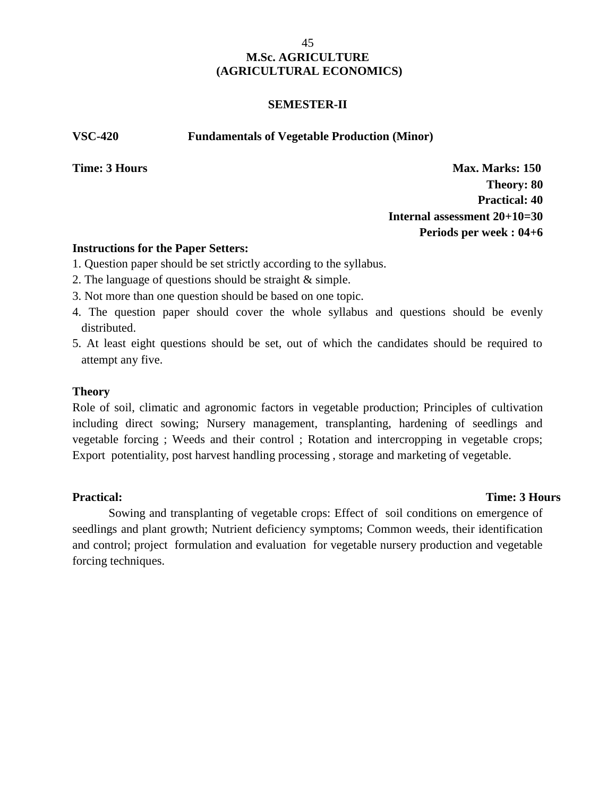#### **SEMESTER-II**

**VSC-420 Fundamentals of Vegetable Production (Minor)**

**Time: 3 Hours Max. Marks: 150 Theory: 80 Practical: 40 Internal assessment 20+10=30 Periods per week : 04+6**

## **Instructions for the Paper Setters:**

- 1. Question paper should be set strictly according to the syllabus.
- 2. The language of questions should be straight & simple.
- 3. Not more than one question should be based on one topic.
- 4. The question paper should cover the whole syllabus and questions should be evenly distributed.
- 5. At least eight questions should be set, out of which the candidates should be required to attempt any five.

### **Theory**

Role of soil, climatic and agronomic factors in vegetable production; Principles of cultivation including direct sowing; Nursery management, transplanting, hardening of seedlings and vegetable forcing ; Weeds and their control ; Rotation and intercropping in vegetable crops; Export potentiality, post harvest handling processing , storage and marketing of vegetable.

#### **Practical: Time: 3 Hours**

Sowing and transplanting of vegetable crops: Effect of soil conditions on emergence of seedlings and plant growth; Nutrient deficiency symptoms; Common weeds, their identification and control; project formulation and evaluation for vegetable nursery production and vegetable forcing techniques.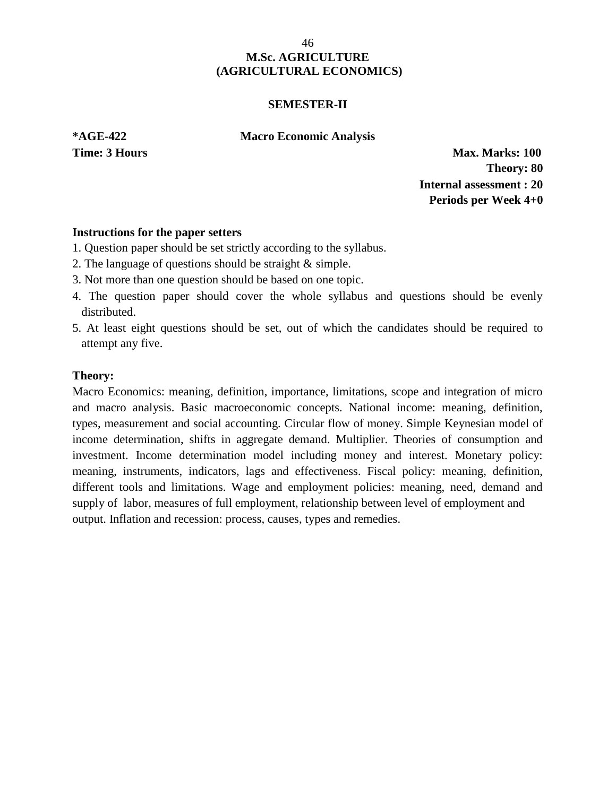#### **SEMESTER-II**

**\*AGE-422 Macro Economic Analysis**

**Time: 3 Hours Max. Marks: 100 Theory: 80 Internal assessment : 20 Periods per Week 4+0**

### **Instructions for the paper setters**

- 1. Question paper should be set strictly according to the syllabus.
- 2. The language of questions should be straight & simple.
- 3. Not more than one question should be based on one topic.
- 4. The question paper should cover the whole syllabus and questions should be evenly distributed.
- 5. At least eight questions should be set, out of which the candidates should be required to attempt any five.

### **Theory:**

Macro Economics: meaning, definition, importance, limitations, scope and integration of micro and macro analysis. Basic macroeconomic concepts. National income: meaning, definition, types, measurement and social accounting. Circular flow of money. Simple Keynesian model of income determination, shifts in aggregate demand. Multiplier. Theories of consumption and investment. Income determination model including money and interest. Monetary policy: meaning, instruments, indicators, lags and effectiveness. Fiscal policy: meaning, definition, different tools and limitations. Wage and employment policies: meaning, need, demand and supply of labor, measures of full employment, relationship between level of employment and output. Inflation and recession: process, causes, types and remedies.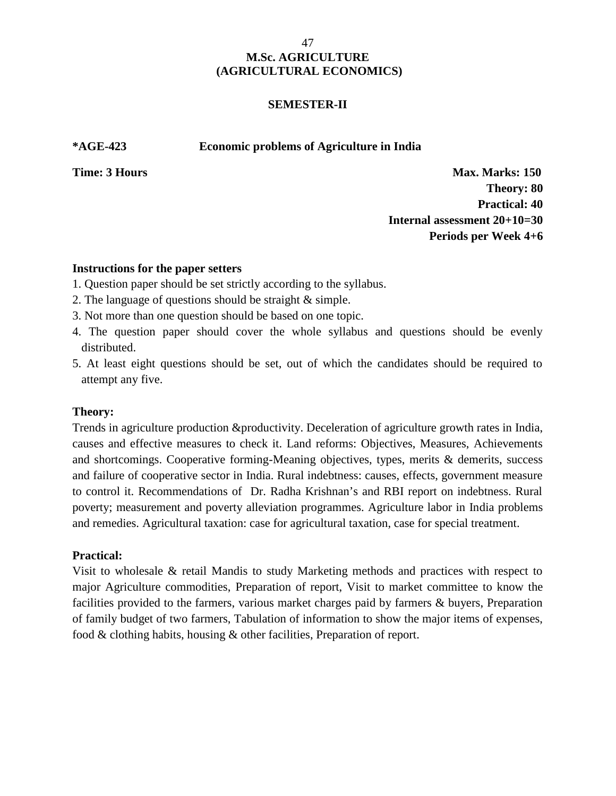### **SEMESTER-II**

#### **\*AGE-423 Economic problems of Agriculture in India**

**Time: 3 Hours Max. Marks: 150 Theory: 80 Practical: 40 Internal assessment 20+10=30 Periods per Week 4+6**

### **Instructions for the paper setters**

- 1. Question paper should be set strictly according to the syllabus.
- 2. The language of questions should be straight & simple.
- 3. Not more than one question should be based on one topic.
- 4. The question paper should cover the whole syllabus and questions should be evenly distributed.
- 5. At least eight questions should be set, out of which the candidates should be required to attempt any five.

## **Theory:**

Trends in agriculture production &productivity. Deceleration of agriculture growth rates in India, causes and effective measures to check it. Land reforms: Objectives, Measures, Achievements and shortcomings. Cooperative forming-Meaning objectives, types, merits & demerits, success and failure of cooperative sector in India. Rural indebtness: causes, effects, government measure to control it. Recommendations of Dr. Radha Krishnan's and RBI report on indebtness. Rural poverty; measurement and poverty alleviation programmes. Agriculture labor in India problems and remedies. Agricultural taxation: case for agricultural taxation, case for special treatment.

#### **Practical:**

Visit to wholesale & retail Mandis to study Marketing methods and practices with respect to major Agriculture commodities, Preparation of report, Visit to market committee to know the facilities provided to the farmers, various market charges paid by farmers & buyers, Preparation of family budget of two farmers, Tabulation of information to show the major items of expenses, food & clothing habits, housing & other facilities, Preparation of report.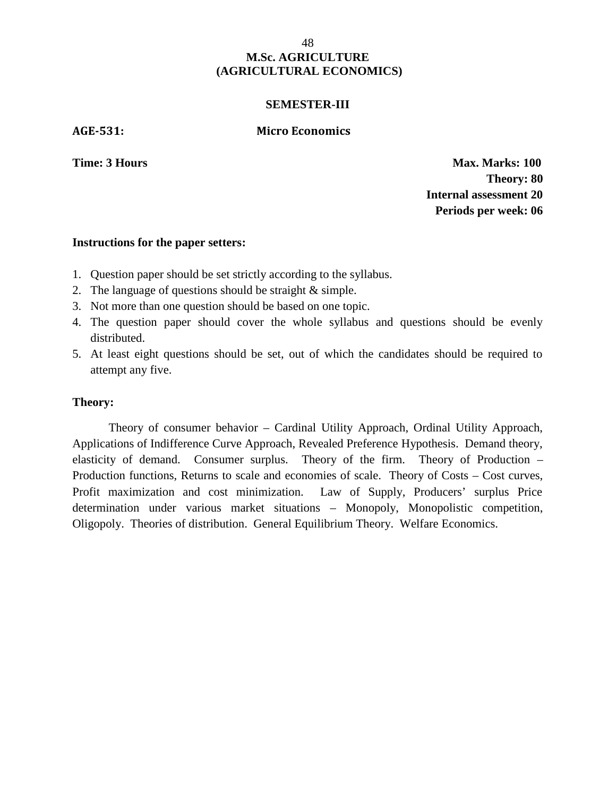#### **SEMESTER-III**

**AGE-531: Micro Economics**

**Time: 3 Hours Max. Marks: 100 Theory: 80 Internal assessment 20 Periods per week: 06**

#### **Instructions for the paper setters:**

- 1. Question paper should be set strictly according to the syllabus.
- 2. The language of questions should be straight & simple.
- 3. Not more than one question should be based on one topic.
- 4. The question paper should cover the whole syllabus and questions should be evenly distributed.
- 5. At least eight questions should be set, out of which the candidates should be required to attempt any five.

#### **Theory:**

Theory of consumer behavior – Cardinal Utility Approach, Ordinal Utility Approach, Applications of Indifference Curve Approach, Revealed Preference Hypothesis. Demand theory, elasticity of demand. Consumer surplus. Theory of the firm. Theory of Production – Production functions, Returns to scale and economies of scale. Theory of Costs – Cost curves, Profit maximization and cost minimization. Law of Supply, Producers' surplus Price determination under various market situations – Monopoly, Monopolistic competition, Oligopoly. Theories of distribution. General Equilibrium Theory. Welfare Economics.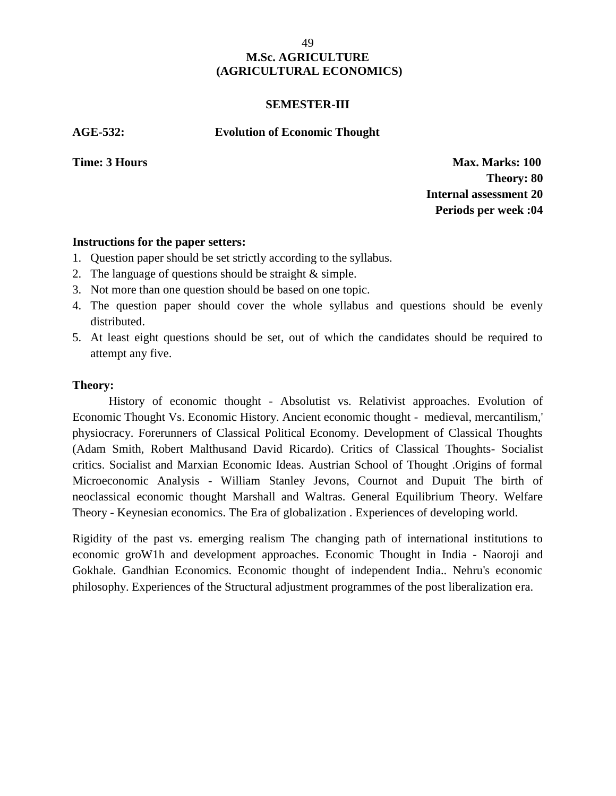#### **SEMESTER-III**

**AGE-532: Evolution of Economic Thought**

**Time: 3 Hours Max. Marks: 100 Theory: 80 Internal assessment 20 Periods per week :04**

### **Instructions for the paper setters:**

- 1. Question paper should be set strictly according to the syllabus.
- 2. The language of questions should be straight & simple.
- 3. Not more than one question should be based on one topic.
- 4. The question paper should cover the whole syllabus and questions should be evenly distributed.
- 5. At least eight questions should be set, out of which the candidates should be required to attempt any five.

### **Theory:**

History of economic thought - Absolutist vs. Relativist approaches. Evolution of Economic Thought Vs. Economic History. Ancient economic thought - medieval, mercantilism,' physiocracy. Forerunners of Classical Political Economy. Development of Classical Thoughts (Adam Smith, Robert Malthusand David Ricardo). Critics of Classical Thoughts- Socialist critics. Socialist and Marxian Economic Ideas. Austrian School of Thought .Origins of formal Microeconomic Analysis - William Stanley Jevons, Cournot and Dupuit The birth of neoclassical economic thought Marshall and Waltras. General Equilibrium Theory. Welfare Theory - Keynesian economics. The Era of globalization . Experiences of developing world.

Rigidity of the past vs. emerging realism The changing path of international institutions to economic groW1h and development approaches. Economic Thought in India - Naoroji and Gokhale. Gandhian Economics. Economic thought of independent India.. Nehru's economic philosophy. Experiences of the Structural adjustment programmes of the post liberalization era.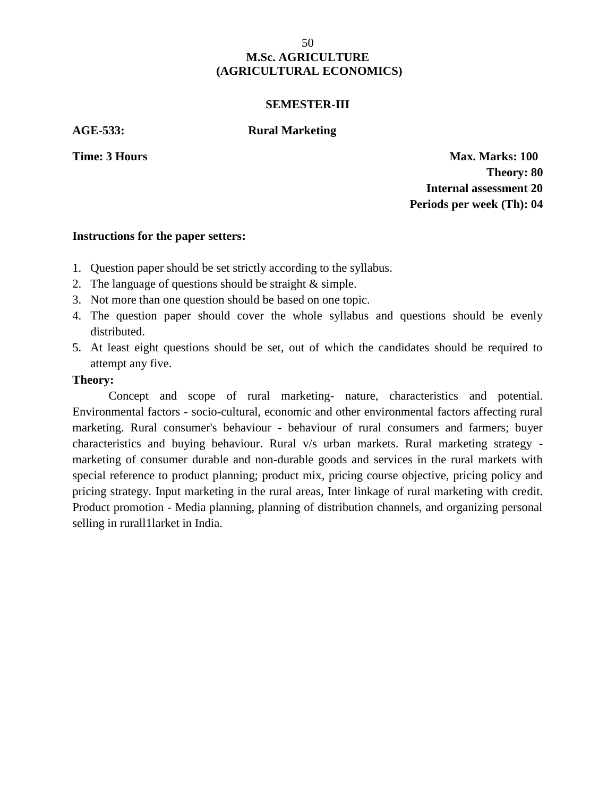#### **SEMESTER-III**

**AGE-533: Rural Marketing**

**Time: 3 Hours Max. Marks: 100 Theory: 80 Internal assessment 20 Periods per week (Th): 04**

#### **Instructions for the paper setters:**

- 1. Question paper should be set strictly according to the syllabus.
- 2. The language of questions should be straight & simple.
- 3. Not more than one question should be based on one topic.
- 4. The question paper should cover the whole syllabus and questions should be evenly distributed.
- 5. At least eight questions should be set, out of which the candidates should be required to attempt any five.

#### **Theory:**

Concept and scope of rural marketing- nature, characteristics and potential. Environmental factors - socio-cultural, economic and other environmental factors affecting rural marketing. Rural consumer's behaviour - behaviour of rural consumers and farmers; buyer characteristics and buying behaviour. Rural v/s urban markets. Rural marketing strategy marketing of consumer durable and non-durable goods and services in the rural markets with special reference to product planning; product mix, pricing course objective, pricing policy and pricing strategy. Input marketing in the rural areas, Inter linkage of rural marketing with credit. Product promotion - Media planning, planning of distribution channels, and organizing personal selling in rurall1larket in India.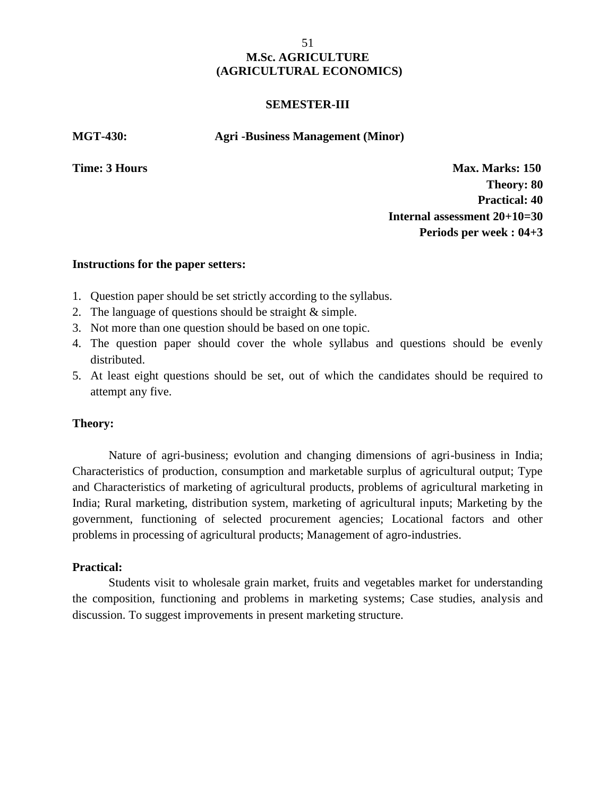#### **SEMESTER-III**

**MGT-430: Agri -Business Management (Minor)**

**Time: 3 Hours Max. Marks: 150 Theory: 80 Practical: 40 Internal assessment 20+10=30 Periods per week : 04+3**

#### **Instructions for the paper setters:**

- 1. Question paper should be set strictly according to the syllabus.
- 2. The language of questions should be straight & simple.
- 3. Not more than one question should be based on one topic.
- 4. The question paper should cover the whole syllabus and questions should be evenly distributed.
- 5. At least eight questions should be set, out of which the candidates should be required to attempt any five.

#### **Theory:**

Nature of agri-business; evolution and changing dimensions of agri-business in India; Characteristics of production, consumption and marketable surplus of agricultural output; Type and Characteristics of marketing of agricultural products, problems of agricultural marketing in India; Rural marketing, distribution system, marketing of agricultural inputs; Marketing by the government, functioning of selected procurement agencies; Locational factors and other problems in processing of agricultural products; Management of agro-industries.

#### **Practical: Time:** 3 **Hours Time:** 3 **Hours Time:** 3 **Hours Time:** 3 **Hours Time:** 3 **Hours Time:** 3 **Hours**

Students visit to wholesale grain market, fruits and vegetables market for understanding the composition, functioning and problems in marketing systems; Case studies, analysis and discussion. To suggest improvements in present marketing structure.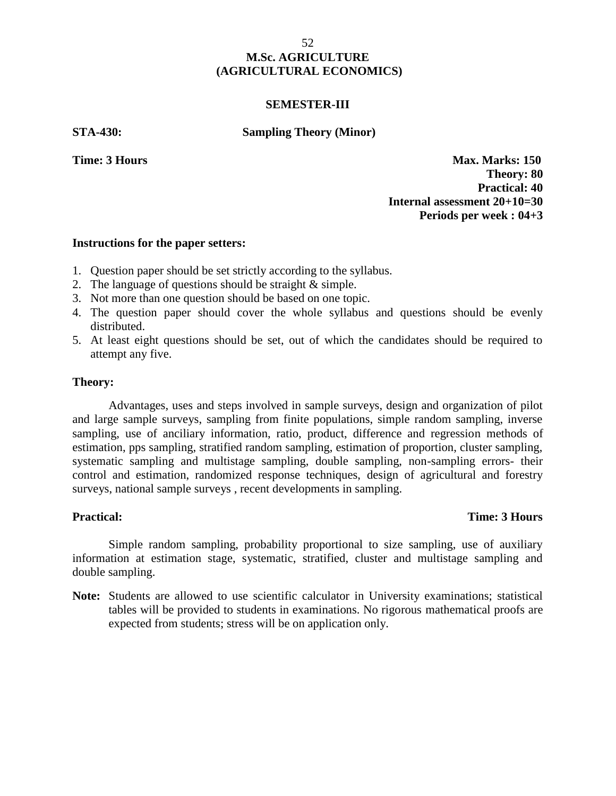#### **SEMESTER-III**

**STA-430: Sampling Theory (Minor)**

**Time: 3 Hours Max. Marks: 150 Theory: 80 Practical: 40 Internal assessment 20+10=30 Periods per week : 04+3**

#### **Instructions for the paper setters:**

- 1. Question paper should be set strictly according to the syllabus.
- 2. The language of questions should be straight & simple.
- 3. Not more than one question should be based on one topic.
- 4. The question paper should cover the whole syllabus and questions should be evenly distributed.
- 5. At least eight questions should be set, out of which the candidates should be required to attempt any five.

#### **Theory:**

Advantages, uses and steps involved in sample surveys, design and organization of pilot and large sample surveys, sampling from finite populations, simple random sampling, inverse sampling, use of anciliary information, ratio, product, difference and regression methods of estimation, pps sampling, stratified random sampling, estimation of proportion, cluster sampling, systematic sampling and multistage sampling, double sampling, non-sampling errors- their control and estimation, randomized response techniques, design of agricultural and forestry surveys, national sample surveys , recent developments in sampling.

## **Practical: Time: 3 Hours**

Simple random sampling, probability proportional to size sampling, use of auxiliary information at estimation stage, systematic, stratified, cluster and multistage sampling and double sampling.

**Note:** Students are allowed to use scientific calculator in University examinations; statistical tables will be provided to students in examinations. No rigorous mathematical proofs are expected from students; stress will be on application only.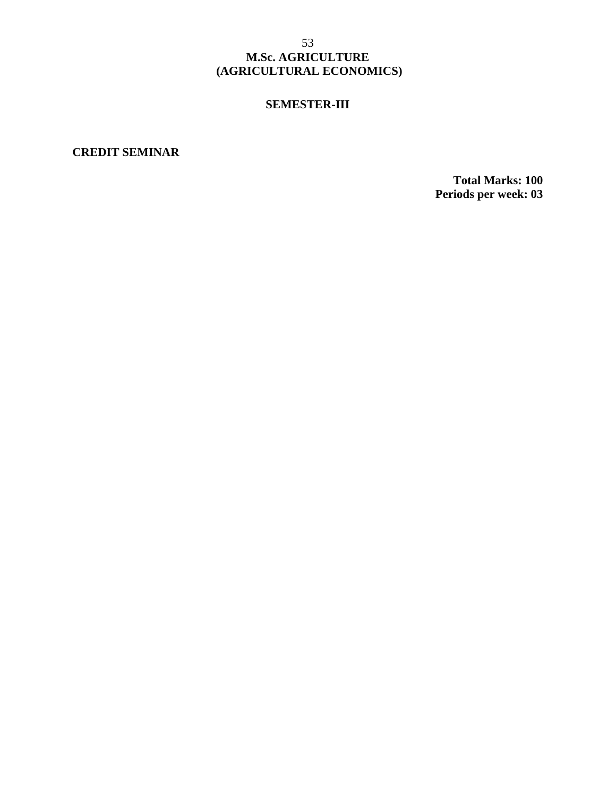#### **SEMESTER-III**

**CREDIT SEMINAR**

**Total Marks: 100 Periods per week: 03**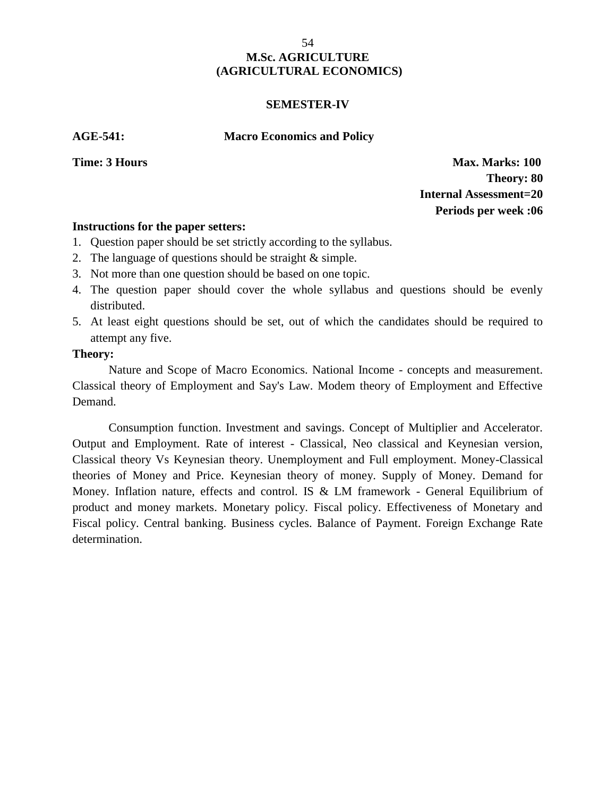#### **SEMESTER-IV**

#### **AGE-541: Macro Economics and Policy**

**Time: 3 Hours Max. Marks: 100 Theory: 80 Internal Assessment=20 Periods per week :06**

### **Instructions for the paper setters:**

- 1. Question paper should be set strictly according to the syllabus.
- 2. The language of questions should be straight & simple.
- 3. Not more than one question should be based on one topic.
- 4. The question paper should cover the whole syllabus and questions should be evenly distributed.
- 5. At least eight questions should be set, out of which the candidates should be required to attempt any five.

## **Theory:**

Nature and Scope of Macro Economics. National Income - concepts and measurement. Classical theory of Employment and Say's Law. Modem theory of Employment and Effective Demand.

Consumption function. Investment and savings. Concept of Multiplier and Accelerator. Output and Employment. Rate of interest - Classical, Neo classical and Keynesian version, Classical theory Vs Keynesian theory. Unemployment and Full employment. Money-Classical theories of Money and Price. Keynesian theory of money. Supply of Money. Demand for Money. Inflation nature, effects and control. IS & LM framework - General Equilibrium of product and money markets. Monetary policy. Fiscal policy. Effectiveness of Monetary and Fiscal policy. Central banking. Business cycles. Balance of Payment. Foreign Exchange Rate determination.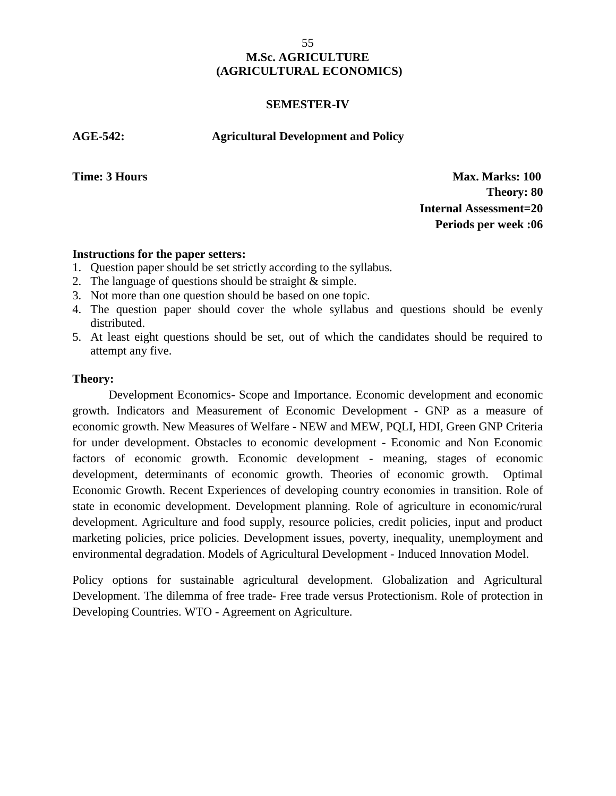#### **SEMESTER-IV**

**AGE-542: Agricultural Development and Policy**

**Time: 3 Hours Max. Marks: 100 Theory: 80 Internal Assessment=20 Periods per week :06**

### **Instructions for the paper setters:**

- 1. Question paper should be set strictly according to the syllabus.
- 2. The language of questions should be straight & simple.
- 3. Not more than one question should be based on one topic.
- 4. The question paper should cover the whole syllabus and questions should be evenly distributed.
- 5. At least eight questions should be set, out of which the candidates should be required to attempt any five.

#### **Theory:**

Development Economics- Scope and Importance. Economic development and economic growth. Indicators and Measurement of Economic Development - GNP as a measure of economic growth. New Measures of Welfare - NEW and MEW, PQLI, HDI, Green GNP Criteria for under development. Obstacles to economic development - Economic and Non Economic factors of economic growth. Economic development - meaning, stages of economic development, determinants of economic growth. Theories of economic growth. Optimal Economic Growth. Recent Experiences of developing country economies in transition. Role of state in economic development. Development planning. Role of agriculture in economic/rural development. Agriculture and food supply, resource policies, credit policies, input and product marketing policies, price policies. Development issues, poverty, inequality, unemployment and environmental degradation. Models of Agricultural Development - Induced Innovation Model.

Policy options for sustainable agricultural development. Globalization and Agricultural Development. The dilemma of free trade- Free trade versus Protectionism. Role of protection in Developing Countries. WTO - Agreement on Agriculture.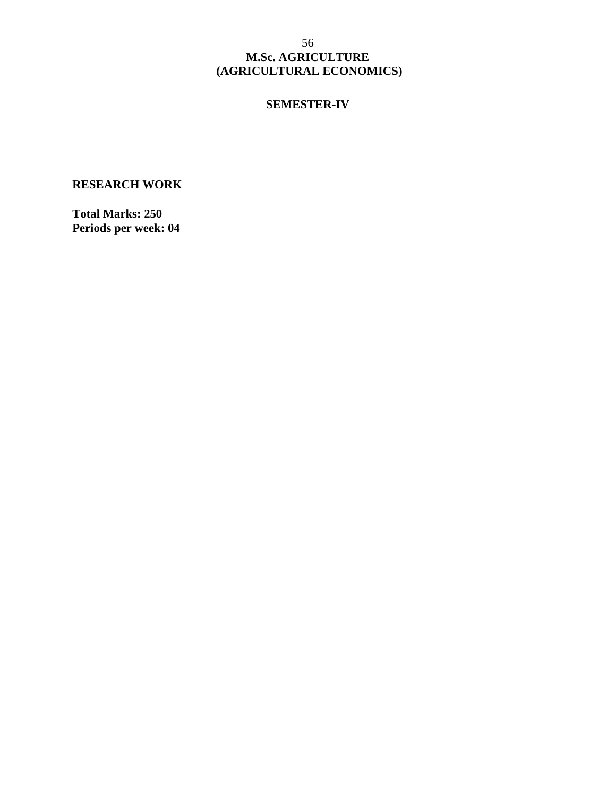#### **SEMESTER-IV**

# **RESEARCH WORK**

**Total Marks: 250 Periods per week: 04**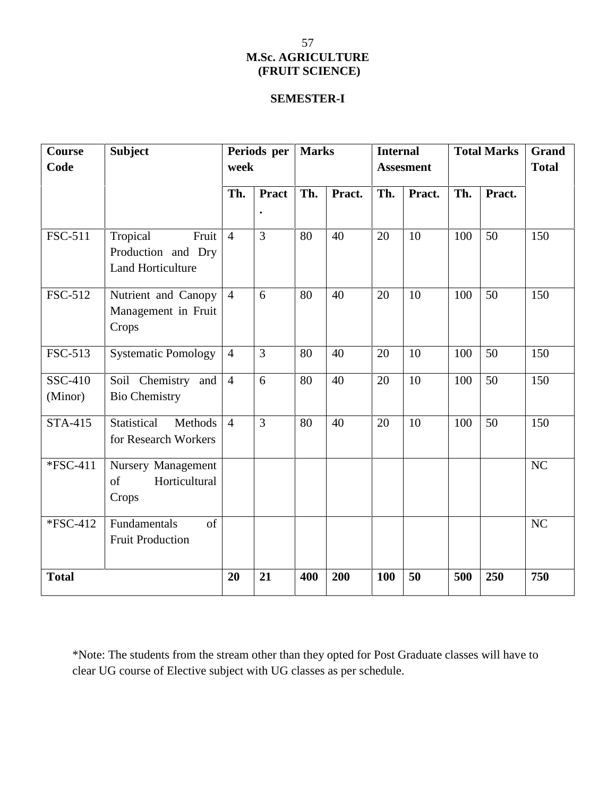# **SEMESTER-I**

| <b>Course</b><br>Code | <b>Subject</b>                                                        | Periods per<br>week |                | <b>Marks</b> |        | <b>Internal</b><br><b>Assesment</b> |        | <b>Total Marks</b> |        | <b>Grand</b><br><b>Total</b> |
|-----------------------|-----------------------------------------------------------------------|---------------------|----------------|--------------|--------|-------------------------------------|--------|--------------------|--------|------------------------------|
|                       |                                                                       | Th.                 | <b>Pract</b>   | Th.          | Pract. | Th.                                 | Pract. | Th.                | Pract. |                              |
| FSC-511               | Tropical<br>Fruit  <br>Production and Dry<br><b>Land Horticulture</b> | $\overline{4}$      | $\overline{3}$ | 80           | 40     | 20                                  | 10     | 100                | 50     | 150                          |
| FSC-512               | Nutrient and Canopy<br>Management in Fruit<br>Crops                   | $\overline{4}$      | 6              | 80           | 40     | 20                                  | 10     | 100                | 50     | 150                          |
| FSC-513               | <b>Systematic Pomology</b>                                            | $\overline{4}$      | $\overline{3}$ | 80           | 40     | 20                                  | 10     | 100                | 50     | 150                          |
| SSC-410<br>(Minor)    | Soil Chemistry and<br><b>Bio Chemistry</b>                            | $\overline{4}$      | 6              | 80           | 40     | 20                                  | 10     | 100                | 50     | 150                          |
| <b>STA-415</b>        | Statistical<br>Methods<br>for Research Workers                        | $\overline{4}$      | $\overline{3}$ | 80           | 40     | 20                                  | 10     | 100                | 50     | 150                          |
| *FSC-411              | Nursery Management<br>Horticultural<br>of<br>Crops                    |                     |                |              |        |                                     |        |                    |        | NC                           |
| *FSC-412              | Fundamentals<br>of<br><b>Fruit Production</b>                         |                     |                |              |        |                                     |        |                    |        | NC                           |
| <b>Total</b>          |                                                                       | 20                  | 21             | 400          | 200    | 100                                 | 50     | 500                | 250    | 750                          |

\*Note: The students from the stream other than they opted for Post Graduate classes will have to clear UG course of Elective subject with UG classes as per schedule.

# 57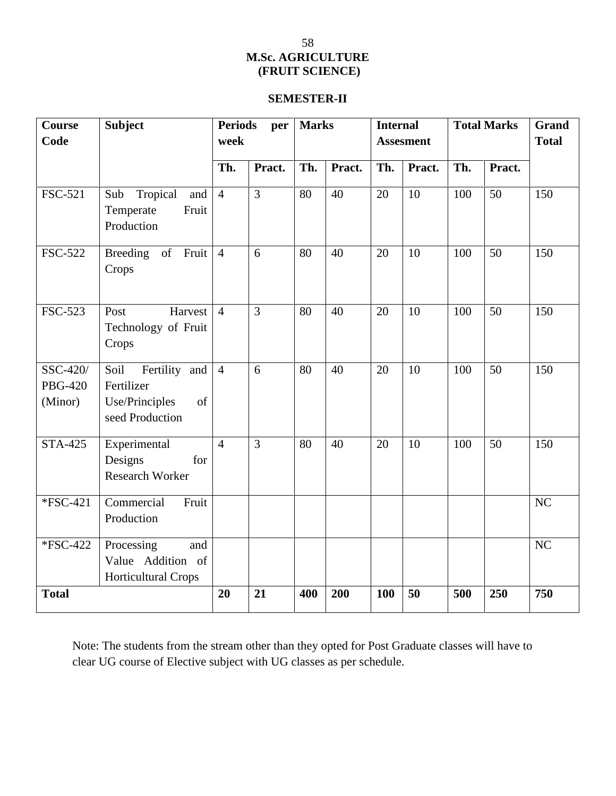# **SEMESTER-II**

| <b>Course</b><br>Code                 | <b>Subject</b>                                                                 | <b>Periods</b><br>per<br>week |                |     | <b>Marks</b> |     | <b>Internal</b><br><b>Assesment</b> |     | <b>Total Marks</b> | <b>Grand</b><br><b>Total</b> |
|---------------------------------------|--------------------------------------------------------------------------------|-------------------------------|----------------|-----|--------------|-----|-------------------------------------|-----|--------------------|------------------------------|
|                                       |                                                                                | Th.                           | Pract.         | Th. | Pract.       | Th. | Pract.                              | Th. | Pract.             |                              |
| <b>FSC-521</b>                        | Tropical<br>Sub<br>and<br>Fruit<br>Temperate<br>Production                     | $\overline{4}$                | $\overline{3}$ | 80  | 40           | 20  | 10                                  | 100 | 50                 | 150                          |
| <b>FSC-522</b>                        | Breeding of Fruit<br>Crops                                                     | $\overline{4}$                | 6              | 80  | 40           | 20  | 10                                  | 100 | 50                 | 150                          |
| FSC-523                               | Harvest<br>Post<br>Technology of Fruit<br>Crops                                | $\overline{4}$                | $\overline{3}$ | 80  | 40           | 20  | 10                                  | 100 | 50                 | 150                          |
| SSC-420/<br><b>PBG-420</b><br>(Minor) | Soil<br>Fertility and<br>Fertilizer<br>of<br>Use/Principles<br>seed Production | $\overline{4}$                | 6              | 80  | 40           | 20  | 10                                  | 100 | 50                 | 150                          |
| <b>STA-425</b>                        | Experimental<br>Designs<br>for<br><b>Research Worker</b>                       | $\overline{4}$                | $\overline{3}$ | 80  | 40           | 20  | 10                                  | 100 | 50                 | 150                          |
| *FSC-421                              | Commercial<br>Fruit<br>Production                                              |                               |                |     |              |     |                                     |     |                    | NC                           |
| *FSC-422                              | Processing<br>and<br>Value Addition of<br><b>Horticultural Crops</b>           |                               |                |     |              |     |                                     |     |                    | NC                           |
| <b>Total</b>                          |                                                                                | 20                            | 21             | 400 | 200          | 100 | 50                                  | 500 | 250                | 750                          |

Note: The students from the stream other than they opted for Post Graduate classes will have to clear UG course of Elective subject with UG classes as per schedule.

# 58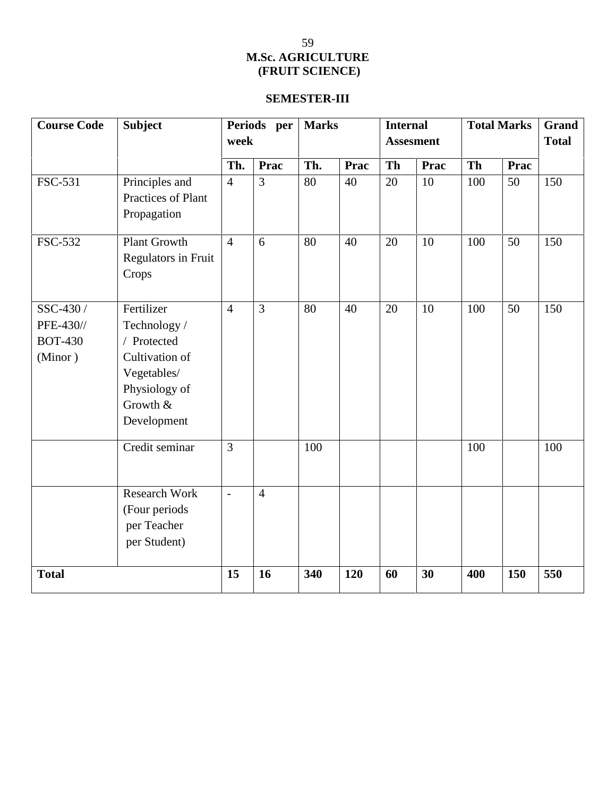# **SEMESTER-III**

| <b>Course Code</b>                                  | <b>Subject</b>                                                                                                         | Periods per<br>week<br>Prac<br>Th. |                | <b>Marks</b><br>Th.<br>Prac |     | <b>Internal</b><br><b>Assesment</b><br><b>Th</b><br>Prac |    | <b>Total Marks</b><br>Th<br>Prac |     | <b>Grand</b><br><b>Total</b> |
|-----------------------------------------------------|------------------------------------------------------------------------------------------------------------------------|------------------------------------|----------------|-----------------------------|-----|----------------------------------------------------------|----|----------------------------------|-----|------------------------------|
|                                                     |                                                                                                                        |                                    |                |                             |     |                                                          |    |                                  |     |                              |
| FSC-531                                             | Principles and<br>Practices of Plant<br>Propagation                                                                    | $\overline{4}$                     | $\overline{3}$ | 80                          | 40  | 20                                                       | 10 | 100                              | 50  | 150                          |
| <b>FSC-532</b>                                      | <b>Plant Growth</b><br>Regulators in Fruit<br>Crops                                                                    | $\overline{4}$                     | 6              | 80                          | 40  | 20                                                       | 10 | 100                              | 50  | 150                          |
| SSC-430 /<br>PFE-430//<br><b>BOT-430</b><br>(Minor) | Fertilizer<br>Technology /<br>/ Protected<br>Cultivation of<br>Vegetables/<br>Physiology of<br>Growth &<br>Development | $\overline{4}$                     | 3              | 80                          | 40  | 20                                                       | 10 | 100                              | 50  | 150                          |
|                                                     | Credit seminar                                                                                                         | $\overline{3}$                     |                | 100                         |     |                                                          |    | 100                              |     | 100                          |
|                                                     | <b>Research Work</b><br>(Four periods<br>per Teacher<br>per Student)                                                   | $\overline{\phantom{a}}$           | $\overline{4}$ |                             |     |                                                          |    |                                  |     |                              |
| <b>Total</b>                                        |                                                                                                                        | 15                                 | 16             | 340                         | 120 | 60                                                       | 30 | 400                              | 150 | 550                          |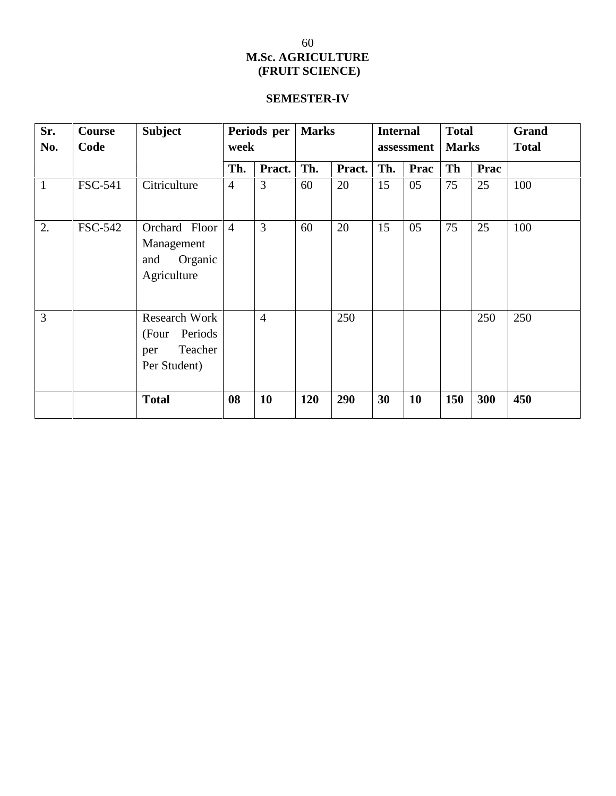# **SEMESTER-IV**

| Sr.<br>No.     | <b>Course</b><br>Code | <b>Subject</b>                                                           | Periods per<br>week |                | <b>Marks</b> |        | <b>Internal</b><br>assessment |      | <b>Total</b><br><b>Marks</b> |      | Grand<br><b>Total</b> |
|----------------|-----------------------|--------------------------------------------------------------------------|---------------------|----------------|--------------|--------|-------------------------------|------|------------------------------|------|-----------------------|
|                |                       |                                                                          | Th.                 | Pract.         | Th.          | Pract. | Th.                           | Prac | <b>Th</b>                    | Prac |                       |
| $\mathbf{1}$   | <b>FSC-541</b>        | Citriculture                                                             | $\overline{4}$      | 3              | 60           | 20     | 15                            | 05   | 75                           | 25   | 100                   |
| 2.             | <b>FSC-542</b>        | Orchard Floor<br>Management<br>Organic<br>and<br>Agriculture             | $\overline{4}$      | 3              | 60           | 20     | 15                            | 05   | 75                           | 25   | 100                   |
| $\overline{3}$ |                       | <b>Research Work</b><br>(Four Periods)<br>Teacher<br>per<br>Per Student) |                     | $\overline{4}$ |              | 250    |                               |      |                              | 250  | 250                   |
|                |                       | <b>Total</b>                                                             | 08                  | 10             | <b>120</b>   | 290    | 30                            | 10   | 150                          | 300  | 450                   |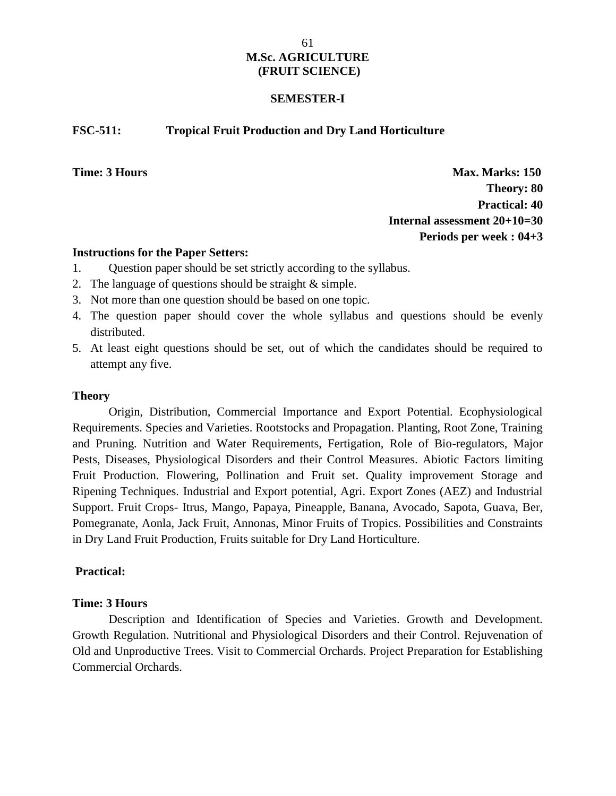#### **SEMESTER-I**

#### **FSC-511: Tropical Fruit Production and Dry Land Horticulture**

**Time: 3 Hours Max. Marks: 150 Theory: 80 Practical: 40 Internal assessment 20+10=30 Periods per week : 04+3**

#### **Instructions for the Paper Setters:**

- 1. Question paper should be set strictly according to the syllabus.
- 2. The language of questions should be straight & simple.
- 3. Not more than one question should be based on one topic.
- 4. The question paper should cover the whole syllabus and questions should be evenly distributed.
- 5. At least eight questions should be set, out of which the candidates should be required to attempt any five.

#### **Theory**

Origin, Distribution, Commercial Importance and Export Potential. Ecophysiological Requirements. Species and Varieties. Rootstocks and Propagation. Planting, Root Zone, Training and Pruning. Nutrition and Water Requirements, Fertigation, Role of Bio-regulators, Major Pests, Diseases, Physiological Disorders and their Control Measures. Abiotic Factors limiting Fruit Production. Flowering, Pollination and Fruit set. Quality improvement Storage and Ripening Techniques. Industrial and Export potential, Agri. Export Zones (AEZ) and Industrial Support. Fruit Crops- Itrus, Mango, Papaya, Pineapple, Banana, Avocado, Sapota, Guava, Ber, Pomegranate, Aonla, Jack Fruit, Annonas, Minor Fruits of Tropics. Possibilities and Constraints in Dry Land Fruit Production, Fruits suitable for Dry Land Horticulture.

## **Practical:**

### **Time: 3 Hours**

Description and Identification of Species and Varieties. Growth and Development. Growth Regulation. Nutritional and Physiological Disorders and their Control. Rejuvenation of Old and Unproductive Trees. Visit to Commercial Orchards. Project Preparation for Establishing Commercial Orchards.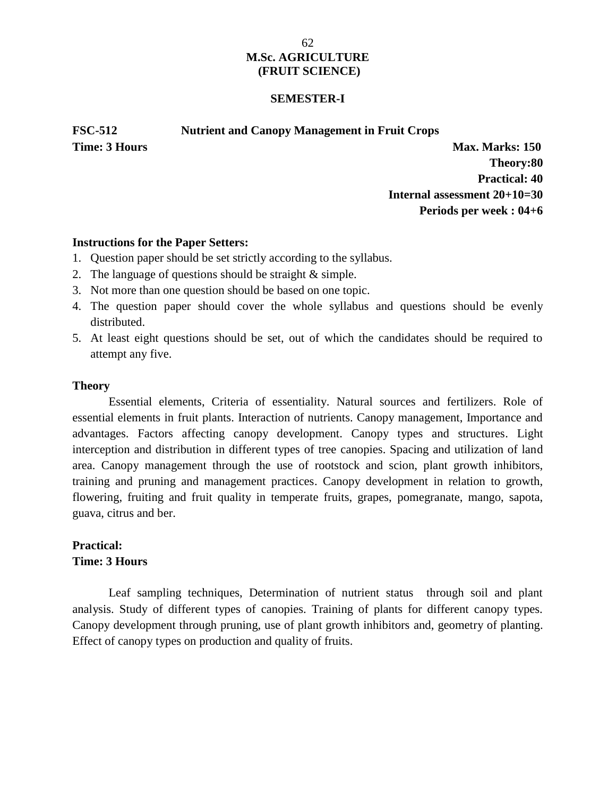#### **SEMESTER-I**

**FSC-512 Nutrient and Canopy Management in Fruit Crops**

**Time: 3 Hours Max. Marks: 150 Theory:80 Practical: 40 Internal assessment 20+10=30 Periods per week : 04+6**

#### **Instructions for the Paper Setters:**

- 1. Question paper should be set strictly according to the syllabus.
- 2. The language of questions should be straight & simple.
- 3. Not more than one question should be based on one topic.
- 4. The question paper should cover the whole syllabus and questions should be evenly distributed.
- 5. At least eight questions should be set, out of which the candidates should be required to attempt any five.

#### **Theory**

Essential elements, Criteria of essentiality. Natural sources and fertilizers. Role of essential elements in fruit plants. Interaction of nutrients. Canopy management, Importance and advantages. Factors affecting canopy development. Canopy types and structures. Light interception and distribution in different types of tree canopies. Spacing and utilization of land area. Canopy management through the use of rootstock and scion, plant growth inhibitors, training and pruning and management practices. Canopy development in relation to growth, flowering, fruiting and fruit quality in temperate fruits, grapes, pomegranate, mango, sapota, guava, citrus and ber.

# **Practical: Time: 3 Hours**

Leaf sampling techniques, Determination of nutrient status through soil and plant analysis. Study of different types of canopies. Training of plants for different canopy types. Canopy development through pruning, use of plant growth inhibitors and, geometry of planting. Effect of canopy types on production and quality of fruits.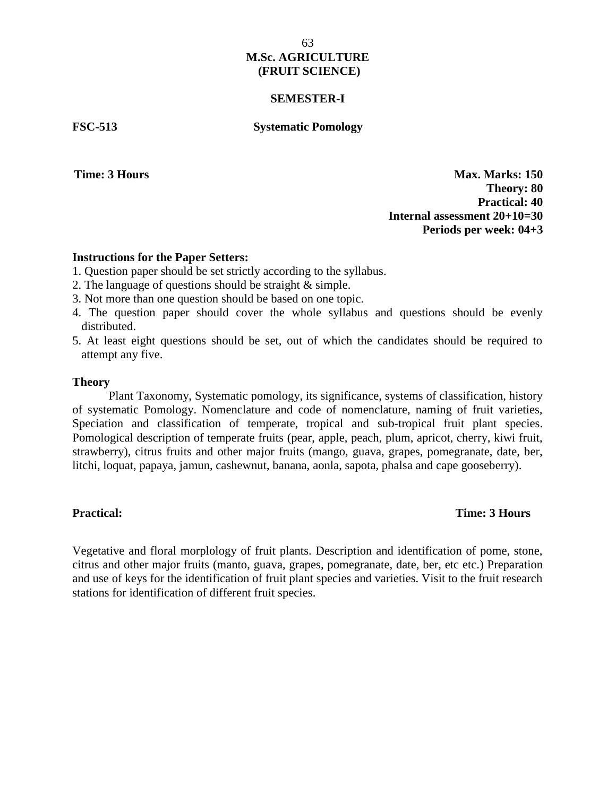#### **SEMESTER-I**

#### **FSC-513 Systematic Pomology**

**Time: 3 Hours Max. Marks: 150 Theory: 80 Practical: 40 Internal assessment 20+10=30 Periods per week: 04+3**

#### **Instructions for the Paper Setters:**

- 1. Question paper should be set strictly according to the syllabus.
- 2. The language of questions should be straight & simple.
- 3. Not more than one question should be based on one topic.
- 4. The question paper should cover the whole syllabus and questions should be evenly distributed.
- 5. At least eight questions should be set, out of which the candidates should be required to attempt any five.

#### **Theory**

Plant Taxonomy, Systematic pomology, its significance, systems of classification, history of systematic Pomology. Nomenclature and code of nomenclature, naming of fruit varieties, Speciation and classification of temperate, tropical and sub-tropical fruit plant species. Pomological description of temperate fruits (pear, apple, peach, plum, apricot, cherry, kiwi fruit, strawberry), citrus fruits and other major fruits (mango, guava, grapes, pomegranate, date, ber, litchi, loquat, papaya, jamun, cashewnut, banana, aonla, sapota, phalsa and cape gooseberry).

#### **Practical: Time: 3 Hours**

Vegetative and floral morplology of fruit plants. Description and identification of pome, stone, citrus and other major fruits (manto, guava, grapes, pomegranate, date, ber, etc etc.) Preparation and use of keys for the identification of fruit plant species and varieties. Visit to the fruit research stations for identification of different fruit species.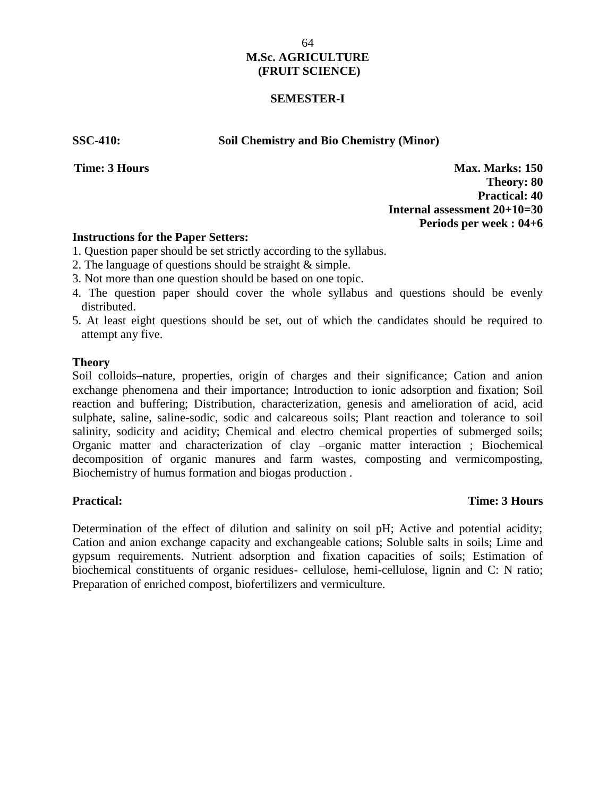### **SEMESTER-I**

**SSC-410: Soil Chemistry and Bio Chemistry (Minor)**

**Time: 3 Hours Max. Marks: 150 Theory: 80 Practical: 40 Internal assessment 20+10=30 Periods per week : 04+6**

### **Instructions for the Paper Setters:**

- 1. Question paper should be set strictly according to the syllabus.
- 2. The language of questions should be straight & simple.
- 3. Not more than one question should be based on one topic.
- 4. The question paper should cover the whole syllabus and questions should be evenly distributed.
- 5. At least eight questions should be set, out of which the candidates should be required to attempt any five.

#### **Theory**

Soil colloids–nature, properties, origin of charges and their significance; Cation and anion exchange phenomena and their importance; Introduction to ionic adsorption and fixation; Soil reaction and buffering; Distribution, characterization, genesis and amelioration of acid, acid sulphate, saline, saline-sodic, sodic and calcareous soils; Plant reaction and tolerance to soil salinity, sodicity and acidity; Chemical and electro chemical properties of submerged soils; Organic matter and characterization of clay –organic matter interaction ; Biochemical decomposition of organic manures and farm wastes, composting and vermicomposting, Biochemistry of humus formation and biogas production .

### **Practical: Time: 3 Hours**

Determination of the effect of dilution and salinity on soil pH; Active and potential acidity; Cation and anion exchange capacity and exchangeable cations; Soluble salts in soils; Lime and gypsum requirements. Nutrient adsorption and fixation capacities of soils; Estimation of biochemical constituents of organic residues- cellulose, hemi-cellulose, lignin and C: N ratio; Preparation of enriched compost, biofertilizers and vermiculture.

64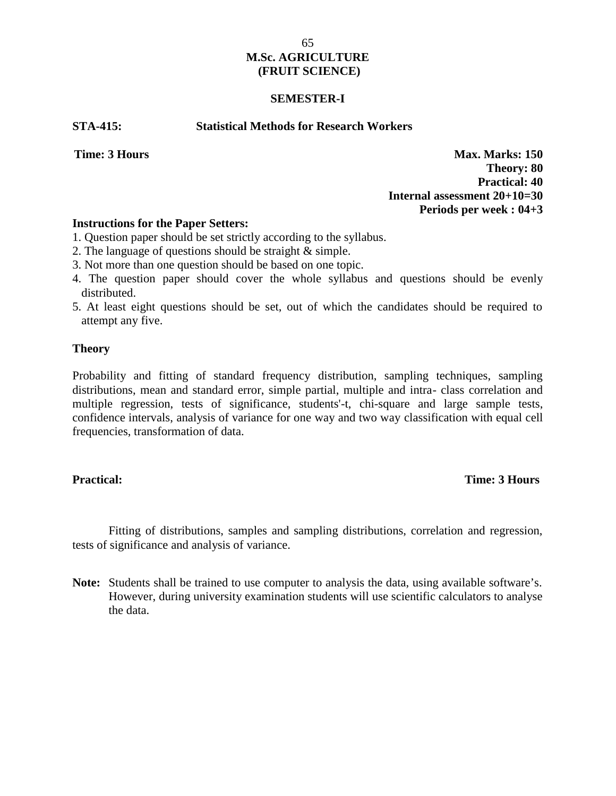#### **SEMESTER-I**

#### **STA-415: Statistical Methods for Research Workers**

**Time: 3 Hours Max. Marks: 150 Theory: 80 Practical: 40 Internal assessment 20+10=30 Periods per week : 04+3**

#### **Instructions for the Paper Setters:**

- 1. Question paper should be set strictly according to the syllabus.
- 2. The language of questions should be straight & simple.
- 3. Not more than one question should be based on one topic.
- 4. The question paper should cover the whole syllabus and questions should be evenly distributed.
- 5. At least eight questions should be set, out of which the candidates should be required to attempt any five.

#### **Theory**

Probability and fitting of standard frequency distribution, sampling techniques, sampling distributions, mean and standard error, simple partial, multiple and intra- class correlation and multiple regression, tests of significance, students'-t, chi-square and large sample tests, confidence intervals, analysis of variance for one way and two way classification with equal cell frequencies, transformation of data.

#### **Practical: Time: 3 Hours**

Fitting of distributions, samples and sampling distributions, correlation and regression, tests of significance and analysis of variance.

**Note:** Students shall be trained to use computer to analysis the data, using available software's. However, during university examination students will use scientific calculators to analyse the data.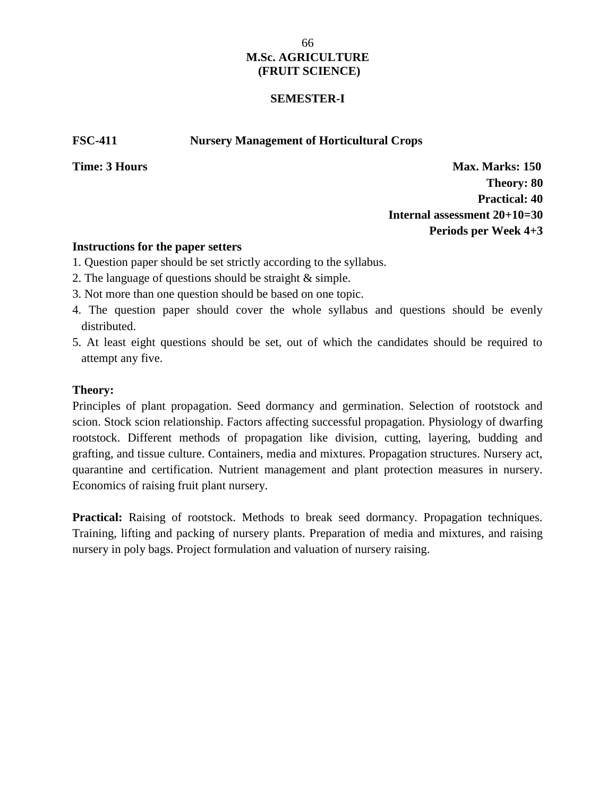### **SEMESTER-I**

**FSC-411 Nursery Management of Horticultural Crops**

**Time: 3 Hours Max. Marks: 150 Theory: 80 Practical: 40 Internal assessment 20+10=30 Periods per Week 4+3**

### **Instructions for the paper setters**

- 1. Question paper should be set strictly according to the syllabus.
- 2. The language of questions should be straight & simple.
- 3. Not more than one question should be based on one topic.
- 4. The question paper should cover the whole syllabus and questions should be evenly distributed.
- 5. At least eight questions should be set, out of which the candidates should be required to attempt any five.

## **Theory:**

Principles of plant propagation. Seed dormancy and germination. Selection of rootstock and scion. Stock scion relationship. Factors affecting successful propagation. Physiology of dwarfing rootstock. Different methods of propagation like division, cutting, layering, budding and grafting, and tissue culture. Containers, media and mixtures. Propagation structures. Nursery act, quarantine and certification. Nutrient management and plant protection measures in nursery. Economics of raising fruit plant nursery.

Practical: Raising of rootstock. Methods to break seed dormancy. Propagation techniques. Training, lifting and packing of nursery plants. Preparation of media and mixtures, and raising nursery in poly bags. Project formulation and valuation of nursery raising.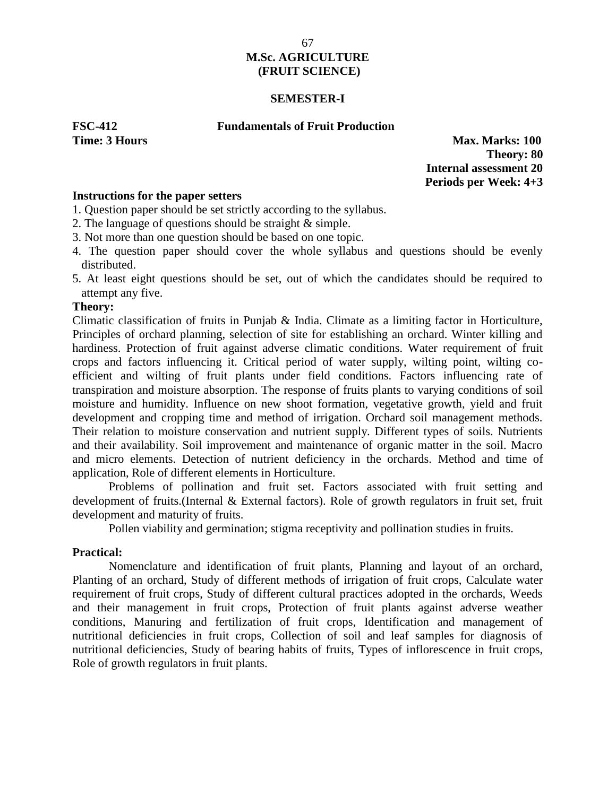#### **SEMESTER-I**

#### **FSC-412 Fundamentals of Fruit Production**

**Time: 3 Hours Max. Marks: 100 Theory: 80 Internal assessment 20 Periods per Week: 4+3**

### **Instructions for the paper setters**

- 1. Question paper should be set strictly according to the syllabus.
- 2. The language of questions should be straight & simple.
- 3. Not more than one question should be based on one topic.
- 4. The question paper should cover the whole syllabus and questions should be evenly distributed.
- 5. At least eight questions should be set, out of which the candidates should be required to attempt any five.

#### **Theory:**

Climatic classification of fruits in Punjab & India. Climate as a limiting factor in Horticulture, Principles of orchard planning, selection of site for establishing an orchard. Winter killing and hardiness. Protection of fruit against adverse climatic conditions. Water requirement of fruit crops and factors influencing it. Critical period of water supply, wilting point, wilting co efficient and wilting of fruit plants under field conditions. Factors influencing rate of transpiration and moisture absorption. The response of fruits plants to varying conditions of soil moisture and humidity. Influence on new shoot formation, vegetative growth, yield and fruit development and cropping time and method of irrigation. Orchard soil management methods. Their relation to moisture conservation and nutrient supply. Different types of soils. Nutrients and their availability. Soil improvement and maintenance of organic matter in the soil. Macro and micro elements. Detection of nutrient deficiency in the orchards. Method and time of application, Role of different elements in Horticulture.

Problems of pollination and fruit set. Factors associated with fruit setting and development of fruits.(Internal & External factors). Role of growth regulators in fruit set, fruit development and maturity of fruits.

Pollen viability and germination; stigma receptivity and pollination studies in fruits.

#### **Practical:**

Nomenclature and identification of fruit plants, Planning and layout of an orchard, Planting of an orchard, Study of different methods of irrigation of fruit crops, Calculate water requirement of fruit crops, Study of different cultural practices adopted in the orchards, Weeds and their management in fruit crops, Protection of fruit plants against adverse weather conditions, Manuring and fertilization of fruit crops, Identification and management of nutritional deficiencies in fruit crops, Collection of soil and leaf samples for diagnosis of nutritional deficiencies, Study of bearing habits of fruits, Types of inflorescence in fruit crops, Role of growth regulators in fruit plants.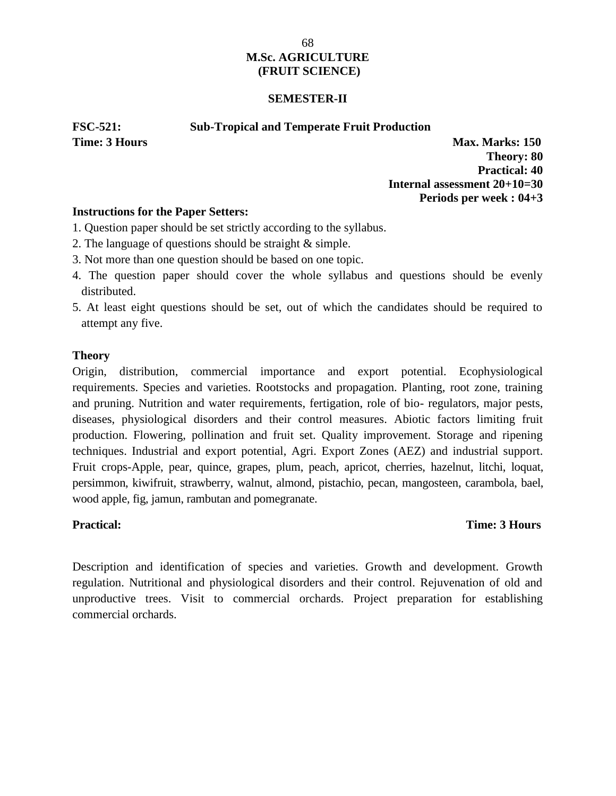### **SEMESTER-II**

### **FSC-521: Sub-Tropical and Temperate Fruit Production**

**Time: 3 Hours Max. Marks: 150 Theory: 80 Practical: 40 Internal assessment 20+10=30 Periods per week : 04+3**

### **Instructions for the Paper Setters:**

- 1. Question paper should be set strictly according to the syllabus.
- 2. The language of questions should be straight & simple.
- 3. Not more than one question should be based on one topic.
- 4. The question paper should cover the whole syllabus and questions should be evenly distributed.
- 5. At least eight questions should be set, out of which the candidates should be required to attempt any five.

### **Theory**

Origin, distribution, commercial importance and export potential. Ecophysiological requirements. Species and varieties. Rootstocks and propagation. Planting, root zone, training and pruning. Nutrition and water requirements, fertigation, role of bio- regulators, major pests, diseases, physiological disorders and their control measures. Abiotic factors limiting fruit production. Flowering, pollination and fruit set. Quality improvement. Storage and ripening techniques. Industrial and export potential, Agri. Export Zones (AEZ) and industrial support. Fruit crops-Apple, pear, quince, grapes, plum, peach, apricot, cherries, hazelnut, litchi, loquat, persimmon, kiwifruit, strawberry, walnut, almond, pistachio, pecan, mangosteen, carambola, bael, wood apple, fig, jamun, rambutan and pomegranate.

# **Practical: Time: 3 Hours**

Description and identification of species and varieties. Growth and development. Growth regulation. Nutritional and physiological disorders and their control. Rejuvenation of old and unproductive trees. Visit to commercial orchards. Project preparation for establishing commercial orchards.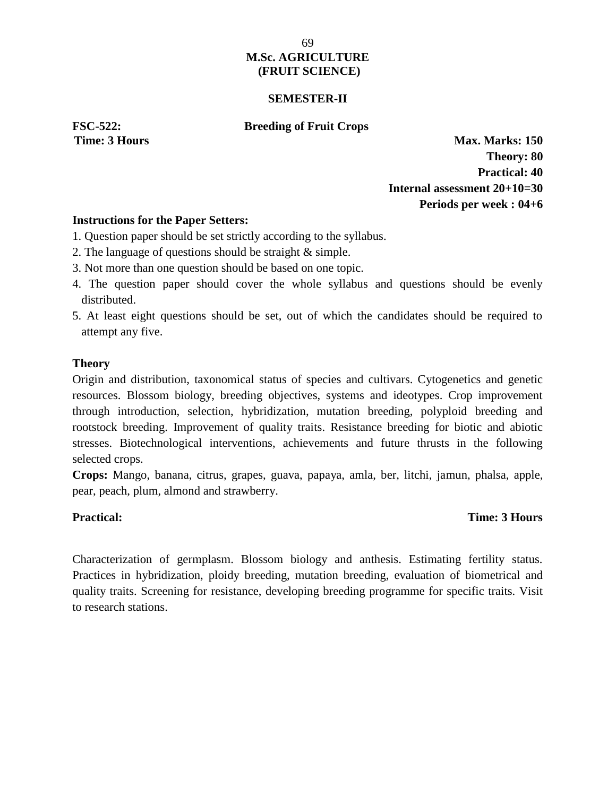#### **SEMESTER-II**

#### **FSC-522: Breeding of Fruit Crops**

**Time: 3 Hours Max. Marks: 150 Theory: 80 Practical: 40 Internal assessment 20+10=30 Periods per week : 04+6**

#### **Instructions for the Paper Setters:**

- 1. Question paper should be set strictly according to the syllabus.
- 2. The language of questions should be straight & simple.
- 3. Not more than one question should be based on one topic.
- 4. The question paper should cover the whole syllabus and questions should be evenly distributed.
- 5. At least eight questions should be set, out of which the candidates should be required to attempt any five.

#### **Theory**

Origin and distribution, taxonomical status of species and cultivars. Cytogenetics and genetic resources. Blossom biology, breeding objectives, systems and ideotypes. Crop improvement through introduction, selection, hybridization, mutation breeding, polyploid breeding and rootstock breeding. Improvement of quality traits. Resistance breeding for biotic and abiotic stresses. Biotechnological interventions, achievements and future thrusts in the following selected crops.

**Crops:** Mango, banana, citrus, grapes, guava, papaya, amla, ber, litchi, jamun, phalsa, apple, pear, peach, plum, almond and strawberry.

#### **Practical: Time: 3 Hours**

Characterization of germplasm. Blossom biology and anthesis. Estimating fertility status. Practices in hybridization, ploidy breeding, mutation breeding, evaluation of biometrical and quality traits. Screening for resistance, developing breeding programme for specific traits. Visit to research stations.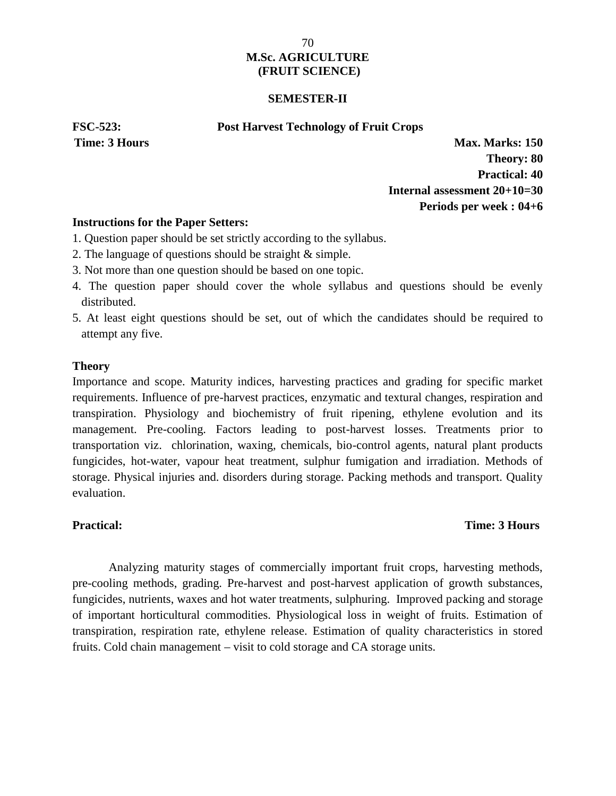#### **SEMESTER-II**

#### **FSC-523: Post Harvest Technology of Fruit Crops**

**Time: 3 Hours Max. Marks: 150 Theory: 80 Practical: 40 Internal assessment 20+10=30 Periods per week : 04+6**

#### **Instructions for the Paper Setters:**

- 1. Question paper should be set strictly according to the syllabus.
- 2. The language of questions should be straight & simple.
- 3. Not more than one question should be based on one topic.
- 4. The question paper should cover the whole syllabus and questions should be evenly distributed.
- 5. At least eight questions should be set, out of which the candidates should be required to attempt any five.

#### **Theory**

Importance and scope. Maturity indices, harvesting practices and grading for specific market requirements. Influence of pre-harvest practices, enzymatic and textural changes, respiration and transpiration. Physiology and biochemistry of fruit ripening, ethylene evolution and its management. Pre-cooling. Factors leading to post-harvest losses. Treatments prior to transportation viz. chlorination, waxing, chemicals, bio-control agents, natural plant products fungicides, hot-water, vapour heat treatment, sulphur fumigation and irradiation. Methods of storage. Physical injuries and. disorders during storage. Packing methods and transport. Quality evaluation.

# **Practical: Time: 3 Hours**

Analyzing maturity stages of commercially important fruit crops, harvesting methods, pre-cooling methods, grading. Pre-harvest and post-harvest application of growth substances, fungicides, nutrients, waxes and hot water treatments, sulphuring. Improved packing and storage of important horticultural commodities. Physiological loss in weight of fruits. Estimation of transpiration, respiration rate, ethylene release. Estimation of quality characteristics in stored fruits. Cold chain management – visit to cold storage and CA storage units.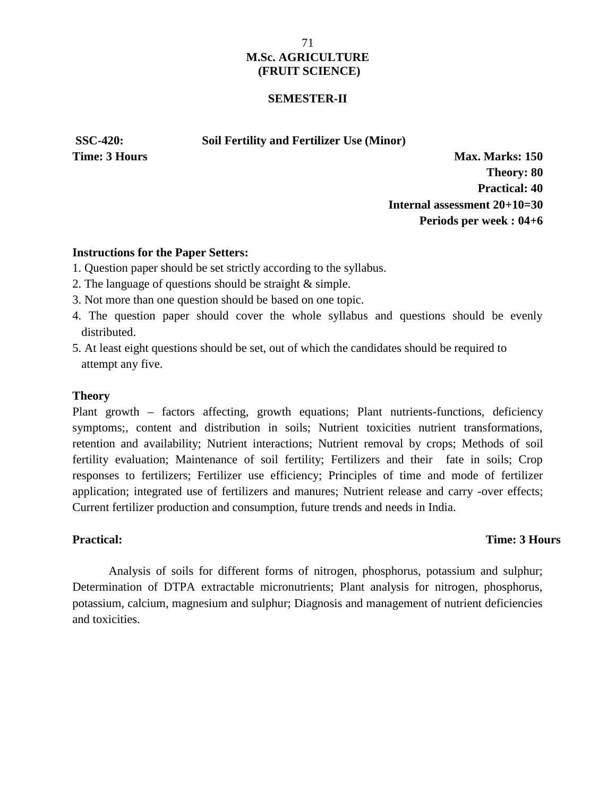#### **SEMESTER-II**

**SSC-420: Soil Fertility and Fertilizer Use (Minor)**

**Time: 3 Hours Max. Marks: 150 Theory: 80 Practical: 40 Internal assessment 20+10=30 Periods per week : 04+6**

### **Instructions for the Paper Setters:**

- 1. Question paper should be set strictly according to the syllabus.
- 2. The language of questions should be straight & simple.
- 3. Not more than one question should be based on one topic.
- 4. The question paper should cover the whole syllabus and questions should be evenly distributed.
- 5. At least eight questions should be set, out of which the candidates should be required to attempt any five.

#### **Theory**

Plant growth – factors affecting, growth equations; Plant nutrients-functions, deficiency symptoms;, content and distribution in soils; Nutrient toxicities nutrient transformations, retention and availability; Nutrient interactions; Nutrient removal by crops; Methods of soil fertility evaluation; Maintenance of soil fertility; Fertilizers and their fate in soils; Crop responses to fertilizers; Fertilizer use efficiency; Principles of time and mode of fertilizer application; integrated use of fertilizers and manures; Nutrient release and carry -over effects; Current fertilizer production and consumption, future trends and needs in India.

#### **Practical: Time: 3 Hours**

Analysis of soils for different forms of nitrogen, phosphorus, potassium and sulphur; Determination of DTPA extractable micronutrients; Plant analysis for nitrogen, phosphorus, potassium, calcium, magnesium and sulphur; Diagnosis and management of nutrient deficiencies and toxicities.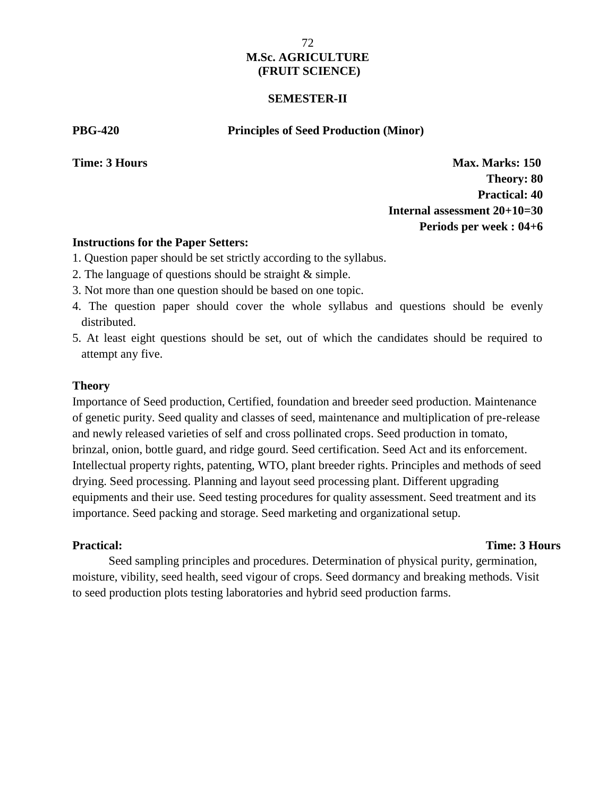### **SEMESTER-II**

**PBG-420 Principles of Seed Production (Minor)**

**Time: 3 Hours Max. Marks: 150 Theory: 80 Practical: 40 Internal assessment 20+10=30 Periods per week : 04+6**

### **Instructions for the Paper Setters:**

- 1. Question paper should be set strictly according to the syllabus.
- 2. The language of questions should be straight & simple.
- 3. Not more than one question should be based on one topic.
- 4. The question paper should cover the whole syllabus and questions should be evenly distributed.
- 5. At least eight questions should be set, out of which the candidates should be required to attempt any five.

### **Theory**

Importance of Seed production, Certified, foundation and breeder seed production. Maintenance of genetic purity. Seed quality and classes of seed, maintenance and multiplication of pre-release and newly released varieties of self and cross pollinated crops. Seed production in tomato, brinzal, onion, bottle guard, and ridge gourd. Seed certification. Seed Act and its enforcement. Intellectual property rights, patenting, WTO, plant breeder rights. Principles and methods of seed drying. Seed processing. Planning and layout seed processing plant. Different upgrading equipments and their use. Seed testing procedures for quality assessment. Seed treatment and its importance. Seed packing and storage. Seed marketing and organizational setup.

#### **Practical: Time: 3 Hours**

Seed sampling principles and procedures. Determination of physical purity, germination, moisture, vibility, seed health, seed vigour of crops. Seed dormancy and breaking methods. Visit to seed production plots testing laboratories and hybrid seed production farms.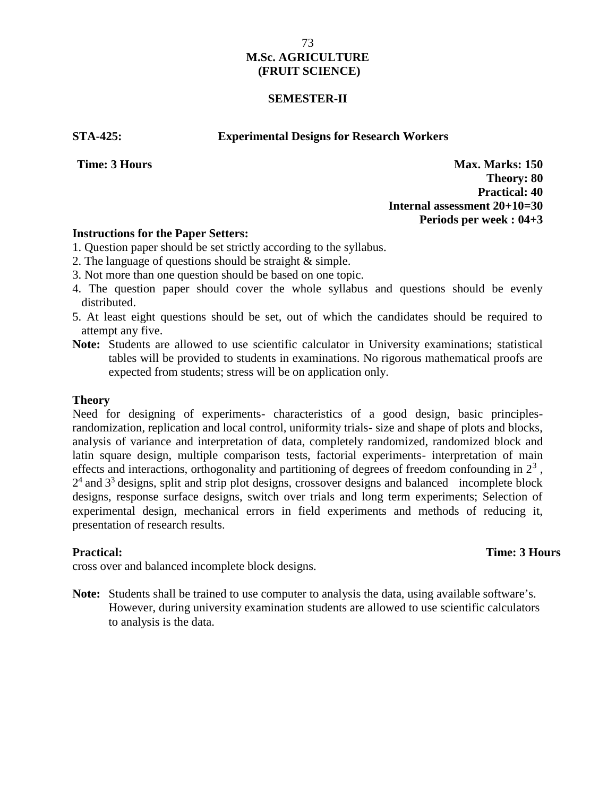### **SEMESTER-II**

**STA-425: Experimental Designs for Research Workers**

**Time: 3 Hours Max. Marks: 150 Theory: 80 Practical: 40 Internal assessment 20+10=30 Periods per week : 04+3**

### **Instructions for the Paper Setters:**

- 1. Question paper should be set strictly according to the syllabus.
- 2. The language of questions should be straight & simple.
- 3. Not more than one question should be based on one topic.
- 4. The question paper should cover the whole syllabus and questions should be evenly distributed.
- 5. At least eight questions should be set, out of which the candidates should be required to attempt any five.
- **Note:** Students are allowed to use scientific calculator in University examinations; statistical tables will be provided to students in examinations. No rigorous mathematical proofs are expected from students; stress will be on application only.

### **Theory**

Need for designing of experiments- characteristics of a good design, basic principlesrandomization, replication and local control, uniformity trials- size and shape of plots and blocks, analysis of variance and interpretation of data, completely randomized, randomized block and latin square design, multiple comparison tests, factorial experiments- interpretation of main effects and interactions, orthogonality and partitioning of degrees of freedom confounding in  $2<sup>3</sup>$ ,  $2<sup>4</sup>$  and  $3<sup>3</sup>$  designs, split and strip plot designs, crossover designs and balanced incomplete block designs, response surface designs, switch over trials and long term experiments; Selection of experimental design, mechanical errors in field experiments and methods of reducing it, presentation of research results.

**Practical:** Time: 3 Hours Unit trials, completely randomized, randomized, randomized,  $\frac{1}{2}$  randomized, 2 Hours

cross over and balanced incomplete block designs.

**Note:** Students shall be trained to use computer to analysis the data, using available software's. However, during university examination students are allowed to use scientific calculators to analysis is the data.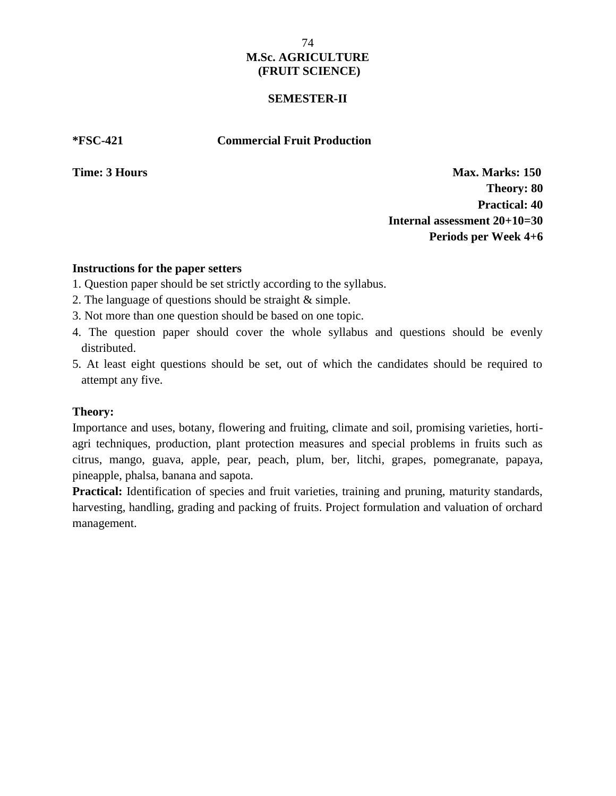### **SEMESTER-II**

### **\*FSC-421 Commercial Fruit Production**

**Time: 3 Hours Max. Marks: 150 Theory: 80 Practical: 40 Internal assessment 20+10=30 Periods per Week 4+6**

### **Instructions for the paper setters**

- 1. Question paper should be set strictly according to the syllabus.
- 2. The language of questions should be straight & simple.
- 3. Not more than one question should be based on one topic.
- 4. The question paper should cover the whole syllabus and questions should be evenly distributed.
- 5. At least eight questions should be set, out of which the candidates should be required to attempt any five.

### **Theory:**

Importance and uses, botany, flowering and fruiting, climate and soil, promising varieties, horti agri techniques, production, plant protection measures and special problems in fruits such as citrus, mango, guava, apple, pear, peach, plum, ber, litchi, grapes, pomegranate, papaya, pineapple, phalsa, banana and sapota.

**Practical:** Identification of species and fruit varieties, training and pruning, maturity standards, harvesting, handling, grading and packing of fruits. Project formulation and valuation of orchard management.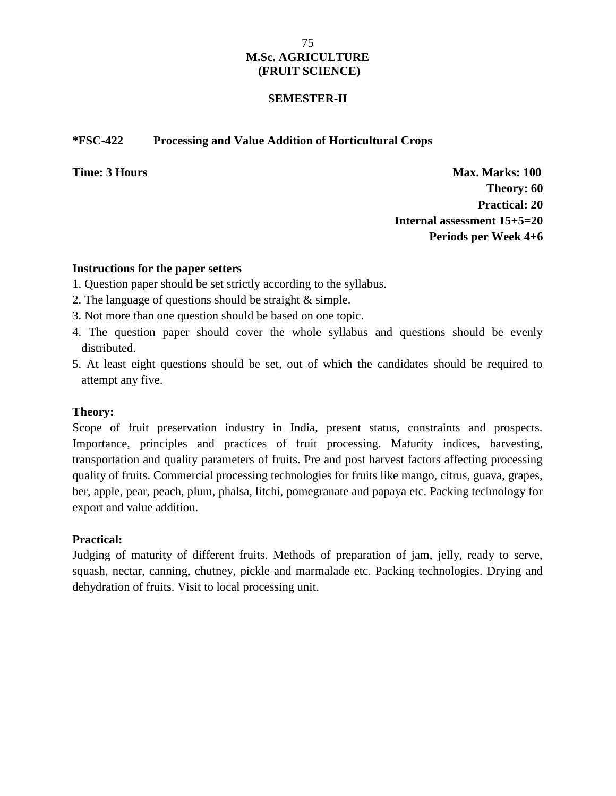### **SEMESTER-II**

### **\*FSC-422 Processing and Value Addition of Horticultural Crops**

**Time: 3 Hours Max. Marks:** 100 **Theory: 60 Practical: 20 Internal assessment 15+5=20 Periods per Week 4+6**

### **Instructions for the paper setters**

- 1. Question paper should be set strictly according to the syllabus.
- 2. The language of questions should be straight & simple.
- 3. Not more than one question should be based on one topic.
- 4. The question paper should cover the whole syllabus and questions should be evenly distributed.
- 5. At least eight questions should be set, out of which the candidates should be required to attempt any five.

### **Theory:**

Scope of fruit preservation industry in India, present status, constraints and prospects. Importance, principles and practices of fruit processing. Maturity indices, harvesting, transportation and quality parameters of fruits. Pre and post harvest factors affecting processing quality of fruits. Commercial processing technologies for fruits like mango, citrus, guava, grapes, ber, apple, pear, peach, plum, phalsa, litchi, pomegranate and papaya etc. Packing technology for export and value addition.

### **Practical:**

Judging of maturity of different fruits. Methods of preparation of jam, jelly, ready to serve, squash, nectar, canning, chutney, pickle and marmalade etc. Packing technologies. Drying and dehydration of fruits. Visit to local processing unit.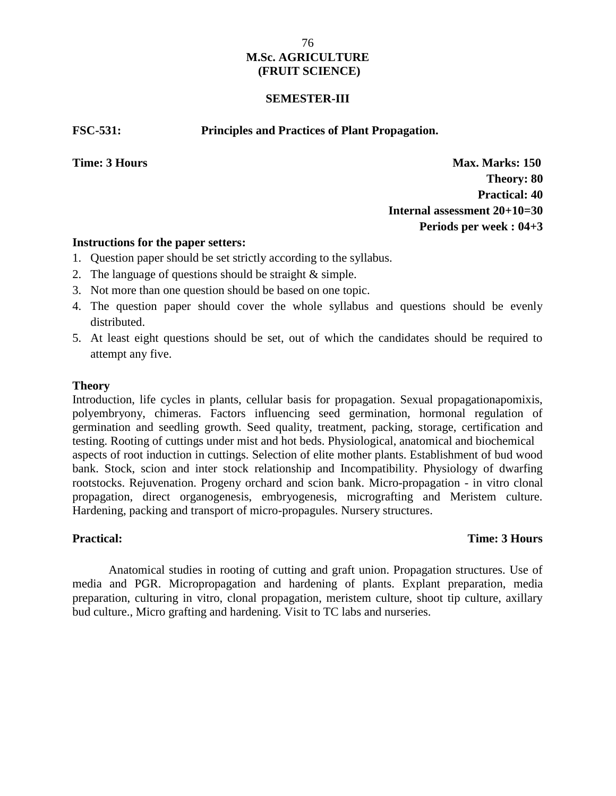### **SEMESTER-III**

**FSC-531: Principles and Practices of Plant Propagation.**

**Time: 3 Hours Max. Marks: 150 Theory: 80 Practical: 40 Internal assessment 20+10=30 Periods per week : 04+3**

### **Instructions for the paper setters:**

- 1. Question paper should be set strictly according to the syllabus.
- 2. The language of questions should be straight & simple.
- 3. Not more than one question should be based on one topic.
- 4. The question paper should cover the whole syllabus and questions should be evenly distributed.
- 5. At least eight questions should be set, out of which the candidates should be required to attempt any five.

### **Theory**

Introduction, life cycles in plants, cellular basis for propagation. Sexual propagationapomixis, polyembryony, chimeras. Factors influencing seed germination, hormonal regulation of germination and seedling growth. Seed quality, treatment, packing, storage, certification and testing. Rooting of cuttings under mist and hot beds. Physiological, anatomical and biochemical aspects of root induction in cuttings. Selection of elite mother plants. Establishment of bud wood bank. Stock, scion and inter stock relationship and Incompatibility. Physiology of dwarfing rootstocks. Rejuvenation. Progeny orchard and scion bank*.* Micro-propagation - in vitro clonal propagation, direct organogenesis, embryogenesis, micrografting and Meristem culture. Hardening, packing and transport of micro-propagules. Nursery structures.

### **Practical: Time: 3 Hours**

Anatomical studies in rooting of cutting and graft union. Propagation structures. Use of media and PGR. Micropropagation and hardening of plants. Explant preparation, media preparation, culturing in vitro, clonal propagation, meristem culture, shoot tip culture, axillary bud culture., Micro grafting and hardening. Visit to TC labs and nurseries.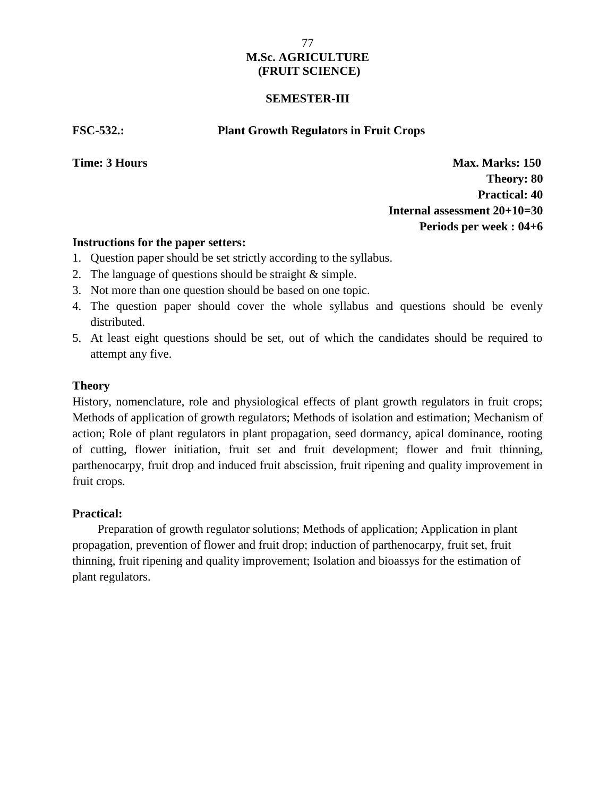### **SEMESTER-III**

**FSC-532.: Plant Growth Regulators in Fruit Crops**

**Time: 3 Hours Max. Marks: 150 Theory: 80 Practical: 40 Internal assessment 20+10=30 Periods per week : 04+6**

### **Instructions for the paper setters:**

- 1. Question paper should be set strictly according to the syllabus.
- 2. The language of questions should be straight & simple.
- 3. Not more than one question should be based on one topic.
- 4. The question paper should cover the whole syllabus and questions should be evenly distributed.
- 5. At least eight questions should be set, out of which the candidates should be required to attempt any five.

### **Theory**

History, nomenclature, role and physiological effects of plant growth regulators in fruit crops; Methods of application of growth regulators; Methods of isolation and estimation; Mechanism of action; Role of plant regulators in plant propagation, seed dormancy, apical dominance, rooting of cutting, flower initiation, fruit set and fruit development; flower and fruit thinning, parthenocarpy, fruit drop and induced fruit abscission, fruit ripening and quality improvement in fruit crops.

### **Practical: Time:** 3 **Hours Time:** 3 **Hours Time:** 3 **Hours Time:** 3 **Hours Time:** 3 **Hours Time:** 3 **Hours**

Preparation of growth regulator solutions; Methods of application; Application in plant propagation, prevention of flower and fruit drop; induction of parthenocarpy, fruit set, fruit thinning, fruit ripening and quality improvement; Isolation and bioassys for the estimation of plant regulators.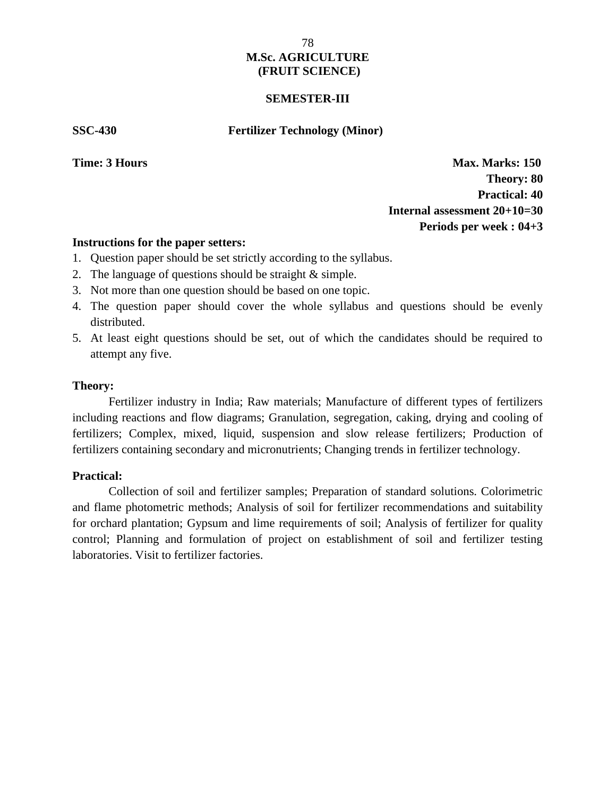### **SEMESTER-III**

**SSC-430 Fertilizer Technology (Minor)**

**Time: 3 Hours Max. Marks: 150 Theory: 80 Practical: 40 Internal assessment 20+10=30 Periods per week : 04+3**

### **Instructions for the paper setters:**

- 1. Question paper should be set strictly according to the syllabus.
- 2. The language of questions should be straight & simple.
- 3. Not more than one question should be based on one topic.
- 4. The question paper should cover the whole syllabus and questions should be evenly distributed.
- 5. At least eight questions should be set, out of which the candidates should be required to attempt any five.

### **Theory:**

Fertilizer industry in India; Raw materials; Manufacture of different types of fertilizers including reactions and flow diagrams; Granulation, segregation, caking, drying and cooling of fertilizers; Complex, mixed, liquid, suspension and slow release fertilizers; Production of fertilizers containing secondary and micronutrients; Changing trends in fertilizer technology.

### **Practical: Time:** 3 **Hours Time:** 3 **Hours Time:** 3 **Hours Time:** 3 **Hours Time:** 3 **Hours Time:** 3 **Hours**

Collection of soil and fertilizer samples; Preparation of standard solutions. Colorimetric and flame photometric methods; Analysis of soil for fertilizer recommendations and suitability for orchard plantation; Gypsum and lime requirements of soil; Analysis of fertilizer for quality control; Planning and formulation of project on establishment of soil and fertilizer testing laboratories. Visit to fertilizer factories.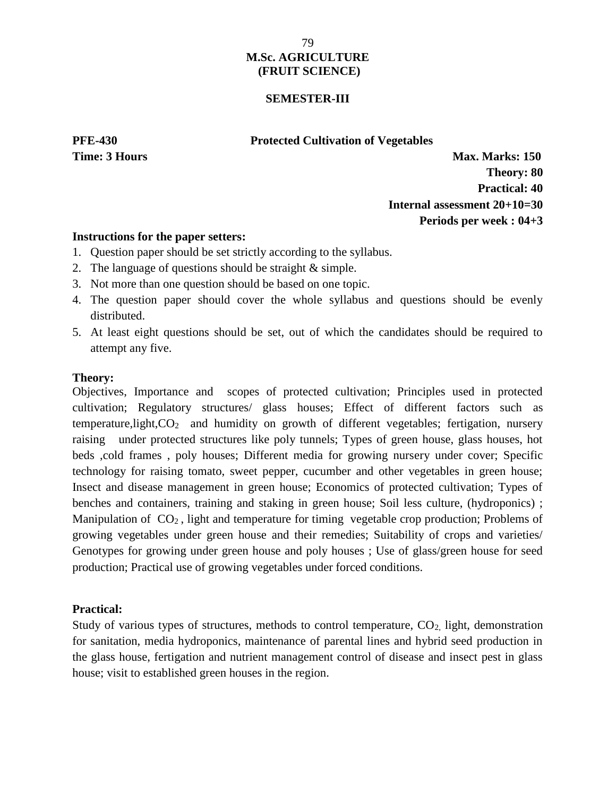### **SEMESTER-III**

### **PFE-430 Protected Cultivation of Vegetables**

**Time: 3 Hours Max. Marks: 150 Theory: 80 Practical: 40 Internal assessment 20+10=30 Periods per week : 04+3**

### **Instructions for the paper setters:**

- 1. Question paper should be set strictly according to the syllabus.
- 2. The language of questions should be straight & simple.
- 3. Not more than one question should be based on one topic.
- 4. The question paper should cover the whole syllabus and questions should be evenly distributed.
- 5. At least eight questions should be set, out of which the candidates should be required to attempt any five.

### **Theory:**

Objectives, Importance and scopes of protected cultivation; Principles used in protected cultivation; Regulatory structures/ glass houses; Effect of different factors such as temperature, light,  $CO<sub>2</sub>$  and humidity on growth of different vegetables; fertigation, nursery raising under protected structures like poly tunnels; Types of green house, glass houses, hot beds ,cold frames , poly houses; Different media for growing nursery under cover; Specific technology for raising tomato, sweet pepper, cucumber and other vegetables in green house; Insect and disease management in green house; Economics of protected cultivation; Types of benches and containers, training and staking in green house; Soil less culture, (hydroponics) ; Manipulation of  $CO<sub>2</sub>$ , light and temperature for timing vegetable crop production; Problems of growing vegetables under green house and their remedies; Suitability of crops and varieties/ Genotypes for growing under green house and poly houses ; Use of glass/green house for seed production; Practical use of growing vegetables under forced conditions.

### **Practical:**

Study of various types of structures, methods to control temperature,  $CO<sub>2</sub>$ , light, demonstration for sanitation, media hydroponics, maintenance of parental lines and hybrid seed production in the glass house, fertigation and nutrient management control of disease and insect pest in glass house; visit to established green houses in the region.

79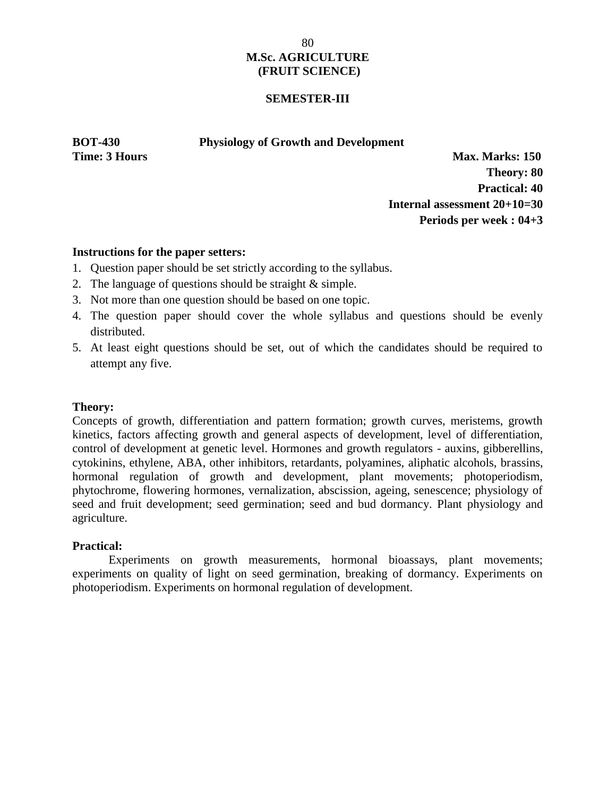### **SEMESTER-III**

### **BOT-430 Physiology of Growth and Development**

**Time: 3 Hours Max. Marks: 150 Theory: 80 Practical: 40 Internal assessment 20+10=30 Periods per week : 04+3**

### **Instructions for the paper setters:**

- 1. Question paper should be set strictly according to the syllabus.
- 2. The language of questions should be straight & simple.
- 3. Not more than one question should be based on one topic.
- 4. The question paper should cover the whole syllabus and questions should be evenly distributed.
- 5. At least eight questions should be set, out of which the candidates should be required to attempt any five.

### **Theory:**

Concepts of growth, differentiation and pattern formation; growth curves, meristems, growth kinetics, factors affecting growth and general aspects of development, level of differentiation, control of development at genetic level. Hormones and growth regulators - auxins, gibberellins, cytokinins, ethylene, ABA, other inhibitors, retardants, polyamines, aliphatic alcohols, brassins, hormonal regulation of growth and development, plant movements; photoperiodism, phytochrome, flowering hormones, vernalization, abscission, ageing, senescence; physiology of seed and fruit development; seed germination; seed and bud dormancy. Plant physiology and agriculture.

### **Practical:**

Experiments on growth measurements, hormonal bioassays, plant movements; experiments on quality of light on seed germination, breaking of dormancy. Experiments on photoperiodism. Experiments on hormonal regulation of development.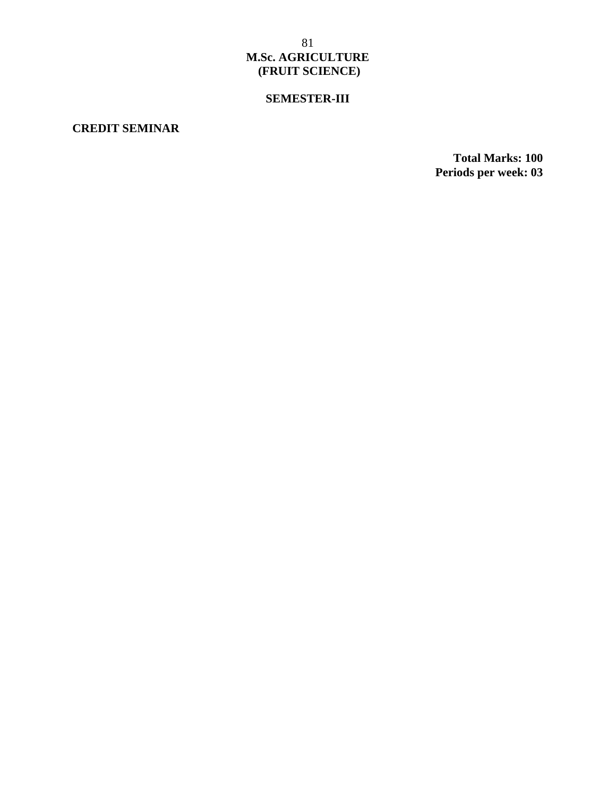# **SEMESTER-III**

## **CREDIT SEMINAR**

**Total Marks: 100 Periods per week: 03**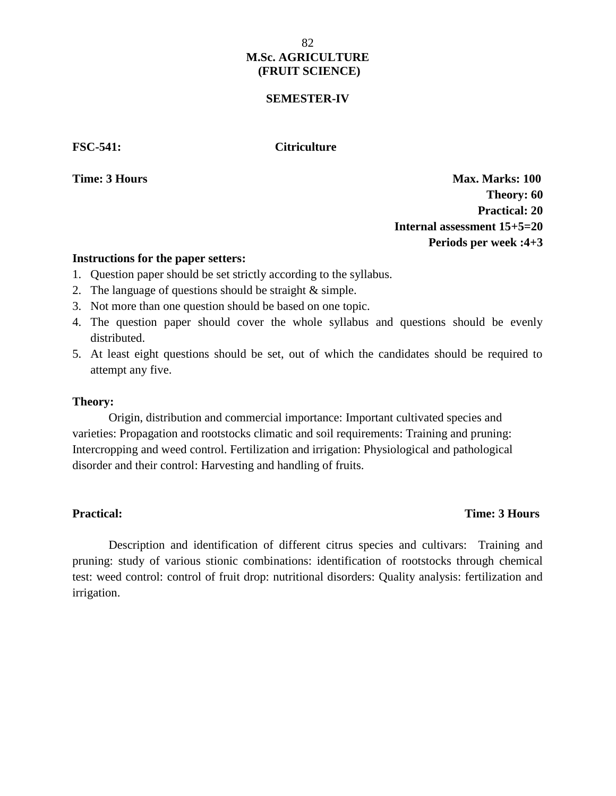### **SEMESTER-IV**

**FSC-541: Citriculture**

**Time: 3 Hours Max. Marks: 100 Theory: 60 Practical: 20 Internal assessment 15+5=20 Periods per week :4+3**

### **Instructions for the paper setters:**

- 1. Question paper should be set strictly according to the syllabus.
- 2. The language of questions should be straight & simple.
- 3. Not more than one question should be based on one topic.
- 4. The question paper should cover the whole syllabus and questions should be evenly distributed.
- 5. At least eight questions should be set, out of which the candidates should be required to attempt any five.

### **Theory:**

Origin, distribution and commercial importance: Important cultivated species and varieties: Propagation and rootstocks climatic and soil requirements: Training and pruning: Intercropping and weed control. Fertilization and irrigation: Physiological and pathological disorder and their control: Harvesting and handling of fruits.

## **Practical: Time: 3 Hours**

Description and identification of different citrus species and cultivars: Training and pruning: study of various stionic combinations: identification of rootstocks through chemical test: weed control: control of fruit drop: nutritional disorders: Quality analysis: fertilization and irrigation.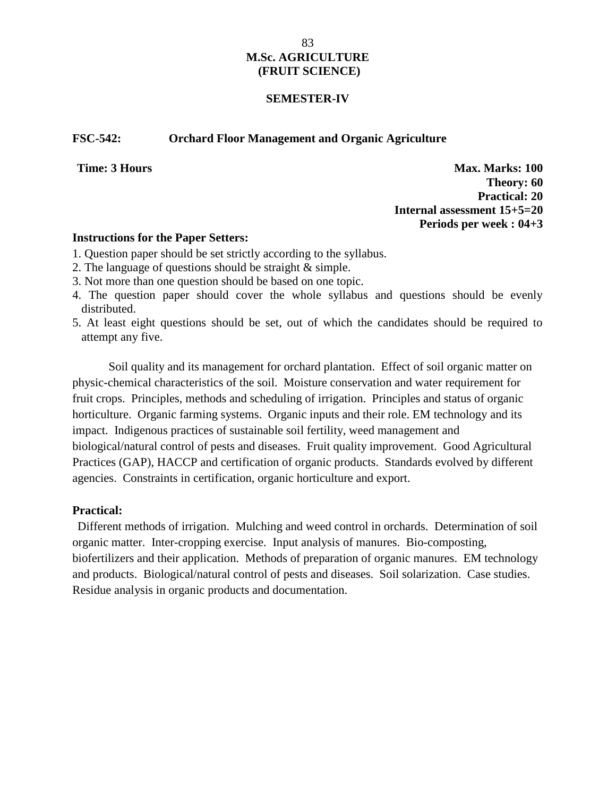### **SEMESTER-IV**

### **FSC-542: Orchard Floor Management and Organic Agriculture**

**Time: 3 Hours Max. Marks: 100 Theory: 60 Practical: 20 Internal assessment 15+5=20 Periods per week : 04+3**

### **Instructions for the Paper Setters:**

- 1. Question paper should be set strictly according to the syllabus.
- 2. The language of questions should be straight & simple.
- 3. Not more than one question should be based on one topic.
- 4. The question paper should cover the whole syllabus and questions should be evenly distributed.
- 5. At least eight questions should be set, out of which the candidates should be required to attempt any five.

Soil quality and its management for orchard plantation. Effect of soil organic matter on physic-chemical characteristics of the soil. Moisture conservation and water requirement for fruit crops. Principles, methods and scheduling of irrigation. Principles and status of organic horticulture. Organic farming systems. Organic inputs and their role. EM technology and its impact. Indigenous practices of sustainable soil fertility, weed management and biological/natural control of pests and diseases. Fruit quality improvement. Good Agricultural Practices (GAP), HACCP and certification of organic products. Standards evolved by different agencies. Constraints in certification, organic horticulture and export.

### **Practical: Time:** 3 **Hours Time:** 3 **Hours Time:** 3 **Hours Time:** 3 **Hours Time:** 3 **Hours Time:** 3 **Hours**

Different methods of irrigation. Mulching and weed control in orchards. Determination of soil organic matter. Inter-cropping exercise. Input analysis of manures. Bio-composting, biofertilizers and their application. Methods of preparation of organic manures. EM technology and products. Biological/natural control of pests and diseases. Soil solarization. Case studies. Residue analysis in organic products and documentation.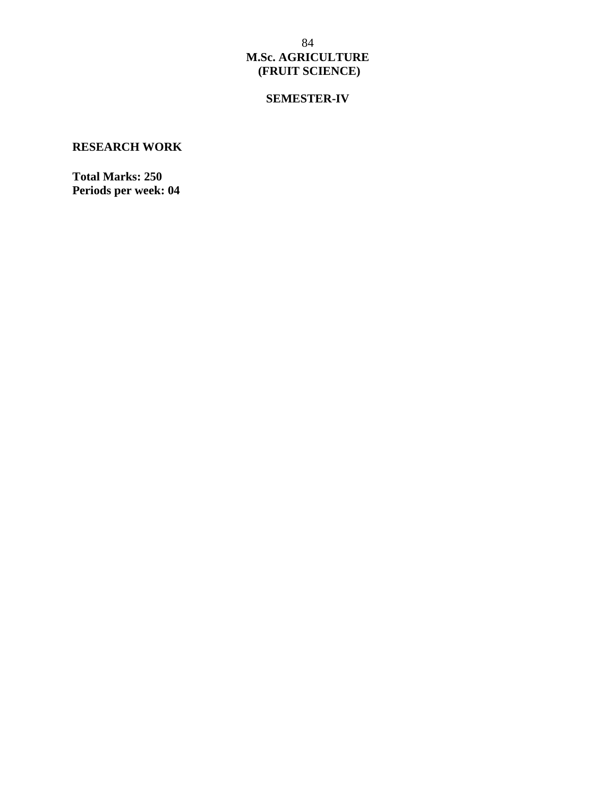# **SEMESTER-IV**

## **RESEARCH WORK**

**Total Marks: 250 Periods per week: 04**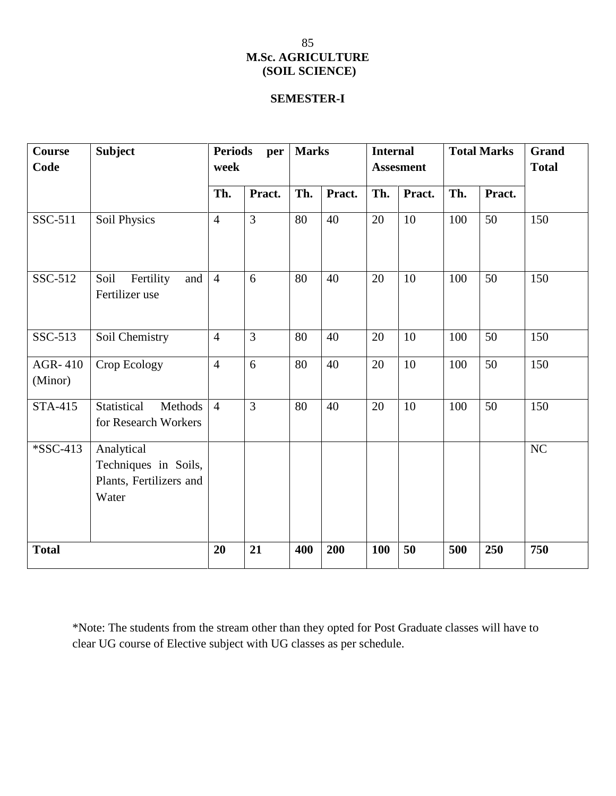## **SEMESTER-I**

| Course<br>Code     | <b>Subject</b>                                                         | <b>Periods</b><br>per<br>week |                | <b>Marks</b> |        | <b>Internal</b><br><b>Assesment</b> |        | <b>Total Marks</b> |        | Grand<br><b>Total</b> |
|--------------------|------------------------------------------------------------------------|-------------------------------|----------------|--------------|--------|-------------------------------------|--------|--------------------|--------|-----------------------|
|                    |                                                                        | Th.                           | Pract.         | Th.          | Pract. | Th.                                 | Pract. | Th.                | Pract. |                       |
| SSC-511            | Soil Physics                                                           | $\overline{4}$                | $\overline{3}$ | 80           | 40     | 20                                  | 10     | 100                | 50     | 150                   |
| SSC-512            | Fertility<br>Soil<br>and<br>Fertilizer use                             | $\overline{4}$                | 6              | 80           | 40     | 20                                  | 10     | 100                | 50     | 150                   |
| SSC-513            | Soil Chemistry                                                         | $\overline{4}$                | $\overline{3}$ | 80           | 40     | 20                                  | 10     | 100                | 50     | 150                   |
| AGR-410<br>(Minor) | Crop Ecology                                                           | $\overline{4}$                | 6              | 80           | 40     | 20                                  | 10     | 100                | 50     | 150                   |
| <b>STA-415</b>     | Statistical<br>Methods<br>for Research Workers                         | $\overline{4}$                | $\overline{3}$ | 80           | 40     | 20                                  | 10     | 100                | 50     | 150                   |
| *SSC-413           | Analytical<br>Techniques in Soils,<br>Plants, Fertilizers and<br>Water |                               |                |              |        |                                     |        |                    |        | NC                    |
| <b>Total</b>       |                                                                        | 20                            | 21             | 400          | 200    | <b>100</b>                          | 50     | 500                | 250    | 750                   |

\*Note: The students from the stream other than they opted for Post Graduate classes will have to clear UG course of Elective subject with UG classes as per schedule.

## 85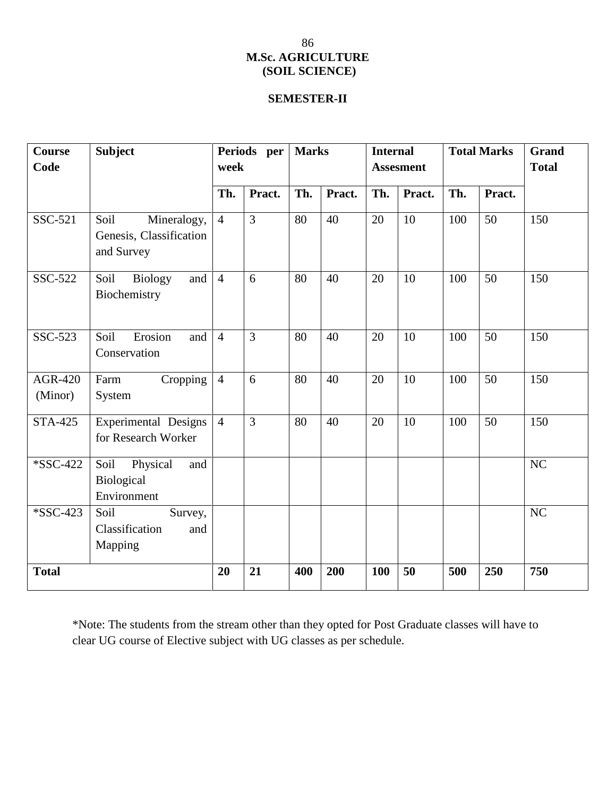# **SEMESTER-II**

| <b>Course</b><br>Code     | <b>Subject</b>                                               | Periods per<br>week |                | <b>Marks</b> |        | <b>Internal</b><br><b>Assesment</b> |        | <b>Total Marks</b> |        | Grand<br><b>Total</b> |
|---------------------------|--------------------------------------------------------------|---------------------|----------------|--------------|--------|-------------------------------------|--------|--------------------|--------|-----------------------|
|                           |                                                              | Th.                 | Pract.         | Th.          | Pract. | Th.                                 | Pract. | Th.                | Pract. |                       |
| SSC-521                   | Soil<br>Mineralogy,<br>Genesis, Classification<br>and Survey | $\overline{4}$      | $\overline{3}$ | 80           | 40     | 20                                  | 10     | 100                | 50     | 150                   |
| SSC-522                   | Soil<br><b>Biology</b><br>and<br>Biochemistry                | $\overline{4}$      | 6              | 80           | 40     | 20                                  | 10     | 100                | 50     | 150                   |
| SSC-523                   | Soil<br>Erosion<br>and<br>Conservation                       | $\overline{4}$      | $\overline{3}$ | 80           | 40     | 20                                  | 10     | 100                | 50     | 150                   |
| <b>AGR-420</b><br>(Minor) | Cropping<br>Farm<br>System                                   | $\overline{4}$      | 6              | 80           | 40     | 20                                  | 10     | 100                | 50     | 150                   |
| <b>STA-425</b>            | Experimental Designs<br>for Research Worker                  | $\overline{4}$      | $\overline{3}$ | 80           | 40     | 20                                  | 10     | 100                | 50     | 150                   |
| *SSC-422                  | Soil<br>Physical<br>and<br>Biological<br>Environment         |                     |                |              |        |                                     |        |                    |        | N <sub>C</sub>        |
| *SSC-423                  | Soil<br>Survey,<br>Classification<br>and<br>Mapping          |                     |                |              |        |                                     |        |                    |        | NC                    |
| <b>Total</b>              |                                                              | 20                  | 21             | 400          | 200    | 100                                 | 50     | 500                | 250    | 750                   |

\*Note: The students from the stream other than they opted for Post Graduate classes will have to clear UG course of Elective subject with UG classes as per schedule.

86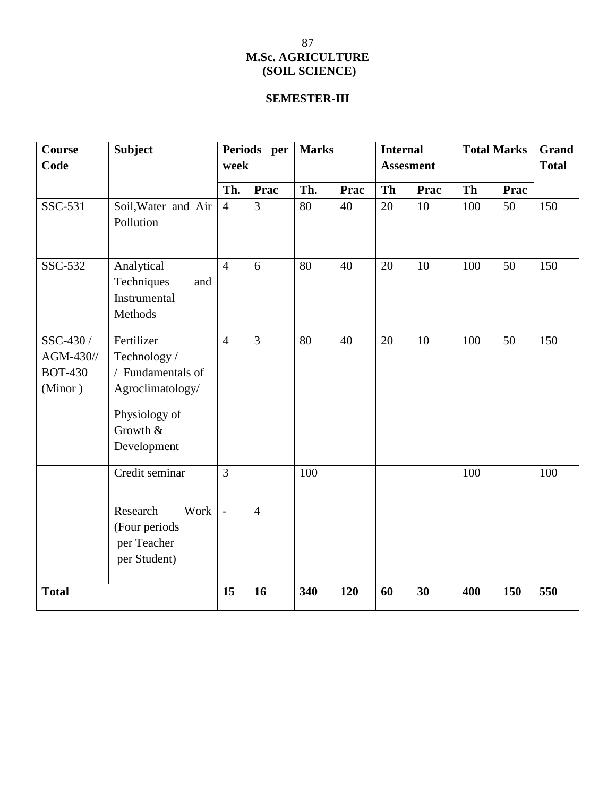# **SEMESTER-III**

| Course<br>Code                                         | <b>Subject</b>                                                                                                 | Periods per<br>week |                | <b>Marks</b> |      | <b>Internal</b><br><b>Assesment</b> |             | <b>Total Marks</b> |             | <b>Grand</b><br><b>Total</b> |
|--------------------------------------------------------|----------------------------------------------------------------------------------------------------------------|---------------------|----------------|--------------|------|-------------------------------------|-------------|--------------------|-------------|------------------------------|
|                                                        |                                                                                                                | Th.                 | Prac           | Th.          | Prac | <b>Th</b>                           | <b>Prac</b> | Th                 | <b>Prac</b> |                              |
| SSC-531                                                | Soil, Water and Air<br>Pollution                                                                               | $\overline{4}$      | 3              | 80           | 40   | 20                                  | 10          | 100                | 50          | 150                          |
| SSC-532                                                | Analytical<br>Techniques<br>and<br>Instrumental<br>Methods                                                     | $\overline{4}$      | 6              | 80           | 40   | 20                                  | 10          | 100                | 50          | 150                          |
| SSC-430 /<br>$AGM-430$ //<br><b>BOT-430</b><br>(Minor) | Fertilizer<br>Technology/<br>/ Fundamentals of<br>Agroclimatology/<br>Physiology of<br>Growth &<br>Development | $\overline{4}$      | 3              | 80           | 40   | 20                                  | 10          | 100                | 50          | 150                          |
|                                                        | Credit seminar                                                                                                 | 3                   |                | 100          |      |                                     |             | 100                |             | 100                          |
|                                                        | Research<br>Work<br>(Four periods<br>per Teacher<br>per Student)                                               | $\frac{1}{2}$       | $\overline{4}$ |              |      |                                     |             |                    |             |                              |
| <b>Total</b>                                           |                                                                                                                | 15                  | 16             | 340          | 120  | 60                                  | 30          | 400                | 150         | 550                          |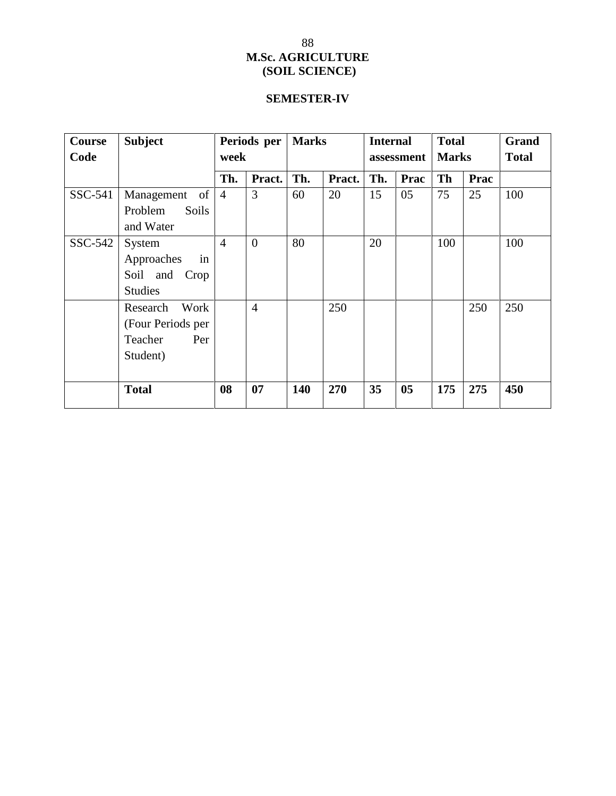# **SEMESTER-IV**

| Course  | <b>Subject</b>          | Periods per<br>week |                | <b>Marks</b> |        | <b>Internal</b><br>assessment |      | <b>Total</b><br><b>Marks</b> |      | Grand<br><b>Total</b> |
|---------|-------------------------|---------------------|----------------|--------------|--------|-------------------------------|------|------------------------------|------|-----------------------|
| Code    |                         |                     |                |              |        |                               |      |                              |      |                       |
|         |                         | Th.                 | Pract.         | Th.          | Pract. | Th.                           | Prac | Th                           | Prac |                       |
| SSC-541 | Management<br>of        | $\overline{4}$      | 3              | 60           | 20     | 15                            | 05   | 75                           | 25   | 100                   |
|         | Problem<br><b>Soils</b> |                     |                |              |        |                               |      |                              |      |                       |
|         | and Water               |                     |                |              |        |                               |      |                              |      |                       |
| SSC-542 | System                  | $\overline{4}$      | $\mathbf{0}$   | 80           |        | 20                            |      | 100                          |      | 100                   |
|         | Approaches<br>in        |                     |                |              |        |                               |      |                              |      |                       |
|         | Soil and Crop           |                     |                |              |        |                               |      |                              |      |                       |
|         | <b>Studies</b>          |                     |                |              |        |                               |      |                              |      |                       |
|         | Work<br>Research        |                     | $\overline{4}$ |              | 250    |                               |      |                              | 250  | 250                   |
|         | (Four Periods per       |                     |                |              |        |                               |      |                              |      |                       |
|         | Teacher<br>Per          |                     |                |              |        |                               |      |                              |      |                       |
|         | Student)                |                     |                |              |        |                               |      |                              |      |                       |
|         |                         |                     |                |              |        |                               |      |                              |      |                       |
|         | <b>Total</b>            | 08                  | 07             | 140          | 270    | 35                            | 05   | 175                          | 275  | 450                   |
|         |                         |                     |                |              |        |                               |      |                              |      |                       |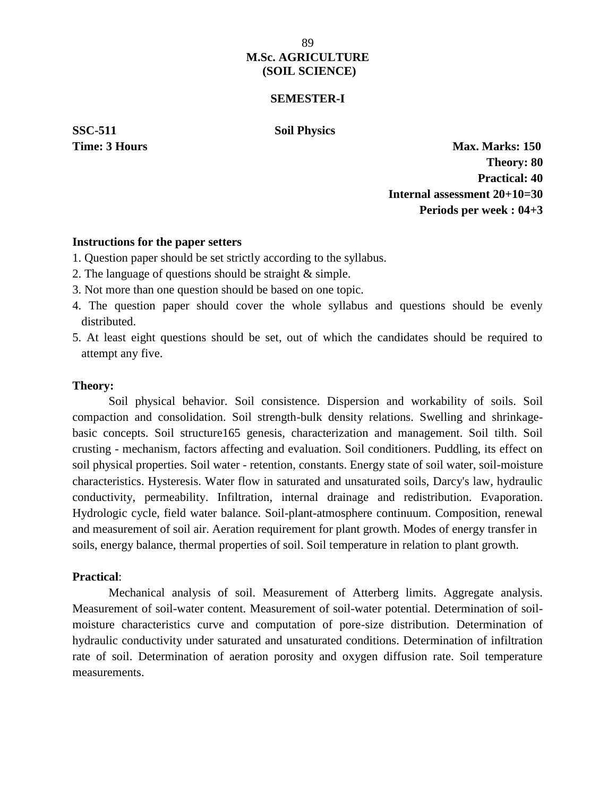### **SEMESTER-I**

**SSC-511 Soil Physics**

**Time: 3 Hours Max. Marks: 150 Theory: 80 Practical: 40 Internal assessment 20+10=30 Periods per week : 04+3**

#### **Instructions for the paper setters**

- 1. Question paper should be set strictly according to the syllabus.
- 2. The language of questions should be straight & simple.
- 3. Not more than one question should be based on one topic.
- 4. The question paper should cover the whole syllabus and questions should be evenly distributed.
- 5. At least eight questions should be set, out of which the candidates should be required to attempt any five.

### **Theory:**

Soil physical behavior. Soil consistence. Dispersion and workability of soils. Soil compaction and consolidation. Soil strength-bulk density relations. Swelling and shrinkage basic concepts. Soil structure165 genesis, characterization and management. Soil tilth. Soil crusting - mechanism, factors affecting and evaluation. Soil conditioners. Puddling, its effect on soil physical properties. Soil water - retention, constants. Energy state of soil water, soil-moisture characteristics. Hysteresis. Water flow in saturated and unsaturated soils, Darcy's law, hydraulic conductivity, permeability. Infiltration, internal drainage and redistribution. Evaporation. Hydrologic cycle, field water balance. Soil-plant-atmosphere continuum. Composition, renewal and measurement of soil air. Aeration requirement for plant growth. Modes of energy transfer in soils, energy balance, thermal properties of soil. Soil temperature in relation to plant growth.

### **Practical**:

Mechanical analysis of soil. Measurement of Atterberg limits. Aggregate analysis. Measurement of soil-water content. Measurement of soil-water potential. Determination of soil moisture characteristics curve and computation of pore-size distribution. Determination of hydraulic conductivity under saturated and unsaturated conditions. Determination of infiltration rate of soil. Determination of aeration porosity and oxygen diffusion rate. Soil temperature measurements.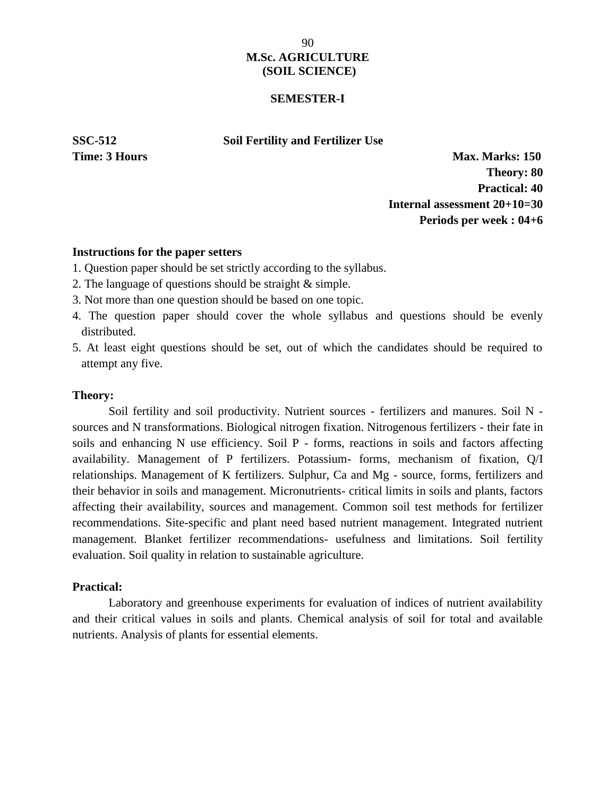### **SEMESTER-I**

**SSC-512 Soil Fertility and Fertilizer Use**

**Time: 3 Hours Max. Marks: 150 Theory: 80 Practical: 40 Internal assessment 20+10=30 Periods per week : 04+6**

### **Instructions for the paper setters**

- 1. Question paper should be set strictly according to the syllabus.
- 2. The language of questions should be straight & simple.
- 3. Not more than one question should be based on one topic.
- 4. The question paper should cover the whole syllabus and questions should be evenly distributed.
- 5. At least eight questions should be set, out of which the candidates should be required to attempt any five.

### **Theory:**

Soil fertility and soil productivity. Nutrient sources - fertilizers and manures. Soil N sources and N transformations. Biological nitrogen fixation. Nitrogenous fertilizers - their fate in soils and enhancing N use efficiency. Soil P - forms, reactions in soils and factors affecting availability. Management of P fertilizers. Potassium- forms, mechanism of fixation, Q/I relationships. Management of K fertilizers. Sulphur, Ca and Mg - source, forms, fertilizers and their behavior in soils and management. Micronutrients- critical limits in soils and plants, factors affecting their availability, sources and management. Common soil test methods for fertilizer recommendations. Site-specific and plant need based nutrient management. Integrated nutrient management. Blanket fertilizer recommendations- usefulness and limitations. Soil fertility evaluation. Soil quality in relation to sustainable agriculture.

### **Practical:**

Laboratory and greenhouse experiments for evaluation of indices of nutrient availability and their critical values in soils and plants. Chemical analysis of soil for total and available nutrients. Analysis of plants for essential elements.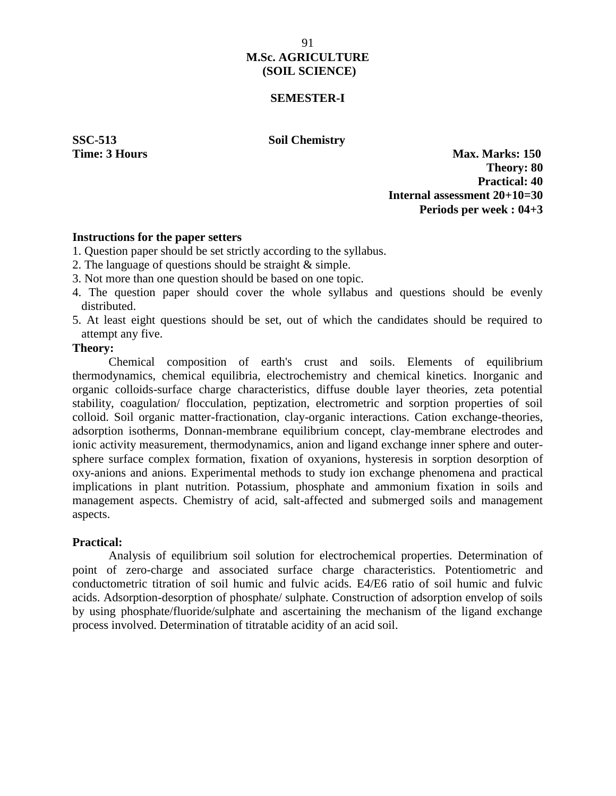### **SEMESTER-I**

**SSC-513 Soil Chemistry**

**Time: 3 Hours Max. Marks: 150 Theory: 80 Practical: 40 Internal assessment 20+10=30 Periods per week : 04+3**

### **Instructions for the paper setters**

- 1. Question paper should be set strictly according to the syllabus.
- 2. The language of questions should be straight & simple.
- 3. Not more than one question should be based on one topic.
- 4. The question paper should cover the whole syllabus and questions should be evenly distributed.
- 5. At least eight questions should be set, out of which the candidates should be required to attempt any five.

### **Theory:**

Chemical composition of earth's crust and soils. Elements of equilibrium thermodynamics, chemical equilibria, electrochemistry and chemical kinetics. Inorganic and organic colloids-surface charge characteristics, diffuse double layer theories, zeta potential stability, coagulation/ flocculation, peptization, electrometric and sorption properties of soil colloid. Soil organic matter-fractionation, clay-organic interactions. Cation exchange-theories, adsorption isotherms, Donnan-membrane equilibrium concept, clay-membrane electrodes and ionic activity measurement, thermodynamics, anion and ligand exchange inner sphere and outer sphere surface complex formation, fixation of oxyanions, hysteresis in sorption desorption of oxy-anions and anions. Experimental methods to study ion exchange phenomena and practical implications in plant nutrition. Potassium, phosphate and ammonium fixation in soils and management aspects. Chemistry of acid, salt-affected and submerged soils and management aspects.

### **Practical:**

Analysis of equilibrium soil solution for electrochemical properties. Determination of point of zero-charge and associated surface charge characteristics. Potentiometric and conductometric titration of soil humic and fulvic acids. E4/E6 ratio of soil humic and fulvic acids. Adsorption-desorption of phosphate/ sulphate. Construction of adsorption envelop of soils by using phosphate/fluoride/sulphate and ascertaining the mechanism of the ligand exchange process involved. Determination of titratable acidity of an acid soil.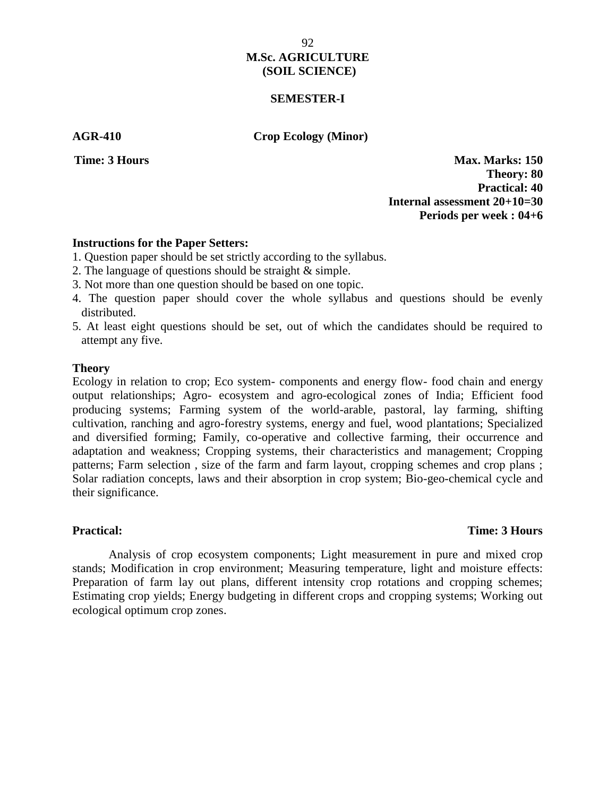### **SEMESTER-I**

**AGR-410 Crop Ecology (Minor)**

**Time: 3 Hours Max. Marks: 150 Theory: 80 Practical: 40 Internal assessment 20+10=30 Periods per week : 04+6**

### **Instructions for the Paper Setters:**

- 1. Question paper should be set strictly according to the syllabus.
- 2. The language of questions should be straight & simple.
- 3. Not more than one question should be based on one topic.
- 4. The question paper should cover the whole syllabus and questions should be evenly distributed.
- 5. At least eight questions should be set, out of which the candidates should be required to attempt any five.

### **Theory**

Ecology in relation to crop; Eco system- components and energy flow- food chain and energy output relationships; Agro- ecosystem and agro-ecological zones of India; Efficient food producing systems; Farming system of the world-arable, pastoral, lay farming, shifting cultivation, ranching and agro-forestry systems, energy and fuel, wood plantations; Specialized and diversified forming; Family, co-operative and collective farming, their occurrence and adaptation and weakness; Cropping systems, their characteristics and management; Cropping patterns; Farm selection , size of the farm and farm layout, cropping schemes and crop plans ; Solar radiation concepts, laws and their absorption in crop system; Bio-geo-chemical cycle and their significance.

### **Practical: Time: 3 Hours**

Analysis of crop ecosystem components; Light measurement in pure and mixed crop stands; Modification in crop environment; Measuring temperature, light and moisture effects: Preparation of farm lay out plans, different intensity crop rotations and cropping schemes; Estimating crop yields; Energy budgeting in different crops and cropping systems; Working out ecological optimum crop zones.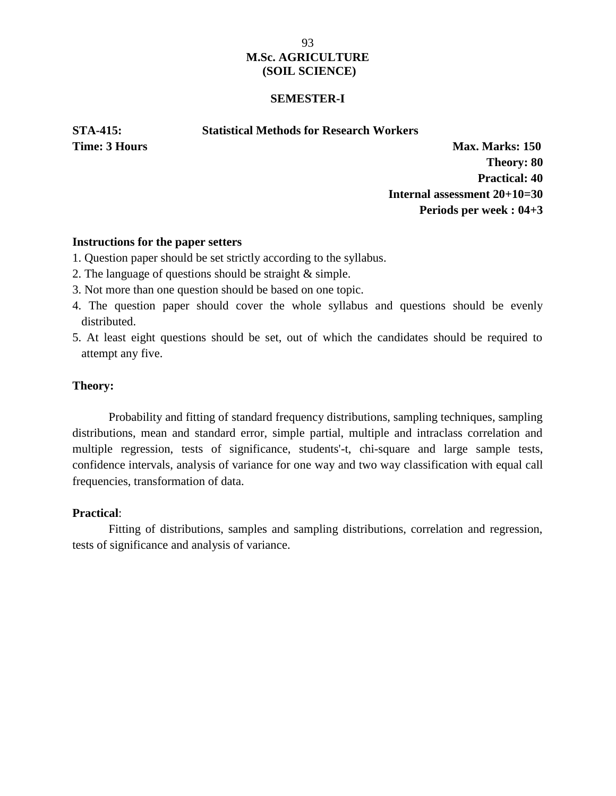### **SEMESTER-I**

**STA-415: Statistical Methods for Research Workers**

**Time: 3 Hours Max. Marks: 150 Theory: 80 Practical: 40 Internal assessment 20+10=30 Periods per week : 04+3**

### **Instructions for the paper setters**

- 1. Question paper should be set strictly according to the syllabus.
- 2. The language of questions should be straight & simple.
- 3. Not more than one question should be based on one topic.
- 4. The question paper should cover the whole syllabus and questions should be evenly distributed.
- 5. At least eight questions should be set, out of which the candidates should be required to attempt any five.

### **Theory:**

Probability and fitting of standard frequency distributions, sampling techniques, sampling distributions, mean and standard error, simple partial, multiple and intraclass correlation and multiple regression, tests of significance, students'-t, chi-square and large sample tests, confidence intervals, analysis of variance for one way and two way classification with equal call frequencies, transformation of data.

### **Practical**:

Fitting of distributions, samples and sampling distributions, correlation and regression, tests of significance and analysis of variance.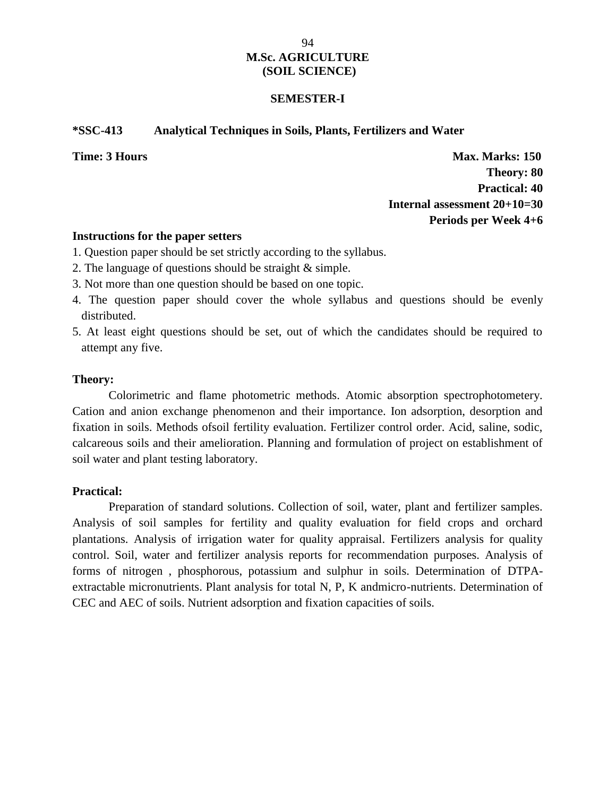### **SEMESTER-I**

### **\*SSC-413 Analytical Techniques in Soils, Plants, Fertilizers and Water**

**Time: 3 Hours Max. Marks: 150 Theory: 80 Practical: 40 Internal assessment 20+10=30 Periods per Week 4+6**

### **Instructions for the paper setters**

- 1. Question paper should be set strictly according to the syllabus.
- 2. The language of questions should be straight & simple.
- 3. Not more than one question should be based on one topic.
- 4. The question paper should cover the whole syllabus and questions should be evenly distributed.
- 5. At least eight questions should be set, out of which the candidates should be required to attempt any five.

### **Theory:**

Colorimetric and flame photometric methods. Atomic absorption spectrophotometery. Cation and anion exchange phenomenon and their importance. Ion adsorption, desorption and fixation in soils. Methods ofsoil fertility evaluation. Fertilizer control order. Acid, saline, sodic, calcareous soils and their amelioration. Planning and formulation of project on establishment of soil water and plant testing laboratory.

### **Practical:**

Preparation of standard solutions. Collection of soil, water, plant and fertilizer samples. Analysis of soil samples for fertility and quality evaluation for field crops and orchard plantations. Analysis of irrigation water for quality appraisal. Fertilizers analysis for quality control. Soil, water and fertilizer analysis reports for recommendation purposes. Analysis of forms of nitrogen , phosphorous, potassium and sulphur in soils. Determination of DTPA extractable micronutrients. Plant analysis for total N, P, K andmicro-nutrients. Determination of CEC and AEC of soils. Nutrient adsorption and fixation capacities of soils.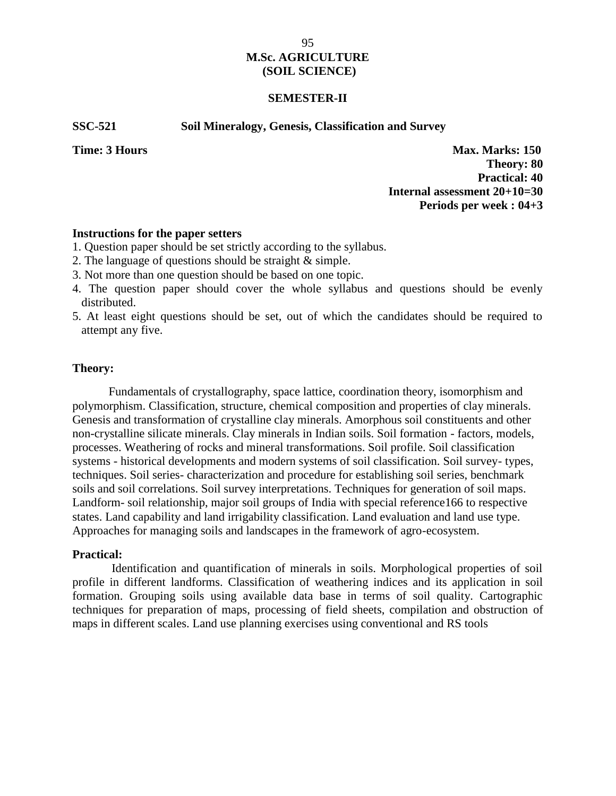### **SEMESTER-II**

#### **SSC-521 Soil Mineralogy, Genesis, Classification and Survey**

**Time: 3 Hours Max. Marks: 150 Theory: 80 Practical: 40 Internal assessment 20+10=30 Periods per week : 04+3**

#### **Instructions for the paper setters**

- 1. Question paper should be set strictly according to the syllabus.
- 2. The language of questions should be straight & simple.
- 3. Not more than one question should be based on one topic.
- 4. The question paper should cover the whole syllabus and questions should be evenly distributed.
- 5. At least eight questions should be set, out of which the candidates should be required to attempt any five.

#### **Theory:**

Fundamentals of crystallography, space lattice, coordination theory, isomorphism and polymorphism. Classification, structure, chemical composition and properties of clay minerals. Genesis and transformation of crystalline clay minerals. Amorphous soil constituents and other non-crystalline silicate minerals. Clay minerals in Indian soils. Soil formation - factors, models, processes. Weathering of rocks and mineral transformations. Soil profile. Soil classification systems - historical developments and modern systems of soil classification. Soil survey- types, techniques. Soil series- characterization and procedure for establishing soil series, benchmark soils and soil correlations. Soil survey interpretations. Techniques for generation of soil maps. Landform- soil relationship, major soil groups of India with special reference166 to respective states. Land capability and land irrigability classification. Land evaluation and land use type. Approaches for managing soils and landscapes in the framework of agro-ecosystem.

### **Practical:**

Identification and quantification of minerals in soils. Morphological properties of soil profile in different landforms. Classification of weathering indices and its application in soil formation. Grouping soils using available data base in terms of soil quality. Cartographic techniques for preparation of maps, processing of field sheets, compilation and obstruction of maps in different scales. Land use planning exercises using conventional and RS tools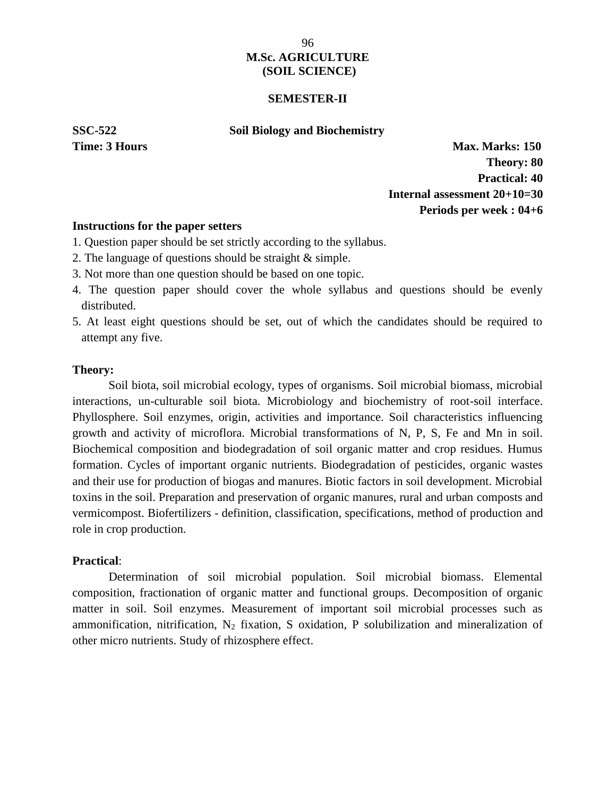### **SEMESTER-II**

### **SSC-522 Soil Biology and Biochemistry**

**Time: 3 Hours Max. Marks: 150 Theory: 80 Practical: 40 Internal assessment 20+10=30 Periods per week : 04+6**

### **Instructions for the paper setters**

- 1. Question paper should be set strictly according to the syllabus.
- 2. The language of questions should be straight & simple.
- 3. Not more than one question should be based on one topic.
- 4. The question paper should cover the whole syllabus and questions should be evenly distributed.
- 5. At least eight questions should be set, out of which the candidates should be required to attempt any five.

### **Theory:**

Soil biota, soil microbial ecology, types of organisms. Soil microbial biomass, microbial interactions, un-culturable soil biota. Microbiology and biochemistry of root-soil interface. Phyllosphere. Soil enzymes, origin, activities and importance. Soil characteristics influencing growth and activity of microflora. Microbial transformations of N, P, S, Fe and Mn in soil. Biochemical composition and biodegradation of soil organic matter and crop residues. Humus formation. Cycles of important organic nutrients. Biodegradation of pesticides, organic wastes and their use for production of biogas and manures. Biotic factors in soil development. Microbial toxins in the soil. Preparation and preservation of organic manures, rural and urban composts and vermicompost. Biofertilizers - definition, classification, specifications, method of production and role in crop production.

### **Practical**:

Determination of soil microbial population. Soil microbial biomass. Elemental composition, fractionation of organic matter and functional groups. Decomposition of organic matter in soil. Soil enzymes. Measurement of important soil microbial processes such as ammonification, nitrification, N<sup>2</sup> fixation, S oxidation, P solubilization and mineralization of other micro nutrients. Study of rhizosphere effect.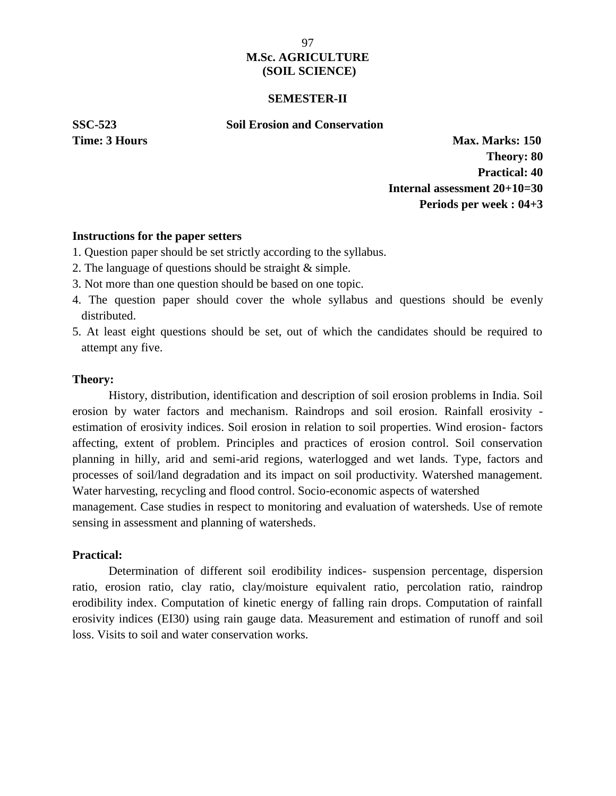### **SEMESTER-II**

### **SSC-523 Soil Erosion and Conservation**

**Time: 3 Hours Max. Marks: 150 Theory: 80 Practical: 40 Internal assessment 20+10=30 Periods per week : 04+3**

### **Instructions for the paper setters**

- 1. Question paper should be set strictly according to the syllabus.
- 2. The language of questions should be straight & simple.
- 3. Not more than one question should be based on one topic.
- 4. The question paper should cover the whole syllabus and questions should be evenly distributed.
- 5. At least eight questions should be set, out of which the candidates should be required to attempt any five.

### **Theory:**

History, distribution, identification and description of soil erosion problems in India. Soil erosion by water factors and mechanism. Raindrops and soil erosion. Rainfall erosivity estimation of erosivity indices. Soil erosion in relation to soil properties. Wind erosion- factors affecting, extent of problem. Principles and practices of erosion control. Soil conservation planning in hilly, arid and semi-arid regions, waterlogged and wet lands. Type, factors and processes of soil/land degradation and its impact on soil productivity. Watershed management. Water harvesting, recycling and flood control. Socio-economic aspects of watershed

management. Case studies in respect to monitoring and evaluation of watersheds. Use of remote sensing in assessment and planning of watersheds.

### **Practical:**

Determination of different soil erodibility indices- suspension percentage, dispersion ratio, erosion ratio, clay ratio, clay/moisture equivalent ratio, percolation ratio, raindrop erodibility index. Computation of kinetic energy of falling rain drops. Computation of rainfall erosivity indices (EI30) using rain gauge data. Measurement and estimation of runoff and soil loss. Visits to soil and water conservation works.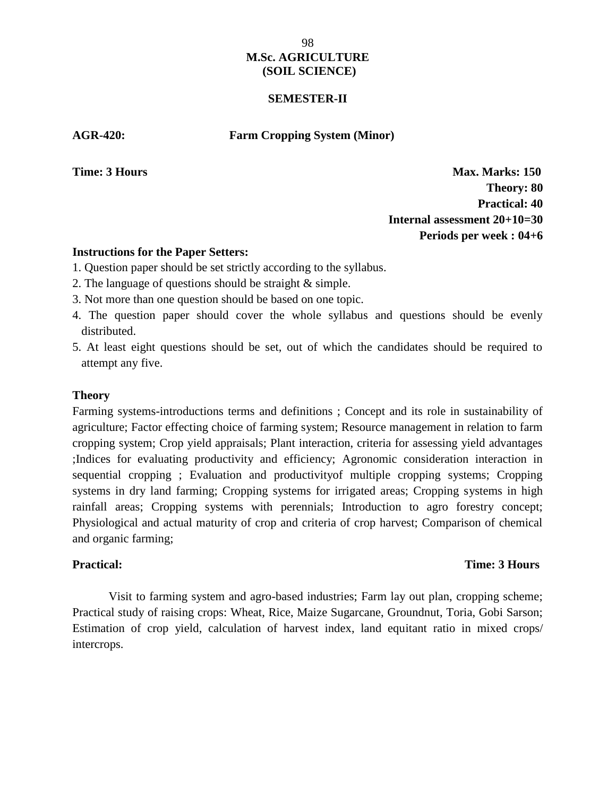### **SEMESTER-II**

### **AGR-420: Farm Cropping System (Minor)**

**Time: 3 Hours Max. Marks: 150 Theory: 80 Practical: 40 Internal assessment 20+10=30 Periods per week : 04+6**

### **Instructions for the Paper Setters:**

- 1. Question paper should be set strictly according to the syllabus.
- 2. The language of questions should be straight & simple.
- 3. Not more than one question should be based on one topic.
- 4. The question paper should cover the whole syllabus and questions should be evenly distributed.
- 5. At least eight questions should be set, out of which the candidates should be required to attempt any five.

### **Theory**

Farming systems-introductions terms and definitions ; Concept and its role in sustainability of agriculture; Factor effecting choice of farming system; Resource management in relation to farm cropping system; Crop yield appraisals; Plant interaction, criteria for assessing yield advantages ;Indices for evaluating productivity and efficiency; Agronomic consideration interaction in sequential cropping ; Evaluation and productivityof multiple cropping systems; Cropping systems in dry land farming; Cropping systems for irrigated areas; Cropping systems in high rainfall areas; Cropping systems with perennials; Introduction to agro forestry concept; Physiological and actual maturity of crop and criteria of crop harvest; Comparison of chemical and organic farming;

### **Practical: Time: 3 Hours**

Visit to farming system and agro-based industries; Farm lay out plan, cropping scheme; Practical study of raising crops: Wheat, Rice, Maize Sugarcane, Groundnut, Toria, Gobi Sarson; Estimation of crop yield, calculation of harvest index, land equitant ratio in mixed crops/ intercrops.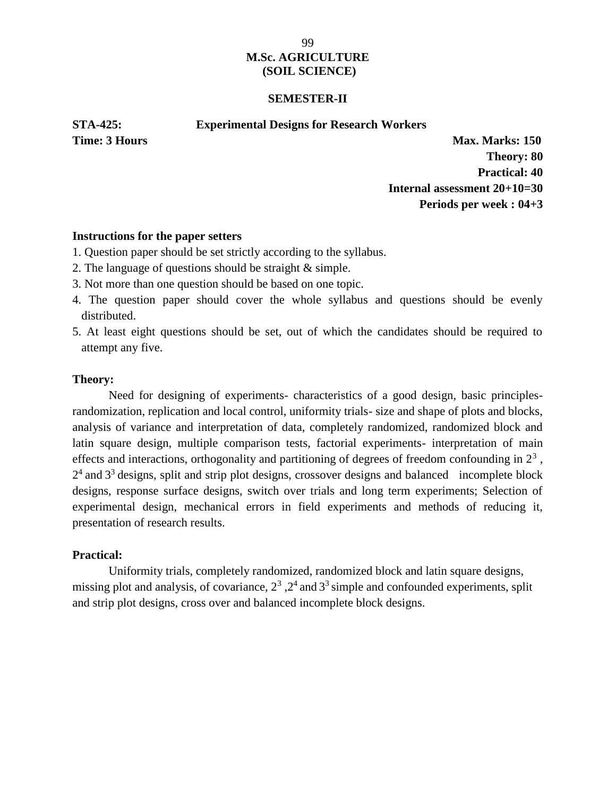### **SEMESTER-II**

### **STA-425: Experimental Designs for Research Workers**

**Time: 3 Hours Max. Marks: 150 Theory: 80 Practical: 40 Internal assessment 20+10=30 Periods per week : 04+3**

### **Instructions for the paper setters**

- 1. Question paper should be set strictly according to the syllabus.
- 2. The language of questions should be straight & simple.
- 3. Not more than one question should be based on one topic.
- 4. The question paper should cover the whole syllabus and questions should be evenly distributed.
- 5. At least eight questions should be set, out of which the candidates should be required to attempt any five.

### **Theory:**

Need for designing of experiments- characteristics of a good design, basic principlesrandomization, replication and local control, uniformity trials- size and shape of plots and blocks, analysis of variance and interpretation of data, completely randomized, randomized block and latin square design, multiple comparison tests, factorial experiments- interpretation of main effects and interactions, orthogonality and partitioning of degrees of freedom confounding in  $2<sup>3</sup>$ ,  $2<sup>4</sup>$  and  $3<sup>3</sup>$  designs, split and strip plot designs, crossover designs and balanced incomplete block designs, response surface designs, switch over trials and long term experiments; Selection of experimental design, mechanical errors in field experiments and methods of reducing it, presentation of research results.

### **Practical:**

Uniformity trials, completely randomized, randomized block and latin square designs, missing plot and analysis, of covariance,  $2^3$  ,  $2^4$  and  $3^3$  simple and confounded experiments, split and strip plot designs, cross over and balanced incomplete block designs.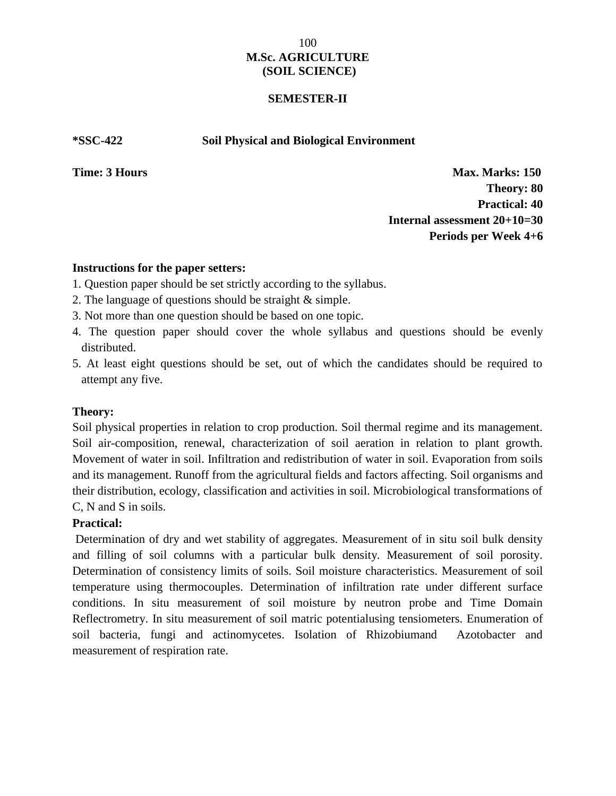### **SEMESTER-II**

### **\*SSC-422 Soil Physical and Biological Environment**

**Time: 3 Hours Max. Marks: 150 Theory: 80 Practical: 40 Internal assessment 20+10=30 Periods per Week 4+6**

### **Instructions for the paper setters:**

- 1. Question paper should be set strictly according to the syllabus.
- 2. The language of questions should be straight & simple.
- 3. Not more than one question should be based on one topic.
- 4. The question paper should cover the whole syllabus and questions should be evenly distributed.
- 5. At least eight questions should be set, out of which the candidates should be required to attempt any five.

### **Theory:**

Soil physical properties in relation to crop production. Soil thermal regime and its management. Soil air-composition, renewal, characterization of soil aeration in relation to plant growth. Movement of water in soil. Infiltration and redistribution of water in soil. Evaporation from soils and its management. Runoff from the agricultural fields and factors affecting. Soil organisms and their distribution, ecology, classification and activities in soil. Microbiological transformations of C, N and S in soils.

### **Practical:**

Determination of dry and wet stability of aggregates. Measurement of in situ soil bulk density and filling of soil columns with a particular bulk density. Measurement of soil porosity. Determination of consistency limits of soils. Soil moisture characteristics. Measurement of soil temperature using thermocouples. Determination of infiltration rate under different surface conditions. In situ measurement of soil moisture by neutron probe and Time Domain Reflectrometry. In situ measurement of soil matric potentialusing tensiometers. Enumeration of soil bacteria, fungi and actinomycetes. Isolation of Rhizobiumand Azotobacter and measurement of respiration rate.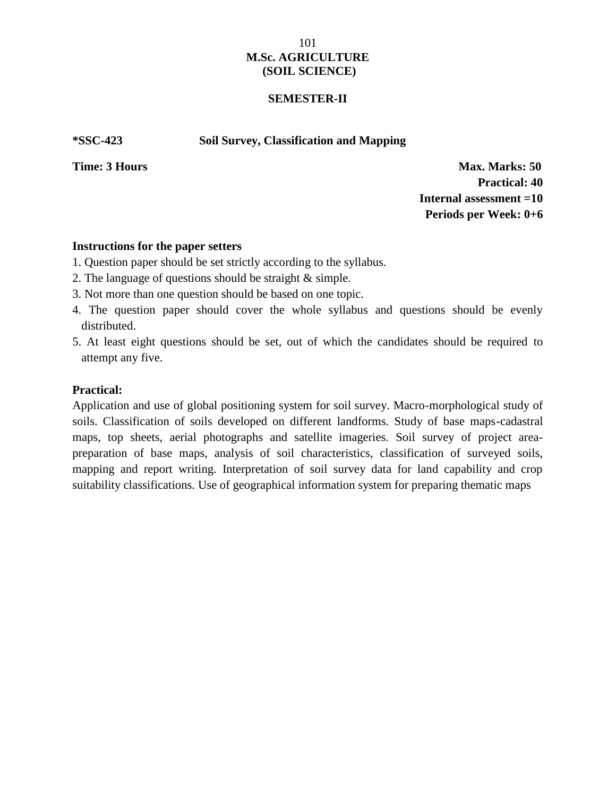### **SEMESTER-II**

**\*SSC-423 Soil Survey, Classification and Mapping**

**Time: 3 Hours Max. Marks: 50 Practical: 40 Internal assessment =10 Periods per Week: 0+6**

### **Instructions for the paper setters**

- 1. Question paper should be set strictly according to the syllabus.
- 2. The language of questions should be straight & simple.
- 3. Not more than one question should be based on one topic.
- 4. The question paper should cover the whole syllabus and questions should be evenly distributed.
- 5. At least eight questions should be set, out of which the candidates should be required to attempt any five.

### **Practical:**

Application and use of global positioning system for soil survey. Macro-morphological study of soils. Classification of soils developed on different landforms. Study of base maps-cadastral maps, top sheets, aerial photographs and satellite imageries. Soil survey of project area preparation of base maps, analysis of soil characteristics, classification of surveyed soils, mapping and report writing. Interpretation of soil survey data for land capability and crop suitability classifications. Use of geographical information system for preparing thematic maps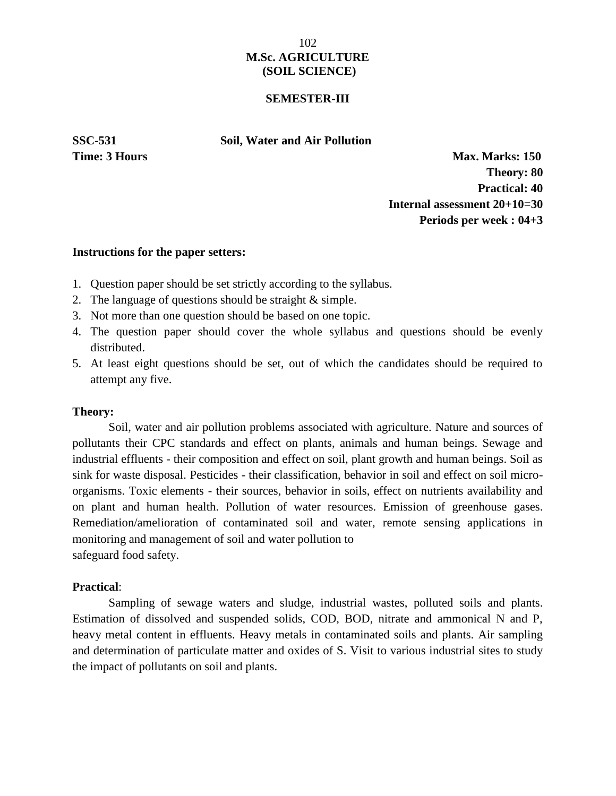### **SEMESTER-III**

**SSC-531 Soil, Water and Air Pollution**

**Time: 3 Hours Max. Marks: 150 Theory: 80 Practical: 40 Internal assessment 20+10=30 Periods per week : 04+3**

### **Instructions for the paper setters:**

- 1. Question paper should be set strictly according to the syllabus.
- 2. The language of questions should be straight & simple.
- 3. Not more than one question should be based on one topic.
- 4. The question paper should cover the whole syllabus and questions should be evenly distributed.
- 5. At least eight questions should be set, out of which the candidates should be required to attempt any five.

### **Theory:**

Soil, water and air pollution problems associated with agriculture. Nature and sources of pollutants their CPC standards and effect on plants, animals and human beings. Sewage and industrial effluents - their composition and effect on soil, plant growth and human beings. Soil as sink for waste disposal. Pesticides - their classification, behavior in soil and effect on soil micro organisms. Toxic elements - their sources, behavior in soils, effect on nutrients availability and on plant and human health. Pollution of water resources. Emission of greenhouse gases. Remediation/amelioration of contaminated soil and water, remote sensing applications in monitoring and management of soil and water pollution to safeguard food safety.

### **Practical**:

Sampling of sewage waters and sludge, industrial wastes, polluted soils and plants. Estimation of dissolved and suspended solids, COD, BOD, nitrate and ammonical N and P, heavy metal content in effluents. Heavy metals in contaminated soils and plants. Air sampling and determination of particulate matter and oxides of S. Visit to various industrial sites to study the impact of pollutants on soil and plants.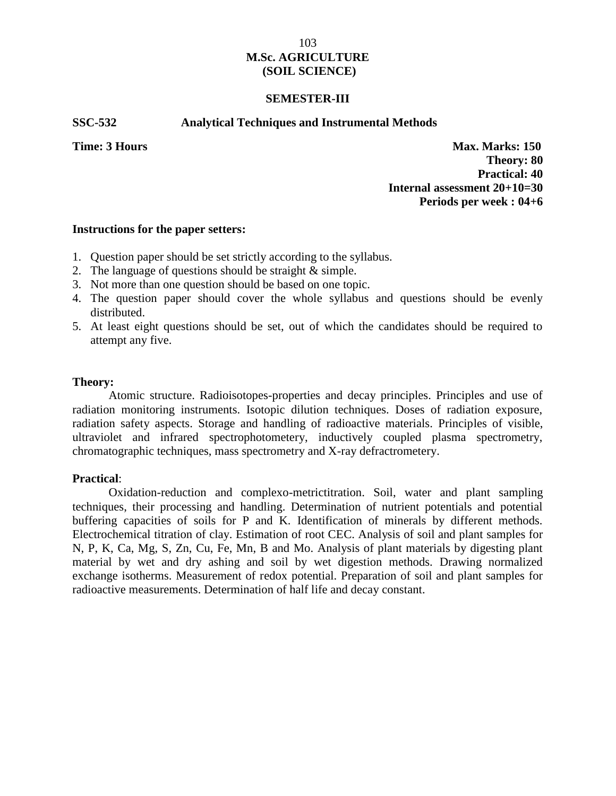### **SEMESTER-III**

### **SSC-532 Analytical Techniques and Instrumental Methods**

**Time: 3 Hours Max. Marks: 150 Theory: 80 Practical: 40 Internal assessment 20+10=30 Periods per week : 04+6**

#### **Instructions for the paper setters:**

- 1. Question paper should be set strictly according to the syllabus.
- 2. The language of questions should be straight & simple.
- 3. Not more than one question should be based on one topic.
- 4. The question paper should cover the whole syllabus and questions should be evenly distributed.
- 5. At least eight questions should be set, out of which the candidates should be required to attempt any five.

### **Theory:**

Atomic structure. Radioisotopes-properties and decay principles. Principles and use of radiation monitoring instruments. Isotopic dilution techniques. Doses of radiation exposure, radiation safety aspects. Storage and handling of radioactive materials. Principles of visible, ultraviolet and infrared spectrophotometery, inductively coupled plasma spectrometry, chromatographic techniques, mass spectrometry and X-ray defractrometery.

### **Practical**:

Oxidation-reduction and complexo-metrictitration. Soil, water and plant sampling techniques, their processing and handling. Determination of nutrient potentials and potential buffering capacities of soils for P and K. Identification of minerals by different methods. Electrochemical titration of clay. Estimation of root CEC. Analysis of soil and plant samples for N, P, K, Ca, Mg, S, Zn, Cu, Fe, Mn, B and Mo. Analysis of plant materials by digesting plant material by wet and dry ashing and soil by wet digestion methods. Drawing normalized exchange isotherms. Measurement of redox potential. Preparation of soil and plant samples for radioactive measurements. Determination of half life and decay constant.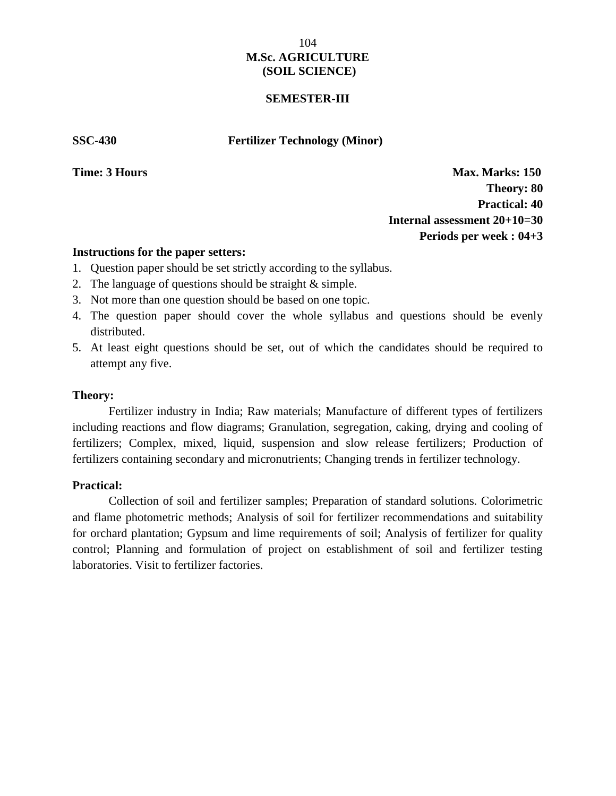### **SEMESTER-III**

**SSC-430 Fertilizer Technology (Minor)**

**Time: 3 Hours Max. Marks: 150 Theory: 80 Practical: 40 Internal assessment 20+10=30 Periods per week : 04+3**

### **Instructions for the paper setters:**

- 1. Question paper should be set strictly according to the syllabus.
- 2. The language of questions should be straight & simple.
- 3. Not more than one question should be based on one topic.
- 4. The question paper should cover the whole syllabus and questions should be evenly distributed.
- 5. At least eight questions should be set, out of which the candidates should be required to attempt any five.

### **Theory:**

Fertilizer industry in India; Raw materials; Manufacture of different types of fertilizers including reactions and flow diagrams; Granulation, segregation, caking, drying and cooling of fertilizers; Complex, mixed, liquid, suspension and slow release fertilizers; Production of fertilizers containing secondary and micronutrients; Changing trends in fertilizer technology.

### **Practical: Time:** 3 **Hours Time:** 3 **Hours Time:** 3 **Hours Time:** 3 **Hours Time:** 3 **Hours Time:** 3 **Hours**

Collection of soil and fertilizer samples; Preparation of standard solutions. Colorimetric and flame photometric methods; Analysis of soil for fertilizer recommendations and suitability for orchard plantation; Gypsum and lime requirements of soil; Analysis of fertilizer for quality control; Planning and formulation of project on establishment of soil and fertilizer testing laboratories. Visit to fertilizer factories.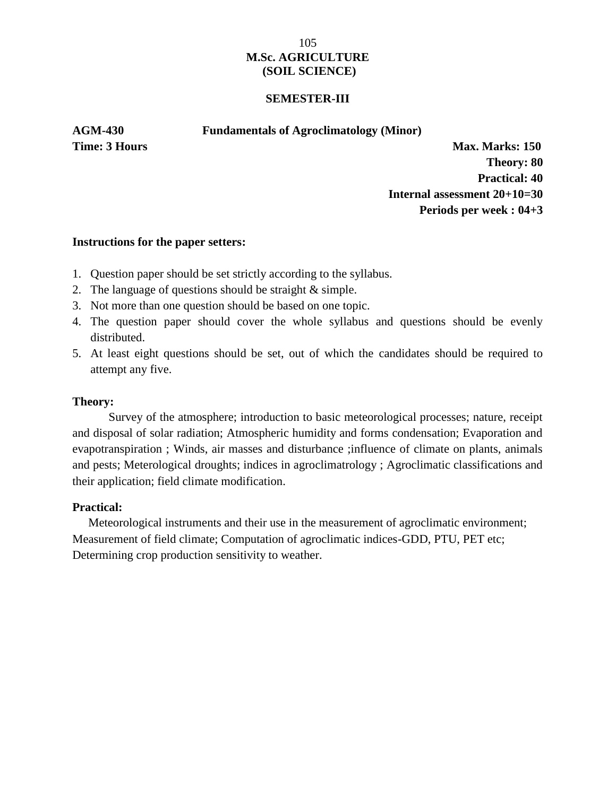### **SEMESTER-III**

**AGM-430 Fundamentals of Agroclimatology (Minor)**

**Time: 3 Hours Max. Marks: 150 Theory: 80 Practical: 40 Internal assessment 20+10=30 Periods per week : 04+3**

### **Instructions for the paper setters:**

- 1. Question paper should be set strictly according to the syllabus.
- 2. The language of questions should be straight & simple.
- 3. Not more than one question should be based on one topic.
- 4. The question paper should cover the whole syllabus and questions should be evenly distributed.
- 5. At least eight questions should be set, out of which the candidates should be required to attempt any five.

### **Theory:**

Survey of the atmosphere; introduction to basic meteorological processes; nature, receipt and disposal of solar radiation; Atmospheric humidity and forms condensation; Evaporation and evapotranspiration ; Winds, air masses and disturbance ;influence of climate on plants, animals and pests; Meterological droughts; indices in agroclimatrology ; Agroclimatic classifications and their application; field climate modification.

### **Practical:**

Meteorological instruments and their use in the measurement of agroclimatic environment; Measurement of field climate; Computation of agroclimatic indices-GDD, PTU, PET etc; Determining crop production sensitivity to weather.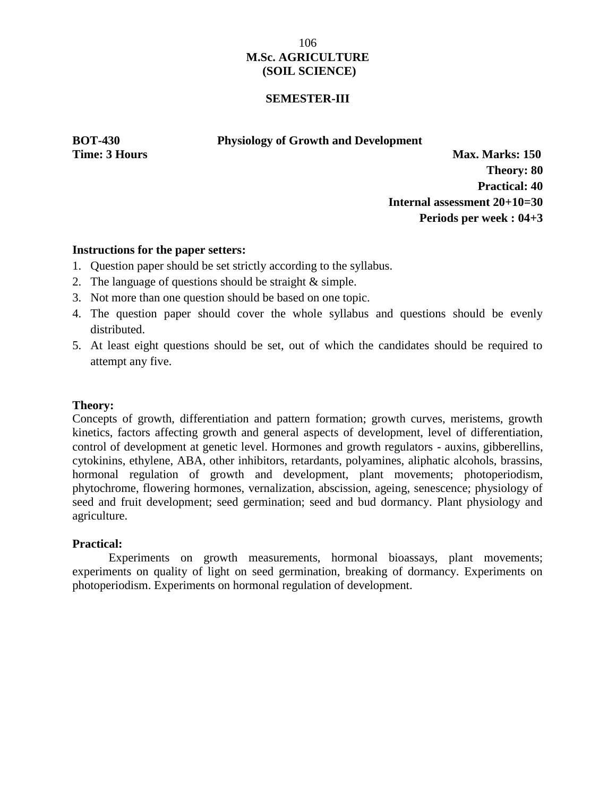### **SEMESTER-III**

**BOT-430 Physiology of Growth and Development**

**Time: 3 Hours Max. Marks: 150 Theory: 80 Practical: 40 Internal assessment 20+10=30 Periods per week : 04+3**

### **Instructions for the paper setters:**

- 1. Question paper should be set strictly according to the syllabus.
- 2. The language of questions should be straight & simple.
- 3. Not more than one question should be based on one topic.
- 4. The question paper should cover the whole syllabus and questions should be evenly distributed.
- 5. At least eight questions should be set, out of which the candidates should be required to attempt any five.

### **Theory:**

Concepts of growth, differentiation and pattern formation; growth curves, meristems, growth kinetics, factors affecting growth and general aspects of development, level of differentiation, control of development at genetic level. Hormones and growth regulators - auxins, gibberellins, cytokinins, ethylene, ABA, other inhibitors, retardants, polyamines, aliphatic alcohols, brassins, hormonal regulation of growth and development, plant movements; photoperiodism, phytochrome, flowering hormones, vernalization, abscission, ageing, senescence; physiology of seed and fruit development; seed germination; seed and bud dormancy. Plant physiology and agriculture.

### **Practical:**

Experiments on growth measurements, hormonal bioassays, plant movements; experiments on quality of light on seed germination, breaking of dormancy. Experiments on photoperiodism. Experiments on hormonal regulation of development.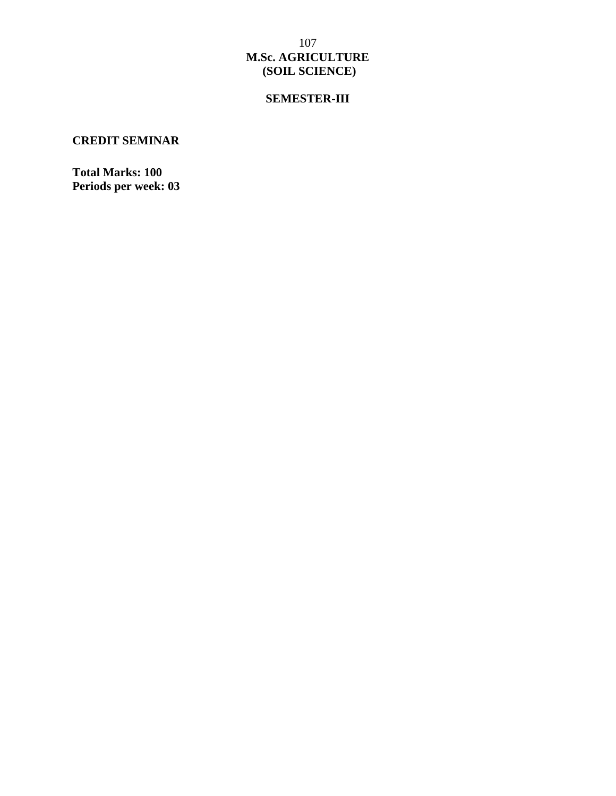# **SEMESTER-III**

# **CREDIT SEMINAR**

**Total Marks: 100 Periods per week: 03**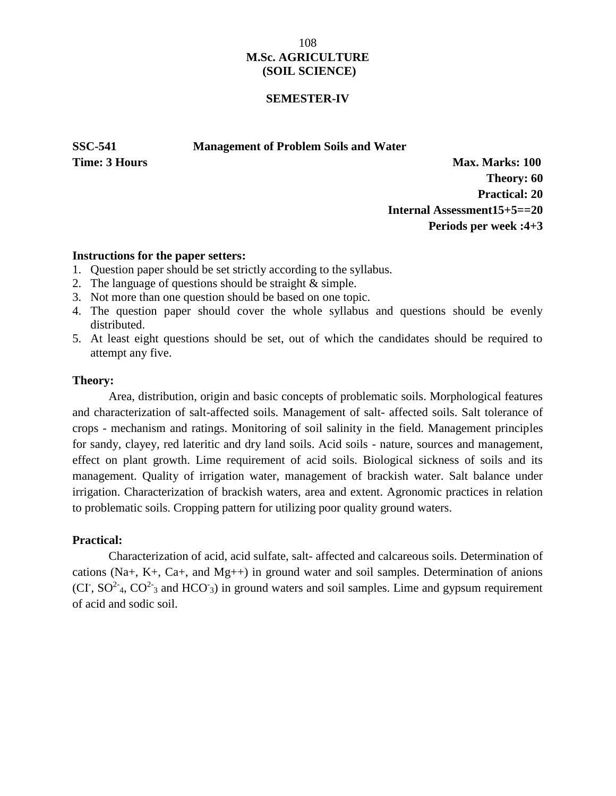# 108 **M.Sc. AGRICULTURE (SOIL SCIENCE)**

#### **SEMESTER-IV**

**SSC-541 Management of Problem Soils and Water**

**Time: 3 Hours Max. Marks: 100 Theory: 60 Practical: 20 Internal Assessment15+5==20 Periods per week :4+3**

#### **Instructions for the paper setters:**

- 1. Question paper should be set strictly according to the syllabus.
- 2. The language of questions should be straight & simple.
- 3. Not more than one question should be based on one topic.
- 4. The question paper should cover the whole syllabus and questions should be evenly distributed.
- 5. At least eight questions should be set, out of which the candidates should be required to attempt any five.

#### **Theory:**

Area, distribution, origin and basic concepts of problematic soils. Morphological features and characterization of salt-affected soils. Management of salt- affected soils. Salt tolerance of crops - mechanism and ratings. Monitoring of soil salinity in the field. Management principles for sandy, clayey, red lateritic and dry land soils. Acid soils - nature, sources and management, effect on plant growth. Lime requirement of acid soils. Biological sickness of soils and its management. Quality of irrigation water, management of brackish water. Salt balance under irrigation. Characterization of brackish waters, area and extent. Agronomic practices in relation to problematic soils. Cropping pattern for utilizing poor quality ground waters.

#### **Practical:**

Characterization of acid, acid sulfate, salt- affected and calcareous soils. Determination of cations (Na+, K+, Ca+, and Mg++) in ground water and soil samples. Determination of anions  $(CI, SO<sup>2</sup>_{4}, CO<sup>2</sup>_{3}$  and HCO<sub>3</sub>) in ground waters and soil samples. Lime and gypsum requirement of acid and sodic soil.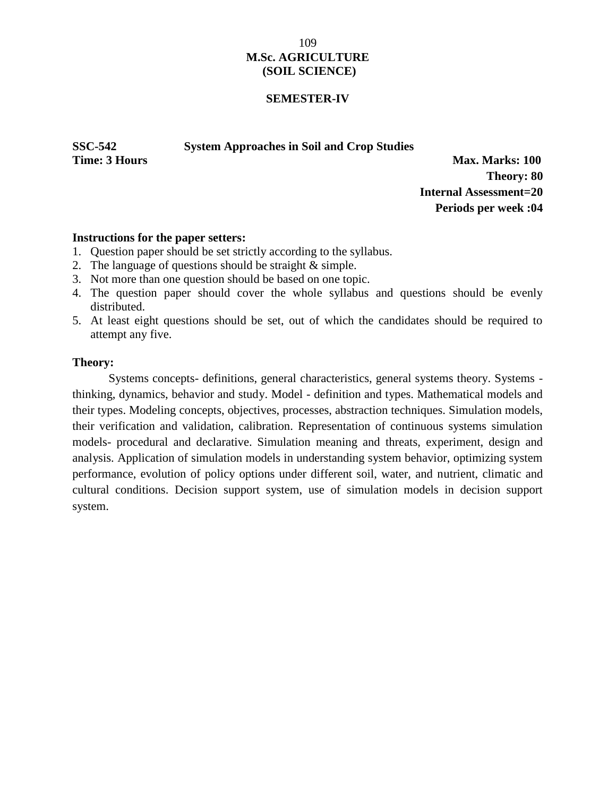# 109 **M.Sc. AGRICULTURE (SOIL SCIENCE)**

#### **SEMESTER-IV**

**SSC-542 System Approaches in Soil and Crop Studies**

**Time: 3 Hours Max. Marks: 100 Theory: 80 Internal Assessment=20 Periods per week :04**

#### **Instructions for the paper setters:**

- 1. Question paper should be set strictly according to the syllabus.
- 2. The language of questions should be straight & simple.
- 3. Not more than one question should be based on one topic.
- 4. The question paper should cover the whole syllabus and questions should be evenly distributed.
- 5. At least eight questions should be set, out of which the candidates should be required to attempt any five.

#### **Theory:**

Systems concepts- definitions, general characteristics, general systems theory. Systems thinking, dynamics, behavior and study. Model - definition and types. Mathematical models and their types. Modeling concepts, objectives, processes, abstraction techniques. Simulation models, their verification and validation, calibration. Representation of continuous systems simulation models- procedural and declarative. Simulation meaning and threats, experiment, design and analysis. Application of simulation models in understanding system behavior, optimizing system performance, evolution of policy options under different soil, water, and nutrient, climatic and cultural conditions. Decision support system, use of simulation models in decision support system.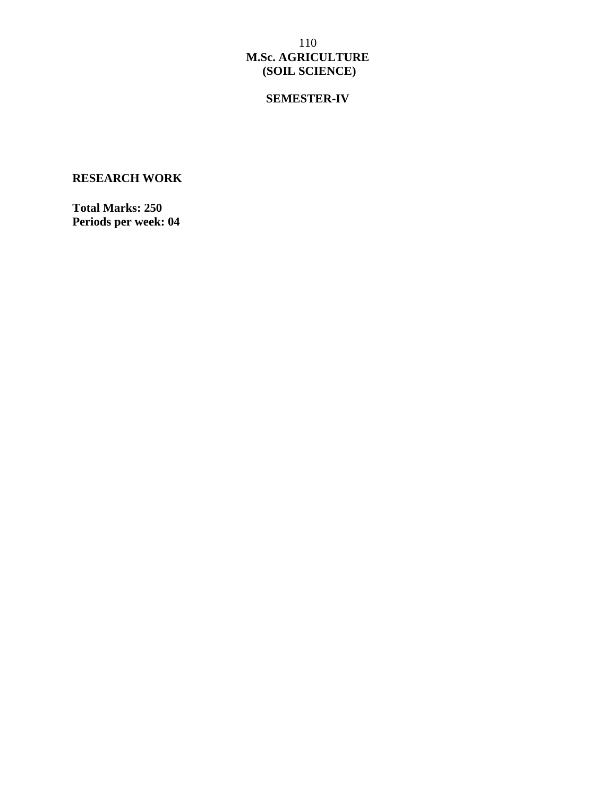# 110 **M.Sc. AGRICULTURE (SOIL SCIENCE)**

# **SEMESTER-IV**

# **RESEARCH WORK**

**Total Marks: 250 Periods per week: 04**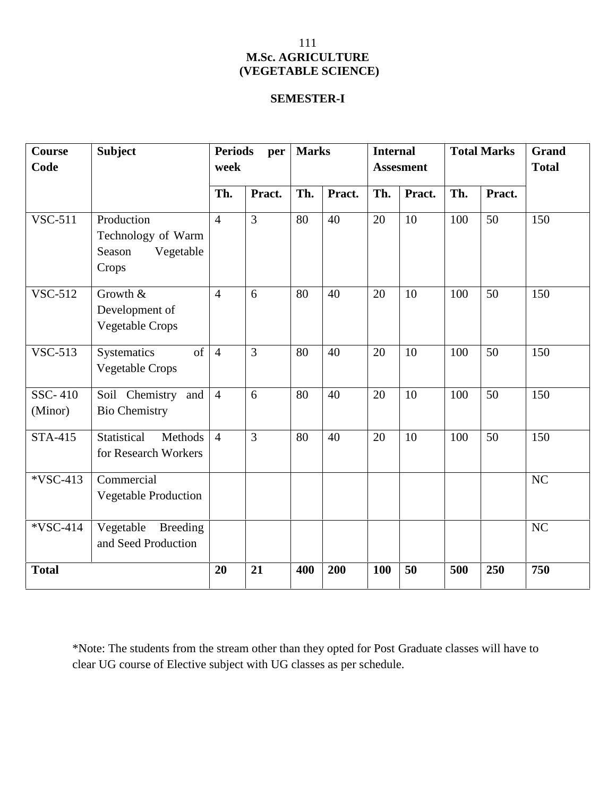# **SEMESTER-I**

| <b>Course</b><br>Code     | <b>Subject</b>                                                   | <b>Periods</b><br>per<br>week |                | <b>Marks</b> |        | <b>Internal</b><br><b>Assesment</b> |        | <b>Total Marks</b> |        | <b>Grand</b><br><b>Total</b> |
|---------------------------|------------------------------------------------------------------|-------------------------------|----------------|--------------|--------|-------------------------------------|--------|--------------------|--------|------------------------------|
|                           |                                                                  | Th.                           | Pract.         | Th.          | Pract. | Th.                                 | Pract. | Th.                | Pract. |                              |
| <b>VSC-511</b>            | Production<br>Technology of Warm<br>Vegetable<br>Season<br>Crops | $\overline{4}$                | $\overline{3}$ | 80           | 40     | 20                                  | 10     | 100                | 50     | 150                          |
| <b>VSC-512</b>            | Growth &<br>Development of<br><b>Vegetable Crops</b>             | $\overline{4}$                | 6              | 80           | 40     | 20                                  | 10     | 100                | 50     | 150                          |
| <b>VSC-513</b>            | of<br>Systematics<br>Vegetable Crops                             | $\overline{4}$                | 3              | 80           | 40     | 20                                  | 10     | 100                | 50     | 150                          |
| <b>SSC-410</b><br>(Minor) | Soil Chemistry and<br><b>Bio Chemistry</b>                       | $\overline{4}$                | 6              | 80           | 40     | 20                                  | 10     | 100                | 50     | 150                          |
| STA-415                   | Statistical<br>Methods<br>for Research Workers                   | $\overline{4}$                | $\overline{3}$ | 80           | 40     | 20                                  | 10     | 100                | 50     | 150                          |
| *VSC-413                  | Commercial<br>Vegetable Production                               |                               |                |              |        |                                     |        |                    |        | NC                           |
| *VSC-414                  | Vegetable Breeding<br>and Seed Production                        |                               |                |              |        |                                     |        |                    |        | NC                           |
| <b>Total</b>              |                                                                  | 20                            | 21             | 400          | 200    | 100                                 | 50     | 500                | 250    | 750                          |

\*Note: The students from the stream other than they opted for Post Graduate classes will have to clear UG course of Elective subject with UG classes as per schedule.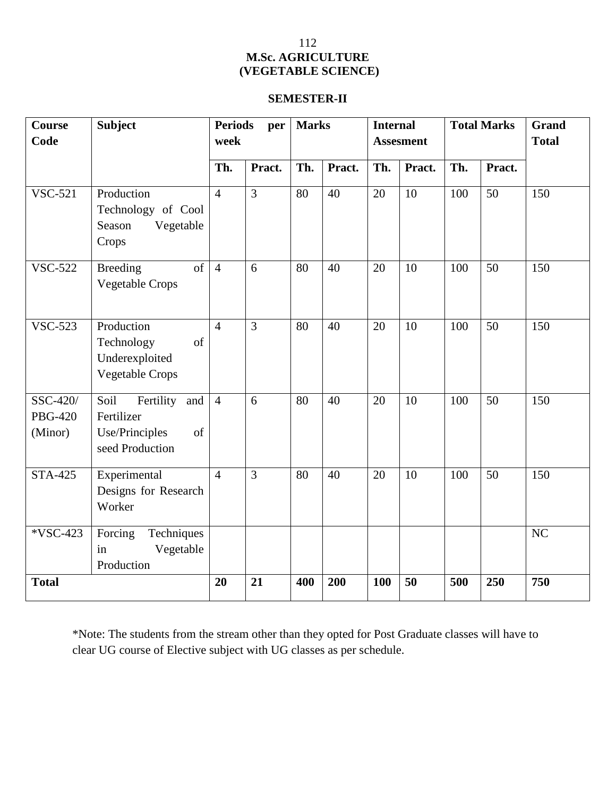# **SEMESTER-II**

| <b>Course</b><br>Code                 | <b>Subject</b>                                                                 | <b>Periods</b><br>per<br>week |                | <b>Marks</b> |        | <b>Internal</b><br><b>Assesment</b> |        | <b>Total Marks</b> |        | <b>Grand</b><br><b>Total</b> |
|---------------------------------------|--------------------------------------------------------------------------------|-------------------------------|----------------|--------------|--------|-------------------------------------|--------|--------------------|--------|------------------------------|
|                                       |                                                                                | Th.                           | Pract.         | Th.          | Pract. | Th.                                 | Pract. | Th.                | Pract. |                              |
| <b>VSC-521</b>                        | Production<br>Technology of Cool<br>Season<br>Vegetable<br>Crops               | $\overline{4}$                | $\overline{3}$ | 80           | 40     | 20                                  | 10     | 100                | 50     | 150                          |
| <b>VSC-522</b>                        | <b>Breeding</b><br>of<br><b>Vegetable Crops</b>                                | $\overline{4}$                | 6              | 80           | 40     | 20                                  | 10     | 100                | 50     | 150                          |
| <b>VSC-523</b>                        | Production<br>Technology<br>of<br>Underexploited<br><b>Vegetable Crops</b>     | $\overline{4}$                | $\overline{3}$ | 80           | 40     | 20                                  | 10     | 100                | 50     | 150                          |
| SSC-420/<br><b>PBG-420</b><br>(Minor) | Soil<br>Fertility and<br>Fertilizer<br>Use/Principles<br>of<br>seed Production | $\overline{4}$                | 6              | 80           | 40     | 20                                  | 10     | 100                | 50     | 150                          |
| <b>STA-425</b>                        | Experimental<br>Designs for Research<br>Worker                                 | $\overline{4}$                | 3              | 80           | 40     | 20                                  | 10     | 100                | 50     | 150                          |
| *VSC-423                              | Forcing<br>Techniques<br>Vegetable<br>in<br>Production                         |                               |                |              |        |                                     |        |                    |        | NC                           |
| <b>Total</b>                          |                                                                                | 20                            | 21             | 400          | 200    | 100                                 | 50     | 500                | 250    | 750                          |

\*Note: The students from the stream other than they opted for Post Graduate classes will have to clear UG course of Elective subject with UG classes as per schedule.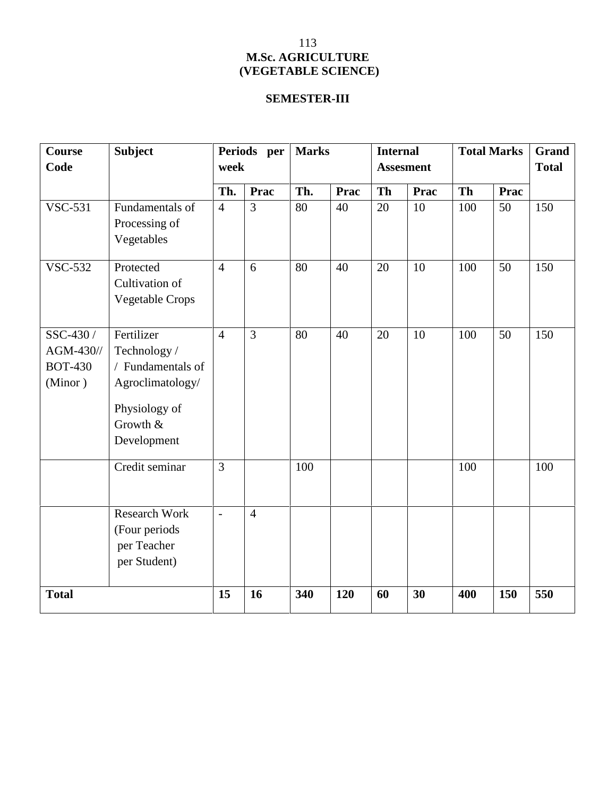# **SEMESTER-III**

| Course<br>Code                                      | <b>Subject</b>                                                                                                  | week           | Periods per    | <b>Marks</b> |      |           | <b>Internal</b><br><b>Assesment</b> |           | <b>Total Marks</b> | Grand<br><b>Total</b> |
|-----------------------------------------------------|-----------------------------------------------------------------------------------------------------------------|----------------|----------------|--------------|------|-----------|-------------------------------------|-----------|--------------------|-----------------------|
|                                                     |                                                                                                                 | Th.            | Prac           | Th.          | Prac | <b>Th</b> | <b>Prac</b>                         | <b>Th</b> | Prac               |                       |
| <b>VSC-531</b>                                      | Fundamentals of<br>Processing of<br>Vegetables                                                                  | $\overline{4}$ | 3              | 80           | 40   | 20        | 10                                  | 100       | 50                 | 150                   |
| <b>VSC-532</b>                                      | Protected<br>Cultivation of<br><b>Vegetable Crops</b>                                                           | $\overline{4}$ | 6              | 80           | 40   | 20        | 10                                  | 100       | 50                 | 150                   |
| SSC-430 /<br>AGM-430//<br><b>BOT-430</b><br>(Minor) | Fertilizer<br>Technology /<br>/ Fundamentals of<br>Agroclimatology/<br>Physiology of<br>Growth &<br>Development | $\overline{4}$ | $\overline{3}$ | 80           | 40   | 20        | 10                                  | 100       | 50                 | 150                   |
|                                                     | Credit seminar                                                                                                  | 3              |                | 100          |      |           |                                     | 100       |                    | 100                   |
|                                                     | <b>Research Work</b><br>(Four periods<br>per Teacher<br>per Student)                                            | $\overline{a}$ | $\overline{4}$ |              |      |           |                                     |           |                    |                       |
| <b>Total</b>                                        |                                                                                                                 | 15             | 16             | 340          | 120  | 60        | 30                                  | 400       | 150                | 550                   |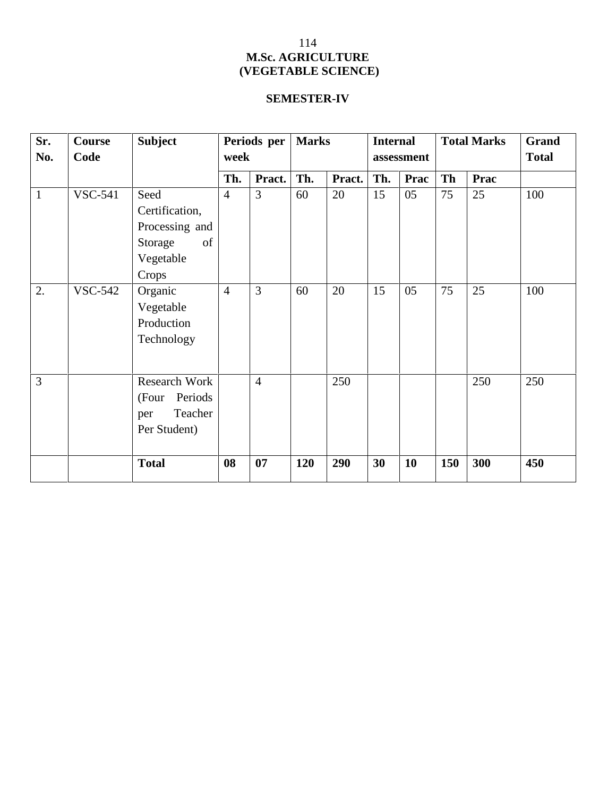# **SEMESTER-IV**

| Sr.          | Course         | <b>Subject</b>                                                                  |                | Periods per    | <b>Marks</b> |        | <b>Internal</b> |             | <b>Total Marks</b> |      | Grand        |
|--------------|----------------|---------------------------------------------------------------------------------|----------------|----------------|--------------|--------|-----------------|-------------|--------------------|------|--------------|
| No.          | Code           |                                                                                 | week           |                |              |        |                 | assessment  |                    |      | <b>Total</b> |
|              |                |                                                                                 | Th.            | Pract.         | Th.          | Pract. | Th.             | <b>Prac</b> | Th                 | Prac |              |
| $\mathbf{1}$ | <b>VSC-541</b> | Seed<br>Certification,<br>Processing and<br>Storage<br>of<br>Vegetable<br>Crops | $\overline{4}$ | $\overline{3}$ | 60           | 20     | 15              | 05          | 75                 | 25   | 100          |
| 2.           | <b>VSC-542</b> | Organic<br>Vegetable<br>Production<br>Technology                                | $\overline{4}$ | $\overline{3}$ | 60           | 20     | 15              | 05          | 75                 | 25   | 100          |
| 3            |                | Research Work<br>(Four<br>Periods<br>Teacher<br>per<br>Per Student)             |                | $\overline{4}$ |              | 250    |                 |             |                    | 250  | 250          |
|              |                | <b>Total</b>                                                                    | 08             | 07             | 120          | 290    | 30              | 10          | 150                | 300  | 450          |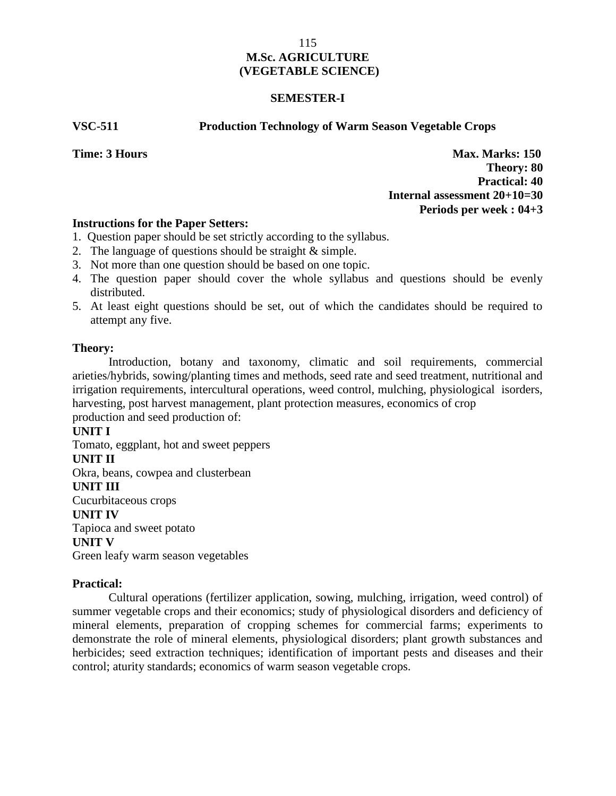## **SEMESTER-I**

#### **VSC-511 Production Technology of Warm Season Vegetable Crops**

**Time: 3 Hours Max. Marks: 150 Theory: 80 Practical: 40 Internal assessment 20+10=30 Periods per week : 04+3**

# **Instructions for the Paper Setters:**

- 1. Question paper should be set strictly according to the syllabus.
- 2. The language of questions should be straight & simple.
- 3. Not more than one question should be based on one topic.
- 4. The question paper should cover the whole syllabus and questions should be evenly distributed.
- 5. At least eight questions should be set, out of which the candidates should be required to attempt any five.

# **Theory:**

Introduction, botany and taxonomy, climatic and soil requirements, commercial arieties/hybrids, sowing/planting times and methods, seed rate and seed treatment, nutritional and irrigation requirements, intercultural operations, weed control, mulching, physiological isorders, harvesting, post harvest management, plant protection measures, economics of crop production and seed production of:

# **UNIT I**

Tomato, eggplant, hot and sweet peppers **UNIT II** Okra, beans, cowpea and clusterbean **UNIT III** Cucurbitaceous crops **UNIT IV** Tapioca and sweet potato **UNIT V** Green leafy warm season vegetables

# **Practical:**

Cultural operations (fertilizer application, sowing, mulching, irrigation, weed control) of summer vegetable crops and their economics; study of physiological disorders and deficiency of mineral elements, preparation of cropping schemes for commercial farms; experiments to demonstrate the role of mineral elements, physiological disorders; plant growth substances and herbicides; seed extraction techniques; identification of important pests and diseases and their control; aturity standards; economics of warm season vegetable crops.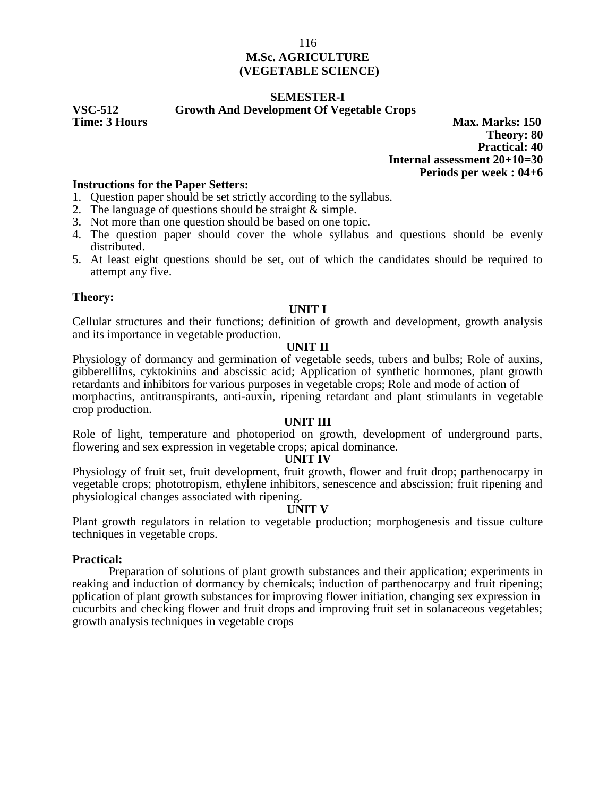# **SEMESTER-I**

**VSC-512 Growth And Development Of Vegetable Crops**

**Max. Marks: 150 Theory: 80 Practical: 40 Internal assessment 20+10=30 Periods per week : 04+6**

#### **Instructions for the Paper Setters:**

1. Question paper should be set strictly according to the syllabus.

2. The language of questions should be straight & simple.

3. Not more than one question should be based on one topic.

- 4. The question paper should cover the whole syllabus and questions should be evenly distributed.
- 5. At least eight questions should be set, out of which the candidates should be required to attempt any five.

#### **Theory:**

#### **UNIT I**

Cellular structures and their functions; definition of growth and development, growth analysis and its importance in vegetable production.

#### **UNIT II**

Physiology of dormancy and germination of vegetable seeds, tubers and bulbs; Role of auxins, gibberellilns, cyktokinins and abscissic acid; Application of synthetic hormones, plant growth retardants and inhibitors for various purposes in vegetable crops; Role and mode of action of morphactins, antitranspirants, anti-auxin, ripening retardant and plant stimulants in vegetable crop production.

#### **UNIT III**

Role of light, temperature and photoperiod on growth, development of underground parts, flowering and sex expression in vegetable crops; apical dominance.

#### **UNIT IV**

Physiology of fruit set, fruit development, fruit growth, flower and fruit drop; parthenocarpy in vegetable crops; phototropism, ethylene inhibitors, senescence and abscission; fruit ripening and physiological changes associated with ripening.

#### **UNIT V**

Plant growth regulators in relation to vegetable production; morphogenesis and tissue culture techniques in vegetable crops.

#### **Practical:**

Preparation of solutions of plant growth substances and their application; experiments in reaking and induction of dormancy by chemicals; induction of parthenocarpy and fruit ripening; pplication of plant growth substances for improving flower initiation, changing sex expression in cucurbits and checking flower and fruit drops and improving fruit set in solanaceous vegetables; growth analysis techniques in vegetable crops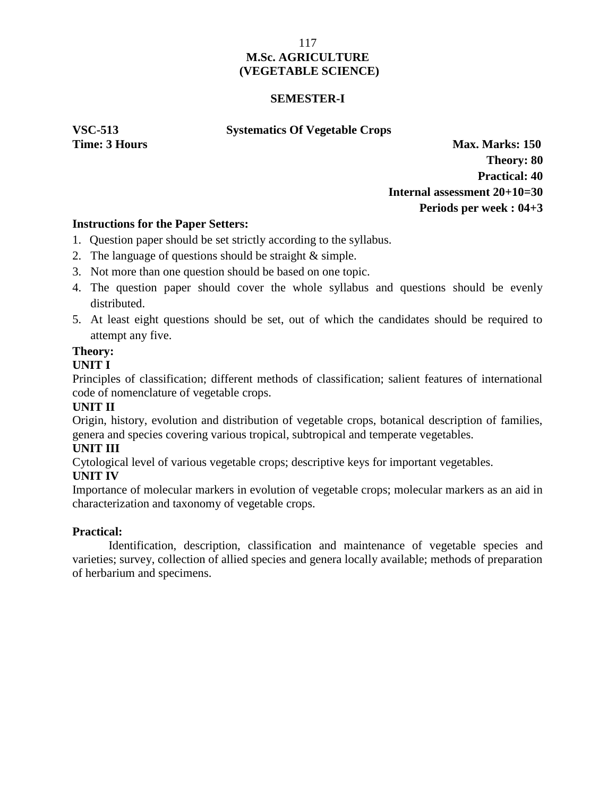## **SEMESTER-I**

#### **VSC-513 Systematics Of Vegetable Crops**

**Time: 3 Hours Max. Marks: 150 Theory: 80 Practical: 40 Internal assessment 20+10=30 Periods per week : 04+3**

# **Instructions for the Paper Setters:**

- 1. Question paper should be set strictly according to the syllabus.
- 2. The language of questions should be straight & simple.
- 3. Not more than one question should be based on one topic.
- 4. The question paper should cover the whole syllabus and questions should be evenly distributed.
- 5. At least eight questions should be set, out of which the candidates should be required to attempt any five.

# **Theory:**

# **UNIT I**

Principles of classification; different methods of classification; salient features of international code of nomenclature of vegetable crops.

# **UNIT II**

Origin, history, evolution and distribution of vegetable crops, botanical description of families, genera and species covering various tropical, subtropical and temperate vegetables.

# **UNIT III**

Cytological level of various vegetable crops; descriptive keys for important vegetables.

# **UNIT IV**

Importance of molecular markers in evolution of vegetable crops; molecular markers as an aid in characterization and taxonomy of vegetable crops.

# **Practical:**

Identification, description, classification and maintenance of vegetable species and varieties; survey, collection of allied species and genera locally available; methods of preparation of herbarium and specimens.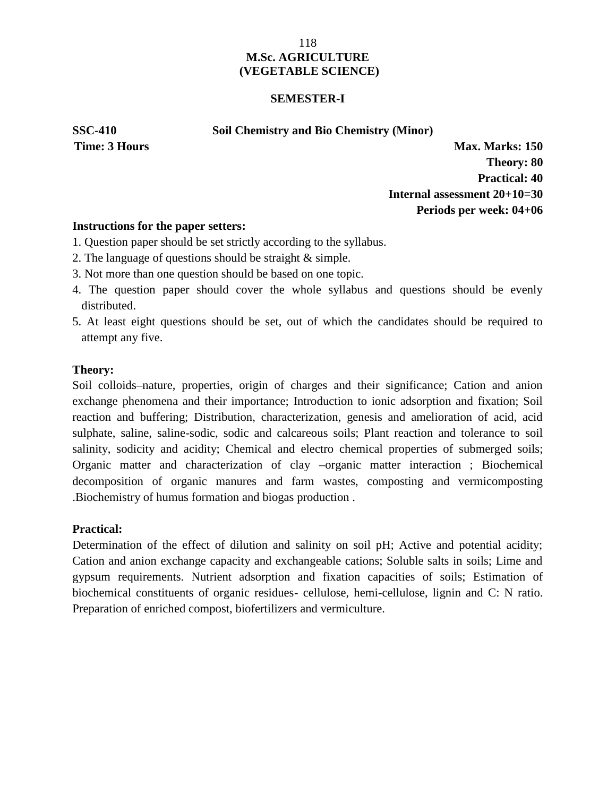#### **SEMESTER-I**

#### **SSC-410 Soil Chemistry and Bio Chemistry (Minor)**

**Time: 3 Hours Max. Marks: 150 Theory: 80 Practical: 40 Internal assessment 20+10=30 Periods per week: 04+06**

# **Instructions for the paper setters:**

- 1. Question paper should be set strictly according to the syllabus.
- 2. The language of questions should be straight & simple.
- 3. Not more than one question should be based on one topic.
- 4. The question paper should cover the whole syllabus and questions should be evenly distributed.
- 5. At least eight questions should be set, out of which the candidates should be required to attempt any five.

# **Theory:**

Soil colloids–nature, properties, origin of charges and their significance; Cation and anion exchange phenomena and their importance; Introduction to ionic adsorption and fixation; Soil reaction and buffering; Distribution, characterization, genesis and amelioration of acid, acid sulphate, saline, saline-sodic, sodic and calcareous soils; Plant reaction and tolerance to soil salinity, sodicity and acidity; Chemical and electro chemical properties of submerged soils; Organic matter and characterization of clay –organic matter interaction ; Biochemical decomposition of organic manures and farm wastes, composting and vermicomposting .Biochemistry of humus formation and biogas production .

# **Practical:**

Determination of the effect of dilution and salinity on soil pH; Active and potential acidity; Cation and anion exchange capacity and exchangeable cations; Soluble salts in soils; Lime and gypsum requirements. Nutrient adsorption and fixation capacities of soils; Estimation of biochemical constituents of organic residues- cellulose, hemi-cellulose, lignin and C: N ratio. Preparation of enriched compost, biofertilizers and vermiculture.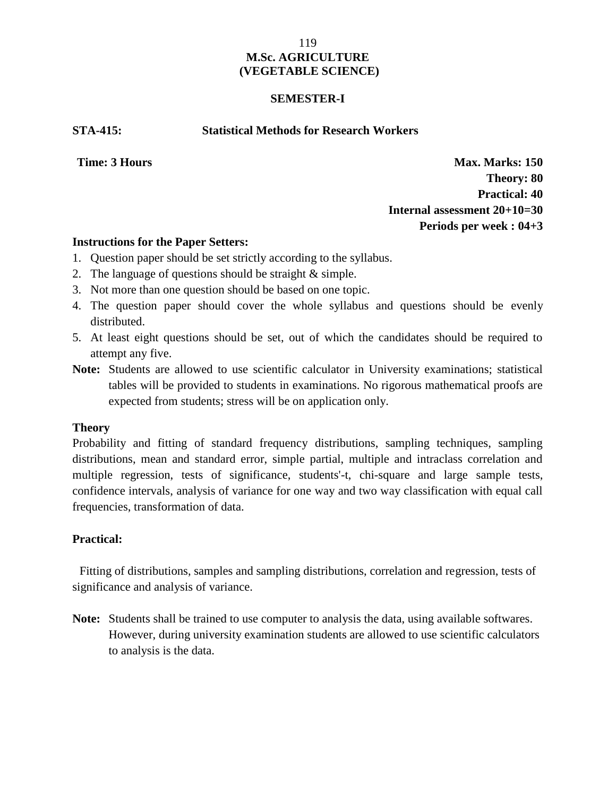### **SEMESTER-I**

**STA-415: Statistical Methods for Research Workers**

**Time: 3 Hours Max. Marks: 150 Theory: 80 Practical: 40 Internal assessment 20+10=30 Periods per week : 04+3**

#### **Instructions for the Paper Setters:**

- 1. Question paper should be set strictly according to the syllabus.
- 2. The language of questions should be straight & simple.
- 3. Not more than one question should be based on one topic.
- 4. The question paper should cover the whole syllabus and questions should be evenly distributed.
- 5. At least eight questions should be set, out of which the candidates should be required to attempt any five.
- **Note:** Students are allowed to use scientific calculator in University examinations; statistical tables will be provided to students in examinations. No rigorous mathematical proofs are expected from students; stress will be on application only.

# **Theory**

Probability and fitting of standard frequency distributions, sampling techniques, sampling distributions, mean and standard error, simple partial, multiple and intraclass correlation and multiple regression, tests of significance, students'-t, chi-square and large sample tests, confidence intervals, analysis of variance for one way and two way classification with equal call frequencies, transformation of data.

# **Practical:**

Fitting of distributions, samples and sampling distributions, correlation and regression, tests of significance and analysis of variance.

**Note:** Students shall be trained to use computer to analysis the data, using available softwares. However, during university examination students are allowed to use scientific calculators to analysis is the data.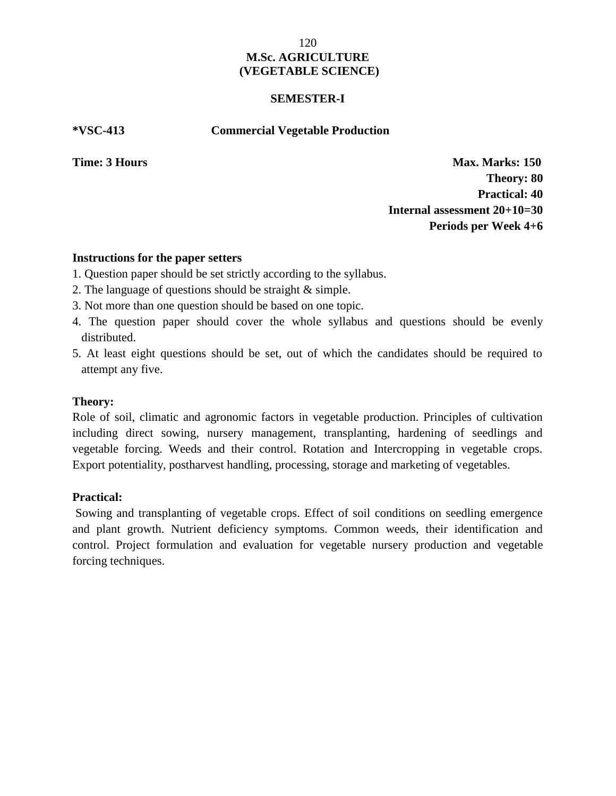#### **SEMESTER-I**

**\*VSC-413 Commercial Vegetable Production**

**Time: 3 Hours Max. Marks: 150 Theory: 80 Practical: 40 Internal assessment 20+10=30 Periods per Week 4+6**

#### **Instructions for the paper setters**

- 1. Question paper should be set strictly according to the syllabus.
- 2. The language of questions should be straight & simple.
- 3. Not more than one question should be based on one topic.
- 4. The question paper should cover the whole syllabus and questions should be evenly distributed.
- 5. At least eight questions should be set, out of which the candidates should be required to attempt any five.

# **Theory:**

Role of soil, climatic and agronomic factors in vegetable production. Principles of cultivation including direct sowing, nursery management, transplanting, hardening of seedlings and vegetable forcing. Weeds and their control. Rotation and Intercropping in vegetable crops. Export potentiality, postharvest handling, processing, storage and marketing of vegetables.

# **Practical:**

Sowing and transplanting of vegetable crops. Effect of soil conditions on seedling emergence and plant growth. Nutrient deficiency symptoms. Common weeds, their identification and control. Project formulation and evaluation for vegetable nursery production and vegetable forcing techniques.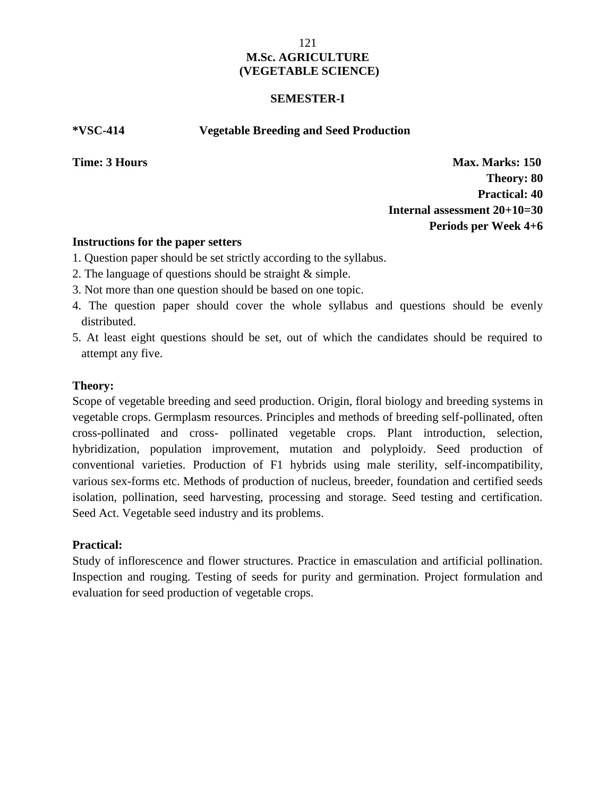#### **SEMESTER-I**

**\*VSC-414 Vegetable Breeding and Seed Production**

**Time: 3 Hours Max. Marks: 150 Theory: 80 Practical: 40 Internal assessment 20+10=30 Periods per Week 4+6**

#### **Instructions for the paper setters**

- 1. Question paper should be set strictly according to the syllabus.
- 2. The language of questions should be straight & simple.
- 3. Not more than one question should be based on one topic.
- 4. The question paper should cover the whole syllabus and questions should be evenly distributed.
- 5. At least eight questions should be set, out of which the candidates should be required to attempt any five.

# **Theory:**

Scope of vegetable breeding and seed production. Origin, floral biology and breeding systems in vegetable crops. Germplasm resources. Principles and methods of breeding self-pollinated, often cross-pollinated and cross- pollinated vegetable crops. Plant introduction, selection, hybridization, population improvement, mutation and polyploidy. Seed production of conventional varieties. Production of F1 hybrids using male sterility, self-incompatibility, various sex-forms etc. Methods of production of nucleus, breeder, foundation and certified seeds isolation, pollination, seed harvesting, processing and storage. Seed testing and certification. Seed Act. Vegetable seed industry and its problems.

# **Practical:**

Study of inflorescence and flower structures. Practice in emasculation and artificial pollination. Inspection and rouging. Testing of seeds for purity and germination. Project formulation and evaluation for seed production of vegetable crops.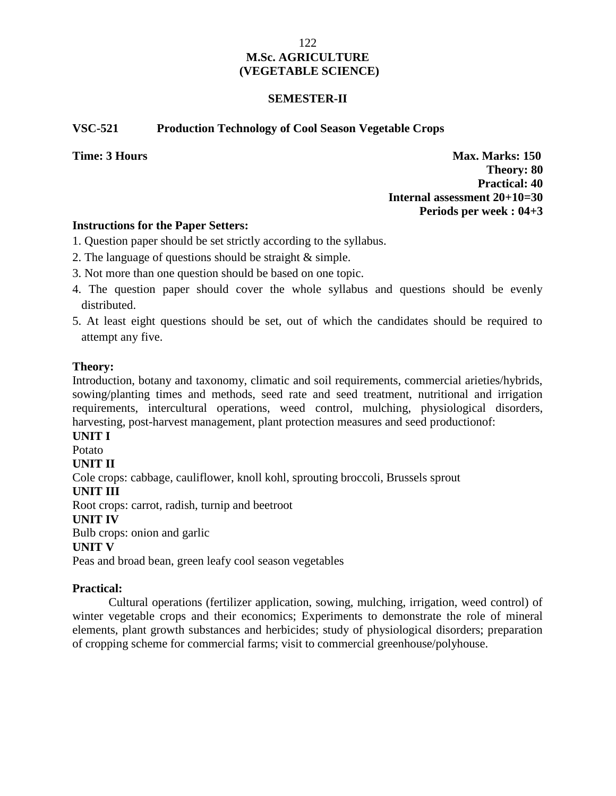# **SEMESTER-II**

# **VSC-521 Production Technology of Cool Season Vegetable Crops**

**Time: 3 Hours Max. Marks: 150 Theory: 80 Practical: 40 Internal assessment 20+10=30 Periods per week : 04+3**

#### **Instructions for the Paper Setters:**

- 1. Question paper should be set strictly according to the syllabus.
- 2. The language of questions should be straight & simple.
- 3. Not more than one question should be based on one topic.
- 4. The question paper should cover the whole syllabus and questions should be evenly distributed.
- 5. At least eight questions should be set, out of which the candidates should be required to attempt any five.

#### **Theory:**

Introduction, botany and taxonomy, climatic and soil requirements, commercial arieties/hybrids, sowing/planting times and methods, seed rate and seed treatment, nutritional and irrigation requirements, intercultural operations, weed control, mulching, physiological disorders, harvesting, post-harvest management, plant protection measures and seed productionof:

**UNIT I**

Potato

# **UNIT II**

Cole crops: cabbage, cauliflower, knoll kohl, sprouting broccoli, Brussels sprout

**UNIT III**

Root crops: carrot, radish, turnip and beetroot

# **UNIT IV**

Bulb crops: onion and garlic

# **UNIT V**

Peas and broad bean, green leafy cool season vegetables

# **Practical:**

Cultural operations (fertilizer application, sowing, mulching, irrigation, weed control) of winter vegetable crops and their economics; Experiments to demonstrate the role of mineral elements, plant growth substances and herbicides; study of physiological disorders; preparation of cropping scheme for commercial farms; visit to commercial greenhouse/polyhouse.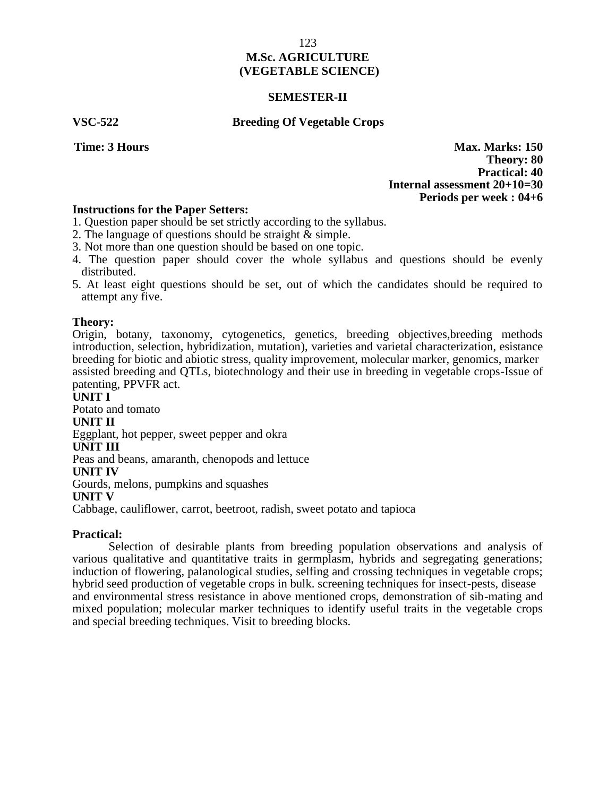#### **SEMESTER-II**

#### **VSC-522 Breeding Of Vegetable Crops**

**Time: 3 Hours Max. Marks: 150 Theory: 80 Practical: 40 Internal assessment 20+10=30 Periods per week : 04+6**

#### **Instructions for the Paper Setters:**

- 1. Question paper should be set strictly according to the syllabus.
- 2. The language of questions should be straight & simple.
- 3. Not more than one question should be based on one topic.
- 4. The question paper should cover the whole syllabus and questions should be evenly distributed.
- 5. At least eight questions should be set, out of which the candidates should be required to attempt any five.

#### **Theory:**

Origin, botany, taxonomy, cytogenetics, genetics, breeding objectives,breeding methods introduction, selection, hybridization, mutation), varieties and varietal characterization, esistance breeding for biotic and abiotic stress, quality improvement, molecular marker, genomics, marker assisted breeding and QTLs, biotechnology and their use in breeding in vegetable crops-Issue of patenting, PPVFR act.

#### **UNIT I**

Potato and tomato

#### **UNIT II**

Eggplant, hot pepper, sweet pepper and okra

#### **UNIT III**

Peas and beans, amaranth, chenopods and lettuce

#### **UNIT IV**

Gourds, melons, pumpkins and squashes

#### **UNIT V**

Cabbage, cauliflower, carrot, beetroot, radish, sweet potato and tapioca

#### **Practical:**

Selection of desirable plants from breeding population observations and analysis of various qualitative and quantitative traits in germplasm, hybrids and segregating generations; induction of flowering, palanological studies, selfing and crossing techniques in vegetable crops; hybrid seed production of vegetable crops in bulk. screening techniques for insect-pests, disease and environmental stress resistance in above mentioned crops, demonstration of sib-mating and mixed population; molecular marker techniques to identify useful traits in the vegetable crops and special breeding techniques. Visit to breeding blocks.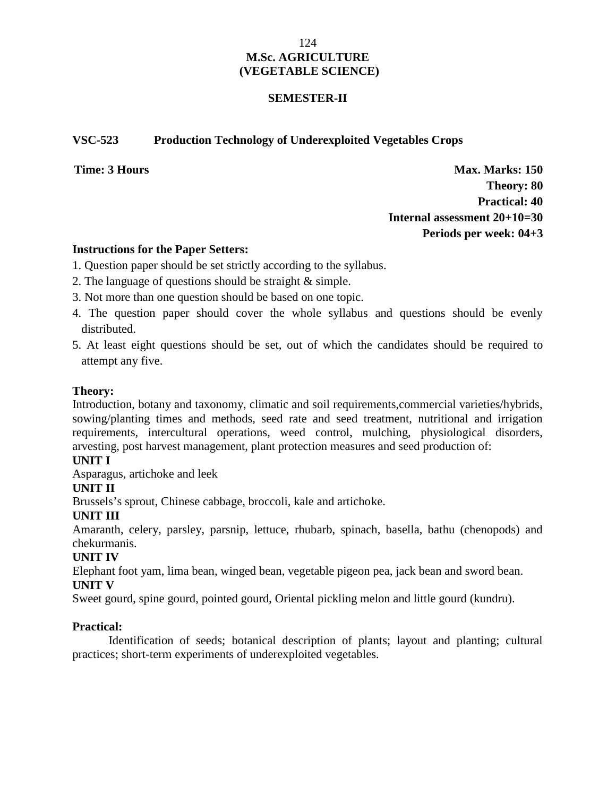### **SEMESTER-II**

## **VSC-523 Production Technology of Underexploited Vegetables Crops**

**Time: 3 Hours Max. Marks: 150 Theory: 80 Practical: 40 Internal assessment 20+10=30 Periods per week: 04+3**

#### **Instructions for the Paper Setters:**

- 1. Question paper should be set strictly according to the syllabus.
- 2. The language of questions should be straight & simple.
- 3. Not more than one question should be based on one topic.
- 4. The question paper should cover the whole syllabus and questions should be evenly distributed.
- 5. At least eight questions should be set, out of which the candidates should be required to attempt any five.

# **Theory:**

Introduction, botany and taxonomy, climatic and soil requirements,commercial varieties/hybrids, sowing/planting times and methods, seed rate and seed treatment, nutritional and irrigation requirements, intercultural operations, weed control, mulching, physiological disorders, arvesting, post harvest management, plant protection measures and seed production of:

# **UNIT I**

Asparagus, artichoke and leek

# **UNIT II**

Brussels's sprout, Chinese cabbage, broccoli, kale and artichoke.

# **UNIT III**

Amaranth, celery, parsley, parsnip, lettuce, rhubarb, spinach, basella, bathu (chenopods) and chekurmanis.

# **UNIT IV**

Elephant foot yam, lima bean, winged bean, vegetable pigeon pea, jack bean and sword bean.

# **UNIT V**

Sweet gourd, spine gourd, pointed gourd, Oriental pickling melon and little gourd (kundru).

# **Practical:**

Identification of seeds; botanical description of plants; layout and planting; cultural practices; short-term experiments of underexploited vegetables.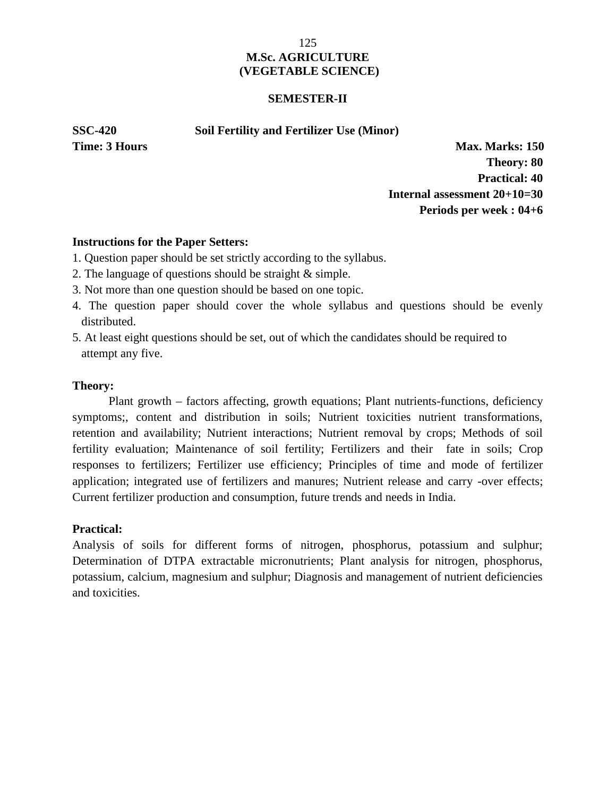#### **SEMESTER-II**

**SSC-420 Soil Fertility and Fertilizer Use (Minor)**

**Time: 3 Hours Max. Marks: 150 Theory: 80 Practical: 40 Internal assessment 20+10=30 Periods per week : 04+6**

# **Instructions for the Paper Setters:**

- 1. Question paper should be set strictly according to the syllabus.
- 2. The language of questions should be straight & simple.
- 3. Not more than one question should be based on one topic.
- 4. The question paper should cover the whole syllabus and questions should be evenly distributed.
- 5. At least eight questions should be set, out of which the candidates should be required to attempt any five.

#### **Theory:**

Plant growth – factors affecting, growth equations; Plant nutrients-functions, deficiency symptoms;, content and distribution in soils; Nutrient toxicities nutrient transformations, retention and availability; Nutrient interactions; Nutrient removal by crops; Methods of soil fertility evaluation; Maintenance of soil fertility; Fertilizers and their fate in soils; Crop responses to fertilizers; Fertilizer use efficiency; Principles of time and mode of fertilizer application; integrated use of fertilizers and manures; Nutrient release and carry -over effects; Current fertilizer production and consumption, future trends and needs in India.

# **Practical:**

Analysis of soils for different forms of nitrogen, phosphorus, potassium and sulphur; Determination of DTPA extractable micronutrients; Plant analysis for nitrogen, phosphorus, potassium, calcium, magnesium and sulphur; Diagnosis and management of nutrient deficiencies and toxicities.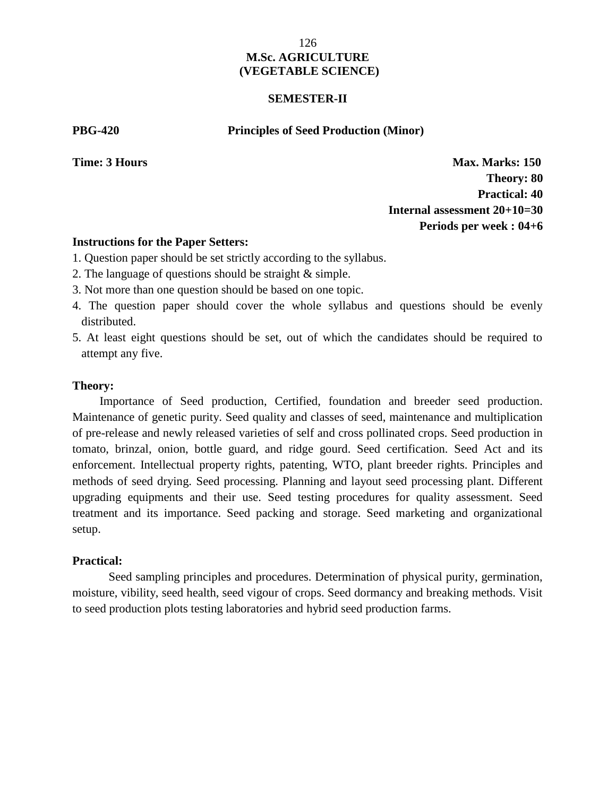#### **SEMESTER-II**

#### **PBG-420 Principles of Seed Production (Minor)**

**Time: 3 Hours Max. Marks: 150 Theory: 80 Practical: 40 Internal assessment 20+10=30 Periods per week : 04+6**

#### **Instructions for the Paper Setters:**

- 1. Question paper should be set strictly according to the syllabus.
- 2. The language of questions should be straight & simple.
- 3. Not more than one question should be based on one topic.
- 4. The question paper should cover the whole syllabus and questions should be evenly distributed.
- 5. At least eight questions should be set, out of which the candidates should be required to attempt any five.

#### **Theory:**

Importance of Seed production, Certified, foundation and breeder seed production. Maintenance of genetic purity. Seed quality and classes of seed, maintenance and multiplication of pre-release and newly released varieties of self and cross pollinated crops. Seed production in tomato, brinzal, onion, bottle guard, and ridge gourd. Seed certification. Seed Act and its enforcement. Intellectual property rights, patenting, WTO, plant breeder rights. Principles and methods of seed drying. Seed processing. Planning and layout seed processing plant. Different upgrading equipments and their use. Seed testing procedures for quality assessment. Seed treatment and its importance. Seed packing and storage. Seed marketing and organizational setup.

#### **Practical:**

Seed sampling principles and procedures. Determination of physical purity, germination, moisture, vibility, seed health, seed vigour of crops. Seed dormancy and breaking methods. Visit to seed production plots testing laboratories and hybrid seed production farms.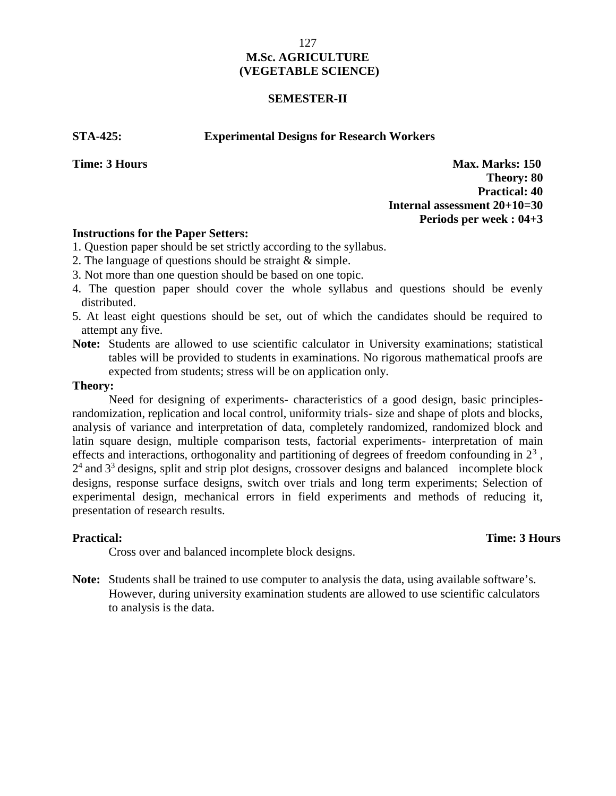#### **SEMESTER-II**

#### **STA-425: Experimental Designs for Research Workers**

**Time: 3 Hours Max. Marks: 150 Theory: 80 Practical: 40 Internal assessment 20+10=30 Periods per week : 04+3**

#### **Instructions for the Paper Setters:**

1. Question paper should be set strictly according to the syllabus.

- 2. The language of questions should be straight & simple.
- 3. Not more than one question should be based on one topic.
- 4. The question paper should cover the whole syllabus and questions should be evenly distributed.
- 5. At least eight questions should be set, out of which the candidates should be required to attempt any five.
- **Note:** Students are allowed to use scientific calculator in University examinations; statistical tables will be provided to students in examinations. No rigorous mathematical proofs are expected from students; stress will be on application only.

#### **Theory:**

Need for designing of experiments- characteristics of a good design, basic principlesrandomization, replication and local control, uniformity trials- size and shape of plots and blocks, analysis of variance and interpretation of data, completely randomized, randomized block and latin square design, multiple comparison tests, factorial experiments- interpretation of main effects and interactions, orthogonality and partitioning of degrees of freedom confounding in  $2<sup>3</sup>$ ,  $2<sup>4</sup>$  and  $3<sup>3</sup>$  designs, split and strip plot designs, crossover designs and balanced incomplete block designs, response surface designs, switch over trials and long term experiments; Selection of experimental design, mechanical errors in field experiments and methods of reducing it, presentation of research results.

#### **Practical:** Time: 3 Hours Unit trials, completely randomized, randomized, randomized,  $\frac{1}{2}$  randomized, 2 Hours

Cross over and balanced incomplete block designs.

**Note:** Students shall be trained to use computer to analysis the data, using available software's. However, during university examination students are allowed to use scientific calculators to analysis is the data.

127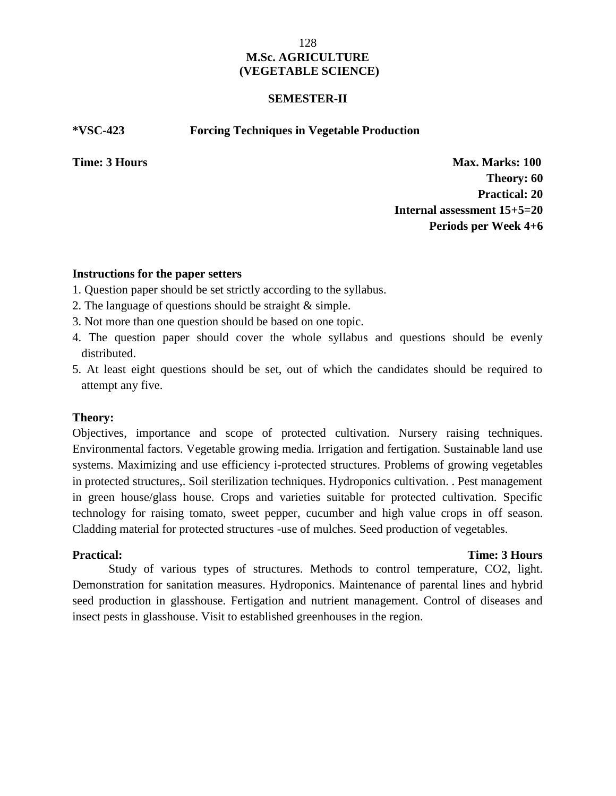#### **SEMESTER-II**

#### **\*VSC-423 Forcing Techniques in Vegetable Production**

**Time: 3 Hours Max. Marks: 100 Theory: 60 Practical: 20 Internal assessment 15+5=20 Periods per Week 4+6**

#### **Instructions for the paper setters**

- 1. Question paper should be set strictly according to the syllabus.
- 2. The language of questions should be straight & simple.
- 3. Not more than one question should be based on one topic.
- 4. The question paper should cover the whole syllabus and questions should be evenly distributed.
- 5. At least eight questions should be set, out of which the candidates should be required to attempt any five.

#### **Theory:**

Objectives, importance and scope of protected cultivation. Nursery raising techniques. Environmental factors. Vegetable growing media. Irrigation and fertigation. Sustainable land use systems. Maximizing and use efficiency i-protected structures. Problems of growing vegetables in protected structures,. Soil sterilization techniques. Hydroponics cultivation. . Pest management in green house/glass house. Crops and varieties suitable for protected cultivation. Specific technology for raising tomato, sweet pepper, cucumber and high value crops in off season. Cladding material for protected structures -use of mulches. Seed production of vegetables.

#### **Practical: Time: 3 Hours**

Study of various types of structures. Methods to control temperature, CO2, light. Demonstration for sanitation measures. Hydroponics. Maintenance of parental lines and hybrid seed production in glasshouse. Fertigation and nutrient management. Control of diseases and insect pests in glasshouse. Visit to established greenhouses in the region.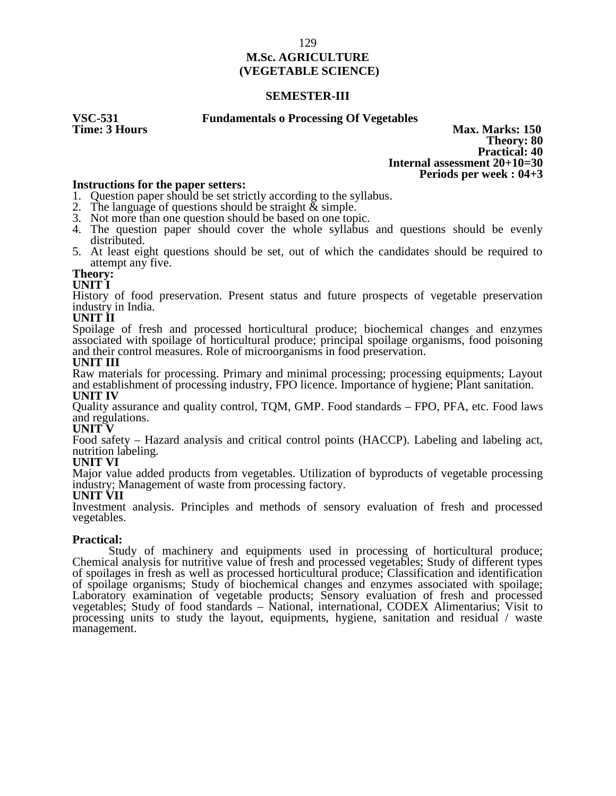#### **SEMESTER-III**

# **VSC-531 Fundamentals o Processing Of Vegetables**

**Max. Marks: 150 Theory: 80 Practical: 40 Internal assessment 20+10=30 Periods per week : 04+3**

#### **Instructions for the paper setters:**

1. Question paper should be set strictly according to the syllabus.

- 2. The language of questions should be straight  $\&$  simple.
- 3. Not more than one question should be based on one topic.
- 4. The question paper should cover the whole syllabus and questions should be evenly distributed.
- 5. At least eight questions should be set, out of which the candidates should be required to attempt any five.

# **Theory:**

#### **UNIT I**

History of food preservation. Present status and future prospects of vegetable preservation industry in India.

#### **UNIT II**

Spoilage of fresh and processed horticultural produce; biochemical changes and enzymes associated with spoilage of horticultural produce; principal spoilage organisms, food poisoning and their control measures. Role of microorganisms in food preservation.

#### **UNIT III**

Raw materials for processing. Primary and minimal processing; processing equipments; Layout and establishment of processing industry, FPO licence. Importance of hygiene; Plant sanitation. **UNIT IV**

Quality assurance and quality control, TQM, GMP. Food standards – FPO, PFA, etc. Food laws and regulations.

# **UNIT V**

Food safety – Hazard analysis and critical control points (HACCP). Labeling and labeling act, nutrition labeling.

#### **UNIT VI**

Major value added products from vegetables. Utilization of byproducts of vegetable processing industry; Management of waste from processing factory.

#### **UNIT VII**

Investment analysis. Principles and methods of sensory evaluation of fresh and processed vegetables.

#### **Practical:**

Study of machinery and equipments used in processing of horticultural produce; Chemical analysis for nutritive value of fresh and processed vegetables; Study of different types of spoilages in fresh as well as processed horticultural produce; Classification and identification of spoilage organisms; Study of biochemical changes and enzymes associated with spoilage; Laboratory examination of vegetable products; Sensory evaluation of fresh and processed vegetables; Study of food standards – National, international, CODEX Alimentarius; Visit to processing units to study the layout, equipments, hygiene, sanitation and residual / waste management.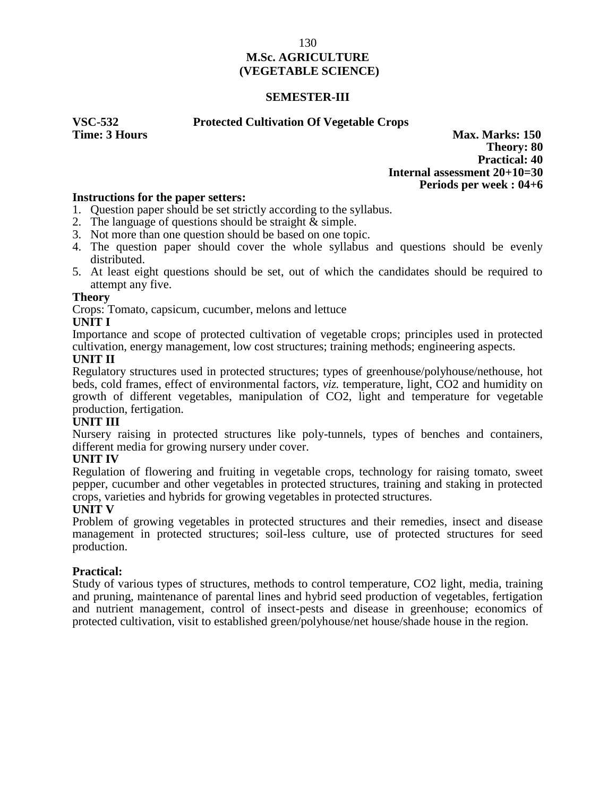#### **SEMESTER-III**

**VSC-532 Protected Cultivation Of Vegetable Crops**

**Max. Marks: 150 Theory: 80 Practical: 40 Internal assessment 20+10=30 Periods per week : 04+6**

#### **Instructions for the paper setters:**

- 1. Question paper should be set strictly according to the syllabus.
- 2. The language of questions should be straight  $\&$  simple.
- 3. Not more than one question should be based on one topic.
- 4. The question paper should cover the whole syllabus and questions should be evenly distributed.
- 5. At least eight questions should be set, out of which the candidates should be required to attempt any five.

#### **Theory**

Crops: Tomato, capsicum, cucumber, melons and lettuce

#### **UNIT I**

Importance and scope of protected cultivation of vegetable crops; principles used in protected cultivation, energy management, low cost structures; training methods; engineering aspects.

# **UNIT II**

Regulatory structures used in protected structures; types of greenhouse/polyhouse/nethouse, hot beds, cold frames, effect of environmental factors, *viz.* temperature, light, CO2 and humidity on growth of different vegetables, manipulation of CO2, light and temperature for vegetable production, fertigation.

#### **UNIT III**

Nursery raising in protected structures like poly-tunnels, types of benches and containers, different media for growing nursery under cover.

#### **UNIT IV**

Regulation of flowering and fruiting in vegetable crops, technology for raising tomato, sweet pepper, cucumber and other vegetables in protected structures, training and staking in protected crops, varieties and hybrids for growing vegetables in protected structures.

#### **UNIT V**

Problem of growing vegetables in protected structures and their remedies, insect and disease management in protected structures; soil-less culture, use of protected structures for seed production.

#### **Practical:**

Study of various types of structures, methods to control temperature, CO2 light, media, training and pruning, maintenance of parental lines and hybrid seed production of vegetables, fertigation and nutrient management, control of insect-pests and disease in greenhouse; economics of protected cultivation, visit to established green/polyhouse/net house/shade house in the region.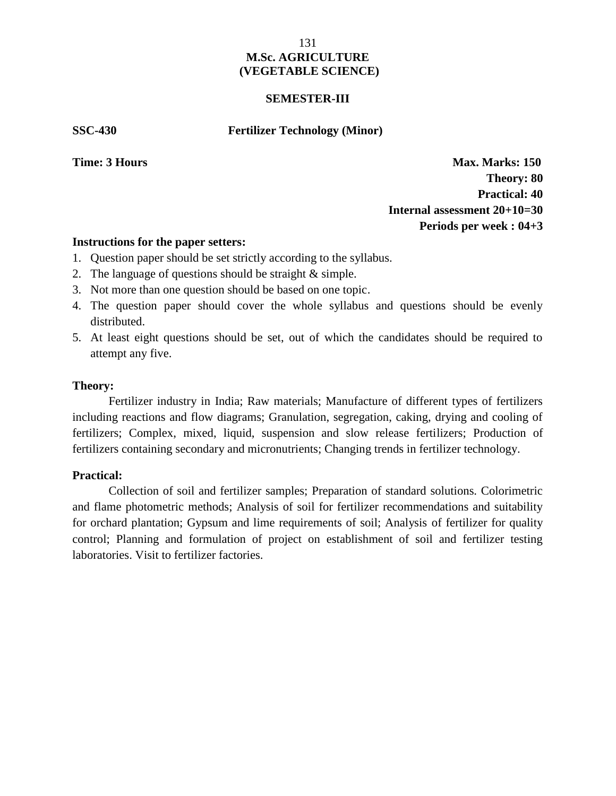#### **SEMESTER-III**

**SSC-430 Fertilizer Technology (Minor)**

**Time: 3 Hours Max. Marks: 150 Theory: 80 Practical: 40 Internal assessment 20+10=30 Periods per week : 04+3**

#### **Instructions for the paper setters:**

- 1. Question paper should be set strictly according to the syllabus.
- 2. The language of questions should be straight & simple.
- 3. Not more than one question should be based on one topic.
- 4. The question paper should cover the whole syllabus and questions should be evenly distributed.
- 5. At least eight questions should be set, out of which the candidates should be required to attempt any five.

#### **Theory:**

Fertilizer industry in India; Raw materials; Manufacture of different types of fertilizers including reactions and flow diagrams; Granulation, segregation, caking, drying and cooling of fertilizers; Complex, mixed, liquid, suspension and slow release fertilizers; Production of fertilizers containing secondary and micronutrients; Changing trends in fertilizer technology.

### **Practical: Time:** 3 **Hours Time:** 3 **Hours Time:** 3 **Hours Time:** 3 **Hours Time:** 3 **Hours Time:** 3 **Hours**

Collection of soil and fertilizer samples; Preparation of standard solutions. Colorimetric and flame photometric methods; Analysis of soil for fertilizer recommendations and suitability for orchard plantation; Gypsum and lime requirements of soil; Analysis of fertilizer for quality control; Planning and formulation of project on establishment of soil and fertilizer testing laboratories. Visit to fertilizer factories.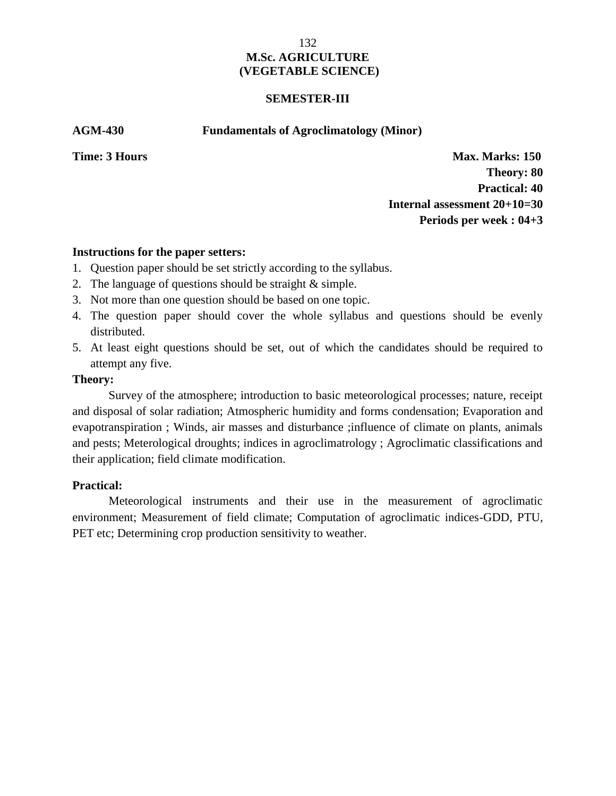#### **SEMESTER-III**

**AGM-430 Fundamentals of Agroclimatology (Minor)**

**Time: 3 Hours Max. Marks: 150 Theory: 80 Practical: 40 Internal assessment 20+10=30 Periods per week : 04+3**

#### **Instructions for the paper setters:**

- 1. Question paper should be set strictly according to the syllabus.
- 2. The language of questions should be straight & simple.
- 3. Not more than one question should be based on one topic.
- 4. The question paper should cover the whole syllabus and questions should be evenly distributed.
- 5. At least eight questions should be set, out of which the candidates should be required to attempt any five.

#### **Theory:**

Survey of the atmosphere; introduction to basic meteorological processes; nature, receipt and disposal of solar radiation; Atmospheric humidity and forms condensation; Evaporation and evapotranspiration ; Winds, air masses and disturbance ;influence of climate on plants, animals and pests; Meterological droughts; indices in agroclimatrology ; Agroclimatic classifications and their application; field climate modification.

# **Practical:**

Meteorological instruments and their use in the measurement of agroclimatic environment; Measurement of field climate; Computation of agroclimatic indices-GDD, PTU, PET etc; Determining crop production sensitivity to weather.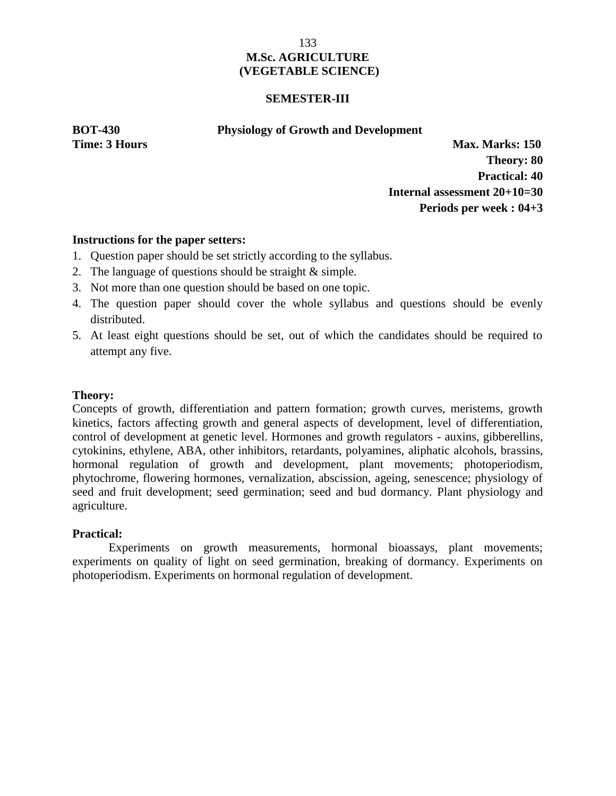#### **SEMESTER-III**

**BOT-430 Physiology of Growth and Development**

**Time: 3 Hours Max. Marks: 150 Theory: 80 Practical: 40 Internal assessment 20+10=30 Periods per week : 04+3**

# **Instructions for the paper setters:**

- 1. Question paper should be set strictly according to the syllabus.
- 2. The language of questions should be straight & simple.
- 3. Not more than one question should be based on one topic.
- 4. The question paper should cover the whole syllabus and questions should be evenly distributed.
- 5. At least eight questions should be set, out of which the candidates should be required to attempt any five.

# **Theory:**

Concepts of growth, differentiation and pattern formation; growth curves, meristems, growth kinetics, factors affecting growth and general aspects of development, level of differentiation, control of development at genetic level. Hormones and growth regulators - auxins, gibberellins, cytokinins, ethylene, ABA, other inhibitors, retardants, polyamines, aliphatic alcohols, brassins, hormonal regulation of growth and development, plant movements; photoperiodism, phytochrome, flowering hormones, vernalization, abscission, ageing, senescence; physiology of seed and fruit development; seed germination; seed and bud dormancy. Plant physiology and agriculture.

# **Practical:**

Experiments on growth measurements, hormonal bioassays, plant movements; experiments on quality of light on seed germination, breaking of dormancy. Experiments on photoperiodism. Experiments on hormonal regulation of development.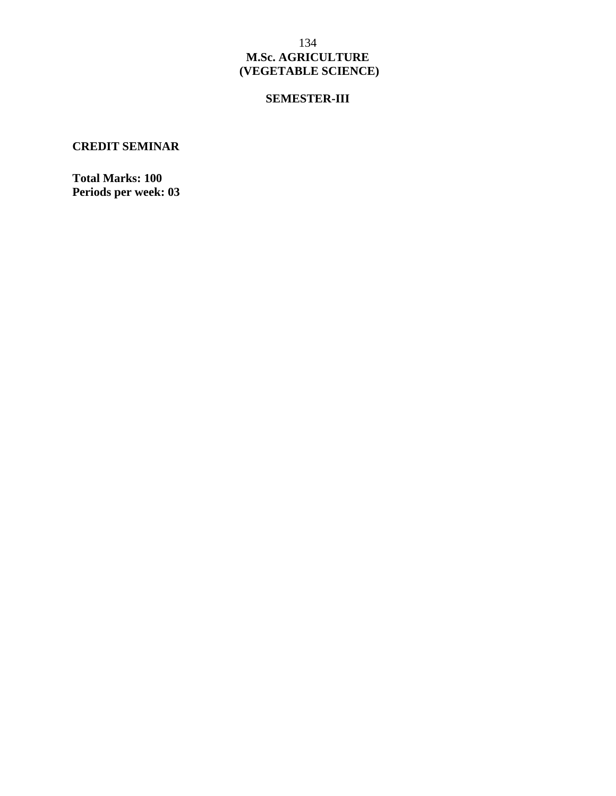# **SEMESTER-III**

# **CREDIT SEMINAR**

**Total Marks: 100 Periods per week: 03**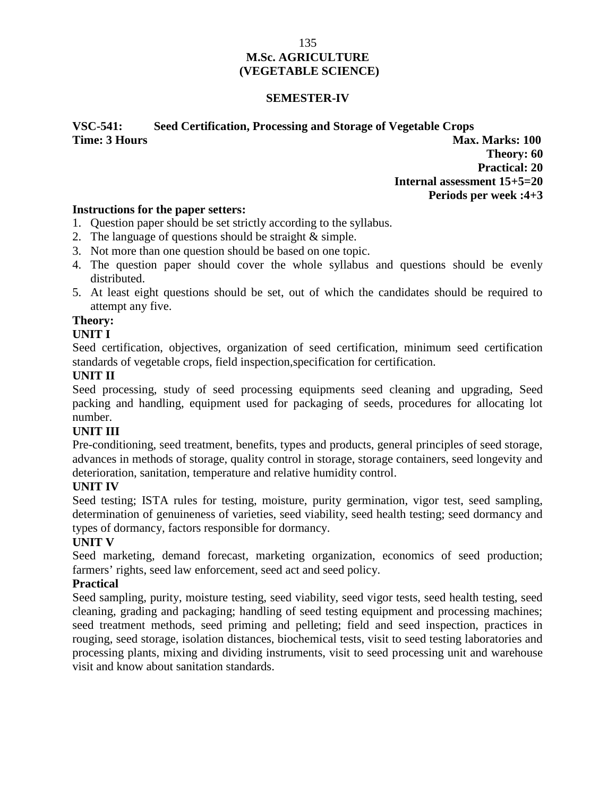## **SEMESTER-IV**

# **VSC-541: Seed Certification, Processing and Storage of Vegetable Crops Time: 3 Hours Max. Marks: 100**

**Theory: 60 Practical: 20 Internal assessment 15+5=20 Periods per week :4+3**

#### **Instructions for the paper setters:**

- 1. Question paper should be set strictly according to the syllabus.
- 2. The language of questions should be straight & simple.
- 3. Not more than one question should be based on one topic.
- 4. The question paper should cover the whole syllabus and questions should be evenly distributed.
- 5. At least eight questions should be set, out of which the candidates should be required to attempt any five.

# **Theory:**

# **UNIT I**

Seed certification, objectives, organization of seed certification, minimum seed certification standards of vegetable crops, field inspection,specification for certification.

# **UNIT II**

Seed processing, study of seed processing equipments seed cleaning and upgrading, Seed packing and handling, equipment used for packaging of seeds, procedures for allocating lot number.

# **UNIT III**

Pre-conditioning, seed treatment, benefits, types and products, general principles of seed storage, advances in methods of storage, quality control in storage, storage containers, seed longevity and deterioration, sanitation, temperature and relative humidity control.

# **UNIT IV**

Seed testing; ISTA rules for testing, moisture, purity germination, vigor test, seed sampling, determination of genuineness of varieties, seed viability, seed health testing; seed dormancy and types of dormancy, factors responsible for dormancy.

# **UNIT V**

Seed marketing, demand forecast, marketing organization, economics of seed production; farmers' rights, seed law enforcement, seed act and seed policy.

# **Practical**

Seed sampling, purity, moisture testing, seed viability, seed vigor tests, seed health testing, seed cleaning, grading and packaging; handling of seed testing equipment and processing machines; seed treatment methods, seed priming and pelleting; field and seed inspection, practices in rouging, seed storage, isolation distances, biochemical tests, visit to seed testing laboratories and processing plants, mixing and dividing instruments, visit to seed processing unit and warehouse visit and know about sanitation standards.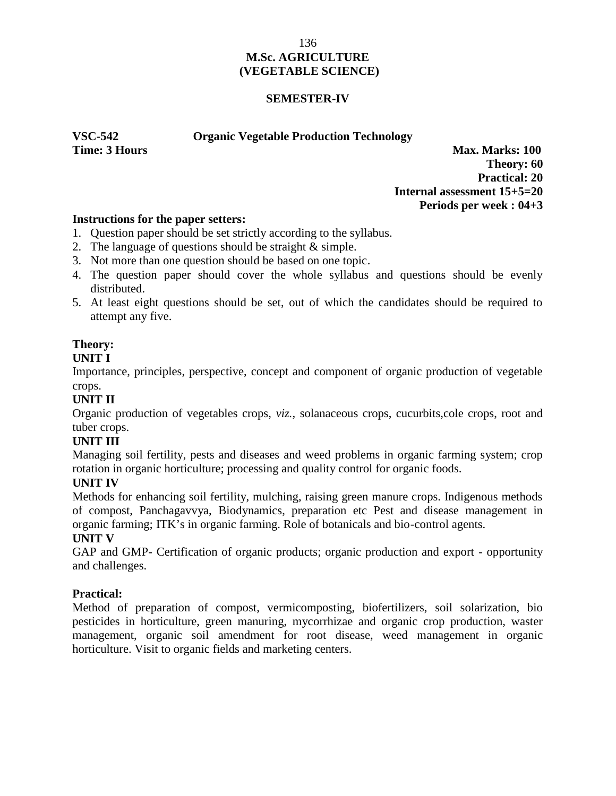### **SEMESTER-IV**

# **VSC-542 Organic Vegetable Production Technology**

**Time: 3 Hours Max. Marks: 100 Theory: 60 Practical: 20 Internal assessment 15+5=20 Periods per week : 04+3**

# **Instructions for the paper setters:**

- 1. Question paper should be set strictly according to the syllabus.
- 2. The language of questions should be straight & simple.
- 3. Not more than one question should be based on one topic.
- 4. The question paper should cover the whole syllabus and questions should be evenly distributed.
- 5. At least eight questions should be set, out of which the candidates should be required to attempt any five.

# **Theory:**

#### **UNIT I**

Importance, principles, perspective, concept and component of organic production of vegetable crops.

# **UNIT II**

Organic production of vegetables crops, *viz.,* solanaceous crops, cucurbits,cole crops, root and tuber crops.

# **UNIT III**

Managing soil fertility, pests and diseases and weed problems in organic farming system; crop rotation in organic horticulture; processing and quality control for organic foods.

# **UNIT IV**

Methods for enhancing soil fertility, mulching, raising green manure crops. Indigenous methods of compost, Panchagavvya, Biodynamics, preparation etc Pest and disease management in organic farming; ITK's in organic farming. Role of botanicals and bio-control agents.

# **UNIT V**

GAP and GMP- Certification of organic products; organic production and export - opportunity and challenges.

# **Practical:**

Method of preparation of compost, vermicomposting, biofertilizers, soil solarization, bio pesticides in horticulture, green manuring, mycorrhizae and organic crop production, waster management, organic soil amendment for root disease, weed management in organic horticulture. Visit to organic fields and marketing centers.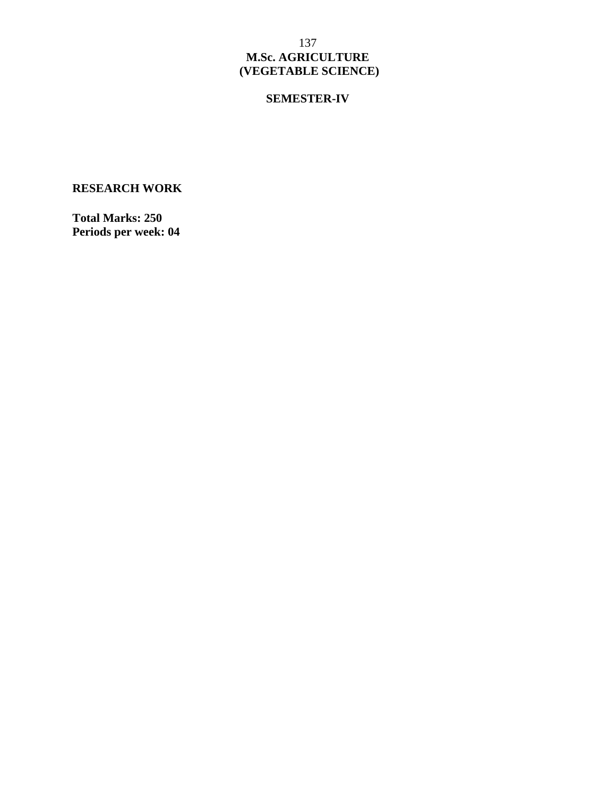# **SEMESTER-IV**

**RESEARCH WORK**

**Total Marks: 250 Periods per week: 04**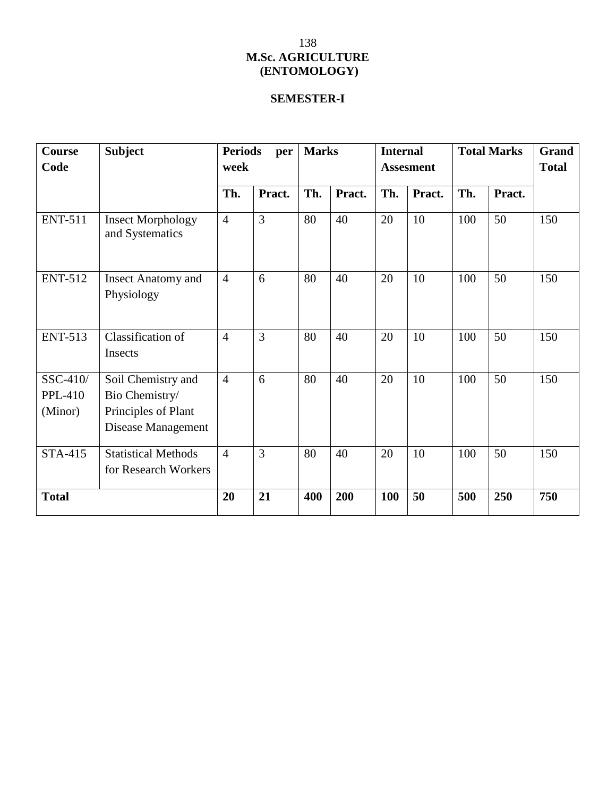# **SEMESTER-I**

| Course<br>Code                        | <b>Subject</b>                                                                    | <b>Periods</b><br>per<br>week |                | <b>Marks</b> |        | <b>Internal</b><br><b>Assesment</b> |        | <b>Total Marks</b> |        | Grand<br><b>Total</b> |
|---------------------------------------|-----------------------------------------------------------------------------------|-------------------------------|----------------|--------------|--------|-------------------------------------|--------|--------------------|--------|-----------------------|
|                                       |                                                                                   | Th.                           | Pract.         | Th.          | Pract. | Th.                                 | Pract. | Th.                | Pract. |                       |
| <b>ENT-511</b>                        | <b>Insect Morphology</b><br>and Systematics                                       | $\overline{4}$                | 3              | 80           | 40     | 20                                  | 10     | 100                | 50     | 150                   |
| <b>ENT-512</b>                        | <b>Insect Anatomy and</b><br>Physiology                                           | $\overline{4}$                | 6              | 80           | 40     | 20                                  | 10     | 100                | 50     | 150                   |
| <b>ENT-513</b>                        | Classification of<br>Insects                                                      | $\overline{4}$                | $\overline{3}$ | 80           | 40     | 20                                  | 10     | 100                | 50     | 150                   |
| SSC-410/<br><b>PPL-410</b><br>(Minor) | Soil Chemistry and<br>Bio Chemistry/<br>Principles of Plant<br>Disease Management | $\overline{4}$                | 6              | 80           | 40     | 20                                  | 10     | 100                | 50     | 150                   |
| STA-415                               | <b>Statistical Methods</b><br>for Research Workers                                | $\overline{4}$                | 3              | 80           | 40     | 20                                  | 10     | 100                | 50     | 150                   |
| <b>Total</b>                          |                                                                                   | 20                            | 21             | 400          | 200    | <b>100</b>                          | 50     | 500                | 250    | 750                   |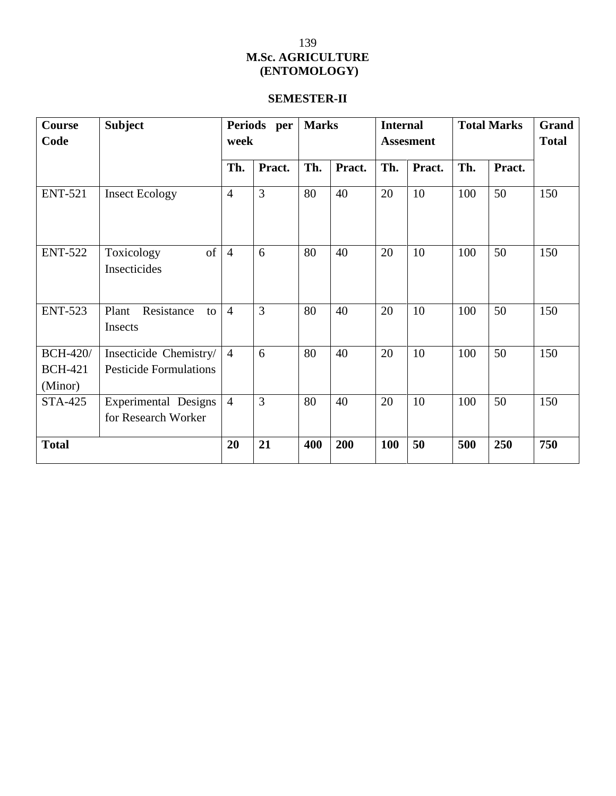# **SEMESTER-II**

| Course<br>Code                               | <b>Subject</b>                                          | Periods per<br><b>Marks</b><br>week |                |     |        | <b>Internal</b><br><b>Assesment</b> |        | <b>Total Marks</b> |        | Grand<br><b>Total</b> |
|----------------------------------------------|---------------------------------------------------------|-------------------------------------|----------------|-----|--------|-------------------------------------|--------|--------------------|--------|-----------------------|
|                                              |                                                         | Th.                                 | Pract.         | Th. | Pract. | Th.                                 | Pract. | Th.                | Pract. |                       |
| <b>ENT-521</b>                               | <b>Insect Ecology</b>                                   | $\overline{4}$                      | $\overline{3}$ | 80  | 40     | 20                                  | 10     | 100                | 50     | 150                   |
| <b>ENT-522</b>                               | of<br>Toxicology<br>Insecticides                        | $\overline{4}$                      | 6              | 80  | 40     | 20                                  | 10     | 100                | 50     | 150                   |
| <b>ENT-523</b>                               | Resistance<br>Plant<br>to<br>Insects                    | $\overline{4}$                      | 3              | 80  | 40     | 20                                  | 10     | 100                | 50     | 150                   |
| <b>BCH-420/</b><br><b>BCH-421</b><br>(Minor) | Insecticide Chemistry/<br><b>Pesticide Formulations</b> | $\overline{4}$                      | 6              | 80  | 40     | 20                                  | 10     | 100                | 50     | 150                   |
| <b>STA-425</b>                               | Experimental Designs<br>for Research Worker             | $\overline{4}$                      | $\overline{3}$ | 80  | 40     | 20                                  | 10     | 100                | 50     | 150                   |
| <b>Total</b>                                 |                                                         | 20                                  | 21             | 400 | 200    | <b>100</b>                          | 50     | 500                | 250    | 750                   |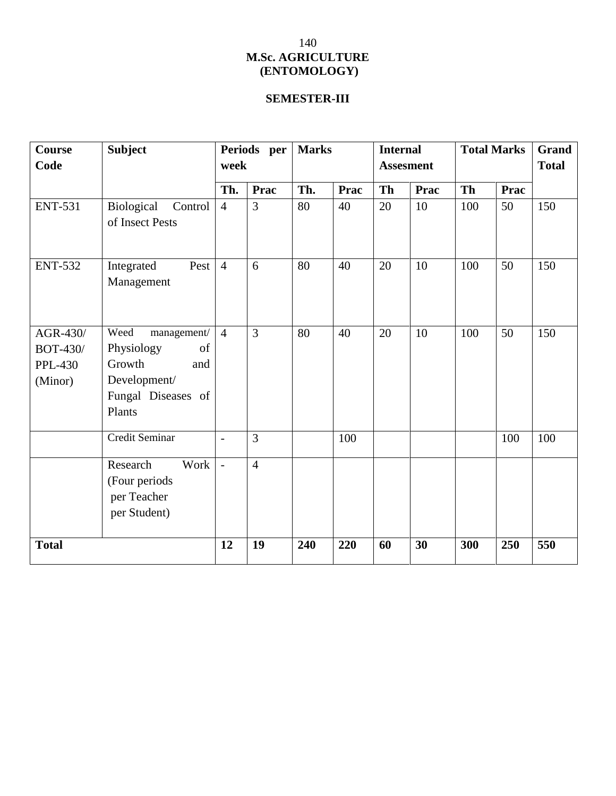# **SEMESTER-III**

| <b>Course</b><br>Code                                    | <b>Subject</b>                                                                                           | Periods per<br>week      |                | <b>Marks</b> |             | <b>Internal</b><br><b>Assesment</b> |      | <b>Total Marks</b> |      | Grand<br><b>Total</b> |
|----------------------------------------------------------|----------------------------------------------------------------------------------------------------------|--------------------------|----------------|--------------|-------------|-------------------------------------|------|--------------------|------|-----------------------|
|                                                          |                                                                                                          | Th.                      | Prac           | Th.          | <b>Prac</b> | <b>Th</b>                           | Prac | <b>Th</b>          | Prac |                       |
| <b>ENT-531</b>                                           | Biological<br>Control<br>of Insect Pests                                                                 | $\overline{4}$           | 3              | 80           | 40          | 20                                  | 10   | 100                | 50   | 150                   |
| <b>ENT-532</b>                                           | Integrated<br>Pest<br>Management                                                                         | $\overline{4}$           | 6              | 80           | 40          | 20                                  | 10   | 100                | 50   | 150                   |
| AGR-430/<br><b>BOT-430/</b><br><b>PPL-430</b><br>(Minor) | Weed<br>management/<br>Physiology<br>of<br>Growth<br>and<br>Development/<br>Fungal Diseases of<br>Plants | $\overline{4}$           | 3              | 80           | 40          | 20                                  | 10   | 100                | 50   | 150                   |
|                                                          | Credit Seminar                                                                                           | $\overline{\phantom{a}}$ | 3              |              | 100         |                                     |      |                    | 100  | 100                   |
|                                                          | Work<br>Research<br>(Four periods<br>per Teacher<br>per Student)                                         |                          | $\overline{4}$ |              |             |                                     |      |                    |      |                       |
| <b>Total</b>                                             |                                                                                                          | 12                       | 19             | 240          | 220         | 60                                  | 30   | 300                | 250  | 550                   |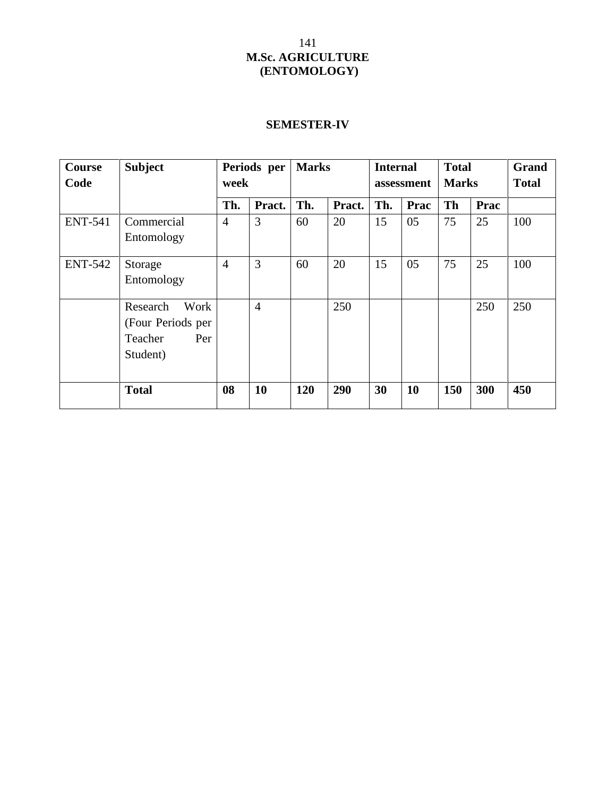# **SEMESTER-IV**

| <b>Course</b><br>Code | <b>Subject</b>                                                      | Periods per<br>week |                |     | <b>Marks</b> |     | <b>Internal</b><br>assessment |           | <b>Total</b><br><b>Marks</b> | Grand<br><b>Total</b> |
|-----------------------|---------------------------------------------------------------------|---------------------|----------------|-----|--------------|-----|-------------------------------|-----------|------------------------------|-----------------------|
|                       |                                                                     | Th.                 | Pract.         | Th. | Pract.       | Th. | Prac                          | <b>Th</b> | Prac                         |                       |
| <b>ENT-541</b>        | Commercial<br>Entomology                                            | $\overline{4}$      | 3              | 60  | 20           | 15  | 05                            | 75        | 25                           | 100                   |
| <b>ENT-542</b>        | Storage<br>Entomology                                               | $\overline{4}$      | $\overline{3}$ | 60  | 20           | 15  | 05                            | 75        | 25                           | 100                   |
|                       | Work<br>Research<br>(Four Periods per<br>Teacher<br>Per<br>Student) |                     | $\overline{4}$ |     | 250          |     |                               |           | 250                          | 250                   |
|                       | <b>Total</b>                                                        | 08                  | 10             | 120 | 290          | 30  | 10                            | 150       | 300                          | 450                   |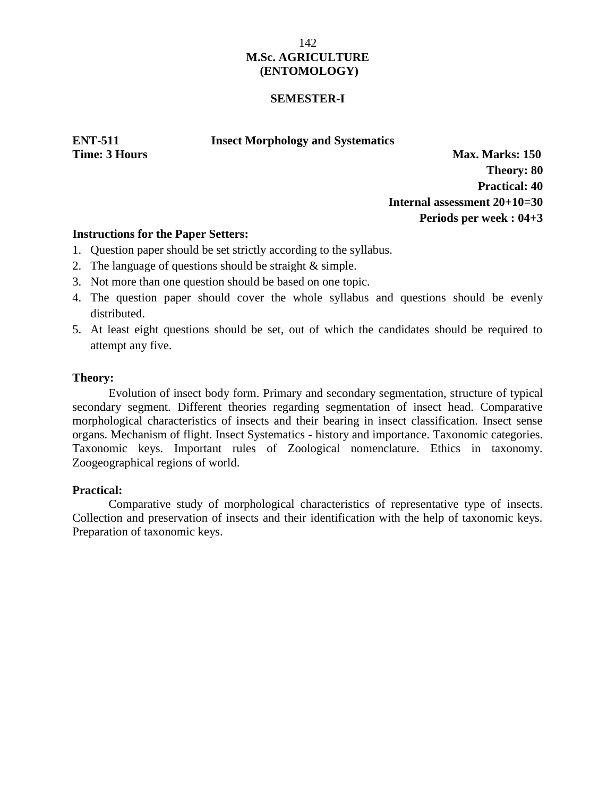#### **SEMESTER-I**

#### **ENT-511 Insect Morphology and Systematics**

**Time: 3 Hours Max. Marks: 150 Theory: 80 Practical: 40 Internal assessment 20+10=30 Periods per week : 04+3**

# **Instructions for the Paper Setters:**

- 1. Question paper should be set strictly according to the syllabus.
- 2. The language of questions should be straight & simple.
- 3. Not more than one question should be based on one topic.
- 4. The question paper should cover the whole syllabus and questions should be evenly distributed.
- 5. At least eight questions should be set, out of which the candidates should be required to attempt any five.

#### **Theory:**

Evolution of insect body form. Primary and secondary segmentation, structure of typical secondary segment. Different theories regarding segmentation of insect head. Comparative morphological characteristics of insects and their bearing in insect classification. Insect sense organs. Mechanism of flight. Insect Systematics - history and importance. Taxonomic categories. Taxonomic keys. Important rules of Zoological nomenclature. Ethics in taxonomy. Zoogeographical regions of world.

# **Practical:**

Comparative study of morphological characteristics of representative type of insects. Collection and preservation of insects and their identification with the help of taxonomic keys. Preparation of taxonomic keys.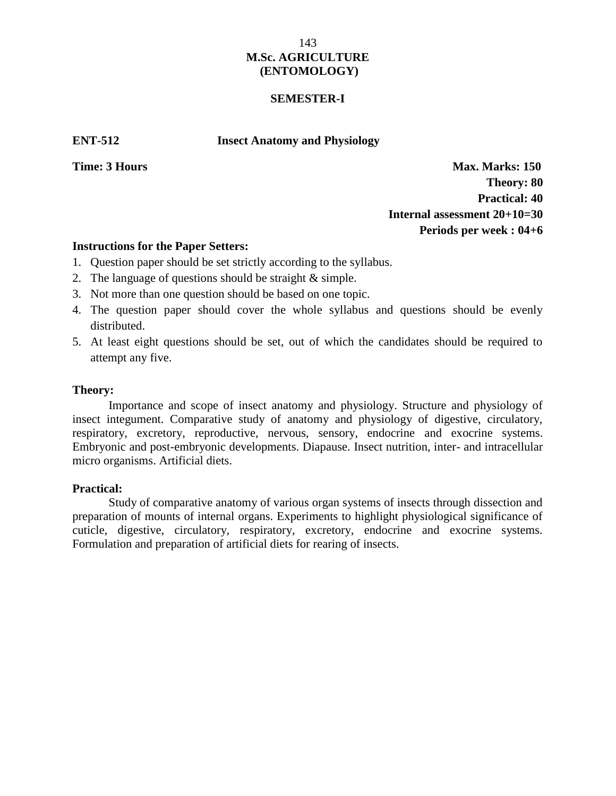#### **SEMESTER-I**

**ENT-512 Insect Anatomy and Physiology**

**Time: 3 Hours Max. Marks: 150 Theory: 80 Practical: 40 Internal assessment 20+10=30 Periods per week : 04+6**

#### **Instructions for the Paper Setters:**

- 1. Question paper should be set strictly according to the syllabus.
- 2. The language of questions should be straight & simple.
- 3. Not more than one question should be based on one topic.
- 4. The question paper should cover the whole syllabus and questions should be evenly distributed.
- 5. At least eight questions should be set, out of which the candidates should be required to attempt any five.

#### **Theory:**

Importance and scope of insect anatomy and physiology. Structure and physiology of insect integument. Comparative study of anatomy and physiology of digestive, circulatory, respiratory, excretory, reproductive, nervous, sensory, endocrine and exocrine systems. Embryonic and post-embryonic developments. Diapause. Insect nutrition, inter- and intracellular micro organisms. Artificial diets.

#### **Practical:**

Study of comparative anatomy of various organ systems of insects through dissection and preparation of mounts of internal organs. Experiments to highlight physiological significance of cuticle, digestive, circulatory, respiratory, excretory, endocrine and exocrine systems. Formulation and preparation of artificial diets for rearing of insects.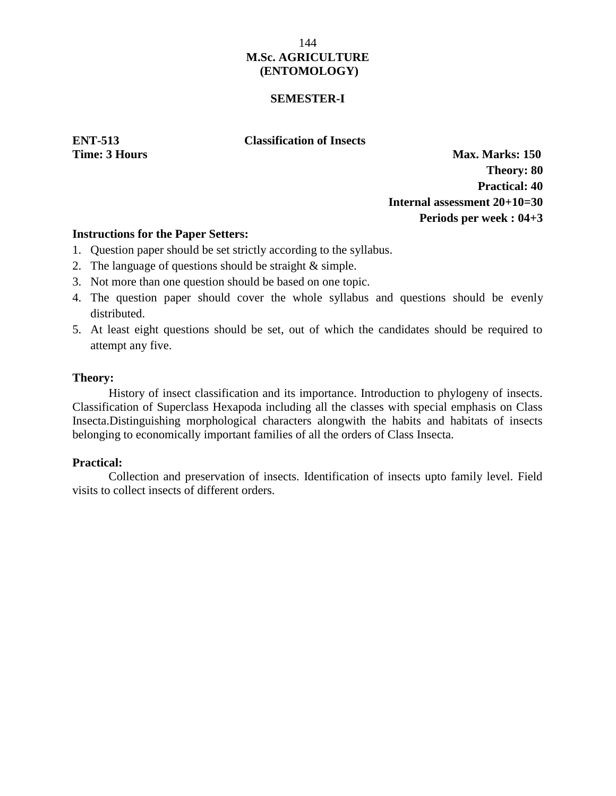## **SEMESTER-I**

**ENT-513 Classification of Insects**

**Time: 3 Hours Max. Marks: 150 Theory: 80 Practical: 40 Internal assessment 20+10=30 Periods per week : 04+3**

# **Instructions for the Paper Setters:**

- 1. Question paper should be set strictly according to the syllabus.
- 2. The language of questions should be straight & simple.
- 3. Not more than one question should be based on one topic.
- 4. The question paper should cover the whole syllabus and questions should be evenly distributed.
- 5. At least eight questions should be set, out of which the candidates should be required to attempt any five.

## **Theory:**

History of insect classification and its importance. Introduction to phylogeny of insects. Classification of Superclass Hexapoda including all the classes with special emphasis on Class Insecta.Distinguishing morphological characters alongwith the habits and habitats of insects belonging to economically important families of all the orders of Class Insecta.

# **Practical:**

Collection and preservation of insects. Identification of insects upto family level. Field visits to collect insects of different orders.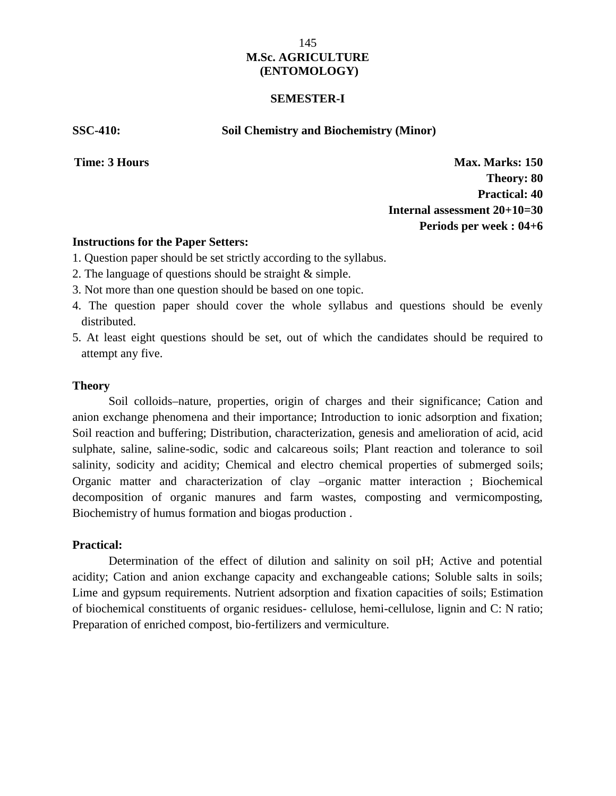#### **SEMESTER-I**

**SSC-410: Soil Chemistry and Biochemistry (Minor)**

**Time: 3 Hours Max. Marks: 150 Theory: 80 Practical: 40 Internal assessment 20+10=30 Periods per week : 04+6**

#### **Instructions for the Paper Setters:**

- 1. Question paper should be set strictly according to the syllabus.
- 2. The language of questions should be straight & simple.
- 3. Not more than one question should be based on one topic.
- 4. The question paper should cover the whole syllabus and questions should be evenly distributed.
- 5. At least eight questions should be set, out of which the candidates should be required to attempt any five.

#### **Theory**

Soil colloids–nature, properties, origin of charges and their significance; Cation and anion exchange phenomena and their importance; Introduction to ionic adsorption and fixation; Soil reaction and buffering; Distribution, characterization, genesis and amelioration of acid, acid sulphate, saline, saline-sodic, sodic and calcareous soils; Plant reaction and tolerance to soil salinity, sodicity and acidity; Chemical and electro chemical properties of submerged soils; Organic matter and characterization of clay –organic matter interaction ; Biochemical decomposition of organic manures and farm wastes, composting and vermicomposting, Biochemistry of humus formation and biogas production .

## **Practical:**

Determination of the effect of dilution and salinity on soil pH; Active and potential acidity; Cation and anion exchange capacity and exchangeable cations; Soluble salts in soils; Lime and gypsum requirements. Nutrient adsorption and fixation capacities of soils; Estimation of biochemical constituents of organic residues- cellulose, hemi-cellulose, lignin and C: N ratio; Preparation of enriched compost, bio-fertilizers and vermiculture.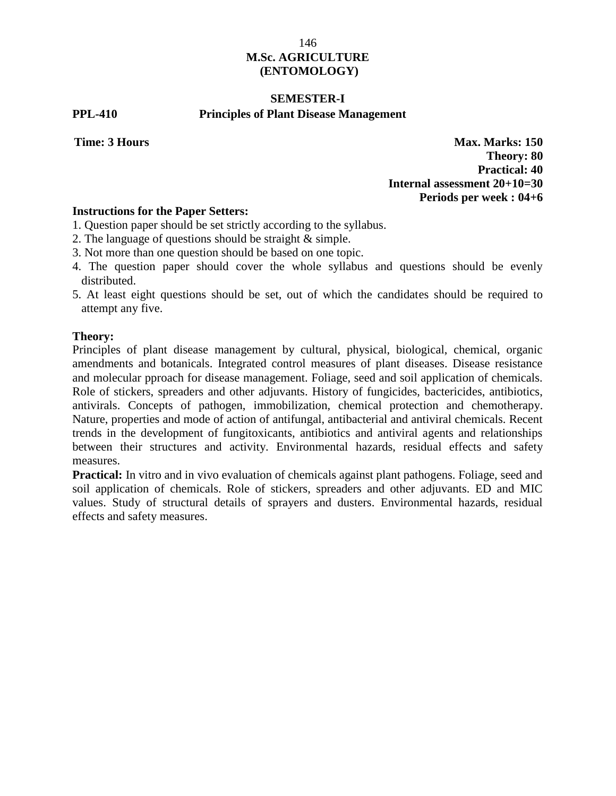# **SEMESTER-I**

# **PPL-410 Principles of Plant Disease Management**

**Time: 3 Hours Max. Marks: 150 Theory: 80 Practical: 40 Internal assessment 20+10=30 Periods per week : 04+6**

# **Instructions for the Paper Setters:**

- 1. Question paper should be set strictly according to the syllabus.
- 2. The language of questions should be straight & simple.
- 3. Not more than one question should be based on one topic.
- 4. The question paper should cover the whole syllabus and questions should be evenly distributed.
- 5. At least eight questions should be set, out of which the candidates should be required to attempt any five.

## **Theory:**

Principles of plant disease management by cultural, physical, biological, chemical, organic amendments and botanicals. Integrated control measures of plant diseases. Disease resistance and molecular pproach for disease management. Foliage, seed and soil application of chemicals. Role of stickers, spreaders and other adjuvants. History of fungicides, bactericides, antibiotics, antivirals. Concepts of pathogen, immobilization, chemical protection and chemotherapy. Nature, properties and mode of action of antifungal, antibacterial and antiviral chemicals. Recent trends in the development of fungitoxicants, antibiotics and antiviral agents and relationships between their structures and activity. Environmental hazards, residual effects and safety measures.

**Practical:** In vitro and in vivo evaluation of chemicals against plant pathogens. Foliage, seed and soil application of chemicals. Role of stickers, spreaders and other adjuvants. ED and MIC values. Study of structural details of sprayers and dusters. Environmental hazards, residual effects and safety measures.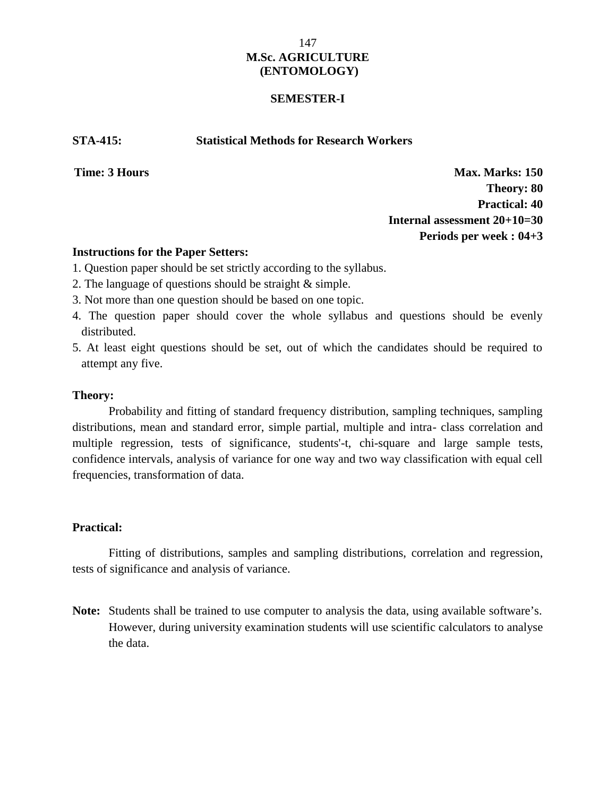## **SEMESTER-I**

**STA-415: Statistical Methods for Research Workers**

**Time: 3 Hours Max. Marks: 150 Theory: 80 Practical: 40 Internal assessment 20+10=30 Periods per week : 04+3**

## **Instructions for the Paper Setters:**

- 1. Question paper should be set strictly according to the syllabus.
- 2. The language of questions should be straight & simple.
- 3. Not more than one question should be based on one topic.
- 4. The question paper should cover the whole syllabus and questions should be evenly distributed.
- 5. At least eight questions should be set, out of which the candidates should be required to attempt any five.

## **Theory:**

Probability and fitting of standard frequency distribution, sampling techniques, sampling distributions, mean and standard error, simple partial, multiple and intra- class correlation and multiple regression, tests of significance, students'-t, chi-square and large sample tests, confidence intervals, analysis of variance for one way and two way classification with equal cell frequencies, transformation of data.

## **Practical:**

Fitting of distributions, samples and sampling distributions, correlation and regression, tests of significance and analysis of variance.

**Note:** Students shall be trained to use computer to analysis the data, using available software's. However, during university examination students will use scientific calculators to analyse the data.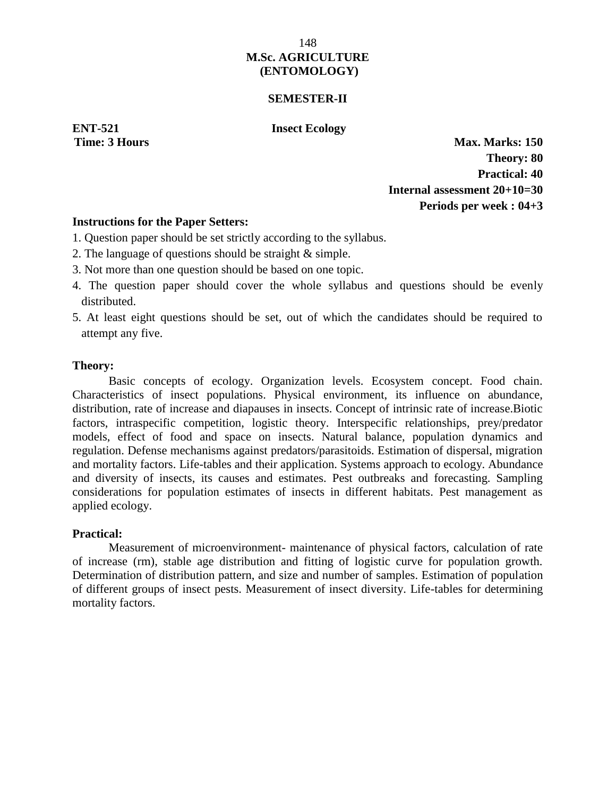## **SEMESTER-II**

**ENT-521 Insect Ecology**

**Time: 3 Hours Max. Marks: 150 Theory: 80 Practical: 40 Internal assessment 20+10=30 Periods per week : 04+3**

## **Instructions for the Paper Setters:**

- 1. Question paper should be set strictly according to the syllabus.
- 2. The language of questions should be straight & simple.
- 3. Not more than one question should be based on one topic.
- 4. The question paper should cover the whole syllabus and questions should be evenly distributed.
- 5. At least eight questions should be set, out of which the candidates should be required to attempt any five.

## **Theory:**

Basic concepts of ecology. Organization levels. Ecosystem concept. Food chain. Characteristics of insect populations. Physical environment, its influence on abundance, distribution, rate of increase and diapauses in insects. Concept of intrinsic rate of increase.Biotic factors, intraspecific competition, logistic theory. Interspecific relationships, prey/predator models, effect of food and space on insects. Natural balance, population dynamics and regulation. Defense mechanisms against predators/parasitoids. Estimation of dispersal, migration and mortality factors. Life-tables and their application. Systems approach to ecology. Abundance and diversity of insects, its causes and estimates. Pest outbreaks and forecasting. Sampling considerations for population estimates of insects in different habitats. Pest management as applied ecology.

## **Practical:**

Measurement of microenvironment- maintenance of physical factors, calculation of rate of increase (rm), stable age distribution and fitting of logistic curve for population growth. Determination of distribution pattern, and size and number of samples. Estimation of population of different groups of insect pests. Measurement of insect diversity. Life-tables for determining mortality factors.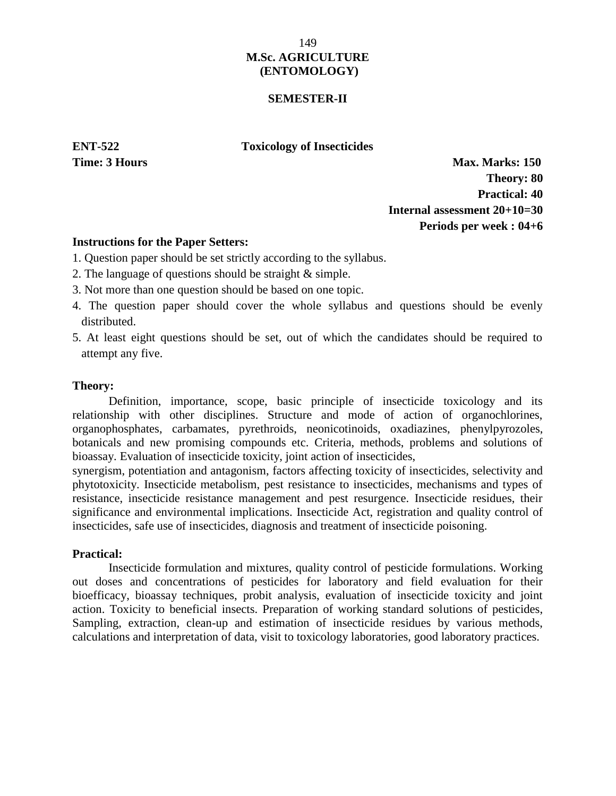## **SEMESTER-II**

**ENT-522 Toxicology of Insecticides**

**Time: 3 Hours Max. Marks: 150 Theory: 80 Practical: 40 Internal assessment 20+10=30 Periods per week : 04+6**

#### **Instructions for the Paper Setters:**

- 1. Question paper should be set strictly according to the syllabus.
- 2. The language of questions should be straight & simple.
- 3. Not more than one question should be based on one topic.
- 4. The question paper should cover the whole syllabus and questions should be evenly distributed.
- 5. At least eight questions should be set, out of which the candidates should be required to attempt any five.

#### **Theory:**

Definition, importance, scope, basic principle of insecticide toxicology and its relationship with other disciplines. Structure and mode of action of organochlorines, organophosphates, carbamates, pyrethroids, neonicotinoids, oxadiazines, phenylpyrozoles, botanicals and new promising compounds etc. Criteria, methods, problems and solutions of bioassay. Evaluation of insecticide toxicity, joint action of insecticides,

synergism, potentiation and antagonism, factors affecting toxicity of insecticides, selectivity and phytotoxicity. Insecticide metabolism, pest resistance to insecticides, mechanisms and types of resistance, insecticide resistance management and pest resurgence. Insecticide residues, their significance and environmental implications. Insecticide Act, registration and quality control of insecticides, safe use of insecticides, diagnosis and treatment of insecticide poisoning.

## **Practical:**

Insecticide formulation and mixtures, quality control of pesticide formulations. Working out doses and concentrations of pesticides for laboratory and field evaluation for their bioefficacy, bioassay techniques, probit analysis, evaluation of insecticide toxicity and joint action. Toxicity to beneficial insects. Preparation of working standard solutions of pesticides, Sampling, extraction, clean-up and estimation of insecticide residues by various methods, calculations and interpretation of data, visit to toxicology laboratories, good laboratory practices.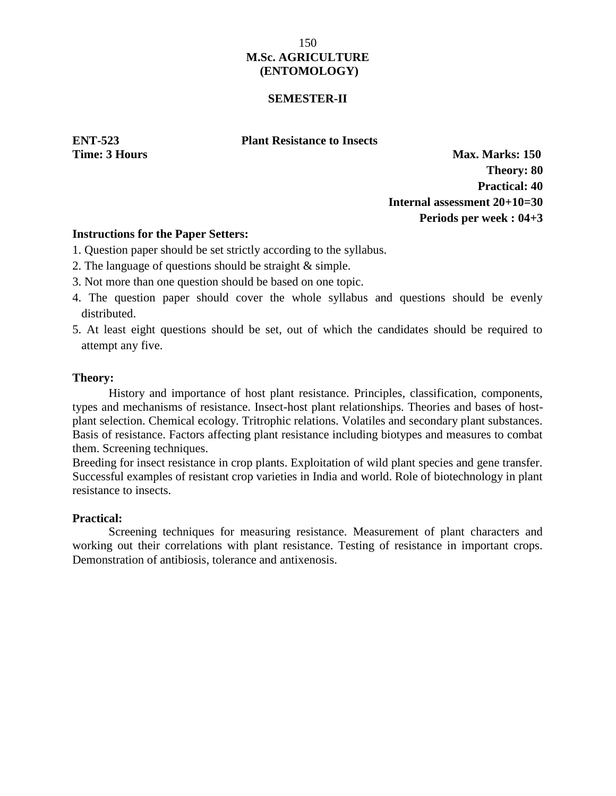## **SEMESTER-II**

## **ENT-523 Plant Resistance to Insects**

**Time: 3 Hours Max. Marks: 150 Theory: 80 Practical: 40 Internal assessment 20+10=30 Periods per week : 04+3**

## **Instructions for the Paper Setters:**

- 1. Question paper should be set strictly according to the syllabus.
- 2. The language of questions should be straight & simple.
- 3. Not more than one question should be based on one topic.
- 4. The question paper should cover the whole syllabus and questions should be evenly distributed.
- 5. At least eight questions should be set, out of which the candidates should be required to attempt any five.

## **Theory:**

History and importance of host plant resistance. Principles, classification, components, types and mechanisms of resistance. Insect-host plant relationships. Theories and bases of host plant selection. Chemical ecology. Tritrophic relations. Volatiles and secondary plant substances. Basis of resistance. Factors affecting plant resistance including biotypes and measures to combat them. Screening techniques.

Breeding for insect resistance in crop plants. Exploitation of wild plant species and gene transfer. Successful examples of resistant crop varieties in India and world. Role of biotechnology in plant resistance to insects.

# **Practical:**

Screening techniques for measuring resistance. Measurement of plant characters and working out their correlations with plant resistance. Testing of resistance in important crops. Demonstration of antibiosis, tolerance and antixenosis.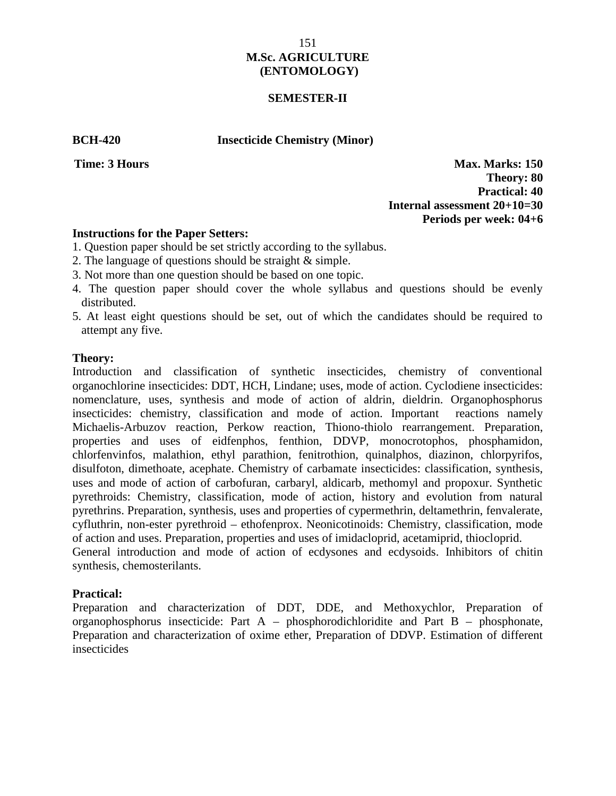## **SEMESTER-II**

**BCH-420 Insecticide Chemistry (Minor)**

**Time: 3 Hours Max. Marks: 150 Theory: 80 Practical: 40 Internal assessment 20+10=30 Periods per week: 04+6**

## **Instructions for the Paper Setters:**

- 1. Question paper should be set strictly according to the syllabus.
- 2. The language of questions should be straight & simple.
- 3. Not more than one question should be based on one topic.
- 4. The question paper should cover the whole syllabus and questions should be evenly distributed.
- 5. At least eight questions should be set, out of which the candidates should be required to attempt any five.

## **Theory:**

Introduction and classification of synthetic insecticides, chemistry of conventional organochlorine insecticides: DDT, HCH, Lindane; uses, mode of action. Cyclodiene insecticides: nomenclature, uses, synthesis and mode of action of aldrin, dieldrin. Organophosphorus insecticides: chemistry, classification and mode of action. Important reactions namely Michaelis-Arbuzov reaction, Perkow reaction, Thiono-thiolo rearrangement. Preparation, properties and uses of eidfenphos, fenthion, DDVP, monocrotophos, phosphamidon, chlorfenvinfos, malathion, ethyl parathion, fenitrothion, quinalphos, diazinon, chlorpyrifos, disulfoton, dimethoate, acephate. Chemistry of carbamate insecticides: classification, synthesis, uses and mode of action of carbofuran, carbaryl, aldicarb, methomyl and propoxur. Synthetic pyrethroids: Chemistry, classification, mode of action, history and evolution from natural pyrethrins. Preparation, synthesis, uses and properties of cypermethrin, deltamethrin, fenvalerate, cyfluthrin, non-ester pyrethroid – ethofenprox. Neonicotinoids: Chemistry, classification, mode of action and uses. Preparation, properties and uses of imidacloprid, acetamiprid, thiocloprid. General introduction and mode of action of ecdysones and ecdysoids. Inhibitors of chitin synthesis, chemosterilants.

## **Practical:**

Preparation and characterization of DDT, DDE, and Methoxychlor, Preparation of organophosphorus insecticide: Part A – phosphorodichloridite and Part B – phosphonate, Preparation and characterization of oxime ether, Preparation of DDVP. Estimation of different insecticides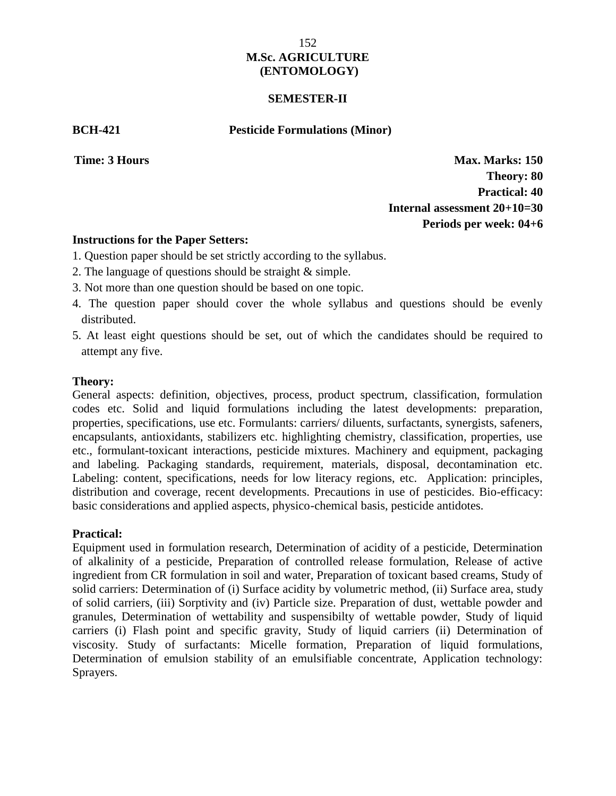## **SEMESTER-II**

**BCH-421 Pesticide Formulations (Minor)**

**Time: 3 Hours Max. Marks: 150 Theory: 80 Practical: 40 Internal assessment 20+10=30 Periods per week: 04+6**

## **Instructions for the Paper Setters:**

- 1. Question paper should be set strictly according to the syllabus.
- 2. The language of questions should be straight & simple.
- 3. Not more than one question should be based on one topic.
- 4. The question paper should cover the whole syllabus and questions should be evenly distributed.
- 5. At least eight questions should be set, out of which the candidates should be required to attempt any five.

## **Theory:**

General aspects: definition, objectives, process, product spectrum, classification, formulation codes etc. Solid and liquid formulations including the latest developments: preparation, properties, specifications, use etc. Formulants: carriers/ diluents, surfactants, synergists, safeners, encapsulants, antioxidants, stabilizers etc. highlighting chemistry, classification, properties, use etc., formulant-toxicant interactions, pesticide mixtures. Machinery and equipment, packaging and labeling. Packaging standards, requirement, materials, disposal, decontamination etc. Labeling: content, specifications, needs for low literacy regions, etc. Application: principles, distribution and coverage, recent developments. Precautions in use of pesticides. Bio-efficacy: basic considerations and applied aspects, physico-chemical basis, pesticide antidotes.

# **Practical:**

Equipment used in formulation research, Determination of acidity of a pesticide, Determination of alkalinity of a pesticide, Preparation of controlled release formulation, Release of active ingredient from CR formulation in soil and water, Preparation of toxicant based creams, Study of solid carriers: Determination of (i) Surface acidity by volumetric method, (ii) Surface area, study of solid carriers, (iii) Sorptivity and (iv) Particle size. Preparation of dust, wettable powder and granules, Determination of wettability and suspensibilty of wettable powder, Study of liquid carriers (i) Flash point and specific gravity, Study of liquid carriers (ii) Determination of viscosity. Study of surfactants: Micelle formation, Preparation of liquid formulations, Determination of emulsion stability of an emulsifiable concentrate, Application technology: Sprayers.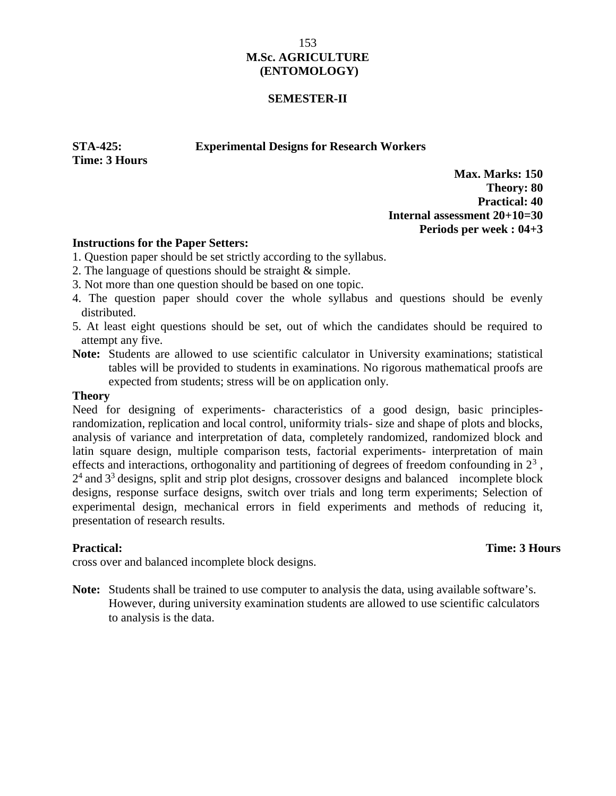## **SEMESTER-II**

**STA-425: Experimental Designs for Research Workers**

**Time: 3 Hours Max. May. May be a set of the set of the set of the set of the set of the set of the set of the set of the set of the set of the set of the set of the set of the set of the set of the set of the set of the** 

**Max. Marks: 150 Theory: 80 Practical: 40 Internal assessment 20+10=30 Periods per week : 04+3**

## **Instructions for the Paper Setters:**

- 1. Question paper should be set strictly according to the syllabus.
- 2. The language of questions should be straight & simple.
- 3. Not more than one question should be based on one topic.
- 4. The question paper should cover the whole syllabus and questions should be evenly distributed.
- 5. At least eight questions should be set, out of which the candidates should be required to attempt any five.
- **Note:** Students are allowed to use scientific calculator in University examinations; statistical tables will be provided to students in examinations. No rigorous mathematical proofs are expected from students; stress will be on application only.

#### **Theory**

Need for designing of experiments- characteristics of a good design, basic principlesrandomization, replication and local control, uniformity trials- size and shape of plots and blocks, analysis of variance and interpretation of data, completely randomized, randomized block and latin square design, multiple comparison tests, factorial experiments- interpretation of main effects and interactions, orthogonality and partitioning of degrees of freedom confounding in  $2<sup>3</sup>$ ,  $2<sup>4</sup>$  and  $3<sup>3</sup>$  designs, split and strip plot designs, crossover designs and balanced incomplete block designs, response surface designs, switch over trials and long term experiments; Selection of experimental design, mechanical errors in field experiments and methods of reducing it, presentation of research results.

## **Practical:** Time: 3 Hours Unit trials, completely randomized, randomized, randomized,  $\frac{1}{2}$  randomized, 2 Hours

cross over and balanced incomplete block designs.

**Note:** Students shall be trained to use computer to analysis the data, using available software's. However, during university examination students are allowed to use scientific calculators to analysis is the data.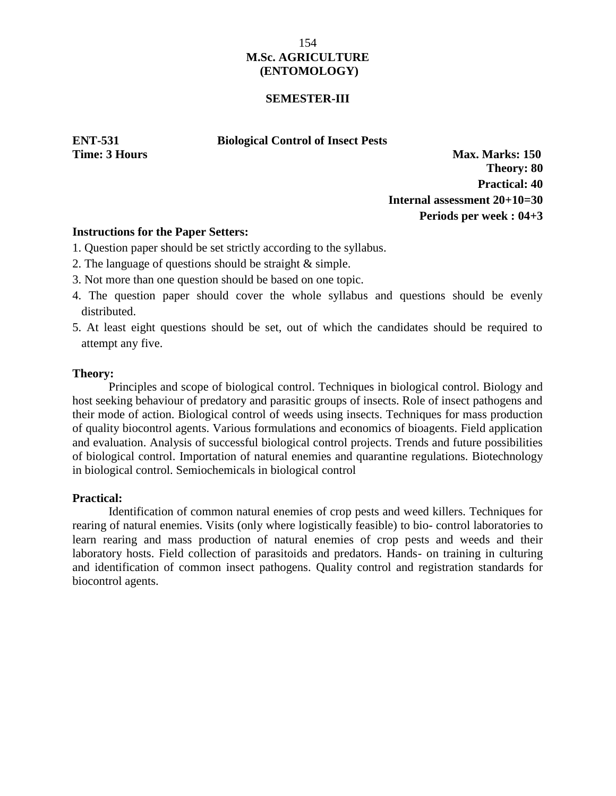## **SEMESTER-III**

## **ENT-531 Biological Control of Insect Pests**

**Time: 3 Hours Max. Marks: 150 Theory: 80 Practical: 40 Internal assessment 20+10=30 Periods per week : 04+3**

# **Instructions for the Paper Setters:**

- 1. Question paper should be set strictly according to the syllabus.
- 2. The language of questions should be straight & simple.
- 3. Not more than one question should be based on one topic.
- 4. The question paper should cover the whole syllabus and questions should be evenly distributed.
- 5. At least eight questions should be set, out of which the candidates should be required to attempt any five.

## **Theory:**

Principles and scope of biological control. Techniques in biological control. Biology and host seeking behaviour of predatory and parasitic groups of insects. Role of insect pathogens and their mode of action. Biological control of weeds using insects. Techniques for mass production of quality biocontrol agents. Various formulations and economics of bioagents. Field application and evaluation. Analysis of successful biological control projects. Trends and future possibilities of biological control. Importation of natural enemies and quarantine regulations. Biotechnology in biological control. Semiochemicals in biological control

## **Practical:**

Identification of common natural enemies of crop pests and weed killers. Techniques for rearing of natural enemies. Visits (only where logistically feasible) to bio- control laboratories to learn rearing and mass production of natural enemies of crop pests and weeds and their laboratory hosts. Field collection of parasitoids and predators. Hands- on training in culturing and identification of common insect pathogens. Quality control and registration standards for biocontrol agents.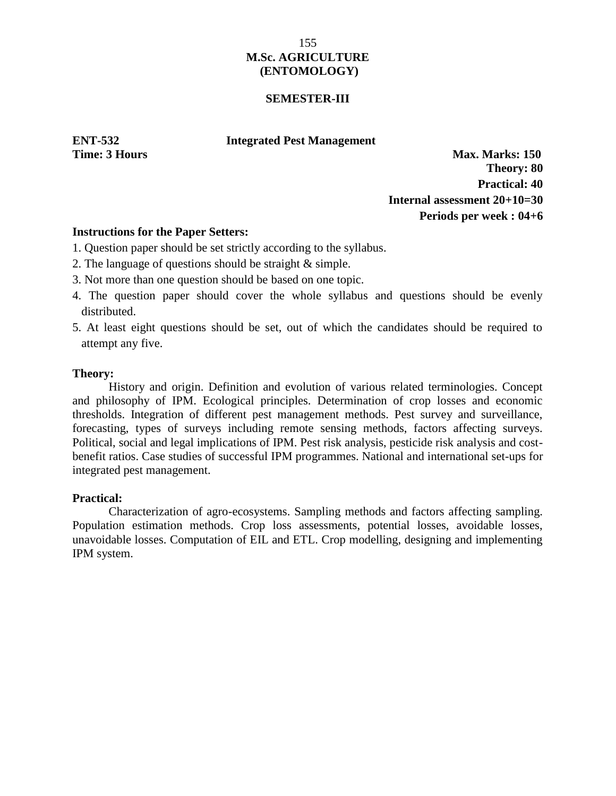## **SEMESTER-III**

## **ENT-532 Integrated Pest Management**

**Time: 3 Hours Max. Marks: 150 Theory: 80 Practical: 40 Internal assessment 20+10=30 Periods per week : 04+6**

## **Instructions for the Paper Setters:**

- 1. Question paper should be set strictly according to the syllabus.
- 2. The language of questions should be straight & simple.
- 3. Not more than one question should be based on one topic.
- 4. The question paper should cover the whole syllabus and questions should be evenly distributed.
- 5. At least eight questions should be set, out of which the candidates should be required to attempt any five.

## **Theory:**

History and origin. Definition and evolution of various related terminologies. Concept and philosophy of IPM. Ecological principles. Determination of crop losses and economic thresholds. Integration of different pest management methods. Pest survey and surveillance, forecasting, types of surveys including remote sensing methods, factors affecting surveys. Political, social and legal implications of IPM. Pest risk analysis, pesticide risk analysis and cost benefit ratios. Case studies of successful IPM programmes. National and international set-ups for integrated pest management.

# **Practical:**

Characterization of agro-ecosystems. Sampling methods and factors affecting sampling. Population estimation methods. Crop loss assessments, potential losses, avoidable losses, unavoidable losses. Computation of EIL and ETL. Crop modelling, designing and implementing IPM system.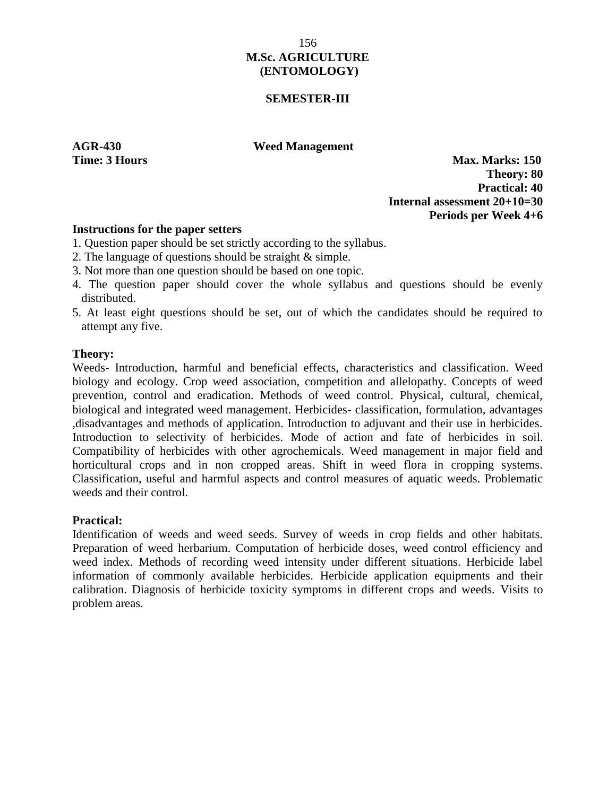## **SEMESTER-III**

**AGR-430 Weed Management**

**Time: 3 Hours Max. Marks: 150 Theory: 80 Practical: 40 Internal assessment 20+10=30 Periods per Week 4+6**

## **Instructions for the paper setters**

- 1. Question paper should be set strictly according to the syllabus.
- 2. The language of questions should be straight & simple.
- 3. Not more than one question should be based on one topic.
- 4. The question paper should cover the whole syllabus and questions should be evenly distributed.
- 5. At least eight questions should be set, out of which the candidates should be required to attempt any five.

## **Theory:**

Weeds- Introduction, harmful and beneficial effects, characteristics and classification. Weed biology and ecology. Crop weed association, competition and allelopathy. Concepts of weed prevention, control and eradication. Methods of weed control. Physical, cultural, chemical, biological and integrated weed management. Herbicides- classification, formulation, advantages ,disadvantages and methods of application. Introduction to adjuvant and their use in herbicides. Introduction to selectivity of herbicides. Mode of action and fate of herbicides in soil. Compatibility of herbicides with other agrochemicals. Weed management in major field and horticultural crops and in non cropped areas. Shift in weed flora in cropping systems. Classification, useful and harmful aspects and control measures of aquatic weeds. Problematic weeds and their control.

## **Practical:**

Identification of weeds and weed seeds. Survey of weeds in crop fields and other habitats. Preparation of weed herbarium. Computation of herbicide doses, weed control efficiency and weed index. Methods of recording weed intensity under different situations. Herbicide label information of commonly available herbicides. Herbicide application equipments and their calibration. Diagnosis of herbicide toxicity symptoms in different crops and weeds. Visits to problem areas.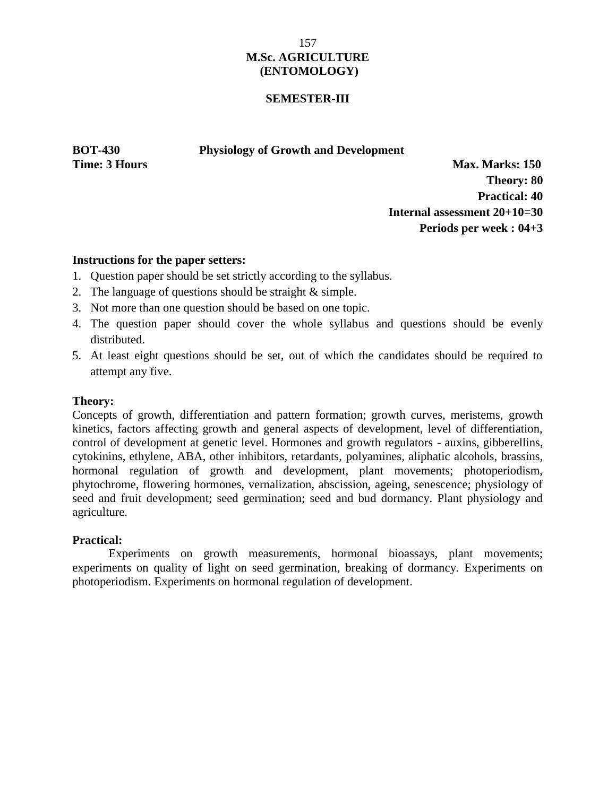## **SEMESTER-III**

#### **BOT-430 Physiology of Growth and Development**

**Time: 3 Hours Max. Marks: 150 Theory: 80 Practical: 40 Internal assessment 20+10=30 Periods per week : 04+3**

# **Instructions for the paper setters:**

- 1. Question paper should be set strictly according to the syllabus.
- 2. The language of questions should be straight & simple.
- 3. Not more than one question should be based on one topic.
- 4. The question paper should cover the whole syllabus and questions should be evenly distributed.
- 5. At least eight questions should be set, out of which the candidates should be required to attempt any five.

# **Theory:**

Concepts of growth, differentiation and pattern formation; growth curves, meristems, growth kinetics, factors affecting growth and general aspects of development, level of differentiation, control of development at genetic level. Hormones and growth regulators - auxins, gibberellins, cytokinins, ethylene, ABA, other inhibitors, retardants, polyamines, aliphatic alcohols, brassins, hormonal regulation of growth and development, plant movements; photoperiodism, phytochrome, flowering hormones, vernalization, abscission, ageing, senescence; physiology of seed and fruit development; seed germination; seed and bud dormancy. Plant physiology and agriculture.

# **Practical:**

Experiments on growth measurements, hormonal bioassays, plant movements; experiments on quality of light on seed germination, breaking of dormancy. Experiments on photoperiodism. Experiments on hormonal regulation of development.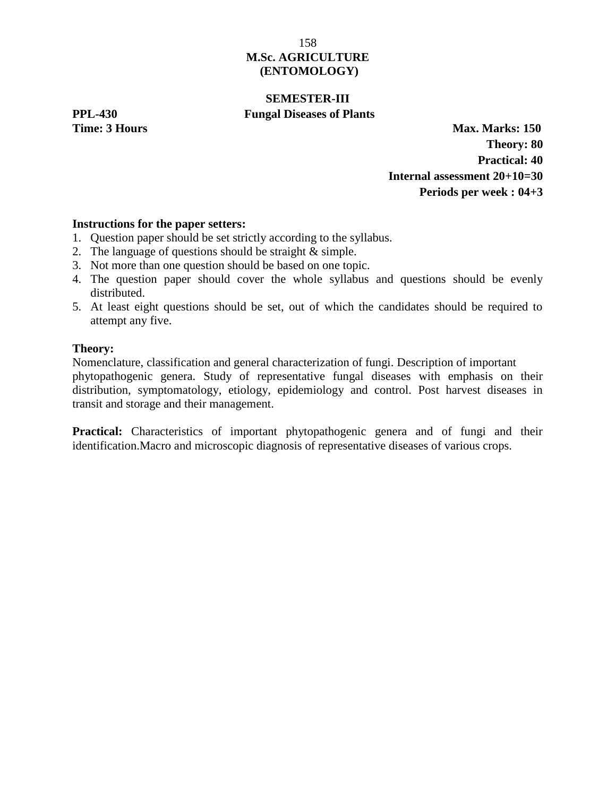# **SEMESTER-III PPL-430 Fungal Diseases of Plants**

**Time: 3 Hours Max. Marks: 150 Theory: 80 Practical: 40 Internal assessment 20+10=30 Periods per week : 04+3**

# **Instructions for the paper setters:**

- 1. Question paper should be set strictly according to the syllabus.
- 2. The language of questions should be straight & simple.
- 3. Not more than one question should be based on one topic.
- 4. The question paper should cover the whole syllabus and questions should be evenly distributed.
- 5. At least eight questions should be set, out of which the candidates should be required to attempt any five.

# **Theory:**

Nomenclature, classification and general characterization of fungi. Description of important phytopathogenic genera. Study of representative fungal diseases with emphasis on their distribution, symptomatology, etiology, epidemiology and control. Post harvest diseases in transit and storage and their management.

**Practical:** Characteristics of important phytopathogenic genera and of fungi and their identification.Macro and microscopic diagnosis of representative diseases of various crops.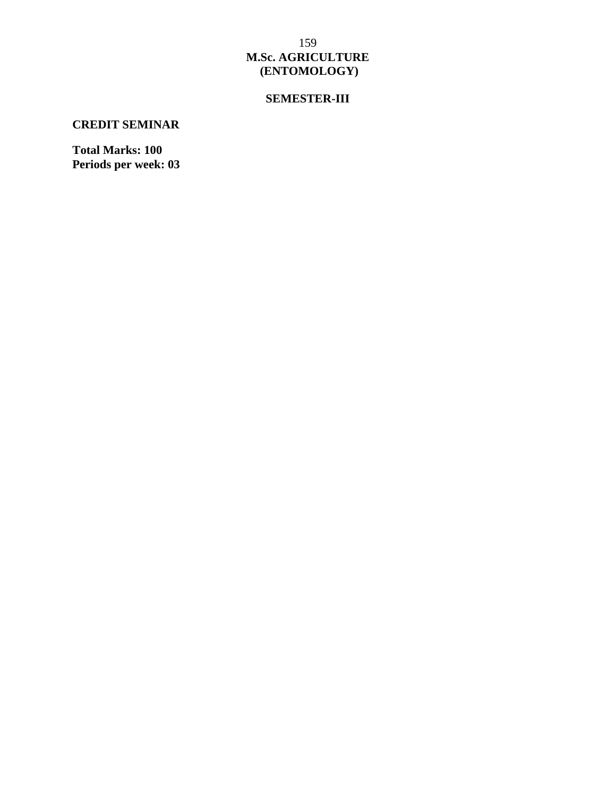# **SEMESTER-III**

# **CREDIT SEMINAR**

**Total Marks: 100 Periods per week: 03**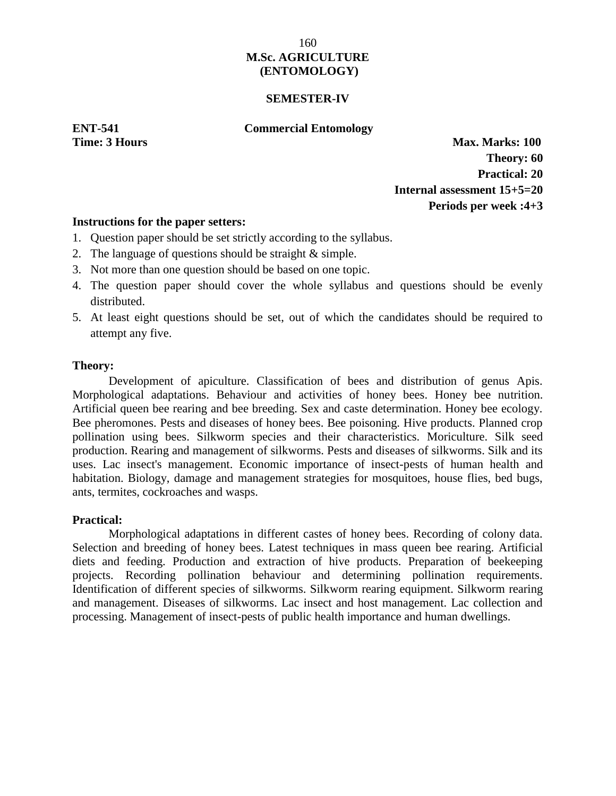## **SEMESTER-IV**

## **ENT-541 Commercial Entomology**

**Time: 3 Hours Max. Marks: 100 Theory: 60 Practical: 20 Internal assessment 15+5=20 Periods per week :4+3**

#### **Instructions for the paper setters:**

- 1. Question paper should be set strictly according to the syllabus.
- 2. The language of questions should be straight & simple.
- 3. Not more than one question should be based on one topic.
- 4. The question paper should cover the whole syllabus and questions should be evenly distributed.
- 5. At least eight questions should be set, out of which the candidates should be required to attempt any five.

#### **Theory:**

Development of apiculture. Classification of bees and distribution of genus Apis. Morphological adaptations. Behaviour and activities of honey bees. Honey bee nutrition. Artificial queen bee rearing and bee breeding. Sex and caste determination. Honey bee ecology. Bee pheromones. Pests and diseases of honey bees. Bee poisoning. Hive products. Planned crop pollination using bees. Silkworm species and their characteristics. Moriculture. Silk seed production. Rearing and management of silkworms. Pests and diseases of silkworms. Silk and its uses. Lac insect's management. Economic importance of insect-pests of human health and habitation. Biology, damage and management strategies for mosquitoes, house flies, bed bugs, ants, termites, cockroaches and wasps.

## **Practical:**

Morphological adaptations in different castes of honey bees. Recording of colony data. Selection and breeding of honey bees. Latest techniques in mass queen bee rearing. Artificial diets and feeding. Production and extraction of hive products. Preparation of beekeeping projects. Recording pollination behaviour and determining pollination requirements. Identification of different species of silkworms. Silkworm rearing equipment. Silkworm rearing and management. Diseases of silkworms. Lac insect and host management. Lac collection and processing. Management of insect-pests of public health importance and human dwellings.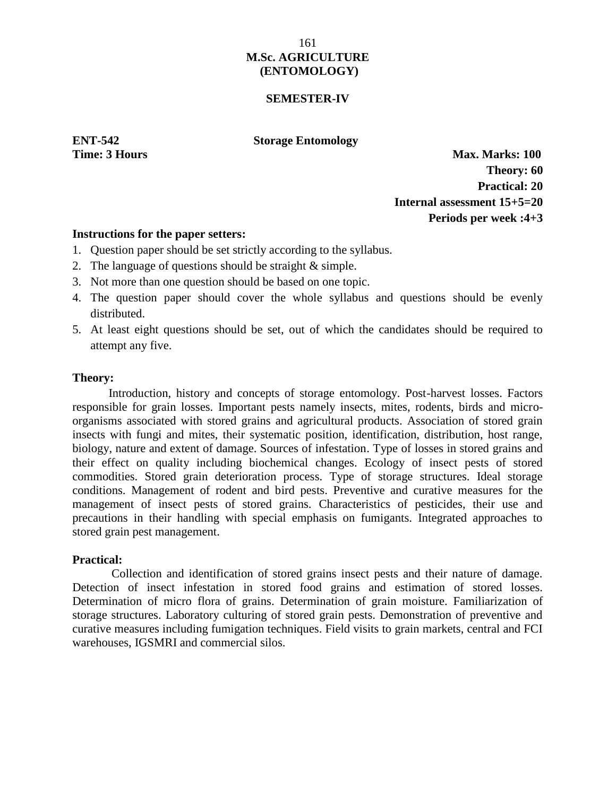## **SEMESTER-IV**

**ENT-542 Storage Entomology**

**Time: 3 Hours Max. Marks: 100 Theory: 60 Practical: 20 Internal assessment 15+5=20 Periods per week :4+3**

#### **Instructions for the paper setters:**

- 1. Question paper should be set strictly according to the syllabus.
- 2. The language of questions should be straight & simple.
- 3. Not more than one question should be based on one topic.
- 4. The question paper should cover the whole syllabus and questions should be evenly distributed.
- 5. At least eight questions should be set, out of which the candidates should be required to attempt any five.

#### **Theory:**

Introduction, history and concepts of storage entomology. Post-harvest losses. Factors responsible for grain losses. Important pests namely insects, mites, rodents, birds and micro organisms associated with stored grains and agricultural products. Association of stored grain insects with fungi and mites, their systematic position, identification, distribution, host range, biology, nature and extent of damage. Sources of infestation. Type of losses in stored grains and their effect on quality including biochemical changes. Ecology of insect pests of stored commodities. Stored grain deterioration process. Type of storage structures. Ideal storage conditions. Management of rodent and bird pests. Preventive and curative measures for the management of insect pests of stored grains. Characteristics of pesticides, their use and precautions in their handling with special emphasis on fumigants. Integrated approaches to stored grain pest management.

## **Practical:**

Collection and identification of stored grains insect pests and their nature of damage. Detection of insect infestation in stored food grains and estimation of stored losses. Determination of micro flora of grains. Determination of grain moisture. Familiarization of storage structures. Laboratory culturing of stored grain pests. Demonstration of preventive and curative measures including fumigation techniques. Field visits to grain markets, central and FCI warehouses, IGSMRI and commercial silos.